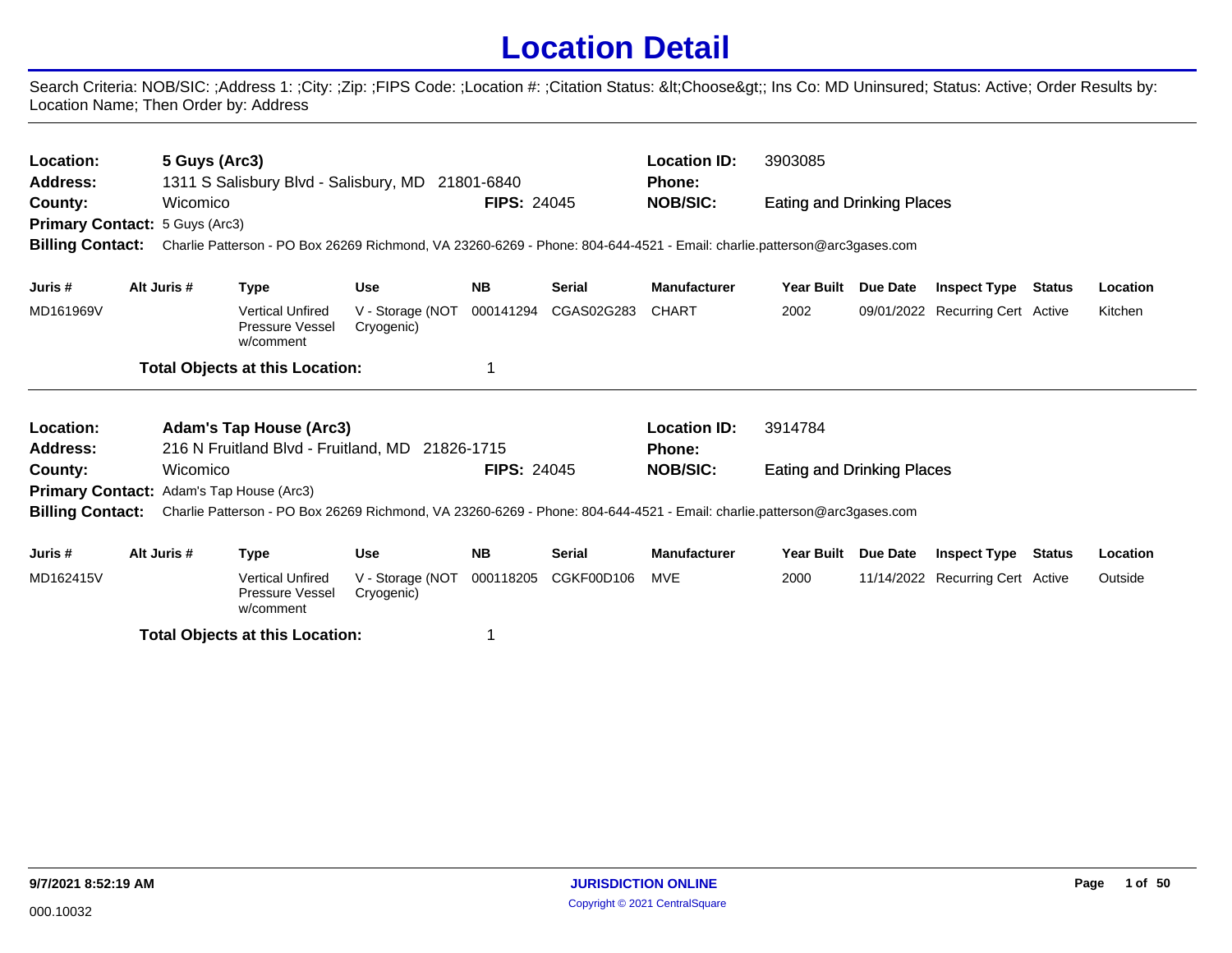## **Location Detail**

Search Criteria: NOB/SIC: ;Address 1: ;City: ;Zip: ;FIPS Code: ;Location #: ;Citation Status: <Choose&gt;; Ins Co: MD Uninsured; Status: Active; Order Results by: Location Name; Then Order by: Address

| Location:<br>Address:                                                                                  | 5 Guys (Arc3)                                     | 1311 S Salisbury Blvd - Salisbury, MD 21801-6840                                                                        |                                |                    |               | <b>Location ID:</b><br><b>Phone:</b> | 3903085                           |                                  |                                  |          |
|--------------------------------------------------------------------------------------------------------|---------------------------------------------------|-------------------------------------------------------------------------------------------------------------------------|--------------------------------|--------------------|---------------|--------------------------------------|-----------------------------------|----------------------------------|----------------------------------|----------|
| County:                                                                                                | Wicomico<br><b>Primary Contact: 5 Guys (Arc3)</b> |                                                                                                                         |                                | <b>FIPS: 24045</b> |               | <b>NOB/SIC:</b>                      | <b>Eating and Drinking Places</b> |                                  |                                  |          |
| <b>Billing Contact:</b>                                                                                |                                                   | Charlie Patterson - PO Box 26269 Richmond, VA 23260-6269 - Phone: 804-644-4521 - Email: charlie.patterson@arc3gases.com |                                |                    |               |                                      |                                   |                                  |                                  |          |
| Juris #                                                                                                | Alt Juris #                                       | Type                                                                                                                    | <b>Use</b>                     | <b>NB</b>          | <b>Serial</b> | <b>Manufacturer</b>                  | <b>Year Built</b>                 | Due Date                         | <b>Inspect Type Status</b>       | Location |
| MD161969V                                                                                              |                                                   | <b>Vertical Unfired</b><br>Pressure Vessel<br>w/comment                                                                 | V - Storage (NOT<br>Cryogenic) | 000141294          | CGAS02G283    | <b>CHART</b>                         | 2002                              |                                  | 09/01/2022 Recurring Cert Active | Kitchen  |
|                                                                                                        |                                                   | <b>Total Objects at this Location:</b>                                                                                  |                                |                    |               |                                      |                                   |                                  |                                  |          |
| Location:                                                                                              |                                                   | <b>Adam's Tap House (Arc3)</b>                                                                                          |                                |                    |               | <b>Location ID:</b>                  | 3914784                           |                                  |                                  |          |
| Address:                                                                                               |                                                   | 216 N Fruitland Blvd - Fruitland, MD 21826-1715                                                                         |                                |                    |               | <b>Phone:</b>                        |                                   |                                  |                                  |          |
| County:                                                                                                | Wicomico                                          |                                                                                                                         |                                | <b>FIPS: 24045</b> |               | <b>NOB/SIC:</b>                      | Eating and Drinking Places        |                                  |                                  |          |
|                                                                                                        | <b>Primary Contact: Adam's Tap House (Arc3)</b>   |                                                                                                                         |                                |                    |               |                                      |                                   |                                  |                                  |          |
| <b>Billing Contact:</b>                                                                                |                                                   | Charlie Patterson - PO Box 26269 Richmond, VA 23260-6269 - Phone: 804-644-4521 - Email: charlie.patterson@arc3gases.com |                                |                    |               |                                      |                                   |                                  |                                  |          |
| Juris #                                                                                                | Alt Juris #                                       | Type                                                                                                                    | <b>Use</b>                     | <b>NB</b>          | <b>Serial</b> | <b>Manufacturer</b>                  | Year Built Due Date               |                                  | <b>Inspect Type Status</b>       | Location |
| MD162415V<br><b>Vertical Unfired</b><br>V - Storage (NOT<br>000118205<br>Pressure Vessel<br>Cryogenic) |                                                   |                                                                                                                         |                                | CGKF00D106         | MVE           | 2000                                 |                                   | 11/14/2022 Recurring Cert Active | Outside                          |          |

**Total Objects at this Location:** 1

w/comment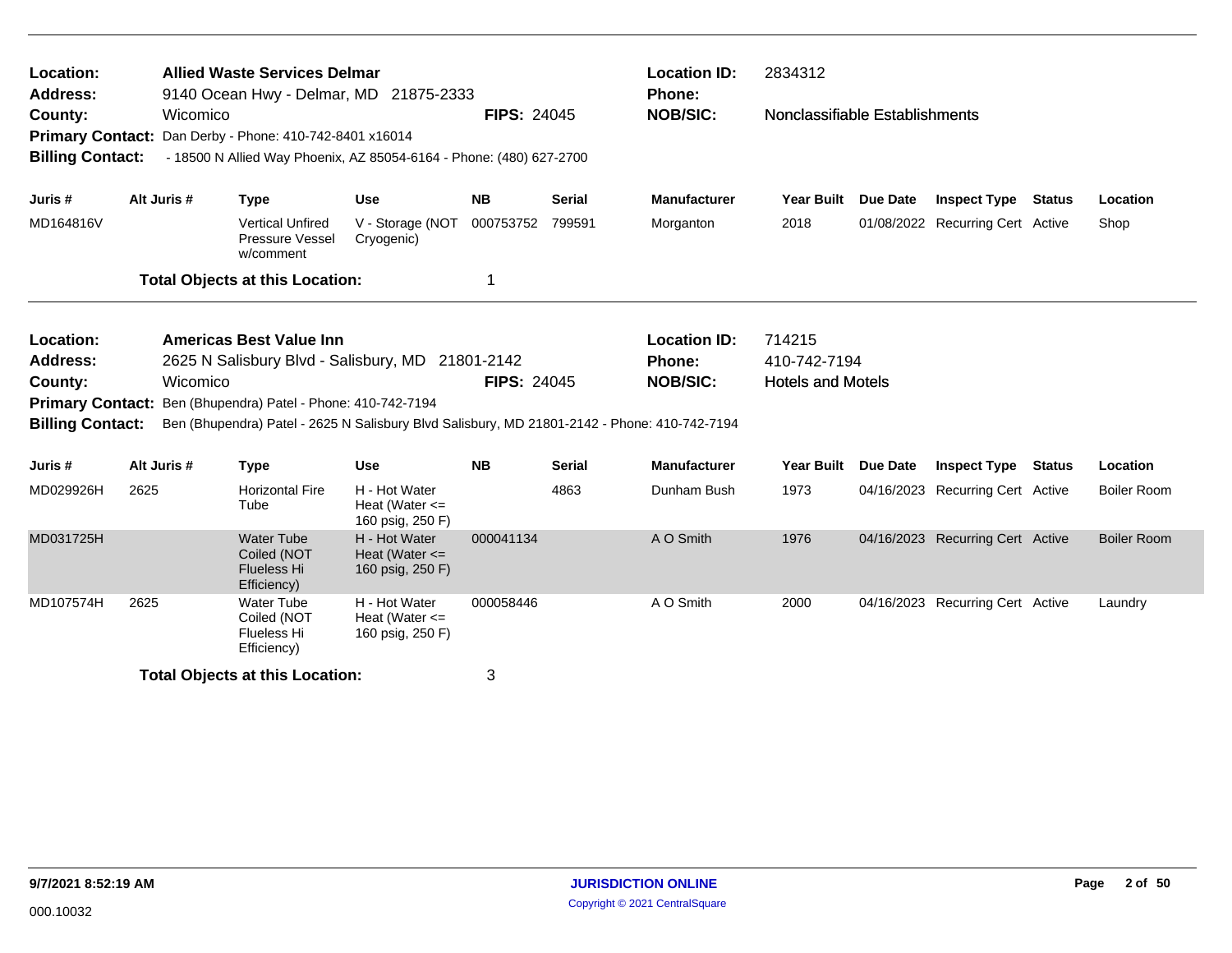| Location:<br><b>Address:</b><br>County:<br><b>Primary Contact:</b> | Wicomico                                                                                                                                                                                                                                                                                            | <b>Allied Waste Services Delmar</b><br>9140 Ocean Hwy - Delmar, MD 21875-2333<br>Dan Derby - Phone: 410-742-8401 x16014 |                                                         | <b>FIPS: 24045</b> |                    | <b>Location ID:</b><br><b>Phone:</b><br><b>NOB/SIC:</b> | 2834312<br>Nonclassifiable Establishments          |                 |                                  |               |                    |
|--------------------------------------------------------------------|-----------------------------------------------------------------------------------------------------------------------------------------------------------------------------------------------------------------------------------------------------------------------------------------------------|-------------------------------------------------------------------------------------------------------------------------|---------------------------------------------------------|--------------------|--------------------|---------------------------------------------------------|----------------------------------------------------|-----------------|----------------------------------|---------------|--------------------|
| <b>Billing Contact:</b>                                            |                                                                                                                                                                                                                                                                                                     | - 18500 N Allied Way Phoenix, AZ 85054-6164 - Phone: (480) 627-2700                                                     |                                                         |                    |                    |                                                         |                                                    |                 |                                  |               |                    |
| Juris #                                                            | Alt Juris #                                                                                                                                                                                                                                                                                         | <b>Type</b>                                                                                                             | <b>Use</b>                                              | <b>NB</b>          | <b>Serial</b>      | <b>Manufacturer</b>                                     | <b>Year Built</b>                                  | <b>Due Date</b> | <b>Inspect Type</b>              | Status        | Location           |
| MD164816V                                                          |                                                                                                                                                                                                                                                                                                     | <b>Vertical Unfired</b><br>Pressure Vessel<br>w/comment                                                                 | V - Storage (NOT<br>Cryogenic)                          | 000753752          | 799591             | Morganton                                               | 2018                                               |                 | 01/08/2022 Recurring Cert Active |               | Shop               |
|                                                                    |                                                                                                                                                                                                                                                                                                     | <b>Total Objects at this Location:</b>                                                                                  |                                                         | 1                  |                    |                                                         |                                                    |                 |                                  |               |                    |
| Location:<br><b>Address:</b><br>County:                            | <b>Americas Best Value Inn</b><br>2625 N Salisbury Blvd - Salisbury, MD 21801-2142<br>Wicomico<br><b>Primary Contact:</b><br>Ben (Bhupendra) Patel - Phone: 410-742-7194<br><b>Billing Contact:</b><br>Ben (Bhupendra) Patel - 2625 N Salisbury Blvd Salisbury, MD 21801-2142 - Phone: 410-742-7194 |                                                                                                                         |                                                         |                    | <b>FIPS: 24045</b> | <b>Location ID:</b><br>Phone:<br><b>NOB/SIC:</b>        | 714215<br>410-742-7194<br><b>Hotels and Motels</b> |                 |                                  |               |                    |
| Juris#                                                             | Alt Juris #                                                                                                                                                                                                                                                                                         | <b>Type</b>                                                                                                             | <b>Use</b>                                              | <b>NB</b>          | <b>Serial</b>      | <b>Manufacturer</b>                                     | <b>Year Built</b>                                  | Due Date        | <b>Inspect Type</b>              | <b>Status</b> | Location           |
| MD029926H                                                          | 2625                                                                                                                                                                                                                                                                                                | <b>Horizontal Fire</b><br>Tube                                                                                          | H - Hot Water<br>Heat (Water $\leq$<br>160 psig, 250 F) |                    | 4863               | Dunham Bush                                             | 1973                                               |                 | 04/16/2023 Recurring Cert Active |               | <b>Boiler Room</b> |
| MD031725H                                                          |                                                                                                                                                                                                                                                                                                     | <b>Water Tube</b><br>Coiled (NOT<br><b>Flueless Hi</b><br>Efficiency)                                                   | H - Hot Water<br>Heat (Water $\leq$<br>160 psig, 250 F) | 000041134          |                    | A O Smith                                               | 1976                                               |                 | 04/16/2023 Recurring Cert Active |               | <b>Boiler Room</b> |
| MD107574H                                                          | 2625                                                                                                                                                                                                                                                                                                | <b>Water Tube</b><br>Coiled (NOT<br>Flueless Hi<br>Efficiency)                                                          | H - Hot Water<br>Heat (Water $\leq$<br>160 psig, 250 F) | 000058446          |                    | A O Smith                                               | 2000                                               |                 | 04/16/2023 Recurring Cert Active |               | Laundry            |
|                                                                    |                                                                                                                                                                                                                                                                                                     | <b>Total Objects at this Location:</b>                                                                                  |                                                         | 3                  |                    |                                                         |                                                    |                 |                                  |               |                    |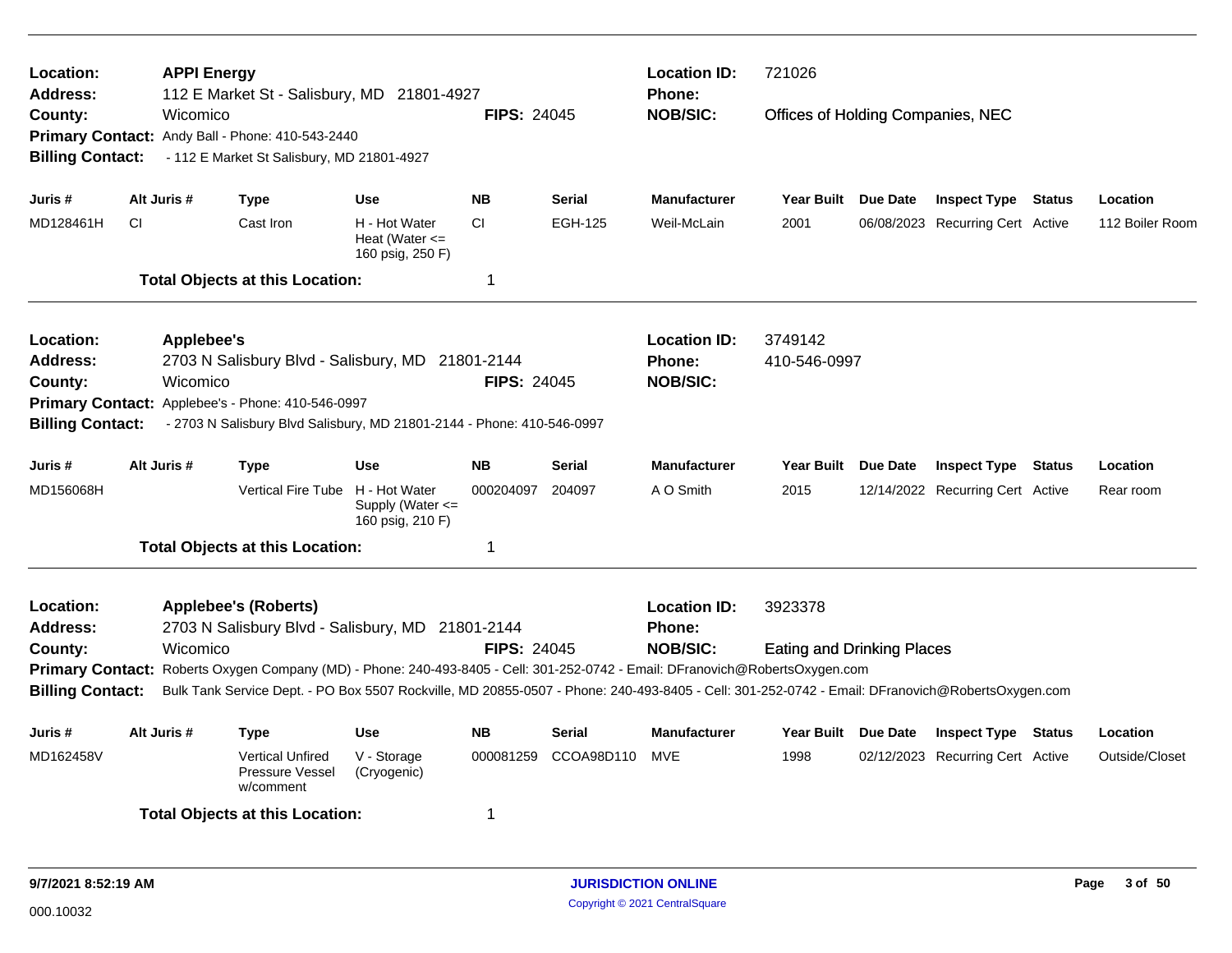| Location:<br>Address:<br>County:                                   |           | <b>APPI Energy</b><br>Wicomico | 112 E Market St - Salisbury, MD 21801-4927                                                                                                      |                                                           | <b>FIPS: 24045</b> |                | <b>Location ID:</b><br><b>Phone:</b><br><b>NOB/SIC:</b> | 721026<br>Offices of Holding Companies, NEC |          |                                  |                 |
|--------------------------------------------------------------------|-----------|--------------------------------|-------------------------------------------------------------------------------------------------------------------------------------------------|-----------------------------------------------------------|--------------------|----------------|---------------------------------------------------------|---------------------------------------------|----------|----------------------------------|-----------------|
| <b>Billing Contact:</b>                                            |           |                                | Primary Contact: Andy Ball - Phone: 410-543-2440<br>- 112 E Market St Salisbury, MD 21801-4927                                                  |                                                           |                    |                |                                                         |                                             |          |                                  |                 |
| Juris #                                                            |           | Alt Juris #                    | Type                                                                                                                                            | <b>Use</b>                                                | <b>NB</b>          | <b>Serial</b>  | <b>Manufacturer</b>                                     | Year Built                                  | Due Date | <b>Inspect Type Status</b>       | Location        |
| MD128461H                                                          | <b>CI</b> |                                | Cast Iron                                                                                                                                       | H - Hot Water<br>Heat (Water $\leq$<br>160 psig, 250 F)   | <b>CI</b>          | <b>EGH-125</b> | Weil-McLain                                             | 2001                                        |          | 06/08/2023 Recurring Cert Active | 112 Boiler Room |
|                                                                    |           |                                | <b>Total Objects at this Location:</b>                                                                                                          |                                                           | 1                  |                |                                                         |                                             |          |                                  |                 |
| Location:<br><b>Address:</b><br>County:<br><b>Primary Contact:</b> |           | Applebee's<br>Wicomico         | 2703 N Salisbury Blvd - Salisbury, MD 21801-2144<br>Applebee's - Phone: 410-546-0997                                                            |                                                           | <b>FIPS: 24045</b> |                | <b>Location ID:</b><br>Phone:<br><b>NOB/SIC:</b>        | 3749142<br>410-546-0997                     |          |                                  |                 |
| <b>Billing Contact:</b>                                            |           |                                | - 2703 N Salisbury Blvd Salisbury, MD 21801-2144 - Phone: 410-546-0997                                                                          |                                                           |                    |                |                                                         |                                             |          |                                  |                 |
| Juris #                                                            |           | Alt Juris #                    | Type                                                                                                                                            | <b>Use</b>                                                | <b>NB</b>          | Serial         | <b>Manufacturer</b>                                     | <b>Year Built</b>                           | Due Date | <b>Inspect Type Status</b>       | Location        |
| MD156068H                                                          |           |                                | <b>Vertical Fire Tube</b>                                                                                                                       | H - Hot Water<br>Supply (Water $\leq$<br>160 psig, 210 F) | 000204097          | 204097         | A O Smith                                               | 2015                                        |          | 12/14/2022 Recurring Cert Active | Rear room       |
|                                                                    |           |                                | <b>Total Objects at this Location:</b>                                                                                                          |                                                           | $\mathbf 1$        |                |                                                         |                                             |          |                                  |                 |
| Location:<br><b>Address:</b>                                       |           |                                | <b>Applebee's (Roberts)</b><br>2703 N Salisbury Blvd - Salisbury, MD 21801-2144                                                                 |                                                           |                    |                | <b>Location ID:</b><br>Phone:                           | 3923378                                     |          |                                  |                 |
| County:                                                            |           | Wicomico                       | Primary Contact: Roberts Oxygen Company (MD) - Phone: 240-493-8405 - Cell: 301-252-0742 - Email: DFranovich@RobertsOxygen.com                   |                                                           | <b>FIPS: 24045</b> |                | <b>NOB/SIC:</b>                                         | <b>Eating and Drinking Places</b>           |          |                                  |                 |
| <b>Billing Contact:</b>                                            |           |                                | Bulk Tank Service Dept. - PO Box 5507 Rockville, MD 20855-0507 - Phone: 240-493-8405 - Cell: 301-252-0742 - Email: DFranovich@RobertsOxygen.com |                                                           |                    |                |                                                         |                                             |          |                                  |                 |
| Juris #                                                            |           | Alt Juris #                    | Type                                                                                                                                            | <b>Use</b>                                                | <b>NB</b>          | <b>Serial</b>  | <b>Manufacturer</b>                                     | Year Built Due Date                         |          | <b>Inspect Type Status</b>       | Location        |
| MD162458V                                                          |           |                                | <b>Vertical Unfired</b><br>Pressure Vessel<br>w/comment                                                                                         | V - Storage<br>(Cryogenic)                                | 000081259          | CCOA98D110     | <b>MVE</b>                                              | 1998                                        |          | 02/12/2023 Recurring Cert Active | Outside/Closet  |
|                                                                    |           |                                | <b>Total Objects at this Location:</b>                                                                                                          |                                                           | -1                 |                |                                                         |                                             |          |                                  |                 |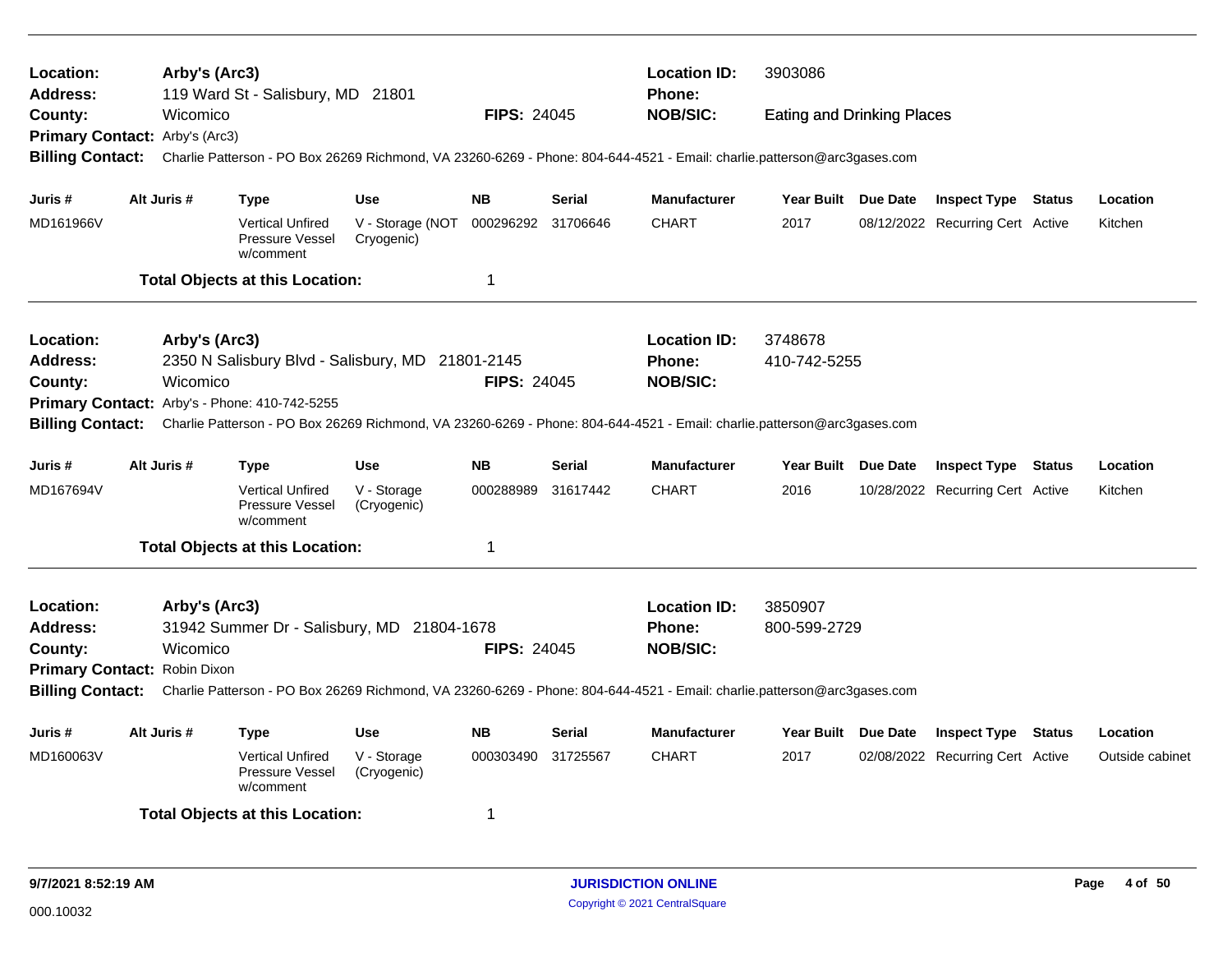| Location:<br><b>Address:</b>   |  | Arby's (Arc3) | 119 Ward St - Salisbury, MD 21801                       |                                                  |                    |               | <b>Location ID:</b><br><b>Phone:</b>                                                                                                     | 3903086                           |                                  |                 |
|--------------------------------|--|---------------|---------------------------------------------------------|--------------------------------------------------|--------------------|---------------|------------------------------------------------------------------------------------------------------------------------------------------|-----------------------------------|----------------------------------|-----------------|
| County:                        |  | Wicomico      |                                                         |                                                  | <b>FIPS: 24045</b> |               | <b>NOB/SIC:</b>                                                                                                                          | <b>Eating and Drinking Places</b> |                                  |                 |
| Primary Contact: Arby's (Arc3) |  |               |                                                         |                                                  |                    |               |                                                                                                                                          |                                   |                                  |                 |
| <b>Billing Contact:</b>        |  |               |                                                         |                                                  |                    |               | Charlie Patterson - PO Box 26269 Richmond, VA 23260-6269 - Phone: 804-644-4521 - Email: charlie.patterson@arc3gases.com                  |                                   |                                  |                 |
| Juris #                        |  | Alt Juris #   | <b>Type</b>                                             | <b>Use</b>                                       | <b>NB</b>          | Serial        | <b>Manufacturer</b>                                                                                                                      | Year Built Due Date               | <b>Inspect Type Status</b>       | Location        |
| MD161966V                      |  |               | <b>Vertical Unfired</b><br>Pressure Vessel<br>w/comment | V - Storage (NOT<br>Cryogenic)                   | 000296292 31706646 |               | <b>CHART</b>                                                                                                                             | 2017                              | 08/12/2022 Recurring Cert Active | Kitchen         |
|                                |  |               | <b>Total Objects at this Location:</b>                  |                                                  | 1                  |               |                                                                                                                                          |                                   |                                  |                 |
| Location:                      |  | Arby's (Arc3) |                                                         |                                                  |                    |               | <b>Location ID:</b>                                                                                                                      | 3748678                           |                                  |                 |
| <b>Address:</b>                |  |               |                                                         | 2350 N Salisbury Blvd - Salisbury, MD 21801-2145 |                    |               | <b>Phone:</b>                                                                                                                            | 410-742-5255                      |                                  |                 |
| County:                        |  | Wicomico      |                                                         |                                                  | <b>FIPS: 24045</b> |               | <b>NOB/SIC:</b>                                                                                                                          |                                   |                                  |                 |
|                                |  |               | Primary Contact: Arby's - Phone: 410-742-5255           |                                                  |                    |               |                                                                                                                                          |                                   |                                  |                 |
| <b>Billing Contact:</b>        |  |               |                                                         |                                                  |                    |               | Charlie Patterson - PO Box 26269 Richmond, VA 23260-6269 - Phone: 804-644-4521 - Email: charlie.patterson@arc3gases.com                  |                                   |                                  |                 |
| Juris #                        |  | Alt Juris #   | <b>Type</b>                                             | <b>Use</b>                                       | <b>NB</b>          | <b>Serial</b> | <b>Manufacturer</b>                                                                                                                      | Year Built Due Date               | <b>Inspect Type Status</b>       | Location        |
| MD167694V                      |  |               | <b>Vertical Unfired</b><br>Pressure Vessel<br>w/comment | V - Storage<br>(Cryogenic)                       | 000288989          | 31617442      | <b>CHART</b>                                                                                                                             | 2016                              | 10/28/2022 Recurring Cert Active | Kitchen         |
|                                |  |               | <b>Total Objects at this Location:</b>                  |                                                  | 1                  |               |                                                                                                                                          |                                   |                                  |                 |
| Location:                      |  | Arby's (Arc3) |                                                         |                                                  |                    |               | <b>Location ID:</b>                                                                                                                      | 3850907                           |                                  |                 |
| <b>Address:</b>                |  |               |                                                         | 31942 Summer Dr - Salisbury, MD 21804-1678       |                    |               | Phone:                                                                                                                                   | 800-599-2729                      |                                  |                 |
| County:                        |  | Wicomico      |                                                         |                                                  | <b>FIPS: 24045</b> |               | <b>NOB/SIC:</b>                                                                                                                          |                                   |                                  |                 |
| Primary Contact: Robin Dixon   |  |               |                                                         |                                                  |                    |               |                                                                                                                                          |                                   |                                  |                 |
|                                |  |               |                                                         |                                                  |                    |               | Billing Contact: Charlie Patterson - PO Box 26269 Richmond, VA 23260-6269 - Phone: 804-644-4521 - Email: charlie.patterson@arc3gases.com |                                   |                                  |                 |
| Juris #                        |  | Alt Juris #   | <b>Type</b>                                             | <b>Use</b>                                       | <b>NB</b>          | Serial        | <b>Manufacturer</b>                                                                                                                      | Year Built Due Date               | <b>Inspect Type Status</b>       | Location        |
| MD160063V                      |  |               | <b>Vertical Unfired</b><br>Pressure Vessel<br>w/comment | V - Storage<br>(Cryogenic)                       | 000303490          | 31725567      | <b>CHART</b>                                                                                                                             | 2017                              | 02/08/2022 Recurring Cert Active | Outside cabinet |
|                                |  |               | <b>Total Objects at this Location:</b>                  |                                                  | 1                  |               |                                                                                                                                          |                                   |                                  |                 |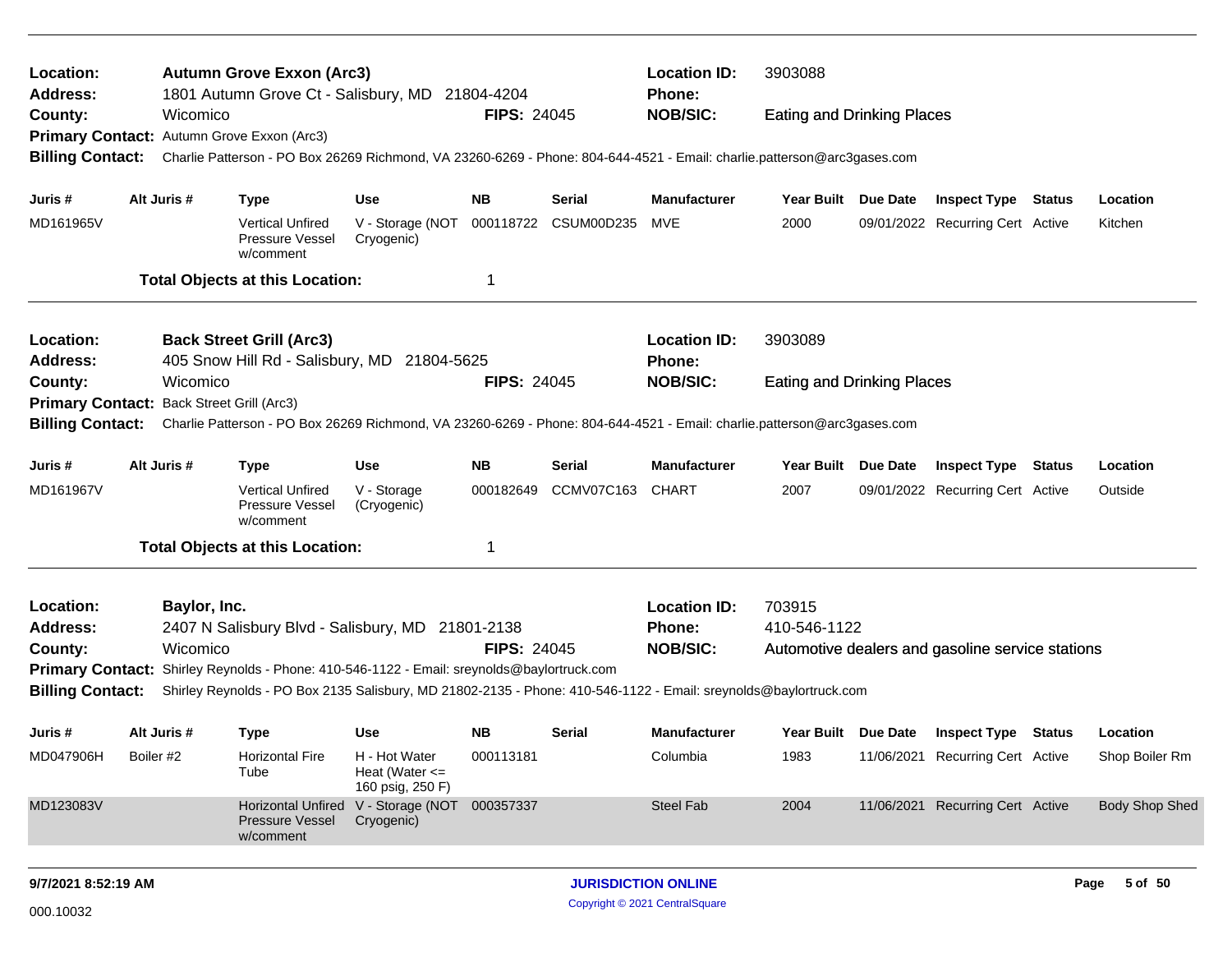| Location:<br><b>Address:</b>              |           |              | <b>Autumn Grove Exxon (Arc3)</b><br>1801 Autumn Grove Ct - Salisbury, MD 21804-4204                                     |                                                             |                    |                      | <b>Location ID:</b><br>Phone: | 3903088                           |                 |                                                  |                       |
|-------------------------------------------|-----------|--------------|-------------------------------------------------------------------------------------------------------------------------|-------------------------------------------------------------|--------------------|----------------------|-------------------------------|-----------------------------------|-----------------|--------------------------------------------------|-----------------------|
| County:                                   |           | Wicomico     |                                                                                                                         |                                                             | <b>FIPS: 24045</b> |                      | <b>NOB/SIC:</b>               | <b>Eating and Drinking Places</b> |                 |                                                  |                       |
| <b>Primary Contact:</b>                   |           |              | Autumn Grove Exxon (Arc3)                                                                                               |                                                             |                    |                      |                               |                                   |                 |                                                  |                       |
| <b>Billing Contact:</b>                   |           |              | Charlie Patterson - PO Box 26269 Richmond, VA 23260-6269 - Phone: 804-644-4521 - Email: charlie.patterson@arc3gases.com |                                                             |                    |                      |                               |                                   |                 |                                                  |                       |
| Juris #                                   |           | Alt Juris #  | Type                                                                                                                    | Use                                                         | <b>NB</b>          | <b>Serial</b>        | <b>Manufacturer</b>           | Year Built Due Date               |                 | <b>Inspect Type Status</b>                       | Location              |
| MD161965V                                 |           |              | <b>Vertical Unfired</b><br>Pressure Vessel<br>w/comment                                                                 | V - Storage (NOT<br>Cryogenic)                              |                    | 000118722 CSUM00D235 | MVE                           | 2000                              |                 | 09/01/2022 Recurring Cert Active                 | Kitchen               |
|                                           |           |              | <b>Total Objects at this Location:</b>                                                                                  |                                                             | 1                  |                      |                               |                                   |                 |                                                  |                       |
| Location:                                 |           |              | <b>Back Street Grill (Arc3)</b>                                                                                         |                                                             |                    |                      | <b>Location ID:</b>           | 3903089                           |                 |                                                  |                       |
| <b>Address:</b>                           |           |              | 405 Snow Hill Rd - Salisbury, MD 21804-5625                                                                             |                                                             |                    |                      | <b>Phone:</b>                 |                                   |                 |                                                  |                       |
| County:                                   |           | Wicomico     |                                                                                                                         |                                                             | <b>FIPS: 24045</b> |                      | <b>NOB/SIC:</b>               | <b>Eating and Drinking Places</b> |                 |                                                  |                       |
| Primary Contact: Back Street Grill (Arc3) |           |              |                                                                                                                         |                                                             |                    |                      |                               |                                   |                 |                                                  |                       |
| <b>Billing Contact:</b>                   |           |              | Charlie Patterson - PO Box 26269 Richmond, VA 23260-6269 - Phone: 804-644-4521 - Email: charlie.patterson@arc3gases.com |                                                             |                    |                      |                               |                                   |                 |                                                  |                       |
| Juris #                                   |           | Alt Juris #  | Type                                                                                                                    | <b>Use</b>                                                  | <b>NB</b>          | Serial               | <b>Manufacturer</b>           | Year Built Due Date               |                 | <b>Inspect Type Status</b>                       | Location              |
| MD161967V                                 |           |              | <b>Vertical Unfired</b><br>Pressure Vessel<br>w/comment                                                                 | V - Storage<br>(Cryogenic)                                  | 000182649          | <b>CCMV07C163</b>    | CHART                         | 2007                              |                 | 09/01/2022 Recurring Cert Active                 | Outside               |
|                                           |           |              | <b>Total Objects at this Location:</b>                                                                                  |                                                             | 1                  |                      |                               |                                   |                 |                                                  |                       |
| Location:                                 |           | Baylor, Inc. |                                                                                                                         |                                                             |                    |                      | <b>Location ID:</b>           | 703915                            |                 |                                                  |                       |
| <b>Address:</b>                           |           |              | 2407 N Salisbury Blvd - Salisbury, MD 21801-2138                                                                        |                                                             |                    |                      | <b>Phone:</b>                 | 410-546-1122                      |                 |                                                  |                       |
| County:                                   |           | Wicomico     |                                                                                                                         |                                                             | <b>FIPS: 24045</b> |                      | <b>NOB/SIC:</b>               |                                   |                 | Automotive dealers and gasoline service stations |                       |
|                                           |           |              | Primary Contact: Shirley Reynolds - Phone: 410-546-1122 - Email: sreynolds@baylortruck.com                              |                                                             |                    |                      |                               |                                   |                 |                                                  |                       |
| <b>Billing Contact:</b>                   |           |              | Shirley Reynolds - PO Box 2135 Salisbury, MD 21802-2135 - Phone: 410-546-1122 - Email: sreynolds@baylortruck.com        |                                                             |                    |                      |                               |                                   |                 |                                                  |                       |
| Juris #                                   |           | Alt Juris #  | <b>Type</b>                                                                                                             | <b>Use</b>                                                  | <b>NB</b>          | Serial               | <b>Manufacturer</b>           | Year Built                        | <b>Due Date</b> | <b>Inspect Type Status</b>                       | Location              |
| MD047906H                                 | Boiler #2 |              | <b>Horizontal Fire</b><br>Tube                                                                                          | H - Hot Water<br>Heat (Water $\leq$<br>160 psig, 250 F)     | 000113181          |                      | Columbia                      | 1983                              | 11/06/2021      | <b>Recurring Cert Active</b>                     | Shop Boiler Rm        |
| MD123083V                                 |           |              | <b>Pressure Vessel</b><br>w/comment                                                                                     | Horizontal Unfired V - Storage (NOT 000357337<br>Cryogenic) |                    |                      | <b>Steel Fab</b>              | 2004                              |                 | 11/06/2021 Recurring Cert Active                 | <b>Body Shop Shed</b> |
|                                           |           |              |                                                                                                                         |                                                             |                    |                      |                               |                                   |                 |                                                  |                       |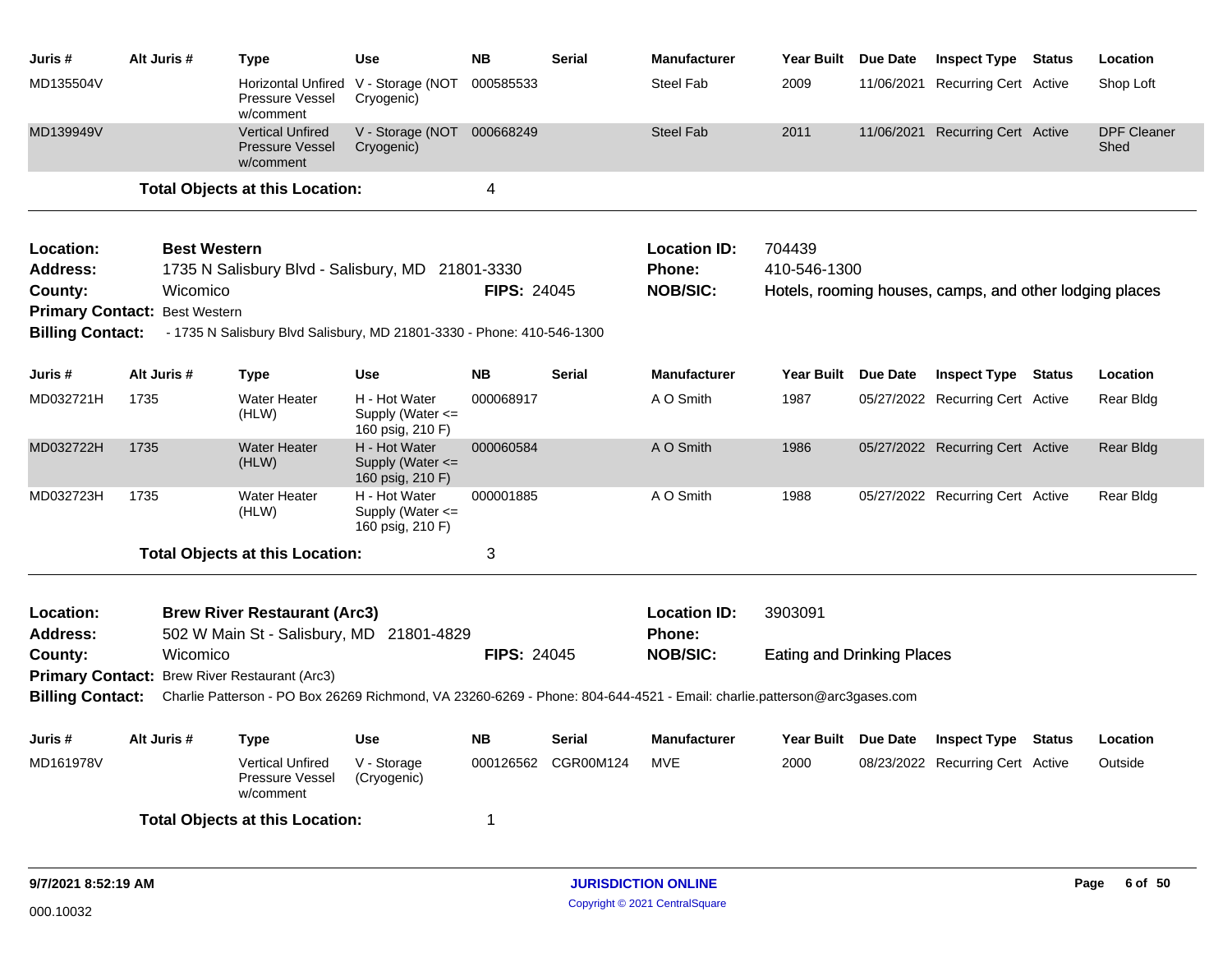| Juris #                      | Alt Juris #                          | Type                                                                                                                    | Use                                                   | <b>NB</b>          | <b>Serial</b>       | <b>Manufacturer</b>                  | Year Built                        | Due Date | <b>Inspect Type Status</b>                              |               | Location                   |
|------------------------------|--------------------------------------|-------------------------------------------------------------------------------------------------------------------------|-------------------------------------------------------|--------------------|---------------------|--------------------------------------|-----------------------------------|----------|---------------------------------------------------------|---------------|----------------------------|
| MD135504V                    |                                      | Pressure Vessel<br>w/comment                                                                                            | Horizontal Unfired V - Storage (NOT<br>Cryogenic)     | 000585533          |                     | <b>Steel Fab</b>                     | 2009                              |          | 11/06/2021 Recurring Cert Active                        |               | Shop Loft                  |
| MD139949V                    |                                      | <b>Vertical Unfired</b><br><b>Pressure Vessel</b><br>w/comment                                                          | V - Storage (NOT 000668249<br>Cryogenic)              |                    |                     | <b>Steel Fab</b>                     | 2011                              |          | 11/06/2021 Recurring Cert Active                        |               | <b>DPF Cleaner</b><br>Shed |
|                              |                                      | <b>Total Objects at this Location:</b>                                                                                  |                                                       | 4                  |                     |                                      |                                   |          |                                                         |               |                            |
| Location:                    | <b>Best Western</b>                  |                                                                                                                         |                                                       |                    |                     | <b>Location ID:</b>                  | 704439                            |          |                                                         |               |                            |
| <b>Address:</b>              |                                      | 1735 N Salisbury Blvd - Salisbury, MD 21801-3330                                                                        |                                                       |                    |                     | <b>Phone:</b>                        | 410-546-1300                      |          |                                                         |               |                            |
| County:                      | Wicomico                             |                                                                                                                         |                                                       | <b>FIPS: 24045</b> |                     | <b>NOB/SIC:</b>                      |                                   |          | Hotels, rooming houses, camps, and other lodging places |               |                            |
|                              | <b>Primary Contact: Best Western</b> |                                                                                                                         |                                                       |                    |                     |                                      |                                   |          |                                                         |               |                            |
| <b>Billing Contact:</b>      |                                      | - 1735 N Salisbury Blvd Salisbury, MD 21801-3330 - Phone: 410-546-1300                                                  |                                                       |                    |                     |                                      |                                   |          |                                                         |               |                            |
| Juris #                      | Alt Juris #                          | Type                                                                                                                    | <b>Use</b>                                            | <b>NB</b>          | <b>Serial</b>       | <b>Manufacturer</b>                  | <b>Year Built</b>                 | Due Date | <b>Inspect Type</b>                                     | Status        | Location                   |
| MD032721H                    | 1735                                 | <b>Water Heater</b><br>(HLW)                                                                                            | H - Hot Water<br>Supply (Water <=<br>160 psig, 210 F) | 000068917          |                     | A O Smith                            | 1987                              |          | 05/27/2022 Recurring Cert Active                        |               | Rear Bldg                  |
| MD032722H                    | 1735                                 | <b>Water Heater</b><br>(HLW)                                                                                            | H - Hot Water<br>Supply (Water <=<br>160 psig, 210 F) | 000060584          |                     | A O Smith                            | 1986                              |          | 05/27/2022 Recurring Cert Active                        |               | Rear Bldg                  |
| MD032723H                    | 1735                                 | Water Heater<br>(HLW)                                                                                                   | H - Hot Water<br>Supply (Water <=<br>160 psig, 210 F) | 000001885          |                     | A O Smith                            | 1988                              |          | 05/27/2022 Recurring Cert Active                        |               | Rear Bldg                  |
|                              |                                      | <b>Total Objects at this Location:</b>                                                                                  |                                                       | 3                  |                     |                                      |                                   |          |                                                         |               |                            |
| Location:<br><b>Address:</b> |                                      | <b>Brew River Restaurant (Arc3)</b><br>502 W Main St - Salisbury, MD 21801-4829                                         |                                                       |                    |                     | <b>Location ID:</b><br><b>Phone:</b> | 3903091                           |          |                                                         |               |                            |
| County:                      | Wicomico                             |                                                                                                                         |                                                       | <b>FIPS: 24045</b> |                     | <b>NOB/SIC:</b>                      | <b>Eating and Drinking Places</b> |          |                                                         |               |                            |
|                              |                                      | Primary Contact: Brew River Restaurant (Arc3)                                                                           |                                                       |                    |                     |                                      |                                   |          |                                                         |               |                            |
| <b>Billing Contact:</b>      |                                      | Charlie Patterson - PO Box 26269 Richmond, VA 23260-6269 - Phone: 804-644-4521 - Email: charlie.patterson@arc3gases.com |                                                       |                    |                     |                                      |                                   |          |                                                         |               |                            |
| Juris #                      | Alt Juris #                          | <b>Type</b>                                                                                                             | Use                                                   | <b>NB</b>          | Serial              | <b>Manufacturer</b>                  | Year Built Due Date               |          | <b>Inspect Type</b>                                     | <b>Status</b> | Location                   |
| MD161978V                    |                                      | <b>Vertical Unfired</b><br>Pressure Vessel<br>w/comment                                                                 | V - Storage<br>(Cryogenic)                            |                    | 000126562 CGR00M124 | MVE                                  | 2000                              |          | 08/23/2022 Recurring Cert Active                        |               | Outside                    |
|                              |                                      | <b>Total Objects at this Location:</b>                                                                                  |                                                       | -1                 |                     |                                      |                                   |          |                                                         |               |                            |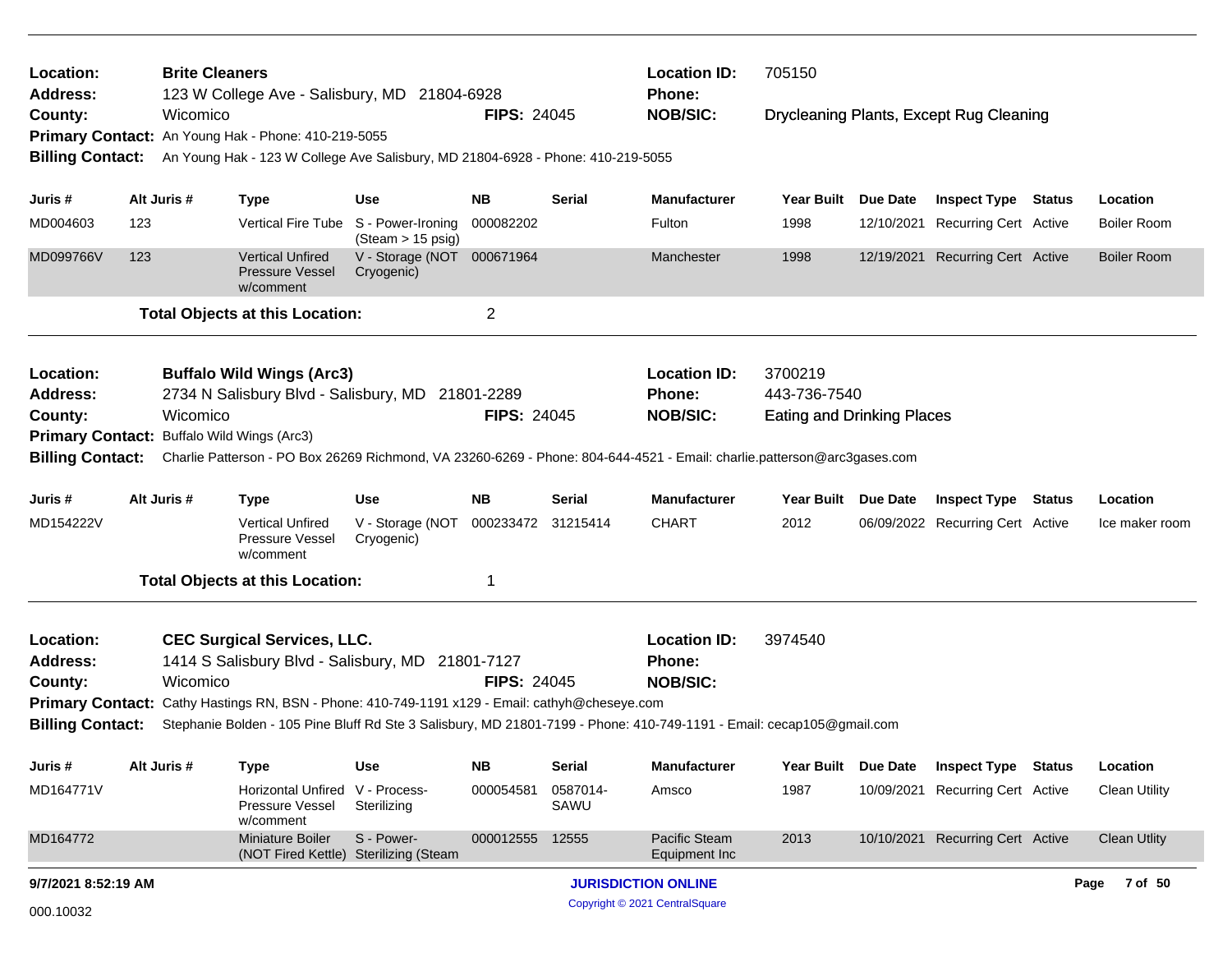| Location:<br><b>Address:</b>               |          | <b>Brite Cleaners</b> | 123 W College Ave - Salisbury, MD 21804-6928                                                   |                                        |                    |                  | <b>Location ID:</b><br><b>Phone:</b>                                                                                    | 705150                            |                 |                                         |        |                      |
|--------------------------------------------|----------|-----------------------|------------------------------------------------------------------------------------------------|----------------------------------------|--------------------|------------------|-------------------------------------------------------------------------------------------------------------------------|-----------------------------------|-----------------|-----------------------------------------|--------|----------------------|
| County:                                    |          | Wicomico              |                                                                                                |                                        | <b>FIPS: 24045</b> |                  | <b>NOB/SIC:</b>                                                                                                         |                                   |                 | Drycleaning Plants, Except Rug Cleaning |        |                      |
|                                            |          |                       | Primary Contact: An Young Hak - Phone: 410-219-5055                                            |                                        |                    |                  |                                                                                                                         |                                   |                 |                                         |        |                      |
| <b>Billing Contact:</b>                    |          |                       | An Young Hak - 123 W College Ave Salisbury, MD 21804-6928 - Phone: 410-219-5055                |                                        |                    |                  |                                                                                                                         |                                   |                 |                                         |        |                      |
| Juris #                                    |          | Alt Juris #           | <b>Type</b>                                                                                    | <b>Use</b>                             | <b>NB</b>          | <b>Serial</b>    | <b>Manufacturer</b>                                                                                                     | <b>Year Built</b>                 | Due Date        | <b>Inspect Type Status</b>              |        | Location             |
| MD004603                                   | 123      |                       | <b>Vertical Fire Tube</b>                                                                      | S - Power-Ironing<br>(Steam > 15 psig) | 000082202          |                  | Fulton                                                                                                                  | 1998                              | 12/10/2021      | Recurring Cert Active                   |        | <b>Boiler Room</b>   |
| MD099766V                                  | 123      |                       | <b>Vertical Unfired</b><br><b>Pressure Vessel</b><br>w/comment                                 | V - Storage (NOT<br>Cryogenic)         | 000671964          |                  | Manchester                                                                                                              | 1998                              | 12/19/2021      | <b>Recurring Cert Active</b>            |        | <b>Boiler Room</b>   |
|                                            |          |                       | <b>Total Objects at this Location:</b>                                                         |                                        | $\overline{2}$     |                  |                                                                                                                         |                                   |                 |                                         |        |                      |
| Location:                                  |          |                       | <b>Buffalo Wild Wings (Arc3)</b>                                                               |                                        |                    |                  | <b>Location ID:</b>                                                                                                     | 3700219                           |                 |                                         |        |                      |
| Address:                                   |          |                       | 2734 N Salisbury Blvd - Salisbury, MD 21801-2289                                               |                                        |                    |                  | Phone:                                                                                                                  | 443-736-7540                      |                 |                                         |        |                      |
| County:                                    | Wicomico |                       |                                                                                                |                                        | <b>FIPS: 24045</b> |                  | <b>NOB/SIC:</b>                                                                                                         | <b>Eating and Drinking Places</b> |                 |                                         |        |                      |
| Primary Contact: Buffalo Wild Wings (Arc3) |          |                       |                                                                                                |                                        |                    |                  |                                                                                                                         |                                   |                 |                                         |        |                      |
| <b>Billing Contact:</b>                    |          |                       |                                                                                                |                                        |                    |                  | Charlie Patterson - PO Box 26269 Richmond, VA 23260-6269 - Phone: 804-644-4521 - Email: charlie.patterson@arc3gases.com |                                   |                 |                                         |        |                      |
| Juris #                                    |          | Alt Juris #           | <b>Type</b>                                                                                    | <b>Use</b>                             | NB.                | <b>Serial</b>    | <b>Manufacturer</b>                                                                                                     | <b>Year Built</b>                 | <b>Due Date</b> | <b>Inspect Type</b>                     | Status | Location             |
| MD154222V                                  |          |                       | <b>Vertical Unfired</b><br>Pressure Vessel<br>w/comment                                        | V - Storage (NOT<br>Cryogenic)         | 000233472 31215414 |                  | <b>CHART</b>                                                                                                            | 2012                              |                 | 06/09/2022 Recurring Cert Active        |        | Ice maker room       |
|                                            |          |                       | <b>Total Objects at this Location:</b>                                                         |                                        | $\mathbf 1$        |                  |                                                                                                                         |                                   |                 |                                         |        |                      |
| Location:<br><b>Address:</b>               |          |                       | <b>CEC Surgical Services, LLC.</b><br>1414 S Salisbury Blvd - Salisbury, MD 21801-7127         |                                        |                    |                  | <b>Location ID:</b><br><b>Phone:</b>                                                                                    | 3974540                           |                 |                                         |        |                      |
| County:                                    |          | Wicomico              |                                                                                                |                                        | <b>FIPS: 24045</b> |                  | <b>NOB/SIC:</b>                                                                                                         |                                   |                 |                                         |        |                      |
|                                            |          |                       | Primary Contact: Cathy Hastings RN, BSN - Phone: 410-749-1191 x129 - Email: cathyh@cheseye.com |                                        |                    |                  |                                                                                                                         |                                   |                 |                                         |        |                      |
| <b>Billing Contact:</b>                    |          |                       |                                                                                                |                                        |                    |                  | Stephanie Bolden - 105 Pine Bluff Rd Ste 3 Salisbury, MD 21801-7199 - Phone: 410-749-1191 - Email: cecap105@gmail.com   |                                   |                 |                                         |        |                      |
| Juris #                                    |          | Alt Juris #           | <b>Type</b>                                                                                    | <b>Use</b>                             | <b>NB</b>          | <b>Serial</b>    | <b>Manufacturer</b>                                                                                                     | <b>Year Built</b>                 | Due Date        | <b>Inspect Type Status</b>              |        | Location             |
| MD164771V                                  |          |                       | <b>Horizontal Unfired</b><br>Pressure Vessel<br>w/comment                                      | V - Process-<br>Sterilizing            | 000054581          | 0587014-<br>SAWU | Amsco                                                                                                                   | 1987                              | 10/09/2021      | <b>Recurring Cert Active</b>            |        | <b>Clean Utility</b> |
| MD164772                                   |          |                       | <b>Miniature Boiler</b><br>(NOT Fired Kettle) Sterilizing (Steam                               | S - Power-                             | 000012555          | 12555            | Pacific Steam<br>Equipment Inc                                                                                          | 2013                              | 10/10/2021      | <b>Recurring Cert Active</b>            |        | <b>Clean Utlity</b>  |
| 9/7/2021 8:52:19 AM                        |          |                       |                                                                                                |                                        |                    |                  | <b>JURISDICTION ONLINE</b>                                                                                              |                                   |                 |                                         |        | 7 of 50<br>Page      |
| 000.10032                                  |          |                       |                                                                                                |                                        |                    |                  | Copyright © 2021 CentralSquare                                                                                          |                                   |                 |                                         |        |                      |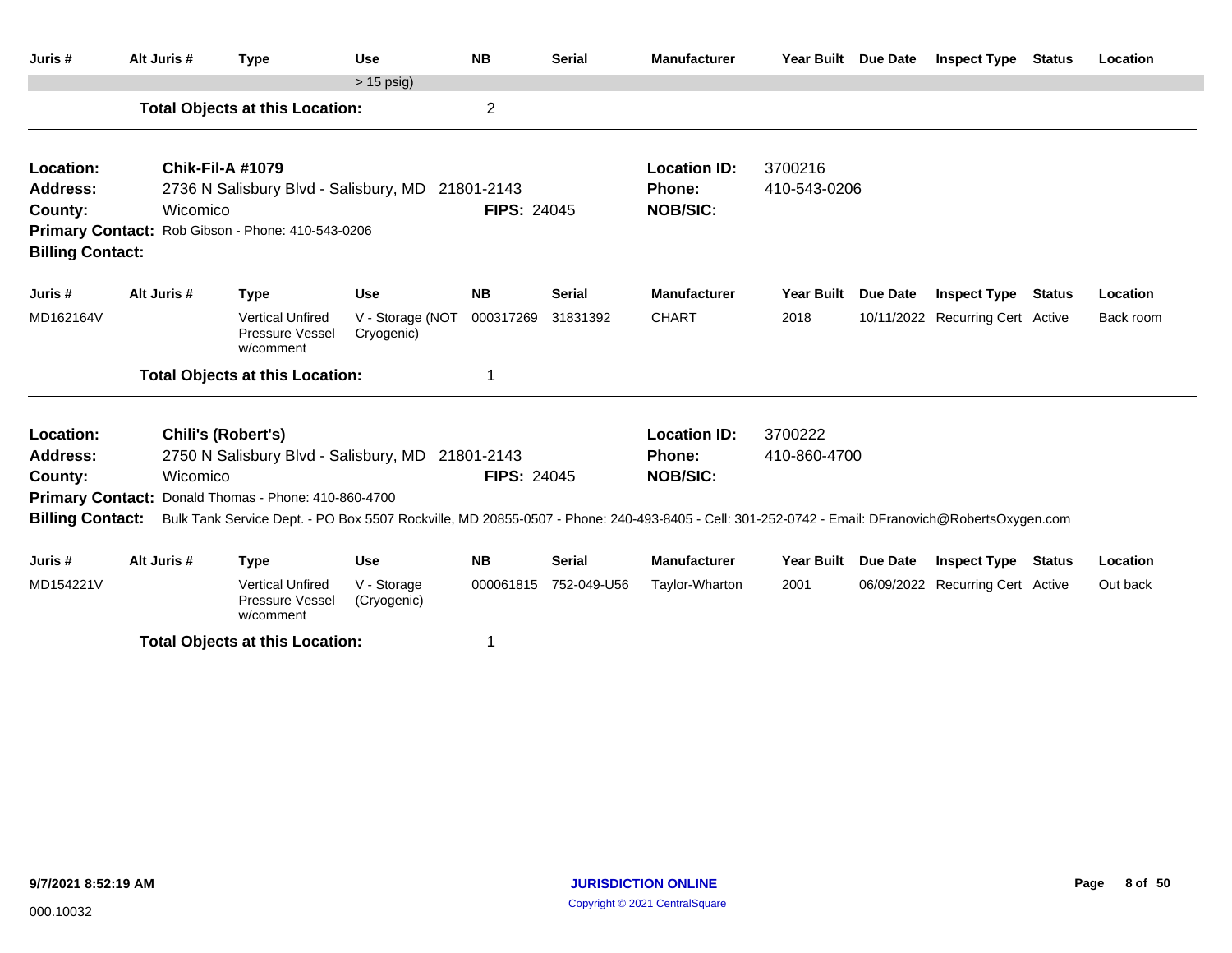| Juris #                 | Alt Juris # | <b>Type</b>                                                                                                                                     | <b>Use</b>                     | <b>NB</b>          | <b>Serial</b> | <b>Manufacturer</b> | Year Built Due Date |                 | <b>Inspect Type Status</b>       | Location  |
|-------------------------|-------------|-------------------------------------------------------------------------------------------------------------------------------------------------|--------------------------------|--------------------|---------------|---------------------|---------------------|-----------------|----------------------------------|-----------|
|                         |             |                                                                                                                                                 | $> 15$ psig)                   |                    |               |                     |                     |                 |                                  |           |
|                         |             | <b>Total Objects at this Location:</b>                                                                                                          |                                | $\overline{c}$     |               |                     |                     |                 |                                  |           |
| Location:               |             | <b>Chik-Fil-A #1079</b>                                                                                                                         |                                |                    |               | <b>Location ID:</b> | 3700216             |                 |                                  |           |
| <b>Address:</b>         |             | 2736 N Salisbury Blvd - Salisbury, MD 21801-2143                                                                                                |                                |                    |               | Phone:              | 410-543-0206        |                 |                                  |           |
| County:                 | Wicomico    |                                                                                                                                                 |                                | <b>FIPS: 24045</b> |               | <b>NOB/SIC:</b>     |                     |                 |                                  |           |
|                         |             | Primary Contact: Rob Gibson - Phone: 410-543-0206                                                                                               |                                |                    |               |                     |                     |                 |                                  |           |
| <b>Billing Contact:</b> |             |                                                                                                                                                 |                                |                    |               |                     |                     |                 |                                  |           |
| Juris #                 | Alt Juris # | <b>Type</b>                                                                                                                                     | <b>Use</b>                     | <b>NB</b>          | <b>Serial</b> | <b>Manufacturer</b> | <b>Year Built</b>   | <b>Due Date</b> | <b>Inspect Type Status</b>       | Location  |
| MD162164V               |             | <b>Vertical Unfired</b><br>Pressure Vessel<br>w/comment                                                                                         | V - Storage (NOT<br>Cryogenic) | 000317269          | 31831392      | <b>CHART</b>        | 2018                |                 | 10/11/2022 Recurring Cert Active | Back room |
|                         |             | <b>Total Objects at this Location:</b>                                                                                                          |                                | 1                  |               |                     |                     |                 |                                  |           |
| Location:               |             | Chili's (Robert's)                                                                                                                              |                                |                    |               | <b>Location ID:</b> | 3700222             |                 |                                  |           |
| <b>Address:</b>         |             | 2750 N Salisbury Blvd - Salisbury, MD 21801-2143                                                                                                |                                |                    |               | Phone:              | 410-860-4700        |                 |                                  |           |
| County:                 | Wicomico    |                                                                                                                                                 |                                | <b>FIPS: 24045</b> |               | <b>NOB/SIC:</b>     |                     |                 |                                  |           |
| <b>Primary Contact:</b> |             | Donald Thomas - Phone: 410-860-4700                                                                                                             |                                |                    |               |                     |                     |                 |                                  |           |
| <b>Billing Contact:</b> |             | Bulk Tank Service Dept. - PO Box 5507 Rockville, MD 20855-0507 - Phone: 240-493-8405 - Cell: 301-252-0742 - Email: DFranovich@RobertsOxygen.com |                                |                    |               |                     |                     |                 |                                  |           |
|                         |             |                                                                                                                                                 |                                |                    |               |                     |                     |                 |                                  |           |
| Juris #                 | Alt Juris # | <b>Type</b>                                                                                                                                     | <b>Use</b>                     | <b>NB</b>          | <b>Serial</b> | <b>Manufacturer</b> | <b>Year Built</b>   | <b>Due Date</b> | <b>Inspect Type Status</b>       | Location  |
| MD154221V               |             | <b>Vertical Unfired</b><br>Pressure Vessel<br>w/comment                                                                                         | V - Storage<br>(Cryogenic)     | 000061815          | 752-049-U56   | Taylor-Wharton      | 2001                |                 | 06/09/2022 Recurring Cert Active | Out back  |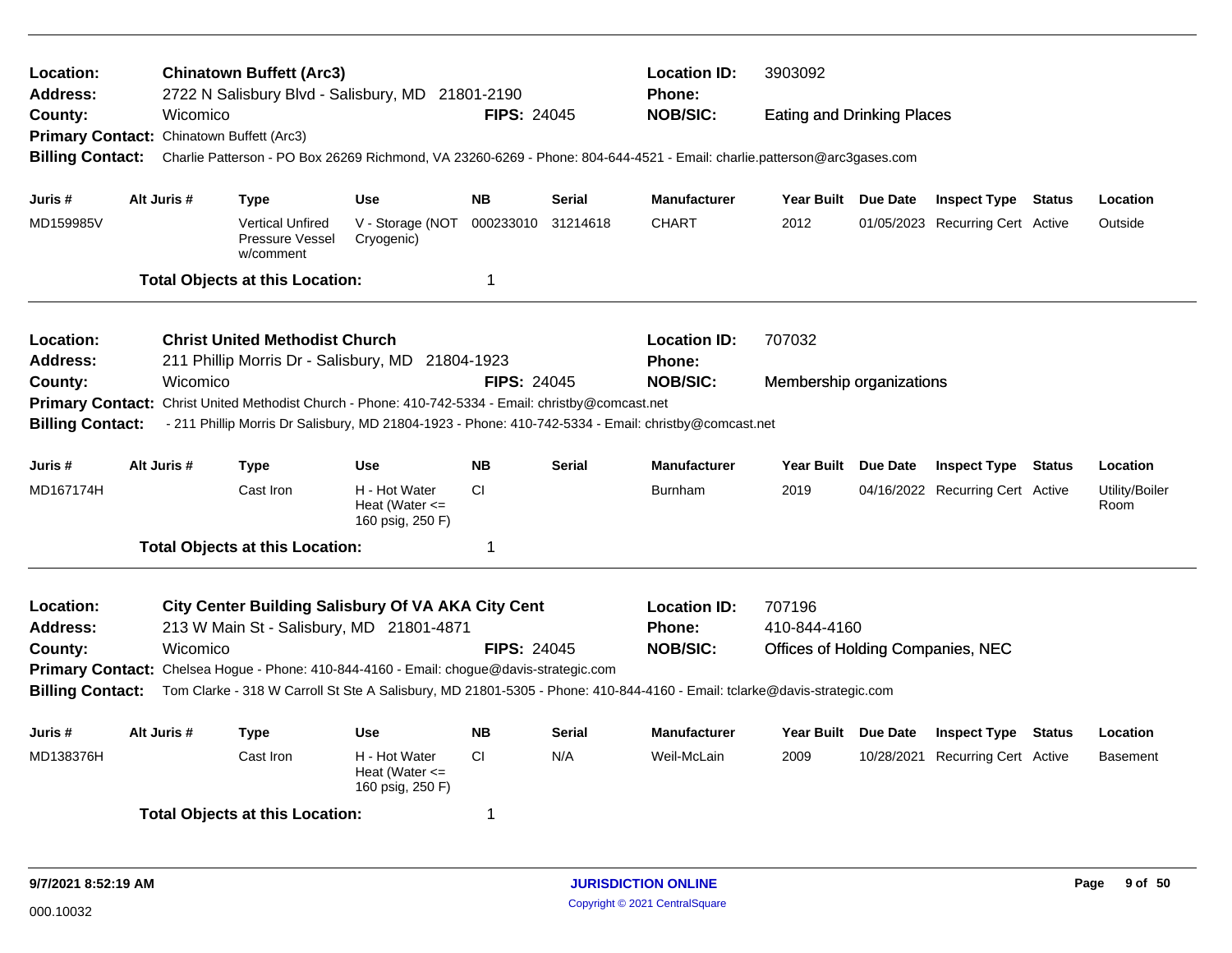| Location:<br>Address:                                                                           |                                                                        |                          | <b>Chinatown Buffett (Arc3)</b>                         | 2722 N Salisbury Blvd - Salisbury, MD 21801-2190                                         |                    |                     | <b>Location ID:</b><br><b>Phone:</b>                                                                                    | 3903092                           |                                  |          |                        |
|-------------------------------------------------------------------------------------------------|------------------------------------------------------------------------|--------------------------|---------------------------------------------------------|------------------------------------------------------------------------------------------|--------------------|---------------------|-------------------------------------------------------------------------------------------------------------------------|-----------------------------------|----------------------------------|----------|------------------------|
| County:                                                                                         |                                                                        | Wicomico                 |                                                         |                                                                                          | <b>FIPS: 24045</b> |                     | <b>NOB/SIC:</b>                                                                                                         | <b>Eating and Drinking Places</b> |                                  |          |                        |
| <b>Primary Contact:</b>                                                                         |                                                                        | Chinatown Buffett (Arc3) |                                                         |                                                                                          |                    |                     |                                                                                                                         |                                   |                                  |          |                        |
| <b>Billing Contact:</b>                                                                         |                                                                        |                          |                                                         |                                                                                          |                    |                     | Charlie Patterson - PO Box 26269 Richmond, VA 23260-6269 - Phone: 804-644-4521 - Email: charlie.patterson@arc3gases.com |                                   |                                  |          |                        |
| Juris #                                                                                         |                                                                        | Alt Juris #              | <b>Type</b>                                             | <b>Use</b>                                                                               | <b>NB</b>          | <b>Serial</b>       | <b>Manufacturer</b>                                                                                                     | Year Built Due Date               | <b>Inspect Type Status</b>       |          | Location               |
| MD159985V                                                                                       |                                                                        |                          | <b>Vertical Unfired</b><br>Pressure Vessel<br>w/comment | V - Storage (NOT<br>Cryogenic)                                                           | 000233010          | 31214618            | <b>CHART</b>                                                                                                            | 2012                              | 01/05/2023 Recurring Cert Active |          | Outside                |
|                                                                                                 |                                                                        |                          | <b>Total Objects at this Location:</b>                  |                                                                                          | $\overline{1}$     |                     |                                                                                                                         |                                   |                                  |          |                        |
| Location:                                                                                       |                                                                        |                          | <b>Christ United Methodist Church</b>                   |                                                                                          |                    |                     | <b>Location ID:</b>                                                                                                     | 707032                            |                                  |          |                        |
| <b>Address:</b>                                                                                 |                                                                        |                          |                                                         | 211 Phillip Morris Dr - Salisbury, MD 21804-1923                                         |                    |                     | Phone:                                                                                                                  |                                   |                                  |          |                        |
| County:                                                                                         |                                                                        | Wicomico                 |                                                         |                                                                                          | <b>FIPS: 24045</b> |                     | <b>NOB/SIC:</b>                                                                                                         | Membership organizations          |                                  |          |                        |
| <b>Primary Contact:</b>                                                                         |                                                                        |                          |                                                         | Christ United Methodist Church - Phone: 410-742-5334 - Email: christby@comcast.net       |                    |                     |                                                                                                                         |                                   |                                  |          |                        |
| <b>Billing Contact:</b>                                                                         |                                                                        |                          |                                                         |                                                                                          |                    |                     | - 211 Phillip Morris Dr Salisbury, MD 21804-1923 - Phone: 410-742-5334 - Email: christby@comcast.net                    |                                   |                                  |          |                        |
| Juris #                                                                                         |                                                                        | Alt Juris #              | <b>Type</b>                                             | <b>Use</b>                                                                               | <b>NB</b>          | <b>Serial</b>       | Manufacturer                                                                                                            | Year Built Due Date               | <b>Inspect Type</b>              | Status   | Location               |
| MD167174H                                                                                       |                                                                        |                          | Cast Iron                                               | H - Hot Water<br>Heat (Water $\leq$<br>160 psig, 250 F)                                  | <b>CI</b>          |                     | <b>Burnham</b>                                                                                                          | 2019                              | 04/16/2022 Recurring Cert Active |          | Utility/Boiler<br>Room |
|                                                                                                 |                                                                        |                          | <b>Total Objects at this Location:</b>                  |                                                                                          | $\mathbf 1$        |                     |                                                                                                                         |                                   |                                  |          |                        |
| <b>Location:</b>                                                                                |                                                                        |                          |                                                         | <b>City Center Building Salisbury Of VA AKA City Cent</b>                                |                    |                     | <b>Location ID:</b>                                                                                                     | 707196                            |                                  |          |                        |
| <b>Address:</b>                                                                                 |                                                                        |                          |                                                         | 213 W Main St - Salisbury, MD 21801-4871                                                 |                    |                     | <b>Phone:</b>                                                                                                           | 410-844-4160                      |                                  |          |                        |
| County:                                                                                         |                                                                        | Wicomico                 |                                                         |                                                                                          | <b>FIPS: 24045</b> |                     | <b>NOB/SIC:</b>                                                                                                         | Offices of Holding Companies, NEC |                                  |          |                        |
|                                                                                                 |                                                                        |                          |                                                         | Primary Contact: Chelsea Hogue - Phone: 410-844-4160 - Email: chogue@davis-strategic.com |                    |                     |                                                                                                                         |                                   |                                  |          |                        |
| <b>Billing Contact:</b>                                                                         |                                                                        |                          |                                                         |                                                                                          |                    |                     | Tom Clarke - 318 W Carroll St Ste A Salisbury, MD 21801-5305 - Phone: 410-844-4160 - Email: tclarke@davis-strategic.com |                                   |                                  |          |                        |
| Juris #                                                                                         | Alt Juris #<br><b>NB</b><br><b>Type</b><br><b>Use</b><br><b>Serial</b> |                          |                                                         |                                                                                          |                    | <b>Manufacturer</b> | Year Built Due Date                                                                                                     | <b>Inspect Type</b>               | <b>Status</b>                    | Location |                        |
| MD138376H<br>H - Hot Water<br>CI.<br>N/A<br>Cast Iron<br>Heat (Water $\leq$<br>160 psig, 250 F) |                                                                        |                          |                                                         |                                                                                          |                    |                     | Weil-McLain                                                                                                             | 2009                              | 10/28/2021 Recurring Cert Active |          | <b>Basement</b>        |
|                                                                                                 |                                                                        |                          | <b>Total Objects at this Location:</b>                  |                                                                                          | -1                 |                     |                                                                                                                         |                                   |                                  |          |                        |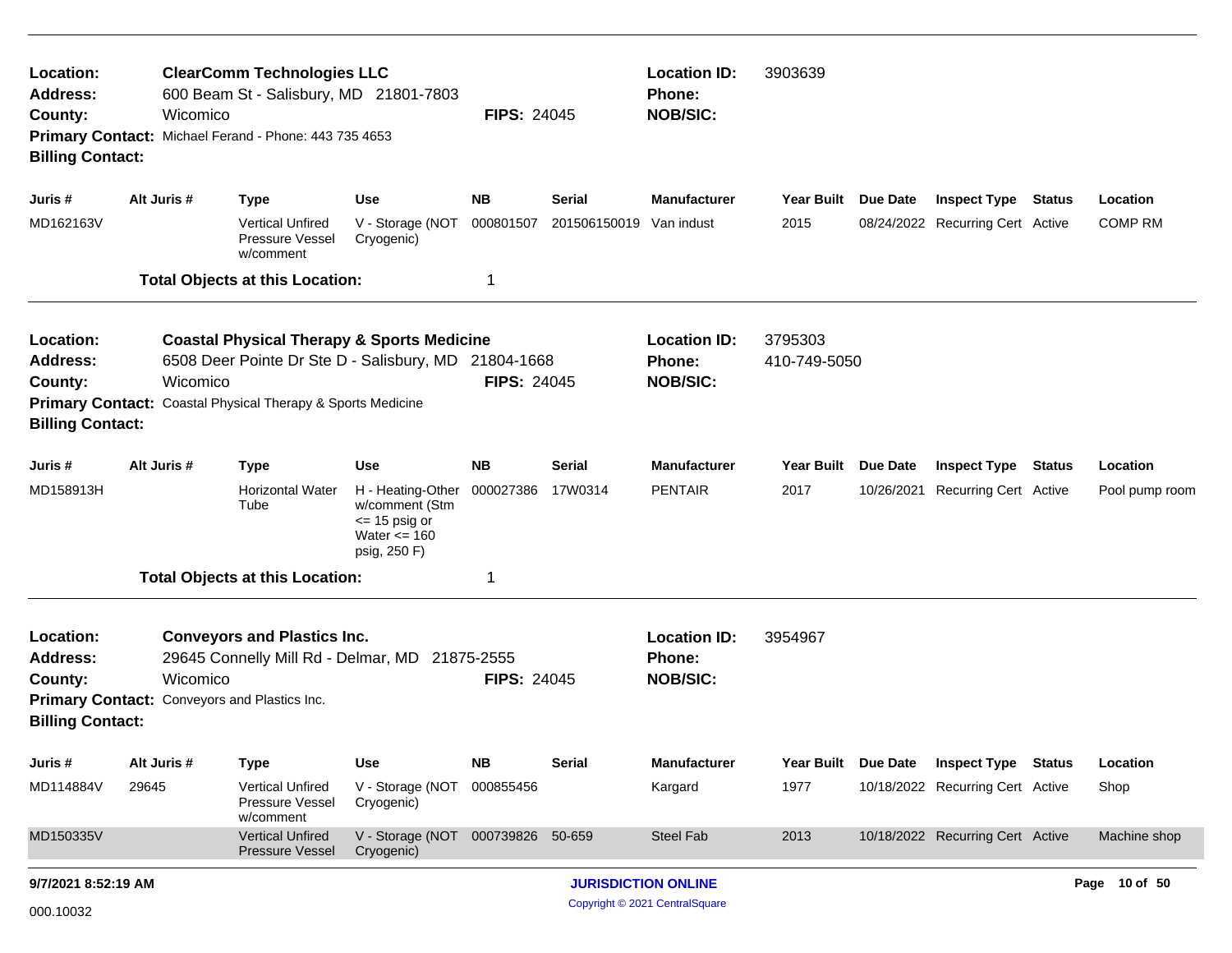| <b>ClearComm Technologies LLC</b><br>Location:<br><b>Address:</b><br>600 Beam St - Salisbury, MD 21801-7803<br>Wicomico<br>County:<br>Primary Contact: Michael Ferand - Phone: 443 735 4653<br><b>Billing Contact:</b><br>Alt Juris #<br><b>Use</b><br><b>Type</b><br>Juris # |             |                                                                                                                                                                              | <b>FIPS: 24045</b>                                                                                                  |                                                         | <b>Location ID:</b><br>Phone:<br><b>NOB/SIC:</b>        | 3903639                               |                           |                               |                                                     |        |                            |
|-------------------------------------------------------------------------------------------------------------------------------------------------------------------------------------------------------------------------------------------------------------------------------|-------------|------------------------------------------------------------------------------------------------------------------------------------------------------------------------------|---------------------------------------------------------------------------------------------------------------------|---------------------------------------------------------|---------------------------------------------------------|---------------------------------------|---------------------------|-------------------------------|-----------------------------------------------------|--------|----------------------------|
|                                                                                                                                                                                                                                                                               |             |                                                                                                                                                                              |                                                                                                                     | <b>NB</b>                                               | <b>Serial</b>                                           | <b>Manufacturer</b>                   | <b>Year Built</b>         | Due Date                      | <b>Inspect Type</b>                                 | Status | Location                   |
| MD162163V                                                                                                                                                                                                                                                                     |             | <b>Vertical Unfired</b><br>Pressure Vessel<br>w/comment                                                                                                                      | V - Storage (NOT<br>Cryogenic)                                                                                      | 000801507                                               | 201506150019                                            | Van indust                            | 2015                      |                               | 08/24/2022 Recurring Cert Active                    |        | <b>COMP RM</b>             |
|                                                                                                                                                                                                                                                                               |             | <b>Total Objects at this Location:</b>                                                                                                                                       |                                                                                                                     | 1                                                       |                                                         |                                       |                           |                               |                                                     |        |                            |
| Location:<br><b>Address:</b><br>County:<br><b>Billing Contact:</b>                                                                                                                                                                                                            | Wicomico    | <b>Coastal Physical Therapy &amp; Sports Medicine</b><br>6508 Deer Pointe Dr Ste D - Salisbury, MD 21804-1668<br>Primary Contact: Coastal Physical Therapy & Sports Medicine |                                                                                                                     | <b>FIPS: 24045</b>                                      | <b>Location ID:</b><br><b>Phone:</b><br><b>NOB/SIC:</b> | 3795303<br>410-749-5050               |                           |                               |                                                     |        |                            |
| Juris #<br>MD158913H                                                                                                                                                                                                                                                          | Alt Juris # | <b>Type</b><br><b>Horizontal Water</b><br>Tube                                                                                                                               | <b>Use</b><br>H - Heating-Other 000027386<br>w/comment (Stm<br>$\le$ 15 psig or<br>Water $\leq$ 160<br>psig, 250 F) | <b>NB</b>                                               | <b>Serial</b><br>17W0314                                | <b>Manufacturer</b><br><b>PENTAIR</b> | <b>Year Built</b><br>2017 | <b>Due Date</b><br>10/26/2021 | <b>Inspect Type</b><br><b>Recurring Cert Active</b> | Status | Location<br>Pool pump room |
|                                                                                                                                                                                                                                                                               |             | <b>Total Objects at this Location:</b>                                                                                                                                       |                                                                                                                     | 1                                                       |                                                         |                                       |                           |                               |                                                     |        |                            |
| Location:<br>Address:<br>County:<br><b>Billing Contact:</b>                                                                                                                                                                                                                   | Wicomico    | <b>Conveyors and Plastics Inc.</b><br>29645 Connelly Mill Rd - Delmar, MD 21875-2555<br>Primary Contact: Conveyors and Plastics Inc.                                         | <b>FIPS: 24045</b>                                                                                                  | <b>Location ID:</b><br><b>Phone:</b><br><b>NOB/SIC:</b> | 3954967                                                 |                                       |                           |                               |                                                     |        |                            |
| Juris#                                                                                                                                                                                                                                                                        | Alt Juris # | <b>Type</b>                                                                                                                                                                  | Use                                                                                                                 | <b>NB</b>                                               | <b>Serial</b>                                           | Manufacturer                          | <b>Year Built</b>         | Due Date                      | <b>Inspect Type Status</b>                          |        | Location                   |
| MD114884V                                                                                                                                                                                                                                                                     | 29645       | <b>Vertical Unfired</b><br>Pressure Vessel<br>w/comment                                                                                                                      | V - Storage (NOT<br>Cryogenic)                                                                                      | 000855456                                               |                                                         | Kargard                               | 1977                      |                               | 10/18/2022 Recurring Cert Active                    |        | Shop                       |
| MD150335V                                                                                                                                                                                                                                                                     |             | <b>Vertical Unfired</b><br><b>Pressure Vessel</b>                                                                                                                            | V - Storage (NOT<br>Cryogenic)                                                                                      | 000739826 50-659                                        |                                                         | Steel Fab                             | 2013                      |                               | 10/18/2022 Recurring Cert Active                    |        | Machine shop               |
| 9/7/2021 8:52:19 AM                                                                                                                                                                                                                                                           |             |                                                                                                                                                                              |                                                                                                                     |                                                         |                                                         | <b>JURISDICTION ONLINE</b>            |                           |                               |                                                     |        | Page 10 of 50              |
| 000.10032                                                                                                                                                                                                                                                                     |             |                                                                                                                                                                              |                                                                                                                     |                                                         |                                                         | Copyright © 2021 CentralSquare        |                           |                               |                                                     |        |                            |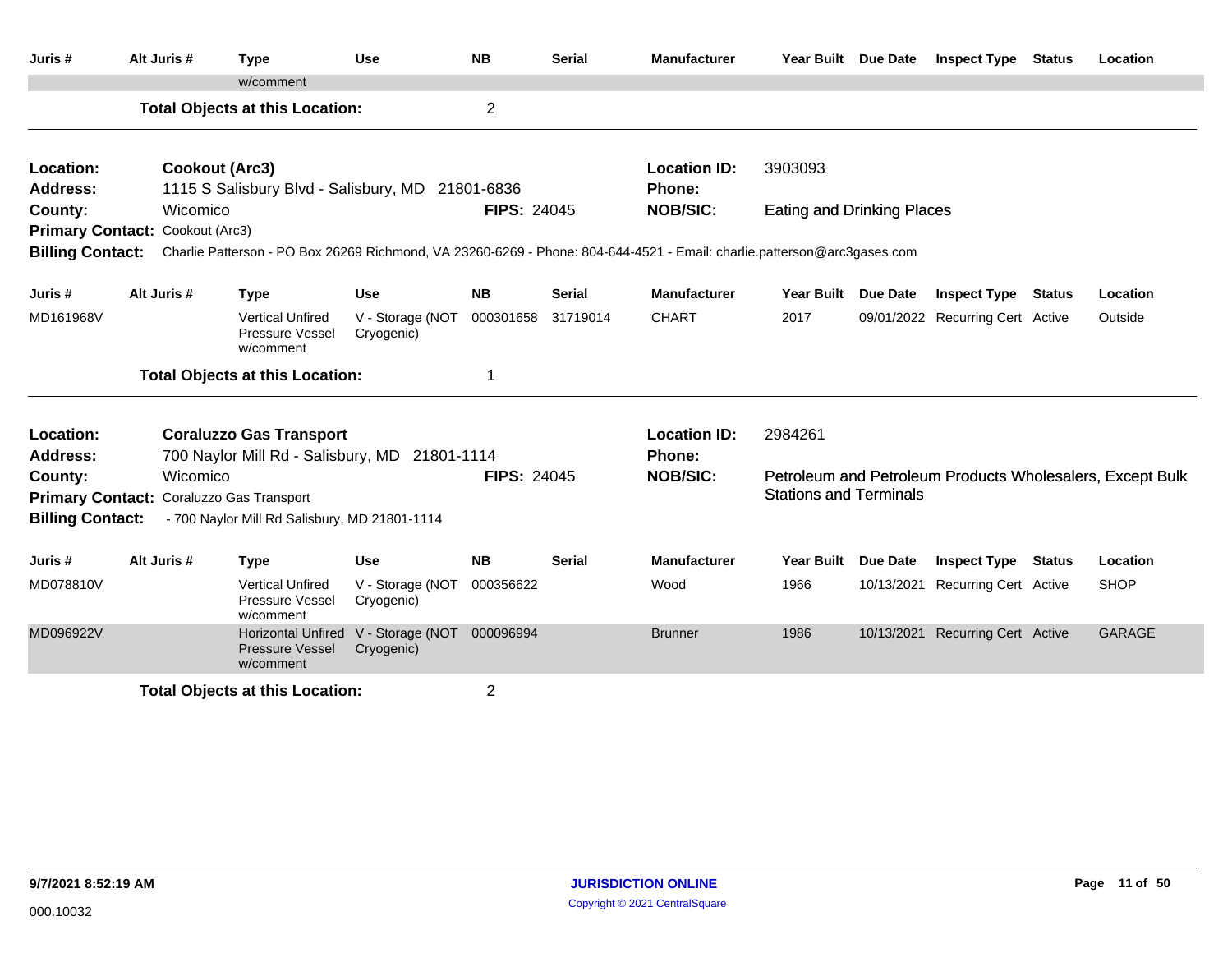| Juris #                      | Alt Juris #                     | <b>Type</b>                                                                                                             | <b>Use</b>                               | <b>NB</b>          | <b>Serial</b> | <b>Manufacturer</b>           | Year Built Due Date               | <b>Inspect Type Status</b>       |               | Location                                                  |
|------------------------------|---------------------------------|-------------------------------------------------------------------------------------------------------------------------|------------------------------------------|--------------------|---------------|-------------------------------|-----------------------------------|----------------------------------|---------------|-----------------------------------------------------------|
|                              |                                 | w/comment                                                                                                               |                                          |                    |               |                               |                                   |                                  |               |                                                           |
|                              |                                 | <b>Total Objects at this Location:</b>                                                                                  |                                          | $\overline{2}$     |               |                               |                                   |                                  |               |                                                           |
| Location:<br><b>Address:</b> |                                 | Cookout (Arc3)<br>1115 S Salisbury Blvd - Salisbury, MD 21801-6836                                                      |                                          |                    |               | <b>Location ID:</b><br>Phone: | 3903093                           |                                  |               |                                                           |
| County:                      | Wicomico                        |                                                                                                                         |                                          | <b>FIPS: 24045</b> |               | <b>NOB/SIC:</b>               | <b>Eating and Drinking Places</b> |                                  |               |                                                           |
|                              | Primary Contact: Cookout (Arc3) |                                                                                                                         |                                          |                    |               |                               |                                   |                                  |               |                                                           |
| <b>Billing Contact:</b>      |                                 | Charlie Patterson - PO Box 26269 Richmond, VA 23260-6269 - Phone: 804-644-4521 - Email: charlie.patterson@arc3gases.com |                                          |                    |               |                               |                                   |                                  |               |                                                           |
| Juris #                      | Alt Juris #                     | <b>Type</b>                                                                                                             | Use                                      | <b>NB</b>          | <b>Serial</b> | <b>Manufacturer</b>           | Year Built Due Date               | <b>Inspect Type Status</b>       |               | Location                                                  |
| MD161968V                    |                                 | <b>Vertical Unfired</b><br>Pressure Vessel<br>w/comment                                                                 | V - Storage (NOT<br>Cryogenic)           | 000301658          | 31719014      | <b>CHART</b>                  | 2017                              | 09/01/2022 Recurring Cert Active |               | Outside                                                   |
|                              |                                 | <b>Total Objects at this Location:</b>                                                                                  |                                          | 1                  |               |                               |                                   |                                  |               |                                                           |
| Location:                    |                                 | <b>Coraluzzo Gas Transport</b>                                                                                          |                                          |                    |               | <b>Location ID:</b>           | 2984261                           |                                  |               |                                                           |
| Address:                     |                                 | 700 Naylor Mill Rd - Salisbury, MD 21801-1114                                                                           |                                          |                    |               | Phone:                        |                                   |                                  |               |                                                           |
| County:                      | Wicomico                        |                                                                                                                         |                                          | <b>FIPS: 24045</b> |               | <b>NOB/SIC:</b>               |                                   |                                  |               | Petroleum and Petroleum Products Wholesalers, Except Bulk |
| <b>Primary Contact:</b>      |                                 | Coraluzzo Gas Transport                                                                                                 |                                          |                    |               |                               | <b>Stations and Terminals</b>     |                                  |               |                                                           |
| <b>Billing Contact:</b>      |                                 | - 700 Naylor Mill Rd Salisbury, MD 21801-1114                                                                           |                                          |                    |               |                               |                                   |                                  |               |                                                           |
| Juris #                      | Alt Juris #                     | <b>Type</b>                                                                                                             | <b>Use</b>                               | <b>NB</b>          | Serial        | <b>Manufacturer</b>           | Year Built Due Date               | <b>Inspect Type</b>              | <b>Status</b> | Location                                                  |
| MD078810V                    |                                 | <b>Vertical Unfired</b><br>Pressure Vessel<br>w/comment                                                                 | V - Storage (NOT<br>Cryogenic)           | 000356622          |               | Wood                          | 1966                              | 10/13/2021 Recurring Cert Active |               | <b>SHOP</b>                                               |
| MD096922V                    |                                 | <b>Horizontal Unfired</b><br><b>Pressure Vessel</b><br>w/comment                                                        | V - Storage (NOT 000096994<br>Cryogenic) |                    |               | <b>Brunner</b>                | 1986                              | 10/13/2021 Recurring Cert Active |               | <b>GARAGE</b>                                             |
|                              |                                 | <b>Total Objects at this Location:</b>                                                                                  |                                          | $\overline{2}$     |               |                               |                                   |                                  |               |                                                           |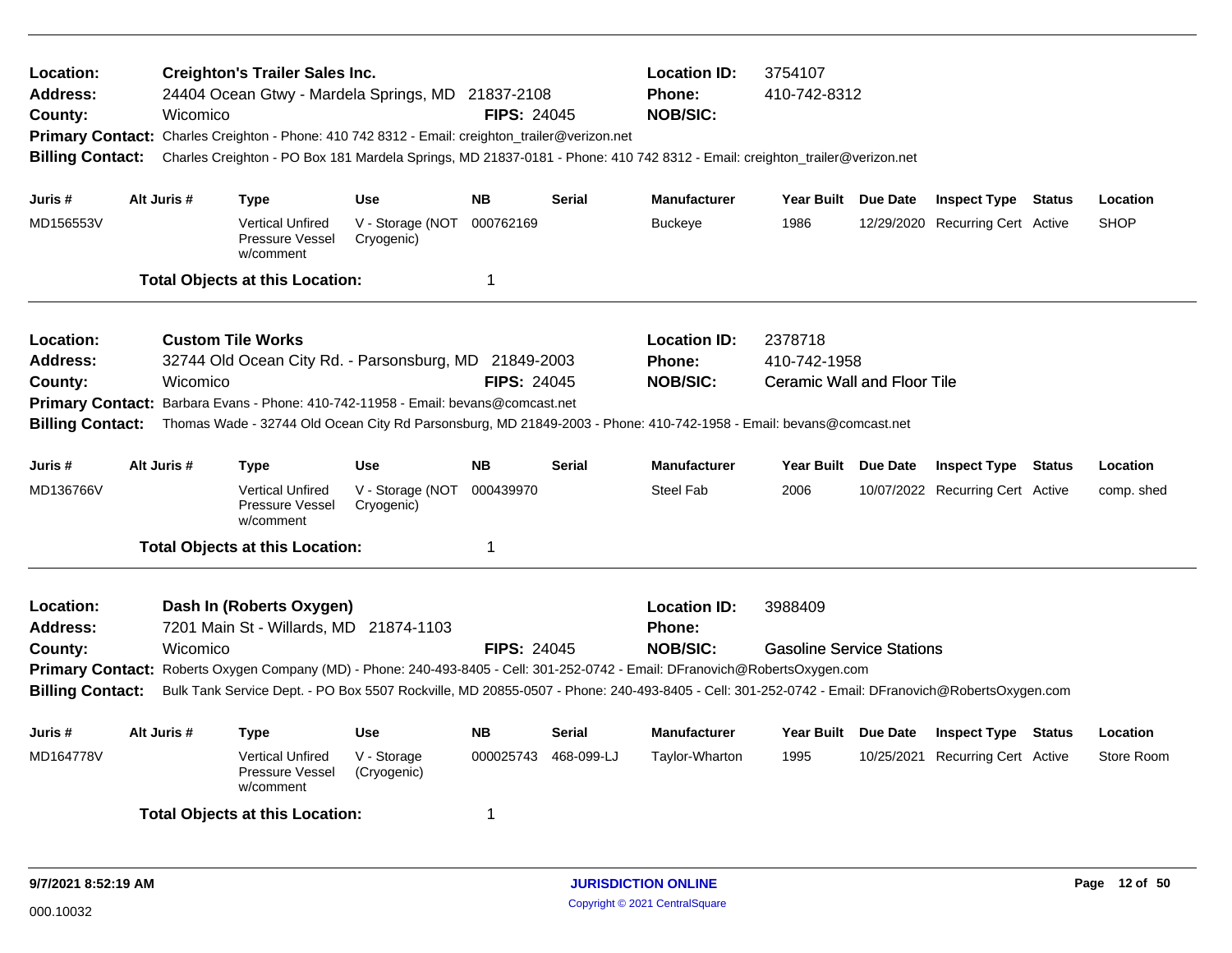| Location:<br>Address:<br>County:<br><b>Billing Contact:</b> | Wicomico    | <b>Creighton's Trailer Sales Inc.</b><br>24404 Ocean Gtwy - Mardela Springs, MD 21837-2108<br>Primary Contact: Charles Creighton - Phone: 410 742 8312 - Email: creighton_trailer@verizon.net<br>Charles Creighton - PO Box 181 Mardela Springs, MD 21837-0181 - Phone: 410 742 8312 - Email: creighton_trailer@verizon.net                            |                                | <b>FIPS: 24045</b> |               | <b>Location ID:</b><br><b>Phone:</b><br><b>NOB/SIC:</b> | 3754107<br>410-742-8312                                       |  |                                  |  |             |
|-------------------------------------------------------------|-------------|--------------------------------------------------------------------------------------------------------------------------------------------------------------------------------------------------------------------------------------------------------------------------------------------------------------------------------------------------------|--------------------------------|--------------------|---------------|---------------------------------------------------------|---------------------------------------------------------------|--|----------------------------------|--|-------------|
| Juris #                                                     | Alt Juris # | Type                                                                                                                                                                                                                                                                                                                                                   | <b>Use</b>                     | <b>NB</b>          | <b>Serial</b> | <b>Manufacturer</b>                                     | Year Built Due Date                                           |  | <b>Inspect Type Status</b>       |  | Location    |
| MD156553V                                                   |             | <b>Vertical Unfired</b><br><b>Pressure Vessel</b><br>w/comment                                                                                                                                                                                                                                                                                         | V - Storage (NOT<br>Cryogenic) | 000762169          |               | <b>Buckeye</b>                                          | 1986                                                          |  | 12/29/2020 Recurring Cert Active |  | <b>SHOP</b> |
|                                                             |             | <b>Total Objects at this Location:</b>                                                                                                                                                                                                                                                                                                                 |                                | 1                  |               |                                                         |                                                               |  |                                  |  |             |
| Location:<br>Address:<br>County:<br><b>Billing Contact:</b> | Wicomico    | <b>Custom Tile Works</b><br>32744 Old Ocean City Rd. - Parsonsburg, MD 21849-2003<br>Primary Contact: Barbara Evans - Phone: 410-742-11958 - Email: bevans@comcast.net<br>Thomas Wade - 32744 Old Ocean City Rd Parsonsburg, MD 21849-2003 - Phone: 410-742-1958 - Email: bevans@comcast.net                                                           |                                | <b>FIPS: 24045</b> |               | <b>Location ID:</b><br><b>Phone:</b><br><b>NOB/SIC:</b> | 2378718<br>410-742-1958<br><b>Ceramic Wall and Floor Tile</b> |  |                                  |  |             |
| Juris #                                                     | Alt Juris # | <b>Type</b>                                                                                                                                                                                                                                                                                                                                            | <b>Use</b>                     | <b>NB</b>          | <b>Serial</b> | <b>Manufacturer</b>                                     | Year Built Due Date                                           |  | <b>Inspect Type Status</b>       |  | Location    |
| MD136766V                                                   |             | <b>Vertical Unfired</b><br>Pressure Vessel<br>w/comment                                                                                                                                                                                                                                                                                                | V - Storage (NOT<br>Cryogenic) | 000439970          |               | Steel Fab                                               | 2006                                                          |  | 10/07/2022 Recurring Cert Active |  | comp. shed  |
|                                                             |             | <b>Total Objects at this Location:</b>                                                                                                                                                                                                                                                                                                                 |                                | 1                  |               |                                                         |                                                               |  |                                  |  |             |
| Location:<br>Address:<br>County:<br><b>Billing Contact:</b> | Wicomico    | Dash In (Roberts Oxygen)<br>7201 Main St - Willards, MD 21874-1103<br>Primary Contact: Roberts Oxygen Company (MD) - Phone: 240-493-8405 - Cell: 301-252-0742 - Email: DFranovich@RobertsOxygen.com<br>Bulk Tank Service Dept. - PO Box 5507 Rockville, MD 20855-0507 - Phone: 240-493-8405 - Cell: 301-252-0742 - Email: DFranovich@RobertsOxygen.com |                                | <b>FIPS: 24045</b> |               | <b>Location ID:</b><br>Phone:<br><b>NOB/SIC:</b>        | 3988409<br><b>Gasoline Service Stations</b>                   |  |                                  |  |             |
| Juris #                                                     | Alt Juris # | <b>Type</b>                                                                                                                                                                                                                                                                                                                                            | <b>Use</b>                     | NΒ                 | <b>Serial</b> | Manufacturer                                            | Year Built Due Date                                           |  | <b>Inspect Type Status</b>       |  | Location    |
| MD164778V                                                   |             | <b>Vertical Unfired</b><br><b>Pressure Vessel</b><br>w/comment                                                                                                                                                                                                                                                                                         | V - Storage<br>(Cryogenic)     | 000025743          | 468-099-LJ    | Taylor-Wharton                                          | 1995                                                          |  | 10/25/2021 Recurring Cert Active |  | Store Room  |
| <b>Total Objects at this Location:</b><br>1                 |             |                                                                                                                                                                                                                                                                                                                                                        |                                |                    |               |                                                         |                                                               |  |                                  |  |             |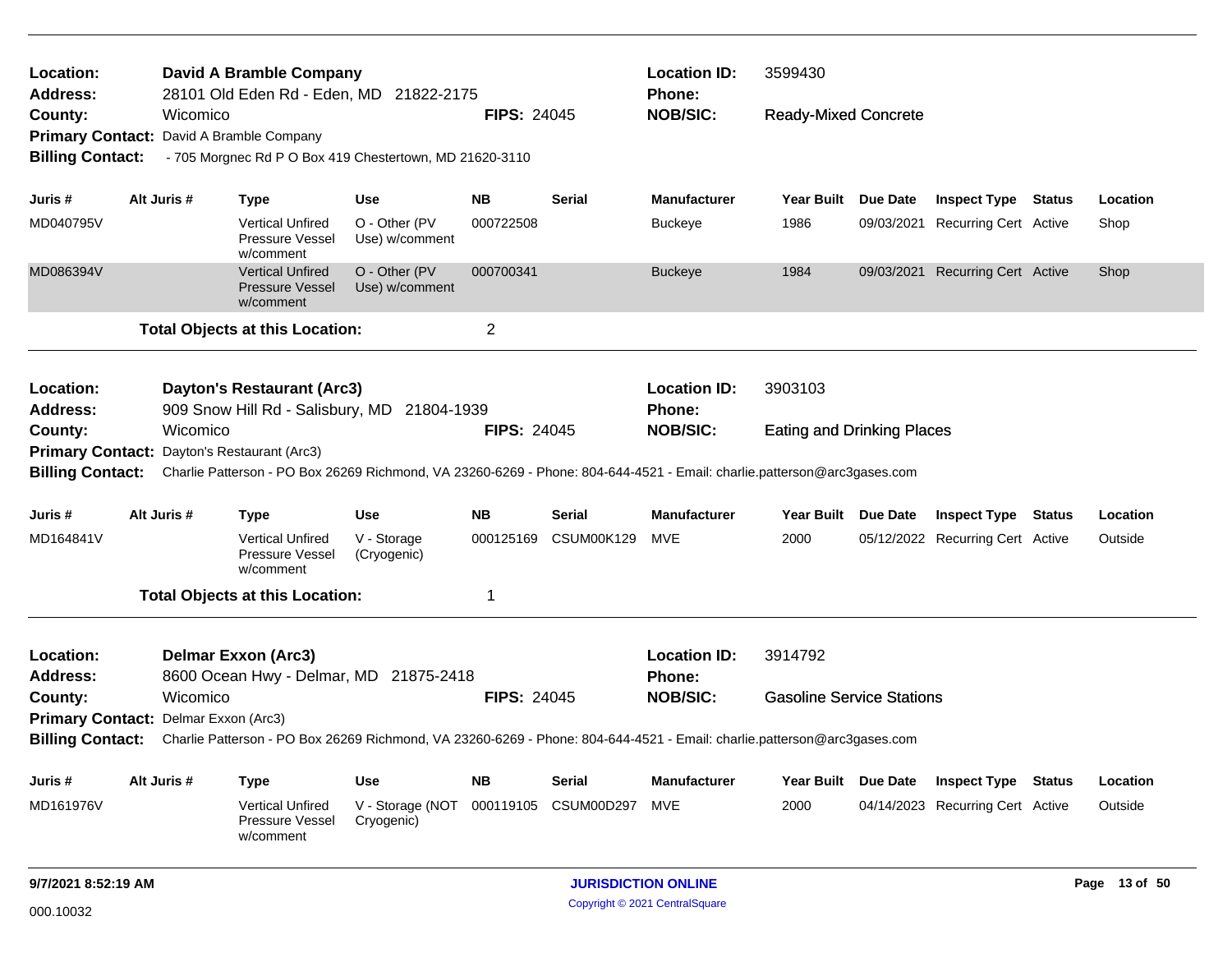| Location:<br><b>Address:</b>                                                                                                                       |  |             | <b>David A Bramble Company</b>                                 | 28101 Old Eden Rd - Eden, MD 21822-2175                 |                    |                   | <b>Location ID:</b><br><b>Phone:</b> | 3599430                           |          |                                  |               |               |
|----------------------------------------------------------------------------------------------------------------------------------------------------|--|-------------|----------------------------------------------------------------|---------------------------------------------------------|--------------------|-------------------|--------------------------------------|-----------------------------------|----------|----------------------------------|---------------|---------------|
| County:                                                                                                                                            |  | Wicomico    |                                                                |                                                         | <b>FIPS: 24045</b> |                   | <b>NOB/SIC:</b>                      | <b>Ready-Mixed Concrete</b>       |          |                                  |               |               |
|                                                                                                                                                    |  |             | Primary Contact: David A Bramble Company                       |                                                         |                    |                   |                                      |                                   |          |                                  |               |               |
| <b>Billing Contact:</b>                                                                                                                            |  |             |                                                                | - 705 Morgnec Rd P O Box 419 Chestertown, MD 21620-3110 |                    |                   |                                      |                                   |          |                                  |               |               |
| Juris #                                                                                                                                            |  | Alt Juris # | <b>Type</b>                                                    | Use                                                     | NΒ                 | <b>Serial</b>     | <b>Manufacturer</b>                  | Year Built Due Date               |          | <b>Inspect Type Status</b>       |               | Location      |
| MD040795V                                                                                                                                          |  |             | Vertical Unfired<br>Pressure Vessel<br>w/comment               | O - Other (PV<br>Use) w/comment                         | 000722508          |                   | <b>Buckeye</b>                       | 1986                              |          | 09/03/2021 Recurring Cert Active |               | Shop          |
| MD086394V                                                                                                                                          |  |             | <b>Vertical Unfired</b><br><b>Pressure Vessel</b><br>w/comment | O - Other (PV<br>Use) w/comment                         | 000700341          |                   | <b>Buckeye</b>                       | 1984                              |          | 09/03/2021 Recurring Cert Active |               | Shop          |
|                                                                                                                                                    |  |             | <b>Total Objects at this Location:</b>                         |                                                         | $\overline{c}$     |                   |                                      |                                   |          |                                  |               |               |
| Location:<br><b>Address:</b>                                                                                                                       |  |             | <b>Dayton's Restaurant (Arc3)</b>                              | 909 Snow Hill Rd - Salisbury, MD 21804-1939             |                    |                   | <b>Location ID:</b><br>Phone:        | 3903103                           |          |                                  |               |               |
| County:                                                                                                                                            |  | Wicomico    |                                                                |                                                         | <b>FIPS: 24045</b> |                   | <b>NOB/SIC:</b>                      | <b>Eating and Drinking Places</b> |          |                                  |               |               |
| Primary Contact: Dayton's Restaurant (Arc3)                                                                                                        |  |             |                                                                |                                                         |                    |                   |                                      |                                   |          |                                  |               |               |
| Billing Contact: Charlie Patterson - PO Box 26269 Richmond, VA 23260-6269 - Phone: 804-644-4521 - Email: charlie.patterson@arc3gases.com           |  |             |                                                                |                                                         |                    |                   |                                      |                                   |          |                                  |               |               |
| Juris #                                                                                                                                            |  | Alt Juris # | <b>Type</b>                                                    | Use                                                     | <b>NB</b>          | Serial            | <b>Manufacturer</b>                  | Year Built Due Date               |          | <b>Inspect Type</b>              | <b>Status</b> | Location      |
| MD164841V                                                                                                                                          |  |             | <b>Vertical Unfired</b><br>Pressure Vessel<br>w/comment        | V - Storage<br>(Cryogenic)                              | 000125169          | CSUM00K129        | MVE                                  | 2000                              |          | 05/12/2022 Recurring Cert Active |               | Outside       |
|                                                                                                                                                    |  |             | <b>Total Objects at this Location:</b>                         |                                                         | 1                  |                   |                                      |                                   |          |                                  |               |               |
| Location:                                                                                                                                          |  |             | <b>Delmar Exxon (Arc3)</b>                                     |                                                         |                    |                   | <b>Location ID:</b>                  | 3914792                           |          |                                  |               |               |
| <b>Address:</b>                                                                                                                                    |  |             |                                                                | 8600 Ocean Hwy - Delmar, MD 21875-2418                  |                    |                   | Phone:                               |                                   |          |                                  |               |               |
| County:                                                                                                                                            |  | Wicomico    |                                                                |                                                         | <b>FIPS: 24045</b> |                   | <b>NOB/SIC:</b>                      | <b>Gasoline Service Stations</b>  |          |                                  |               |               |
| Primary Contact: Delmar Exxon (Arc3)                                                                                                               |  |             |                                                                |                                                         |                    |                   |                                      |                                   |          |                                  |               |               |
| <b>Billing Contact:</b><br>Charlie Patterson - PO Box 26269 Richmond, VA 23260-6269 - Phone: 804-644-4521 - Email: charlie.patterson@arc3gases.com |  |             |                                                                |                                                         |                    |                   |                                      |                                   |          |                                  |               |               |
| Juris #                                                                                                                                            |  | Alt Juris # | <b>Type</b>                                                    | Use                                                     | <b>NB</b>          | Serial            | <b>Manufacturer</b>                  | Year Built                        | Due Date | <b>Inspect Type</b>              | <b>Status</b> | Location      |
| MD161976V                                                                                                                                          |  |             | <b>Vertical Unfired</b><br>Pressure Vessel<br>w/comment        | V - Storage (NOT<br>Cryogenic)                          | 000119105          | <b>CSUM00D297</b> | MVE                                  | 2000                              |          | 04/14/2023 Recurring Cert Active |               | Outside       |
| 9/7/2021 8:52:19 AM                                                                                                                                |  |             |                                                                |                                                         |                    |                   | <b>JURISDICTION ONLINE</b>           |                                   |          |                                  |               | Page 13 of 50 |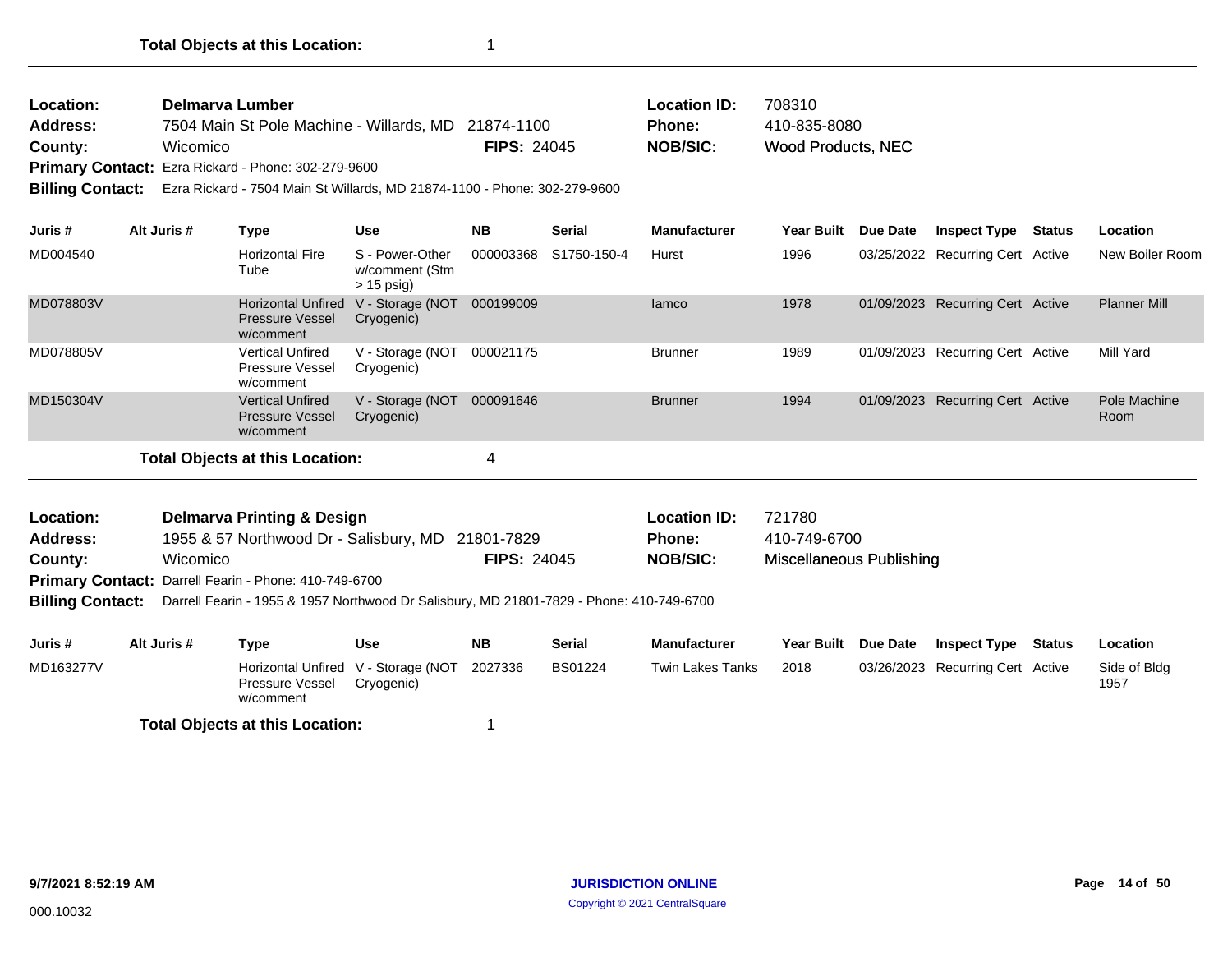| Location:       | Delmarya Lumber                                     |                    | <b>Location ID:</b> | 708310             |
|-----------------|-----------------------------------------------------|--------------------|---------------------|--------------------|
| <b>Address:</b> | 7504 Main St Pole Machine - Willards, MD 21874-1100 |                    | <b>Phone:</b>       | 410-835-8080       |
| County:         | Wicomico                                            | <b>FIPS: 24045</b> | NOB/SIC:            | Wood Products, NEC |
|                 | Primary Contact: Ezra Rickard - Phone: 302-279-9600 |                    |                     |                    |

**Billing Contact:** Ezra Rickard - 7504 Main St Willards, MD 21874-1100 - Phone: 302-279-9600

| Juris #   | Alt Juris # | Type                                                             | Use                                               | <b>NB</b> | <b>Serial</b> | <b>Manufacturer</b> | <b>Year Built</b> | Due Date | <b>Inspect Type</b>              | Status | Location             |
|-----------|-------------|------------------------------------------------------------------|---------------------------------------------------|-----------|---------------|---------------------|-------------------|----------|----------------------------------|--------|----------------------|
| MD004540  |             | <b>Horizontal Fire</b><br>Tube                                   | S - Power-Other<br>w/comment (Stm<br>$> 15$ psig) | 000003368 | S1750-150-4   | Hurst               | 1996              |          | 03/25/2022 Recurring Cert Active |        | New Boiler Room      |
| MD078803V |             | <b>Horizontal Unfired</b><br><b>Pressure Vessel</b><br>w/comment | V - Storage (NOT<br>Cryogenic)                    | 000199009 |               | lamco               | 1978              |          | 01/09/2023 Recurring Cert Active |        | <b>Planner Mill</b>  |
| MD078805V |             | Vertical Unfired<br><b>Pressure Vessel</b><br>w/comment          | V - Storage (NOT<br>Cryogenic)                    | 000021175 |               | <b>Brunner</b>      | 1989              |          | 01/09/2023 Recurring Cert Active |        | Mill Yard            |
| MD150304V |             | <b>Vertical Unfired</b><br><b>Pressure Vessel</b><br>w/comment   | V - Storage (NOT<br>Cryogenic)                    | 000091646 |               | <b>Brunner</b>      | 1994              |          | 01/09/2023 Recurring Cert Active |        | Pole Machine<br>Room |
|           |             | <b>Total Objects at this Location:</b>                           |                                                   | 4         |               |                     |                   |          |                                  |        |                      |

| Location:       | <b>Delmarva Printing &amp; Design</b>                                                                          |                    | <b>Location ID:</b> | 721780                   |
|-----------------|----------------------------------------------------------------------------------------------------------------|--------------------|---------------------|--------------------------|
| <b>Address:</b> | 1955 & 57 Northwood Dr - Salisbury, MD 21801-7829                                                              |                    | <b>Phone:</b>       | 410-749-6700             |
| County:         | Wicomico                                                                                                       | <b>FIPS: 24045</b> | NOB/SIC:            | Miscellaneous Publishing |
|                 | <b>Primary Contact:</b> Darrell Fearin - Phone: 410-749-6700                                                   |                    |                     |                          |
|                 | <b>Dilling Contact:</b> Derroll Foorin 1055.8.1057 Northwood Dr. Coligbury, MD 21804-7820, Dhope: 410-740-6700 |                    |                     |                          |

**Billing Contact:** Darrell Fearin - 1955 & 1957 Northwood Dr Salisbury, MD 21801-7829 - Phone: 410-749-6700

| Juris #   | Alt Juris # | Type                                                                | Use        | <b>NB</b> | <b>Serial</b>  | <b>Manufacturer</b> | Year Built Due Date | <b>Inspect Type</b>              | Status | Location             |
|-----------|-------------|---------------------------------------------------------------------|------------|-----------|----------------|---------------------|---------------------|----------------------------------|--------|----------------------|
| MD163277V |             | Horizontal Unfired V - Storage (NOT<br>Pressure Vessel<br>w/comment | Cryogenic) | 2027336   | <b>BS01224</b> | Twin Lakes Tanks    | 2018                | 03/26/2023 Recurring Cert Active |        | Side of Bldg<br>1957 |
|           |             | <b>Total Objects at this Location:</b>                              |            |           |                |                     |                     |                                  |        |                      |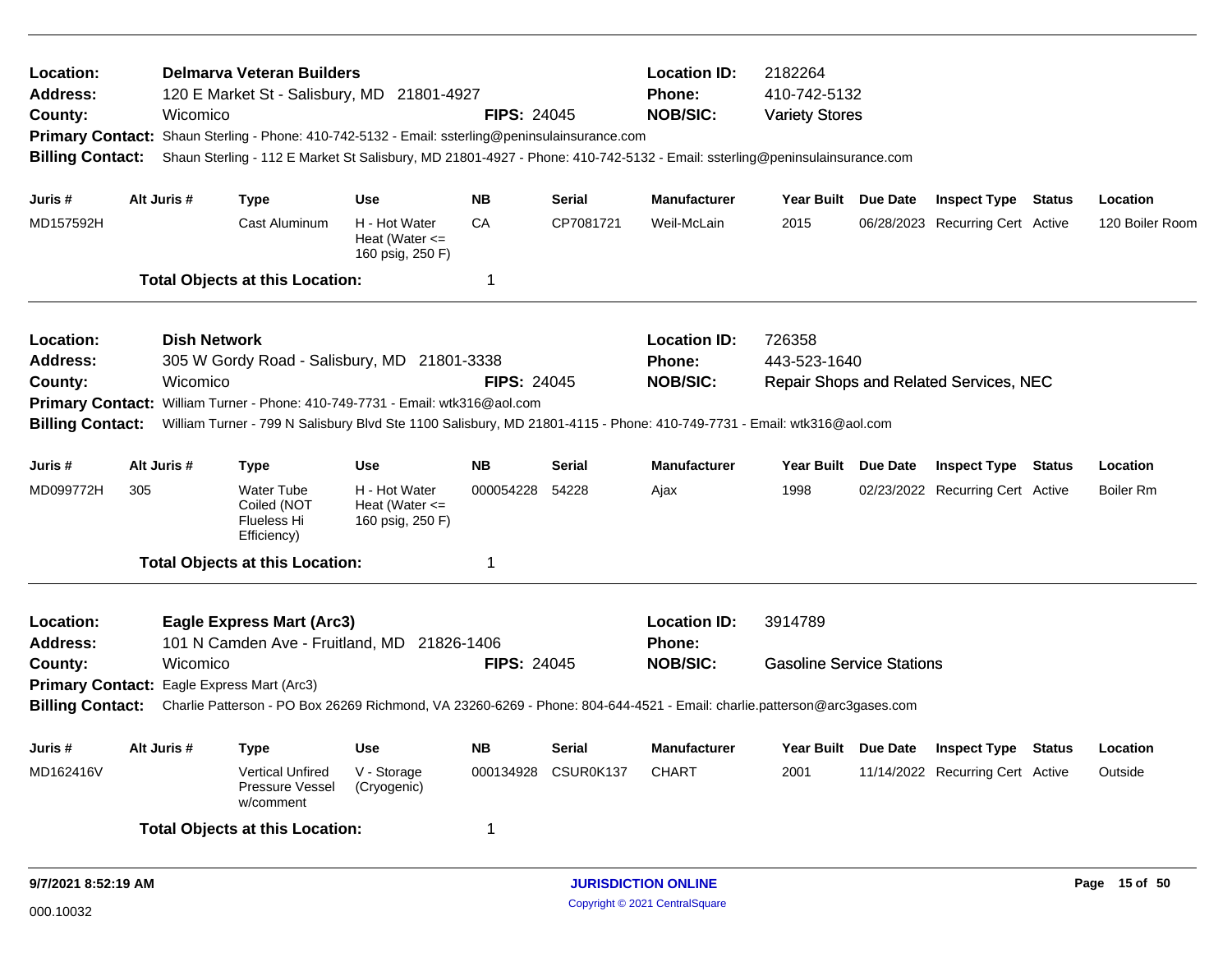| Location:<br>Address:<br>County:<br><b>Primary Contact:</b><br><b>Billing Contact:</b> |             | Wicomico                                                                                                                                                                              | <b>Delmarva Veteran Builders</b><br>120 E Market St - Salisbury, MD 21801-4927<br>Shaun Sterling - Phone: 410-742-5132 - Email: ssterling@peninsulainsurance.com                                                                                         |                                                         | <b>FIPS: 24045</b> |               | <b>Location ID:</b><br>2182264<br>410-742-5132<br><b>Phone:</b><br><b>NOB/SIC:</b><br><b>Variety Stores</b><br>Shaun Sterling - 112 E Market St Salisbury, MD 21801-4927 - Phone: 410-742-5132 - Email: ssterling@peninsulainsurance.com |                                             |  |                                        |               |                  |
|----------------------------------------------------------------------------------------|-------------|---------------------------------------------------------------------------------------------------------------------------------------------------------------------------------------|----------------------------------------------------------------------------------------------------------------------------------------------------------------------------------------------------------------------------------------------------------|---------------------------------------------------------|--------------------|---------------|------------------------------------------------------------------------------------------------------------------------------------------------------------------------------------------------------------------------------------------|---------------------------------------------|--|----------------------------------------|---------------|------------------|
| Juris #                                                                                | Alt Juris # |                                                                                                                                                                                       | Type                                                                                                                                                                                                                                                     | <b>Use</b>                                              | <b>NB</b>          | <b>Serial</b> | <b>Manufacturer</b>                                                                                                                                                                                                                      | Year Built Due Date                         |  | <b>Inspect Type Status</b>             |               | Location         |
| MD157592H                                                                              |             |                                                                                                                                                                                       | Cast Aluminum                                                                                                                                                                                                                                            | H - Hot Water<br>Heat (Water $\leq$<br>160 psig, 250 F) | CA                 | CP7081721     | Weil-McLain                                                                                                                                                                                                                              | 2015                                        |  | 06/28/2023 Recurring Cert Active       |               | 120 Boiler Room  |
|                                                                                        |             |                                                                                                                                                                                       | <b>Total Objects at this Location:</b>                                                                                                                                                                                                                   |                                                         | 1                  |               |                                                                                                                                                                                                                                          |                                             |  |                                        |               |                  |
| Location:<br>Address:<br>County:<br><b>Primary Contact:</b>                            |             | <b>Dish Network</b><br>Wicomico                                                                                                                                                       | 305 W Gordy Road - Salisbury, MD 21801-3338                                                                                                                                                                                                              |                                                         | <b>FIPS: 24045</b> |               | <b>Location ID:</b><br><b>Phone:</b><br><b>NOB/SIC:</b>                                                                                                                                                                                  | 726358<br>443-523-1640                      |  | Repair Shops and Related Services, NEC |               |                  |
| <b>Billing Contact:</b>                                                                |             | William Turner - Phone: 410-749-7731 - Email: wtk316@aol.com<br>William Turner - 799 N Salisbury Blvd Ste 1100 Salisbury, MD 21801-4115 - Phone: 410-749-7731 - Email: wtk316@aol.com |                                                                                                                                                                                                                                                          |                                                         |                    |               |                                                                                                                                                                                                                                          |                                             |  |                                        |               |                  |
| Juris#                                                                                 | Alt Juris # |                                                                                                                                                                                       | <b>Type</b>                                                                                                                                                                                                                                              | <b>Use</b>                                              | <b>NB</b>          | <b>Serial</b> | <b>Manufacturer</b>                                                                                                                                                                                                                      | Year Built Due Date                         |  | <b>Inspect Type</b>                    | <b>Status</b> | Location         |
| MD099772H                                                                              | 305         |                                                                                                                                                                                       | <b>Water Tube</b><br>Coiled (NOT<br>Flueless Hi<br>Efficiency)                                                                                                                                                                                           | H - Hot Water<br>Heat (Water $\leq$<br>160 psig, 250 F) | 000054228          | 54228         | Ajax                                                                                                                                                                                                                                     | 1998                                        |  | 02/23/2022 Recurring Cert Active       |               | <b>Boiler Rm</b> |
|                                                                                        |             |                                                                                                                                                                                       | <b>Total Objects at this Location:</b>                                                                                                                                                                                                                   |                                                         | 1                  |               |                                                                                                                                                                                                                                          |                                             |  |                                        |               |                  |
| Location:<br><b>Address:</b><br>County:<br><b>Billing Contact:</b>                     |             | Wicomico                                                                                                                                                                              | <b>Eagle Express Mart (Arc3)</b><br>101 N Camden Ave - Fruitland, MD 21826-1406<br>Primary Contact: Eagle Express Mart (Arc3)<br>Charlie Patterson - PO Box 26269 Richmond, VA 23260-6269 - Phone: 804-644-4521 - Email: charlie.patterson@arc3gases.com |                                                         | <b>FIPS: 24045</b> |               | <b>Location ID:</b><br><b>Phone:</b><br><b>NOB/SIC:</b>                                                                                                                                                                                  | 3914789<br><b>Gasoline Service Stations</b> |  |                                        |               |                  |
| Juris #                                                                                | Alt Juris # |                                                                                                                                                                                       | Type                                                                                                                                                                                                                                                     | <b>Use</b>                                              | <b>NB</b>          | Serial        | <b>Manufacturer</b>                                                                                                                                                                                                                      | Year Built Due Date                         |  | <b>Inspect Type</b>                    | Status        | Location         |
| MD162416V                                                                              |             |                                                                                                                                                                                       | <b>Vertical Unfired</b><br><b>Pressure Vessel</b><br>w/comment                                                                                                                                                                                           | V - Storage<br>(Cryogenic)                              | 000134928          | CSUR0K137     | <b>CHART</b>                                                                                                                                                                                                                             | 2001                                        |  | 11/14/2022 Recurring Cert Active       |               | Outside          |
|                                                                                        |             |                                                                                                                                                                                       | <b>Total Objects at this Location:</b>                                                                                                                                                                                                                   |                                                         | 1                  |               |                                                                                                                                                                                                                                          |                                             |  |                                        |               |                  |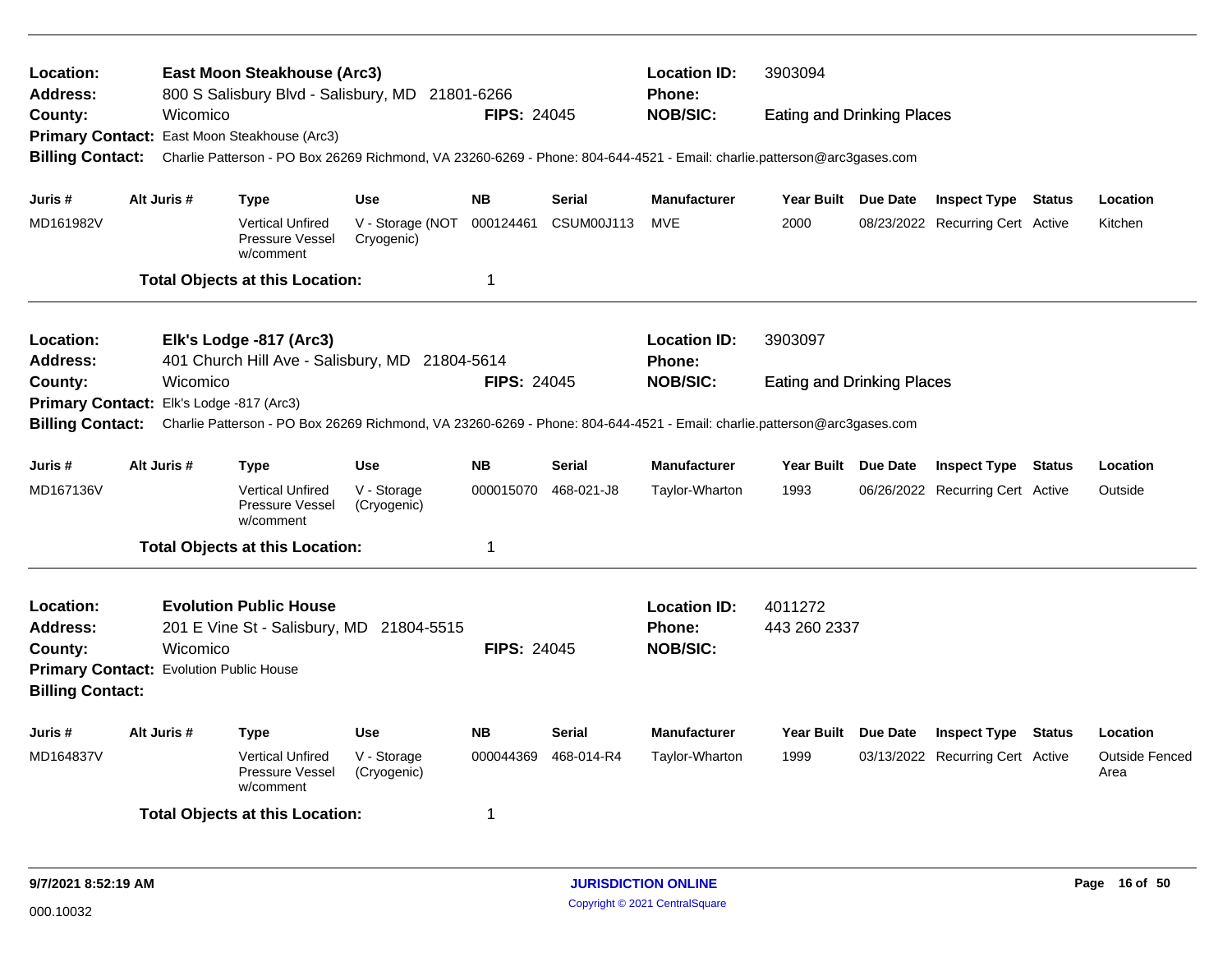| Location:<br><b>Address:</b>                                                                                                                       |             |          | East Moon Steakhouse (Arc3)<br>800 S Salisbury Blvd - Salisbury, MD 21801-6266                                          |                                          |                    |               | <b>Location ID:</b><br><b>Phone:</b> | 3903094                           |                 |                                  |                               |
|----------------------------------------------------------------------------------------------------------------------------------------------------|-------------|----------|-------------------------------------------------------------------------------------------------------------------------|------------------------------------------|--------------------|---------------|--------------------------------------|-----------------------------------|-----------------|----------------------------------|-------------------------------|
| County:                                                                                                                                            |             | Wicomico |                                                                                                                         |                                          | <b>FIPS: 24045</b> |               | <b>NOB/SIC:</b>                      | <b>Eating and Drinking Places</b> |                 |                                  |                               |
|                                                                                                                                                    |             |          | Primary Contact: East Moon Steakhouse (Arc3)                                                                            |                                          |                    |               |                                      |                                   |                 |                                  |                               |
| <b>Billing Contact:</b>                                                                                                                            |             |          | Charlie Patterson - PO Box 26269 Richmond, VA 23260-6269 - Phone: 804-644-4521 - Email: charlie.patterson@arc3gases.com |                                          |                    |               |                                      |                                   |                 |                                  |                               |
| Juris #                                                                                                                                            | Alt Juris # |          | <b>Type</b>                                                                                                             | <b>Use</b>                               | <b>NB</b>          | <b>Serial</b> | <b>Manufacturer</b>                  | Year Built Due Date               |                 | <b>Inspect Type Status</b>       | Location                      |
| MD161982V                                                                                                                                          |             |          | <b>Vertical Unfired</b><br>Pressure Vessel<br>w/comment                                                                 | V - Storage (NOT 000124461<br>Cryogenic) |                    | CSUM00J113    | MVE                                  | 2000                              |                 | 08/23/2022 Recurring Cert Active | Kitchen                       |
|                                                                                                                                                    |             |          | <b>Total Objects at this Location:</b>                                                                                  |                                          | 1                  |               |                                      |                                   |                 |                                  |                               |
| Location:                                                                                                                                          |             |          | Elk's Lodge -817 (Arc3)                                                                                                 |                                          |                    |               | <b>Location ID:</b>                  | 3903097                           |                 |                                  |                               |
| <b>Address:</b>                                                                                                                                    |             |          | 401 Church Hill Ave - Salisbury, MD 21804-5614                                                                          |                                          |                    |               | Phone:                               |                                   |                 |                                  |                               |
| County:                                                                                                                                            |             | Wicomico |                                                                                                                         |                                          | <b>FIPS: 24045</b> |               | <b>NOB/SIC:</b>                      | <b>Eating and Drinking Places</b> |                 |                                  |                               |
| Primary Contact: Elk's Lodge -817 (Arc3)                                                                                                           |             |          |                                                                                                                         |                                          |                    |               |                                      |                                   |                 |                                  |                               |
| <b>Billing Contact:</b><br>Charlie Patterson - PO Box 26269 Richmond, VA 23260-6269 - Phone: 804-644-4521 - Email: charlie.patterson@arc3gases.com |             |          |                                                                                                                         |                                          |                    |               |                                      |                                   |                 |                                  |                               |
| Juris #                                                                                                                                            | Alt Juris # |          | <b>Type</b>                                                                                                             | <b>Use</b>                               | <b>NB</b>          | <b>Serial</b> | Manufacturer                         | Year Built Due Date               |                 | <b>Inspect Type Status</b>       | Location                      |
| MD167136V                                                                                                                                          |             |          | <b>Vertical Unfired</b><br>Pressure Vessel<br>w/comment                                                                 | V - Storage<br>(Cryogenic)               | 000015070          | 468-021-J8    | Taylor-Wharton                       | 1993                              |                 | 06/26/2022 Recurring Cert Active | Outside                       |
|                                                                                                                                                    |             |          | <b>Total Objects at this Location:</b>                                                                                  |                                          | 1                  |               |                                      |                                   |                 |                                  |                               |
| Location:                                                                                                                                          |             |          | <b>Evolution Public House</b>                                                                                           |                                          |                    |               | <b>Location ID:</b>                  | 4011272                           |                 |                                  |                               |
| <b>Address:</b>                                                                                                                                    |             |          | 201 E Vine St - Salisbury, MD 21804-5515                                                                                |                                          |                    |               | <b>Phone:</b>                        | 443 260 2337                      |                 |                                  |                               |
| County:                                                                                                                                            |             | Wicomico |                                                                                                                         |                                          | <b>FIPS: 24045</b> |               | <b>NOB/SIC:</b>                      |                                   |                 |                                  |                               |
|                                                                                                                                                    |             |          |                                                                                                                         |                                          |                    |               |                                      |                                   |                 |                                  |                               |
| Primary Contact: Evolution Public House<br><b>Billing Contact:</b>                                                                                 |             |          |                                                                                                                         |                                          |                    |               |                                      |                                   |                 |                                  |                               |
| Juris #                                                                                                                                            | Alt Juris # |          | <b>Type</b>                                                                                                             | <b>Use</b>                               | <b>NB</b>          | Serial        | <b>Manufacturer</b>                  | Year Built                        | <b>Due Date</b> | <b>Inspect Type Status</b>       | Location                      |
| MD164837V                                                                                                                                          |             |          | <b>Vertical Unfired</b><br>Pressure Vessel<br>w/comment                                                                 | V - Storage<br>(Cryogenic)               | 000044369          | 468-014-R4    | Taylor-Wharton                       | 1999                              |                 | 03/13/2022 Recurring Cert Active | <b>Outside Fenced</b><br>Area |
|                                                                                                                                                    |             |          | <b>Total Objects at this Location:</b>                                                                                  |                                          | 1                  |               |                                      |                                   |                 |                                  |                               |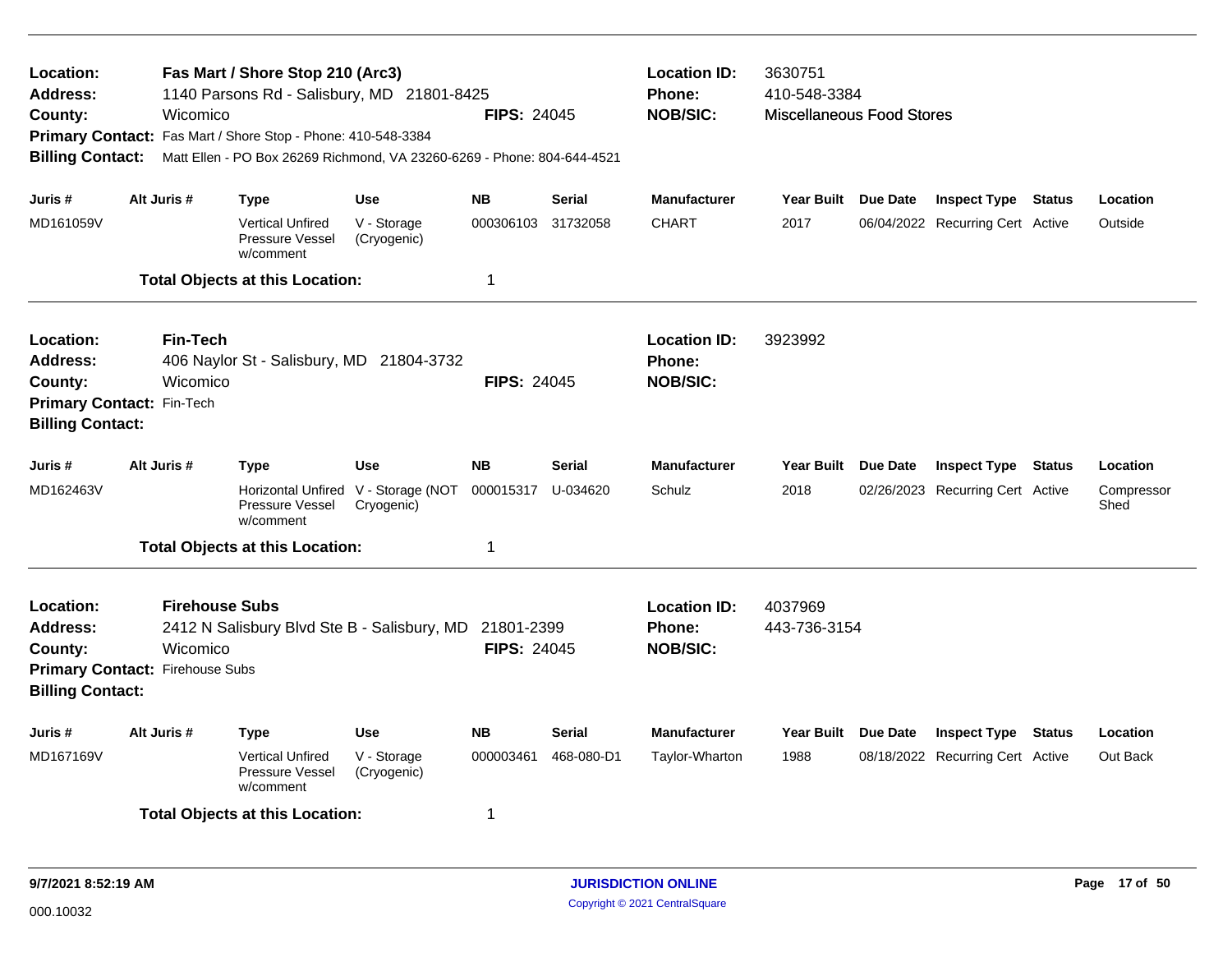| Location:<br><b>Address:</b><br>County:<br><b>Billing Contact:</b>                                           |             | Wicomico                          | Fas Mart / Shore Stop 210 (Arc3)<br>1140 Parsons Rd - Salisbury, MD 21801-8425<br>Primary Contact: Fas Mart / Shore Stop - Phone: 410-548-3384<br>Matt Ellen - PO Box 26269 Richmond, VA 23260-6269 - Phone: 804-644-4521 |                                              | <b>FIPS: 24045</b>               |                           | <b>Location ID:</b><br>Phone:<br><b>NOB/SIC:</b> | 3630751<br>410-548-3384<br><b>Miscellaneous Food Stores</b> |          |                                                                |        |                                |
|--------------------------------------------------------------------------------------------------------------|-------------|-----------------------------------|---------------------------------------------------------------------------------------------------------------------------------------------------------------------------------------------------------------------------|----------------------------------------------|----------------------------------|---------------------------|--------------------------------------------------|-------------------------------------------------------------|----------|----------------------------------------------------------------|--------|--------------------------------|
| Juris #<br>MD161059V                                                                                         | Alt Juris # |                                   | Type<br><b>Vertical Unfired</b><br>Pressure Vessel<br>w/comment<br><b>Total Objects at this Location:</b>                                                                                                                 | <b>Use</b><br>V - Storage<br>(Cryogenic)     | <b>NB</b><br>000306103<br>1      | <b>Serial</b><br>31732058 | <b>Manufacturer</b><br><b>CHART</b>              | Year Built Due Date<br>2017                                 |          | <b>Inspect Type Status</b><br>06/04/2022 Recurring Cert Active |        | Location<br>Outside            |
| Location:<br><b>Address:</b><br>County:<br>Primary Contact: Fin-Tech<br><b>Billing Contact:</b>              |             | <b>Fin-Tech</b><br>Wicomico       | 406 Naylor St - Salisbury, MD 21804-3732                                                                                                                                                                                  |                                              | <b>FIPS: 24045</b>               |                           | <b>Location ID:</b><br>Phone:<br><b>NOB/SIC:</b> | 3923992                                                     |          |                                                                |        |                                |
| Juris #<br>MD162463V                                                                                         | Alt Juris # |                                   | <b>Type</b><br>Horizontal Unfired<br>Pressure Vessel<br>w/comment<br><b>Total Objects at this Location:</b>                                                                                                               | <b>Use</b><br>V - Storage (NOT<br>Cryogenic) | <b>NB</b><br>000015317<br>1      | Serial<br>U-034620        | <b>Manufacturer</b><br>Schulz                    | <b>Year Built</b><br>2018                                   | Due Date | <b>Inspect Type</b><br>02/26/2023 Recurring Cert Active        | Status | Location<br>Compressor<br>Shed |
| Location:<br><b>Address:</b><br>County:<br><b>Primary Contact: Firehouse Subs</b><br><b>Billing Contact:</b> |             | <b>Firehouse Subs</b><br>Wicomico | 2412 N Salisbury Blvd Ste B - Salisbury, MD                                                                                                                                                                               |                                              | 21801-2399<br><b>FIPS: 24045</b> |                           | <b>Location ID:</b><br>Phone:<br><b>NOB/SIC:</b> | 4037969<br>443-736-3154                                     |          |                                                                |        |                                |
| Juris #<br>MD167169V                                                                                         | Alt Juris # |                                   | <b>Type</b><br><b>Vertical Unfired</b><br>Pressure Vessel<br>w/comment<br><b>Total Objects at this Location:</b>                                                                                                          | <b>Use</b><br>V - Storage<br>(Cryogenic)     | <b>NB</b><br>000003461<br>1      | Serial<br>468-080-D1      | <b>Manufacturer</b><br>Taylor-Wharton            | <b>Year Built</b><br>1988                                   | Due Date | <b>Inspect Type Status</b><br>08/18/2022 Recurring Cert Active |        | Location<br>Out Back           |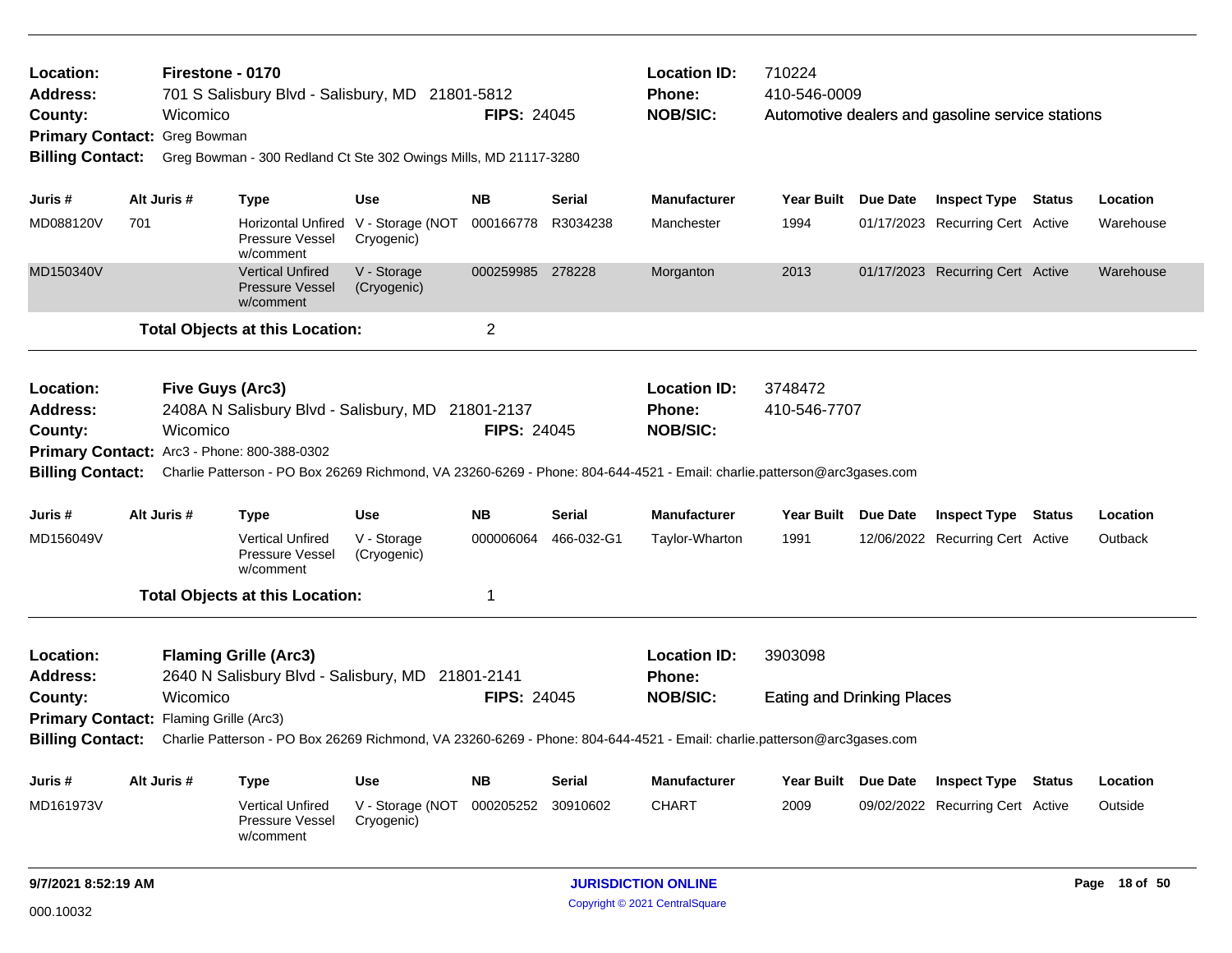| Location:<br>Address:<br>County:<br>Primary Contact: Greg Bowman<br><b>Billing Contact:</b>                                                        |     | Firestone - 0170<br>Wicomico | 701 S Salisbury Blvd - Salisbury, MD 21801-5812<br>Greg Bowman - 300 Redland Ct Ste 302 Owings Mills, MD 21117-3280 |                                                   | <b>FIPS: 24045</b> |               | <b>Location ID:</b><br>Phone:<br><b>NOB/SIC:</b>                                                                                                                                                    | 710224<br>410-546-0009                       | Automotive dealers and gasoline service stations |               |
|----------------------------------------------------------------------------------------------------------------------------------------------------|-----|------------------------------|---------------------------------------------------------------------------------------------------------------------|---------------------------------------------------|--------------------|---------------|-----------------------------------------------------------------------------------------------------------------------------------------------------------------------------------------------------|----------------------------------------------|--------------------------------------------------|---------------|
| Juris #                                                                                                                                            |     | Alt Juris #                  | <b>Type</b>                                                                                                         | Use                                               | <b>NB</b>          | <b>Serial</b> | <b>Manufacturer</b>                                                                                                                                                                                 | Year Built Due Date                          | <b>Inspect Type Status</b>                       | Location      |
| MD088120V                                                                                                                                          | 701 |                              | Pressure Vessel<br>w/comment                                                                                        | Horizontal Unfired V - Storage (NOT<br>Cryogenic) | 000166778          | R3034238      | Manchester                                                                                                                                                                                          | 1994                                         | 01/17/2023 Recurring Cert Active                 | Warehouse     |
| MD150340V                                                                                                                                          |     |                              | <b>Vertical Unfired</b><br><b>Pressure Vessel</b><br>w/comment                                                      | V - Storage<br>(Cryogenic)                        | 000259985 278228   |               | Morganton                                                                                                                                                                                           | 2013                                         | 01/17/2023 Recurring Cert Active                 | Warehouse     |
|                                                                                                                                                    |     |                              | <b>Total Objects at this Location:</b>                                                                              |                                                   | $\overline{c}$     |               |                                                                                                                                                                                                     |                                              |                                                  |               |
| Location:<br><b>Address:</b><br>County:                                                                                                            |     | Five Guys (Arc3)<br>Wicomico | 2408A N Salisbury Blvd - Salisbury, MD 21801-2137<br>Primary Contact: Arc3 - Phone: 800-388-0302                    |                                                   | <b>FIPS: 24045</b> |               | <b>Location ID:</b><br><b>Phone:</b><br><b>NOB/SIC:</b><br>Billing Contact: Charlie Patterson - PO Box 26269 Richmond, VA 23260-6269 - Phone: 804-644-4521 - Email: charlie.patterson@arc3gases.com | 3748472<br>410-546-7707                      |                                                  |               |
| Juris #                                                                                                                                            |     | Alt Juris #                  | <b>Type</b>                                                                                                         | <b>Use</b>                                        | <b>NB</b>          | Serial        | <b>Manufacturer</b>                                                                                                                                                                                 | Year Built Due Date                          | <b>Inspect Type Status</b>                       | Location      |
| MD156049V                                                                                                                                          |     |                              | <b>Vertical Unfired</b><br>Pressure Vessel<br>w/comment                                                             | V - Storage<br>(Cryogenic)                        | 000006064          | 466-032-G1    | Taylor-Wharton                                                                                                                                                                                      | 1991                                         | 12/06/2022 Recurring Cert Active                 | Outback       |
|                                                                                                                                                    |     |                              | <b>Total Objects at this Location:</b>                                                                              |                                                   | 1                  |               |                                                                                                                                                                                                     |                                              |                                                  |               |
| Location:<br><b>Address:</b><br>County:                                                                                                            |     | Wicomico                     | <b>Flaming Grille (Arc3)</b><br>2640 N Salisbury Blvd - Salisbury, MD 21801-2141                                    |                                                   | <b>FIPS: 24045</b> |               | <b>Location ID:</b><br><b>Phone:</b><br><b>NOB/SIC:</b>                                                                                                                                             | 3903098<br><b>Eating and Drinking Places</b> |                                                  |               |
| Primary Contact: Flaming Grille (Arc3)                                                                                                             |     |                              |                                                                                                                     |                                                   |                    |               |                                                                                                                                                                                                     |                                              |                                                  |               |
| <b>Billing Contact:</b><br>Charlie Patterson - PO Box 26269 Richmond, VA 23260-6269 - Phone: 804-644-4521 - Email: charlie.patterson@arc3gases.com |     |                              |                                                                                                                     |                                                   |                    |               |                                                                                                                                                                                                     |                                              |                                                  |               |
| Juris #                                                                                                                                            |     | Alt Juris #                  | <b>Type</b>                                                                                                         | Use                                               | <b>NB</b>          | Serial        | <b>Manufacturer</b>                                                                                                                                                                                 | Year Built Due Date                          | <b>Inspect Type Status</b>                       | Location      |
| MD161973V                                                                                                                                          |     |                              | <b>Vertical Unfired</b><br>Pressure Vessel<br>w/comment                                                             | V - Storage (NOT<br>Cryogenic)                    | 000205252          | 30910602      | <b>CHART</b>                                                                                                                                                                                        | 2009                                         | 09/02/2022 Recurring Cert Active                 | Outside       |
| 9/7/2021 8:52:19 AM                                                                                                                                |     |                              |                                                                                                                     |                                                   |                    |               | <b>JURISDICTION ONLINE</b>                                                                                                                                                                          |                                              |                                                  | Page 18 of 50 |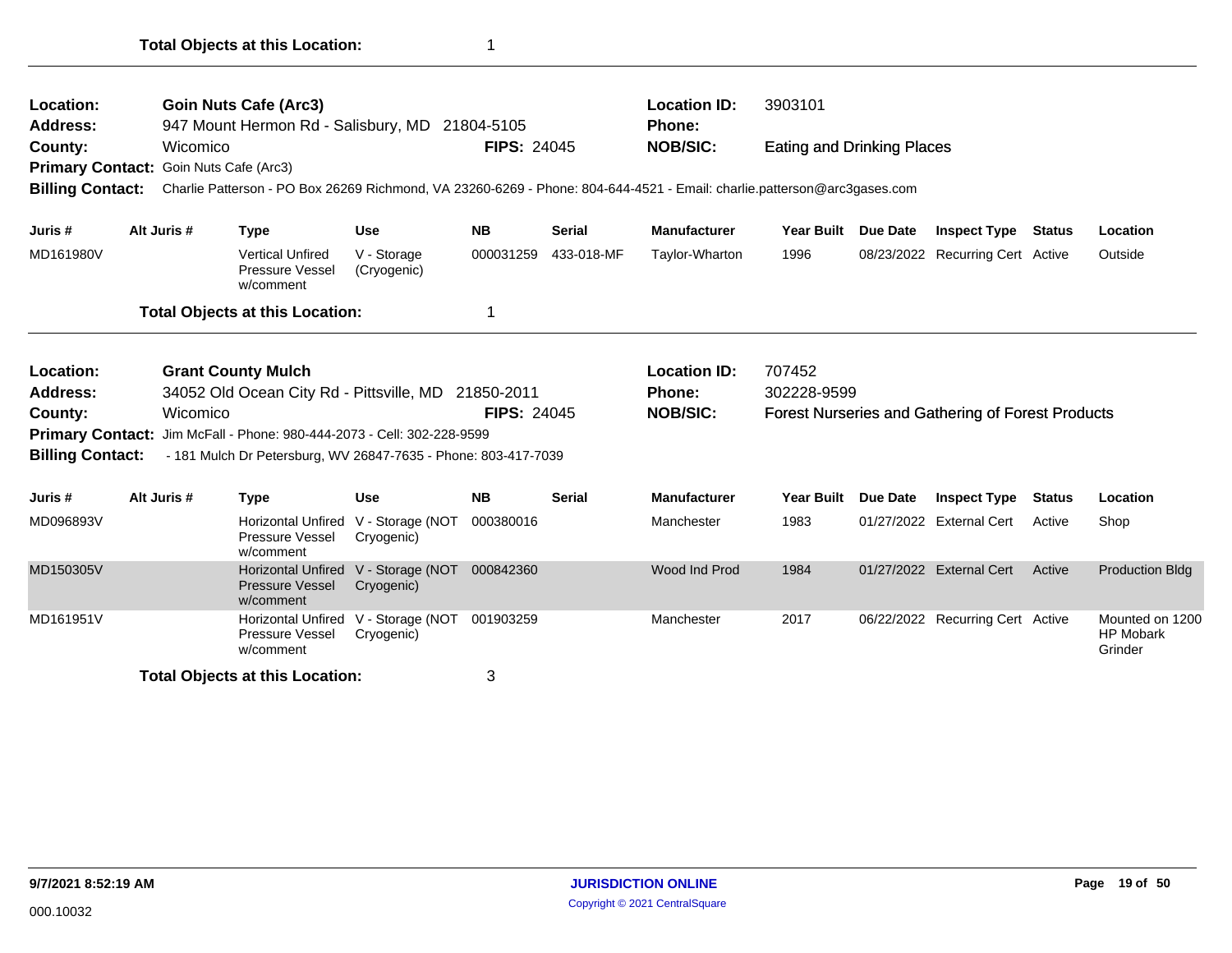| <b>Location:</b>                       |             | <b>Goin Nuts Cafe (Arc3)</b>                                                                                            |                                                   |                    |               | <b>Location ID:</b> | 3903101                           |          |                                                   |               |                                                |
|----------------------------------------|-------------|-------------------------------------------------------------------------------------------------------------------------|---------------------------------------------------|--------------------|---------------|---------------------|-----------------------------------|----------|---------------------------------------------------|---------------|------------------------------------------------|
| Address:                               |             | 947 Mount Hermon Rd - Salisbury, MD 21804-5105                                                                          |                                                   |                    |               | <b>Phone:</b>       |                                   |          |                                                   |               |                                                |
| County:                                | Wicomico    |                                                                                                                         |                                                   | <b>FIPS: 24045</b> |               | <b>NOB/SIC:</b>     | <b>Eating and Drinking Places</b> |          |                                                   |               |                                                |
| Primary Contact: Goin Nuts Cafe (Arc3) |             |                                                                                                                         |                                                   |                    |               |                     |                                   |          |                                                   |               |                                                |
| <b>Billing Contact:</b>                |             | Charlie Patterson - PO Box 26269 Richmond, VA 23260-6269 - Phone: 804-644-4521 - Email: charlie.patterson@arc3gases.com |                                                   |                    |               |                     |                                   |          |                                                   |               |                                                |
| Juris #                                | Alt Juris # | <b>Type</b>                                                                                                             | <b>Use</b>                                        | <b>NB</b>          | <b>Serial</b> | <b>Manufacturer</b> | <b>Year Built</b>                 | Due Date | <b>Inspect Type</b>                               | <b>Status</b> | Location                                       |
| MD161980V                              |             | <b>Vertical Unfired</b><br>Pressure Vessel<br>w/comment                                                                 | V - Storage<br>(Cryogenic)                        | 000031259          | 433-018-MF    | Taylor-Wharton      | 1996                              |          | 08/23/2022 Recurring Cert Active                  |               | Outside                                        |
|                                        |             | <b>Total Objects at this Location:</b>                                                                                  |                                                   | 1                  |               |                     |                                   |          |                                                   |               |                                                |
| <b>Location:</b>                       |             | <b>Grant County Mulch</b>                                                                                               |                                                   |                    |               | <b>Location ID:</b> | 707452                            |          |                                                   |               |                                                |
| Address:                               |             | 34052 Old Ocean City Rd - Pittsville, MD 21850-2011                                                                     |                                                   |                    |               | <b>Phone:</b>       | 302228-9599                       |          |                                                   |               |                                                |
| County:                                | Wicomico    |                                                                                                                         |                                                   | <b>FIPS: 24045</b> |               | <b>NOB/SIC:</b>     |                                   |          | Forest Nurseries and Gathering of Forest Products |               |                                                |
|                                        |             | Primary Contact: Jim McFall - Phone: 980-444-2073 - Cell: 302-228-9599                                                  |                                                   |                    |               |                     |                                   |          |                                                   |               |                                                |
| <b>Billing Contact:</b>                |             | - 181 Mulch Dr Petersburg, WV 26847-7635 - Phone: 803-417-7039                                                          |                                                   |                    |               |                     |                                   |          |                                                   |               |                                                |
| Juris #                                | Alt Juris # | <b>Type</b>                                                                                                             | <b>Use</b>                                        | <b>NB</b>          | <b>Serial</b> | <b>Manufacturer</b> | Year Built                        | Due Date | <b>Inspect Type</b>                               | <b>Status</b> | Location                                       |
| MD096893V                              |             | Horizontal Unfired V - Storage (NOT<br>Pressure Vessel<br>w/comment                                                     | Cryogenic)                                        | 000380016          |               | Manchester          | 1983                              |          | 01/27/2022 External Cert                          | Active        | Shop                                           |
| MD150305V                              |             | <b>Pressure Vessel</b><br>w/comment                                                                                     | Horizontal Unfired V - Storage (NOT<br>Cryogenic) | 000842360          |               | Wood Ind Prod       | 1984                              |          | 01/27/2022 External Cert                          | Active        | <b>Production Bldg</b>                         |
| MD161951V                              |             | Pressure Vessel<br>w/comment                                                                                            | Horizontal Unfired V - Storage (NOT<br>Cryogenic) | 001903259          |               | Manchester          | 2017                              |          | 06/22/2022 Recurring Cert Active                  |               | Mounted on 1200<br><b>HP Mobark</b><br>Grinder |
|                                        |             | <b>Total Objects at this Location:</b>                                                                                  |                                                   | 3                  |               |                     |                                   |          |                                                   |               |                                                |
|                                        |             |                                                                                                                         |                                                   |                    |               |                     |                                   |          |                                                   |               |                                                |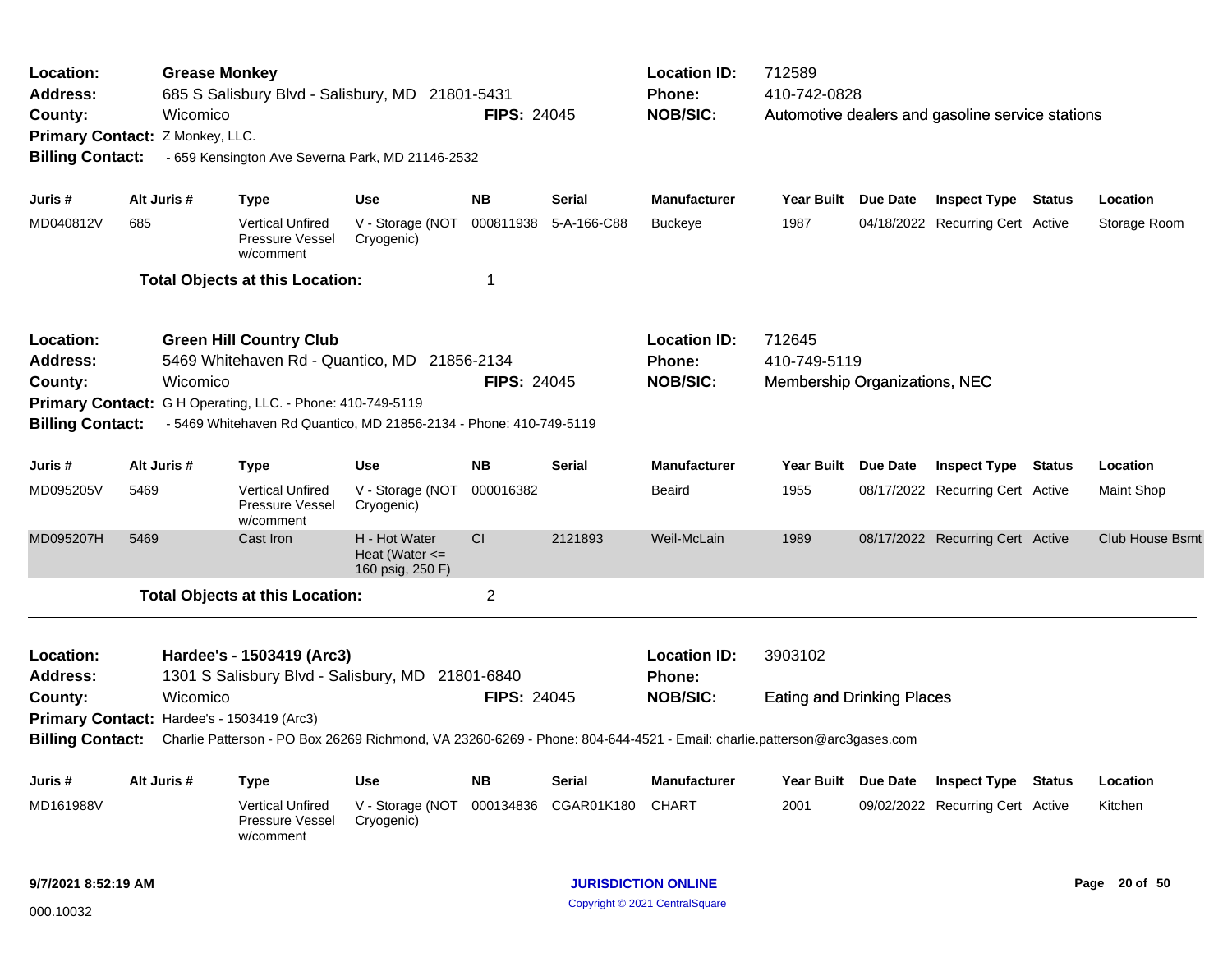| Location:<br><b>Address:</b><br>County:<br>Primary Contact: Z Monkey, LLC.<br><b>Billing Contact:</b> |             | <b>Grease Monkey</b><br>685 S Salisbury Blvd - Salisbury, MD 21801-5431<br>Wicomico<br>- 659 Kensington Ave Severna Park, MD 21146-2532                                                                                        |                                                         | <b>FIPS: 24045</b> |               | <b>Location ID:</b><br>Phone:<br><b>NOB/SIC:</b>        | 712589<br>410-742-0828<br>Automotive dealers and gasoline service stations |                     |                                  |        |                        |
|-------------------------------------------------------------------------------------------------------|-------------|--------------------------------------------------------------------------------------------------------------------------------------------------------------------------------------------------------------------------------|---------------------------------------------------------|--------------------|---------------|---------------------------------------------------------|----------------------------------------------------------------------------|---------------------|----------------------------------|--------|------------------------|
| Juris #                                                                                               | Alt Juris # | <b>Type</b>                                                                                                                                                                                                                    | Use                                                     | <b>NB</b>          | <b>Serial</b> | <b>Manufacturer</b>                                     | Year Built Due Date                                                        |                     | Inspect Type                     | Status | Location               |
| MD040812V                                                                                             | 685         | <b>Vertical Unfired</b><br><b>Pressure Vessel</b><br>w/comment                                                                                                                                                                 | V - Storage (NOT<br>Cryogenic)                          | 000811938          | 5-A-166-C88   | <b>Buckeye</b>                                          | 1987                                                                       |                     | 04/18/2022 Recurring Cert Active |        | Storage Room           |
|                                                                                                       |             | <b>Total Objects at this Location:</b>                                                                                                                                                                                         |                                                         | 1                  |               |                                                         |                                                                            |                     |                                  |        |                        |
| Location:<br><b>Address:</b><br>County:<br><b>Billing Contact:</b>                                    |             | <b>Green Hill Country Club</b><br>5469 Whitehaven Rd - Quantico, MD 21856-2134<br>Wicomico<br>Primary Contact: G H Operating, LLC. - Phone: 410-749-5119<br>- 5469 Whitehaven Rd Quantico, MD 21856-2134 - Phone: 410-749-5119 |                                                         | <b>FIPS: 24045</b> |               | <b>Location ID:</b><br>Phone:<br><b>NOB/SIC:</b>        | 712645<br>410-749-5119<br>Membership Organizations, NEC                    |                     |                                  |        |                        |
| Juris #                                                                                               | Alt Juris # | <b>Type</b>                                                                                                                                                                                                                    | Use                                                     | <b>NB</b>          | Serial        | <b>Manufacturer</b>                                     | Year Built Due Date                                                        |                     | <b>Inspect Type Status</b>       |        | Location               |
| MD095205V                                                                                             | 5469        | <b>Vertical Unfired</b><br>Pressure Vessel<br>w/comment                                                                                                                                                                        | V - Storage (NOT<br>Cryogenic)                          | 000016382          |               | Beaird                                                  | 1955                                                                       |                     | 08/17/2022 Recurring Cert Active |        | Maint Shop             |
| MD095207H                                                                                             | 5469        | Cast Iron                                                                                                                                                                                                                      | H - Hot Water<br>Heat (Water $\leq$<br>160 psig, 250 F) | CI                 | 2121893       | Weil-McLain                                             | 1989                                                                       |                     | 08/17/2022 Recurring Cert Active |        | <b>Club House Bsmt</b> |
|                                                                                                       |             | <b>Total Objects at this Location:</b>                                                                                                                                                                                         |                                                         | 2                  |               |                                                         |                                                                            |                     |                                  |        |                        |
| Location:<br><b>Address:</b><br>County:                                                               |             | Hardee's - 1503419 (Arc3)<br>1301 S Salisbury Blvd - Salisbury, MD 21801-6840<br>Wicomico<br>Primary Contact: Hardee's - 1503419 (Arc3)                                                                                        |                                                         | <b>FIPS: 24045</b> |               | <b>Location ID:</b><br><b>Phone:</b><br><b>NOB/SIC:</b> | 3903102<br><b>Eating and Drinking Places</b>                               |                     |                                  |        |                        |
| <b>Billing Contact:</b>                                                                               |             | Charlie Patterson - PO Box 26269 Richmond, VA 23260-6269 - Phone: 804-644-4521 - Email: charlie.patterson@arc3gases.com                                                                                                        |                                                         |                    |               |                                                         |                                                                            |                     |                                  |        |                        |
| Juris #                                                                                               | Alt Juris # | <b>Type</b>                                                                                                                                                                                                                    | Use                                                     | <b>NB</b>          | <b>Serial</b> | <b>Manufacturer</b>                                     |                                                                            | Year Built Due Date | <b>Inspect Type Status</b>       |        | Location               |
| MD161988V                                                                                             |             | Vertical Unfired<br>Pressure Vessel<br>w/comment                                                                                                                                                                               | V - Storage (NOT 000134836<br>Cryogenic)                |                    | CGAR01K180    | <b>CHART</b>                                            | 2001                                                                       |                     | 09/02/2022 Recurring Cert Active |        | Kitchen                |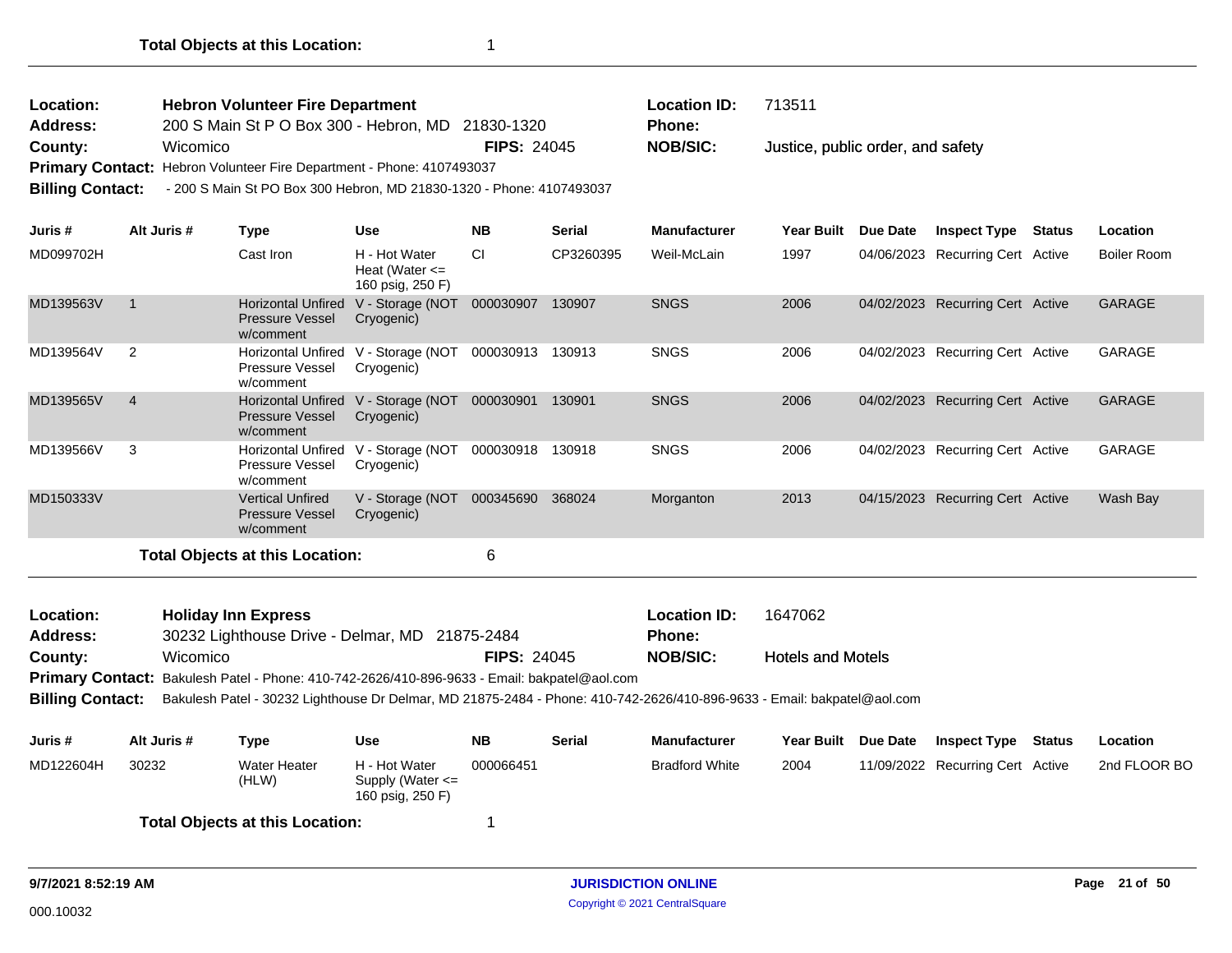| Location:<br><b>Address:</b><br>County:<br><b>Billing Contact:</b> | Wicomico       | <b>Hebron Volunteer Fire Department</b><br>200 S Main St P O Box 300 - Hebron, MD<br><b>Primary Contact:</b> Hebron Volunteer Fire Department - Phone: 4107493037<br>- 200 S Main St PO Box 300 Hebron, MD 21830-1320 - Phone: 4107493037 |                                                         | 21830-1320<br><b>FIPS: 24045</b> |               | <b>Location ID:</b><br><b>Phone:</b><br><b>NOB/SIC:</b> | 713511<br>Justice, public order, and safety |            |                              |               |                    |
|--------------------------------------------------------------------|----------------|-------------------------------------------------------------------------------------------------------------------------------------------------------------------------------------------------------------------------------------------|---------------------------------------------------------|----------------------------------|---------------|---------------------------------------------------------|---------------------------------------------|------------|------------------------------|---------------|--------------------|
| Juris #                                                            | Alt Juris #    | Type                                                                                                                                                                                                                                      | <b>Use</b>                                              | <b>NB</b>                        | <b>Serial</b> | <b>Manufacturer</b>                                     | <b>Year Built</b>                           | Due Date   | <b>Inspect Type</b>          | <b>Status</b> | Location           |
| MD099702H                                                          |                | Cast Iron                                                                                                                                                                                                                                 | H - Hot Water<br>Heat (Water $\leq$<br>160 psig, 250 F) | <b>CI</b>                        | CP3260395     | Weil-McLain                                             | 1997                                        | 04/06/2023 | Recurring Cert Active        |               | <b>Boiler Room</b> |
| MD139563V                                                          |                | <b>Horizontal Unfired</b><br><b>Pressure Vessel</b><br>w/comment                                                                                                                                                                          | V - Storage (NOT<br>Cryogenic)                          | 000030907                        | 130907        | <b>SNGS</b>                                             | 2006                                        | 04/02/2023 | <b>Recurring Cert Active</b> |               | <b>GARAGE</b>      |
| MD139564V                                                          | 2              | <b>Horizontal Unfired</b><br><b>Pressure Vessel</b><br>w/comment                                                                                                                                                                          | V - Storage (NOT<br>Cryogenic)                          | 000030913                        | 130913        | <b>SNGS</b>                                             | 2006                                        | 04/02/2023 | Recurring Cert Active        |               | <b>GARAGE</b>      |
| MD139565V                                                          | $\overline{4}$ | <b>Horizontal Unfired</b><br><b>Droccuro</b> <i>Morcol</i>                                                                                                                                                                                | V - Storage (NOT<br>$C_{N/000000}$                      | 000030901                        | 130901        | <b>SNGS</b>                                             | 2006                                        | 04/02/2023 | <b>Recurring Cert Active</b> |               | <b>GARAGE</b>      |

|           | <b>Pressure Vessel</b><br>w/comment                            | Cryogenic)                                                  |        |             |      |                                  |          |
|-----------|----------------------------------------------------------------|-------------------------------------------------------------|--------|-------------|------|----------------------------------|----------|
| MD139566V | Pressure Vessel<br>w/comment                                   | Horizontal Unfired V - Storage (NOT 000030918<br>Cryogenic) | 130918 | <b>SNGS</b> | 2006 | 04/02/2023 Recurring Cert Active | GARAGE   |
| MD150333V | <b>Vertical Unfired</b><br><b>Pressure Vessel</b><br>w/comment | $V -$ Storage (NOT 000345690<br>Cryogenic)                  | 368024 | Morganton   | 2013 | 04/15/2023 Recurring Cert Active | Wash Bay |

Hotels and Motels 30232 Lighthouse Drive - Delmar, MD 21875-2484 **County:** Wicomico **NOB/SIC: NOB/SIC:** Primary Contact: Bakulesh Patel - Phone: 410-742-2626/410-896-9633 - Email: bakpatel@aol.com **Billing Contact:** Bakulesh Patel - 30232 Lighthouse Dr Delmar, MD 21875-2484 - Phone: 410-742-2626/410-896-9633 - Email: bakpatel@aol.com **Holiday Inn Express Location ID:** 1647062 **Address: Location: Phone:**

| Juris #   | Alt Juris # | Гvре                                                                                                                                                                                                                          | Use                                                       | <b>NB</b> | Serial | <b>Manufacturer</b>   | <b>Year Built</b> | <b>Due Date</b> | <b>Inspect Type</b>              | Status | Location     |
|-----------|-------------|-------------------------------------------------------------------------------------------------------------------------------------------------------------------------------------------------------------------------------|-----------------------------------------------------------|-----------|--------|-----------------------|-------------------|-----------------|----------------------------------|--------|--------------|
| MD122604H | 30232       | <b>Water Heater</b><br>(HLW)                                                                                                                                                                                                  | H - Hot Water<br>Supply (Water $\leq$<br>160 psig, 250 F) | 000066451 |        | <b>Bradford White</b> | 2004              |                 | 11/09/2022 Recurring Cert Active |        | 2nd FLOOR BO |
|           |             | The contract and the contract of the contract of the contract of the contract of the contract of the contract of the contract of the contract of the contract of the contract of the contract of the contract of the contract |                                                           |           |        |                       |                   |                 |                                  |        |              |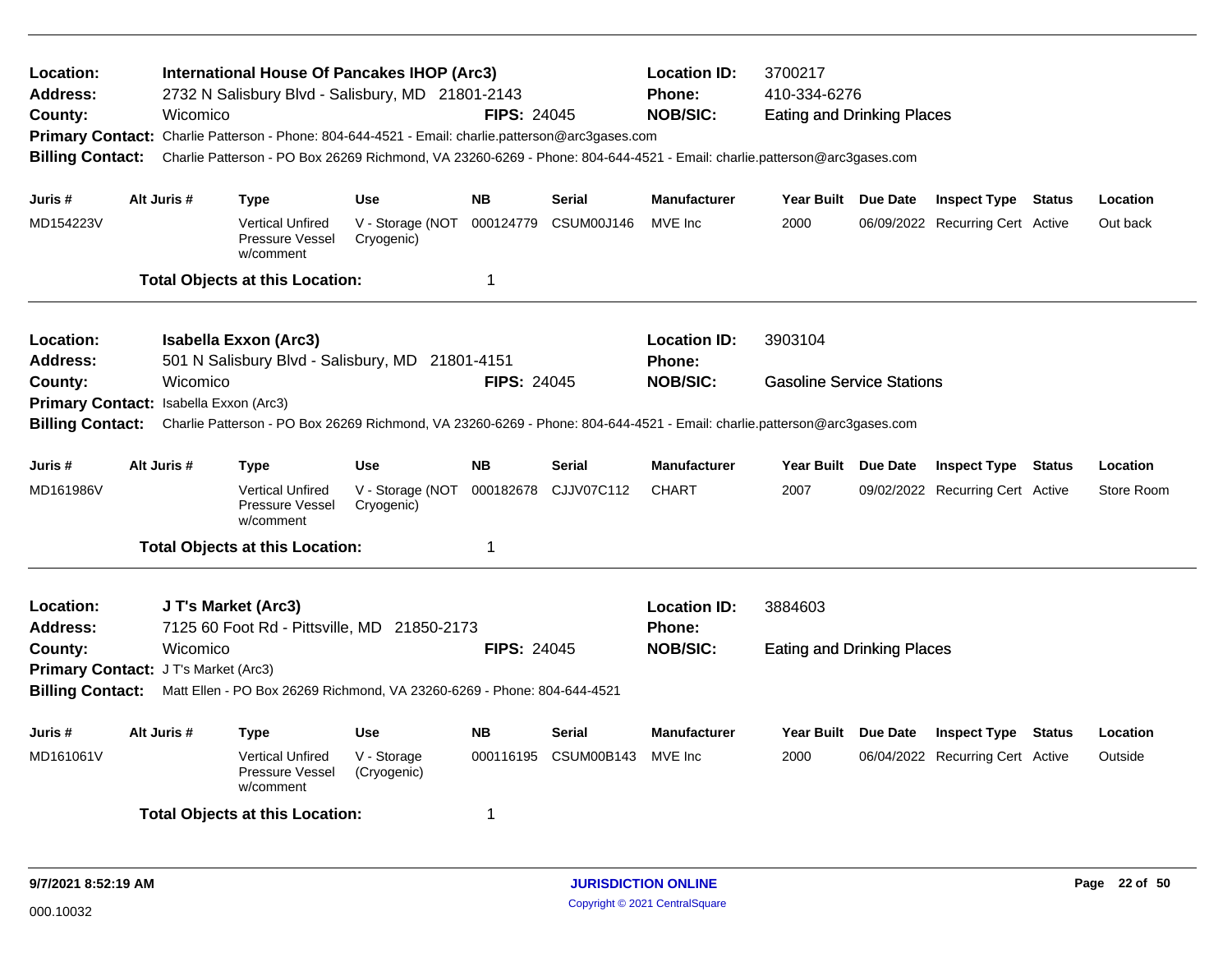| Location:<br><b>Address:</b><br>County:                                                                                                                                                      | <b>International House Of Pancakes IHOP (Arc3)</b><br>2732 N Salisbury Blvd - Salisbury, MD 21801-2143<br><b>FIPS: 24045</b><br>Wicomico<br>Primary Contact: Charlie Patterson - Phone: 804-644-4521 - Email: charlie.patterson@arc3gases.com<br>Charlie Patterson - PO Box 26269 Richmond, VA 23260-6269 - Phone: 804-644-4521 - Email: charlie.patterson@arc3gases.com<br><b>Billing Contact:</b> |                                                                                 |                                |                    |               | <b>Location ID:</b><br><b>Phone:</b><br><b>NOB/SIC:</b> | 3700217<br>410-334-6276<br><b>Eating and Drinking Places</b> |  |                                  |  |            |  |
|----------------------------------------------------------------------------------------------------------------------------------------------------------------------------------------------|-----------------------------------------------------------------------------------------------------------------------------------------------------------------------------------------------------------------------------------------------------------------------------------------------------------------------------------------------------------------------------------------------------|---------------------------------------------------------------------------------|--------------------------------|--------------------|---------------|---------------------------------------------------------|--------------------------------------------------------------|--|----------------------------------|--|------------|--|
| Juris #                                                                                                                                                                                      | Alt Juris #                                                                                                                                                                                                                                                                                                                                                                                         | <b>Type</b>                                                                     | <b>Use</b>                     | <b>NB</b>          | <b>Serial</b> | <b>Manufacturer</b>                                     | Year Built Due Date                                          |  | <b>Inspect Type Status</b>       |  | Location   |  |
| MD154223V                                                                                                                                                                                    |                                                                                                                                                                                                                                                                                                                                                                                                     | <b>Vertical Unfired</b><br>Pressure Vessel<br>w/comment                         | V - Storage (NOT<br>Cryogenic) | 000124779          | CSUM00J146    | MVE Inc                                                 | 2000                                                         |  | 06/09/2022 Recurring Cert Active |  | Out back   |  |
|                                                                                                                                                                                              |                                                                                                                                                                                                                                                                                                                                                                                                     | <b>Total Objects at this Location:</b>                                          |                                | 1                  |               |                                                         |                                                              |  |                                  |  |            |  |
| Location:<br><b>Address:</b>                                                                                                                                                                 |                                                                                                                                                                                                                                                                                                                                                                                                     | <b>Isabella Exxon (Arc3)</b><br>501 N Salisbury Blvd - Salisbury, MD 21801-4151 |                                |                    |               | <b>Location ID:</b><br>Phone:                           | 3903104                                                      |  |                                  |  |            |  |
| County:                                                                                                                                                                                      | Wicomico                                                                                                                                                                                                                                                                                                                                                                                            |                                                                                 |                                | <b>FIPS: 24045</b> |               | <b>NOB/SIC:</b>                                         | <b>Gasoline Service Stations</b>                             |  |                                  |  |            |  |
| Primary Contact: Isabella Exxon (Arc3)<br>Charlie Patterson - PO Box 26269 Richmond, VA 23260-6269 - Phone: 804-644-4521 - Email: charlie.patterson@arc3gases.com<br><b>Billing Contact:</b> |                                                                                                                                                                                                                                                                                                                                                                                                     |                                                                                 |                                |                    |               |                                                         |                                                              |  |                                  |  |            |  |
| Juris #                                                                                                                                                                                      | Alt Juris #                                                                                                                                                                                                                                                                                                                                                                                         | <b>Type</b>                                                                     | <b>Use</b>                     | <b>NB</b>          | <b>Serial</b> | <b>Manufacturer</b>                                     | Year Built Due Date                                          |  | <b>Inspect Type Status</b>       |  | Location   |  |
| MD161986V                                                                                                                                                                                    |                                                                                                                                                                                                                                                                                                                                                                                                     | <b>Vertical Unfired</b><br>Pressure Vessel<br>w/comment                         | V - Storage (NOT<br>Cryogenic) | 000182678          | CJJV07C112    | <b>CHART</b>                                            | 2007                                                         |  | 09/02/2022 Recurring Cert Active |  | Store Room |  |
|                                                                                                                                                                                              |                                                                                                                                                                                                                                                                                                                                                                                                     | <b>Total Objects at this Location:</b>                                          |                                | 1                  |               |                                                         |                                                              |  |                                  |  |            |  |
| Location:<br><b>Address:</b>                                                                                                                                                                 |                                                                                                                                                                                                                                                                                                                                                                                                     | J T's Market (Arc3)<br>7125 60 Foot Rd - Pittsville, MD 21850-2173              |                                |                    |               | <b>Location ID:</b><br>Phone:                           | 3884603                                                      |  |                                  |  |            |  |
| County:                                                                                                                                                                                      | Wicomico                                                                                                                                                                                                                                                                                                                                                                                            |                                                                                 |                                | <b>FIPS: 24045</b> |               | <b>NOB/SIC:</b>                                         | <b>Eating and Drinking Places</b>                            |  |                                  |  |            |  |
|                                                                                                                                                                                              | Primary Contact: J T's Market (Arc3)<br><b>Billing Contact:</b><br>Matt Ellen - PO Box 26269 Richmond, VA 23260-6269 - Phone: 804-644-4521                                                                                                                                                                                                                                                          |                                                                                 |                                |                    |               |                                                         |                                                              |  |                                  |  |            |  |
| Juris #                                                                                                                                                                                      | Alt Juris #                                                                                                                                                                                                                                                                                                                                                                                         | <b>Type</b>                                                                     | <b>Use</b>                     | <b>NB</b>          | <b>Serial</b> | <b>Manufacturer</b>                                     | Year Built Due Date                                          |  | <b>Inspect Type Status</b>       |  | Location   |  |
| MD161061V                                                                                                                                                                                    |                                                                                                                                                                                                                                                                                                                                                                                                     | <b>Vertical Unfired</b><br><b>Pressure Vessel</b><br>w/comment                  | V - Storage<br>(Cryogenic)     | 000116195          | CSUM00B143    | MVE Inc                                                 | 2000                                                         |  | 06/04/2022 Recurring Cert Active |  | Outside    |  |
|                                                                                                                                                                                              |                                                                                                                                                                                                                                                                                                                                                                                                     | <b>Total Objects at this Location:</b>                                          |                                | 1                  |               |                                                         |                                                              |  |                                  |  |            |  |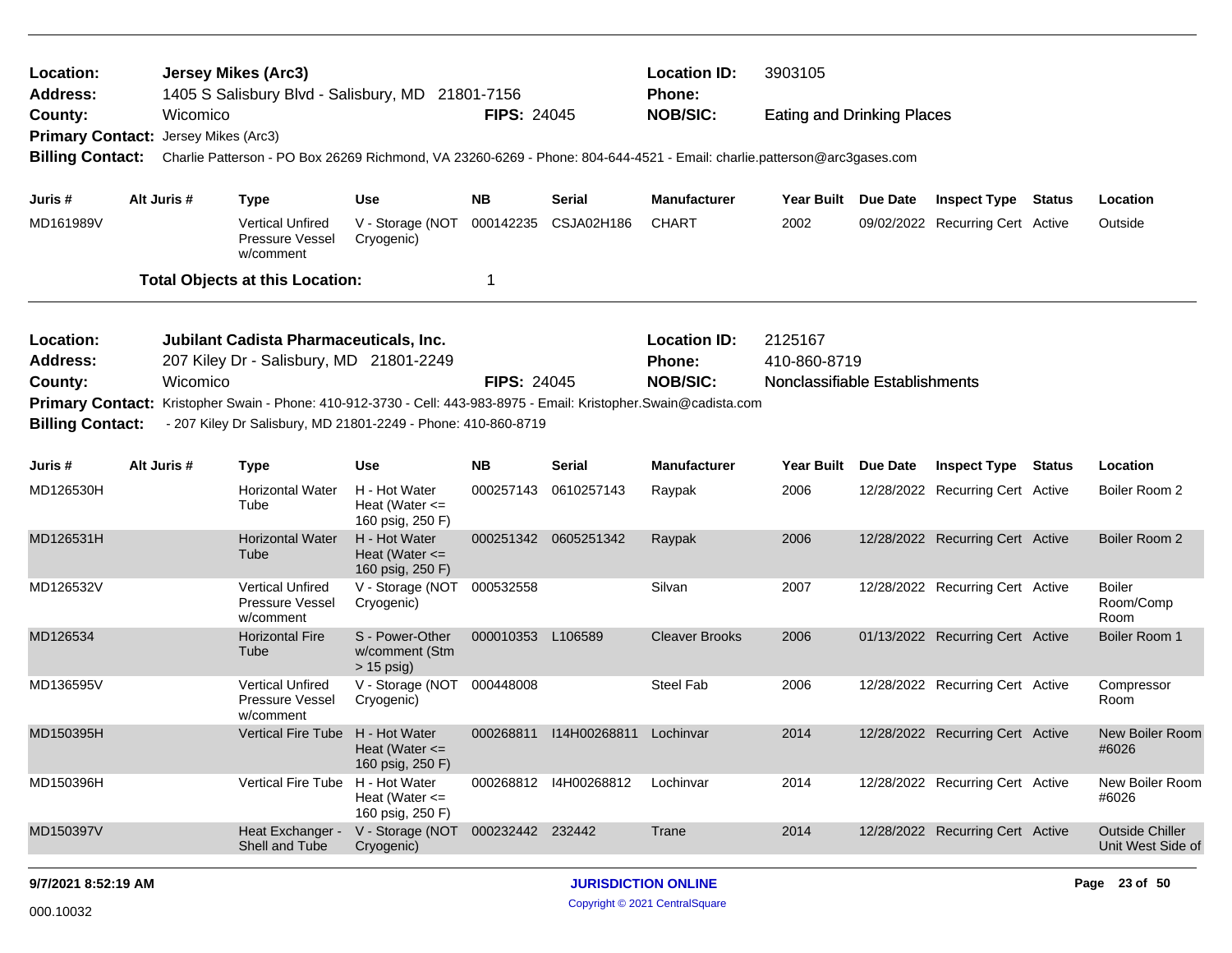| Location:<br><b>Address:</b>         |             | <b>Jersey Mikes (Arc3)</b><br>1405 S Salisbury Blvd - Salisbury, MD 21801-7156                                                                                                      |                                                         |                    |                         | <b>Location ID:</b><br><b>Phone:</b> | 3903105                           |          |                                  |                                             |
|--------------------------------------|-------------|-------------------------------------------------------------------------------------------------------------------------------------------------------------------------------------|---------------------------------------------------------|--------------------|-------------------------|--------------------------------------|-----------------------------------|----------|----------------------------------|---------------------------------------------|
| County:                              | Wicomico    |                                                                                                                                                                                     |                                                         | <b>FIPS: 24045</b> |                         | <b>NOB/SIC:</b>                      | <b>Eating and Drinking Places</b> |          |                                  |                                             |
| Primary Contact: Jersey Mikes (Arc3) |             |                                                                                                                                                                                     |                                                         |                    |                         |                                      |                                   |          |                                  |                                             |
| <b>Billing Contact:</b>              |             | Charlie Patterson - PO Box 26269 Richmond, VA 23260-6269 - Phone: 804-644-4521 - Email: charlie.patterson@arc3gases.com                                                             |                                                         |                    |                         |                                      |                                   |          |                                  |                                             |
| Juris #                              | Alt Juris # | <b>Type</b>                                                                                                                                                                         | <b>Use</b>                                              | <b>NB</b>          | <b>Serial</b>           | <b>Manufacturer</b>                  | Year Built                        | Due Date | <b>Inspect Type Status</b>       | Location                                    |
| MD161989V                            |             | <b>Vertical Unfired</b><br>Pressure Vessel<br>w/comment                                                                                                                             | V - Storage (NOT<br>Cryogenic)                          | 000142235          | CSJA02H186              | <b>CHART</b>                         | 2002                              |          | 09/02/2022 Recurring Cert Active | Outside                                     |
|                                      |             | <b>Total Objects at this Location:</b>                                                                                                                                              |                                                         | $\mathbf{1}$       |                         |                                      |                                   |          |                                  |                                             |
| Location:<br><b>Address:</b>         |             | Jubilant Cadista Pharmaceuticals, Inc.<br>207 Kiley Dr - Salisbury, MD 21801-2249                                                                                                   |                                                         |                    |                         | <b>Location ID:</b><br><b>Phone:</b> | 2125167<br>410-860-8719           |          |                                  |                                             |
| County:                              | Wicomico    |                                                                                                                                                                                     |                                                         | <b>FIPS: 24045</b> |                         | <b>NOB/SIC:</b>                      | Nonclassifiable Establishments    |          |                                  |                                             |
| <b>Billing Contact:</b>              |             | Primary Contact: Kristopher Swain - Phone: 410-912-3730 - Cell: 443-983-8975 - Email: Kristopher.Swain@cadista.com<br>- 207 Kiley Dr Salisbury, MD 21801-2249 - Phone: 410-860-8719 |                                                         |                    |                         |                                      |                                   |          |                                  |                                             |
| Juris #                              | Alt Juris # | Type                                                                                                                                                                                | Use                                                     | <b>NB</b>          | <b>Serial</b>           | <b>Manufacturer</b>                  | Year Built                        | Due Date | <b>Inspect Type Status</b>       | Location                                    |
| MD126530H                            |             | <b>Horizontal Water</b><br>Tube                                                                                                                                                     | H - Hot Water<br>Heat (Water $\leq$<br>160 psig, 250 F) | 000257143          | 0610257143              | Raypak                               | 2006                              |          | 12/28/2022 Recurring Cert Active | Boiler Room 2                               |
| MD126531H                            |             | <b>Horizontal Water</b><br>Tube                                                                                                                                                     | H - Hot Water<br>Heat (Water $\leq$<br>160 psig, 250 F) |                    | 000251342 0605251342    | Raypak                               | 2006                              |          | 12/28/2022 Recurring Cert Active | Boiler Room 2                               |
| MD126532V                            |             | <b>Vertical Unfired</b><br>Pressure Vessel<br>w/comment                                                                                                                             | V - Storage (NOT 000532558<br>Cryogenic)                |                    |                         | Silvan                               | 2007                              |          | 12/28/2022 Recurring Cert Active | Boiler<br>Room/Comp<br>Room                 |
| MD126534                             |             | <b>Horizontal Fire</b><br>Tube                                                                                                                                                      | S - Power-Other<br>w/comment (Stm<br>$> 15$ psig)       | 000010353 L106589  |                         | <b>Cleaver Brooks</b>                | 2006                              |          | 01/13/2022 Recurring Cert Active | Boiler Room 1                               |
| MD136595V                            |             | <b>Vertical Unfired</b><br>Pressure Vessel<br>w/comment                                                                                                                             | V - Storage (NOT<br>Cryogenic)                          | 000448008          |                         | Steel Fab                            | 2006                              |          | 12/28/2022 Recurring Cert Active | Compressor<br>Room                          |
| MD150395H                            |             | <b>Vertical Fire Tube</b>                                                                                                                                                           | H - Hot Water<br>Heat (Water $\leq$<br>160 psig, 250 F) |                    | 000268811  114H00268811 | Lochinvar                            | 2014                              |          | 12/28/2022 Recurring Cert Active | <b>New Boiler Room</b><br>#6026             |
| MD150396H                            |             | <b>Vertical Fire Tube</b>                                                                                                                                                           | H - Hot Water<br>Heat (Water $\leq$<br>160 psig, 250 F) |                    | 000268812 14H00268812   | Lochinvar                            | 2014                              |          | 12/28/2022 Recurring Cert Active | New Boiler Room<br>#6026                    |
| MD150397V                            |             | Heat Exchanger -<br>Shell and Tube                                                                                                                                                  | V - Storage (NOT<br>Cryogenic)                          | 000232442 232442   |                         | Trane                                | 2014                              |          | 12/28/2022 Recurring Cert Active | <b>Outside Chiller</b><br>Unit West Side of |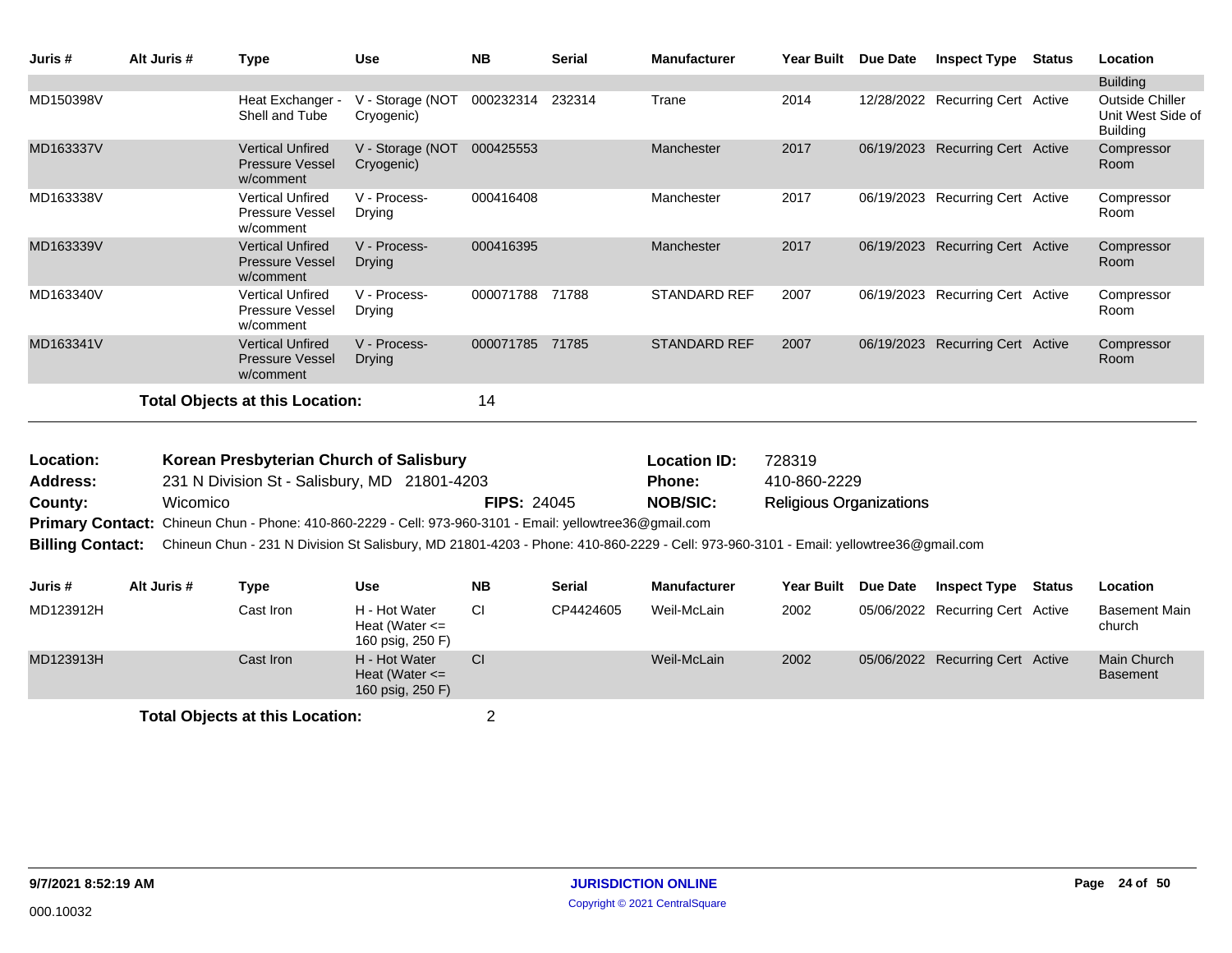| Juris #   | Alt Juris # | Type                                                           | <b>Use</b>                     | <b>NB</b> | <b>Serial</b> | <b>Manufacturer</b> | <b>Year Built</b> | Due Date   | <b>Inspect Type</b>          | <b>Status</b> | Location                                                       |
|-----------|-------------|----------------------------------------------------------------|--------------------------------|-----------|---------------|---------------------|-------------------|------------|------------------------------|---------------|----------------------------------------------------------------|
|           |             |                                                                |                                |           |               |                     |                   |            |                              |               | <b>Building</b>                                                |
| MD150398V |             | Heat Exchanger -<br>Shell and Tube                             | V - Storage (NOT<br>Cryogenic) | 000232314 | 232314        | Trane               | 2014              | 12/28/2022 | <b>Recurring Cert Active</b> |               | <b>Outside Chiller</b><br>Unit West Side of<br><b>Building</b> |
| MD163337V |             | <b>Vertical Unfired</b><br><b>Pressure Vessel</b><br>w/comment | V - Storage (NOT<br>Cryogenic) | 000425553 |               | Manchester          | 2017              | 06/19/2023 | <b>Recurring Cert Active</b> |               | Compressor<br>Room                                             |
| MD163338V |             | <b>Vertical Unfired</b><br><b>Pressure Vessel</b><br>w/comment | V - Process-<br>Drying         | 000416408 |               | Manchester          | 2017              | 06/19/2023 | Recurring Cert Active        |               | Compressor<br>Room                                             |
| MD163339V |             | <b>Vertical Unfired</b><br><b>Pressure Vessel</b><br>w/comment | V - Process-<br>Drying         | 000416395 |               | Manchester          | 2017              | 06/19/2023 | <b>Recurring Cert Active</b> |               | Compressor<br>Room                                             |
| MD163340V |             | <b>Vertical Unfired</b><br><b>Pressure Vessel</b><br>w/comment | V - Process-<br>Drying         | 000071788 | 71788         | <b>STANDARD REF</b> | 2007              | 06/19/2023 | <b>Recurring Cert Active</b> |               | Compressor<br>Room                                             |
| MD163341V |             | <b>Vertical Unfired</b><br><b>Pressure Vessel</b><br>w/comment | V - Process-<br>Drying         | 000071785 | 71785         | <b>STANDARD REF</b> | 2007              | 06/19/2023 | <b>Recurring Cert Active</b> |               | Compressor<br>Room                                             |
|           |             | <b>Total Objects at this Location:</b>                         |                                | 14        |               |                     |                   |            |                              |               |                                                                |

| Location:               | Korean Presbyterian Church of Salisbury                                                                                              |                    | <b>Location ID:</b> | 728319                         |
|-------------------------|--------------------------------------------------------------------------------------------------------------------------------------|--------------------|---------------------|--------------------------------|
| <b>Address:</b>         | 231 N Division St - Salisbury, MD 21801-4203                                                                                         |                    | <b>Phone:</b>       | 410-860-2229                   |
| County:                 | Wicomico                                                                                                                             | <b>FIPS: 24045</b> | <b>NOB/SIC:</b>     | <b>Religious Organizations</b> |
|                         | <b>Primary Contact:</b> Chineun Chun - Phone: 410-860-2229 - Cell: 973-960-3101 - Email: yellowtree36@gmail.com                      |                    |                     |                                |
| <b>Billing Contact:</b> | Chineun Chun - 231 N Division St Salisbury, MD 21801-4203 - Phone: 410-860-2229 - Cell: 973-960-3101 - Email: yellowtree36@gmail.com |                    |                     |                                |
|                         |                                                                                                                                      |                    |                     |                                |

| Juris #   | Alt Juris # | Type                                   | Use                                                     | <b>NB</b> | <b>Serial</b> | <b>Manufacturer</b> | Year Built Due Date | <b>Inspect Type</b>              | Status | Location                       |
|-----------|-------------|----------------------------------------|---------------------------------------------------------|-----------|---------------|---------------------|---------------------|----------------------------------|--------|--------------------------------|
| MD123912H |             | Cast Iron                              | H - Hot Water<br>Heat (Water $\leq$<br>160 psig, 250 F) | СI        | CP4424605     | Weil-McLain         | 2002                | 05/06/2022 Recurring Cert Active |        | Basement Main<br>church        |
| MD123913H |             | Cast Iron                              | H - Hot Water<br>Heat (Water $\leq$<br>160 psig, 250 F) | <b>CI</b> |               | Weil-McLain         | 2002                | 05/06/2022 Recurring Cert Active |        | Main Church<br><b>Basement</b> |
|           |             | <b>Total Objects at this Location:</b> |                                                         |           |               |                     |                     |                                  |        |                                |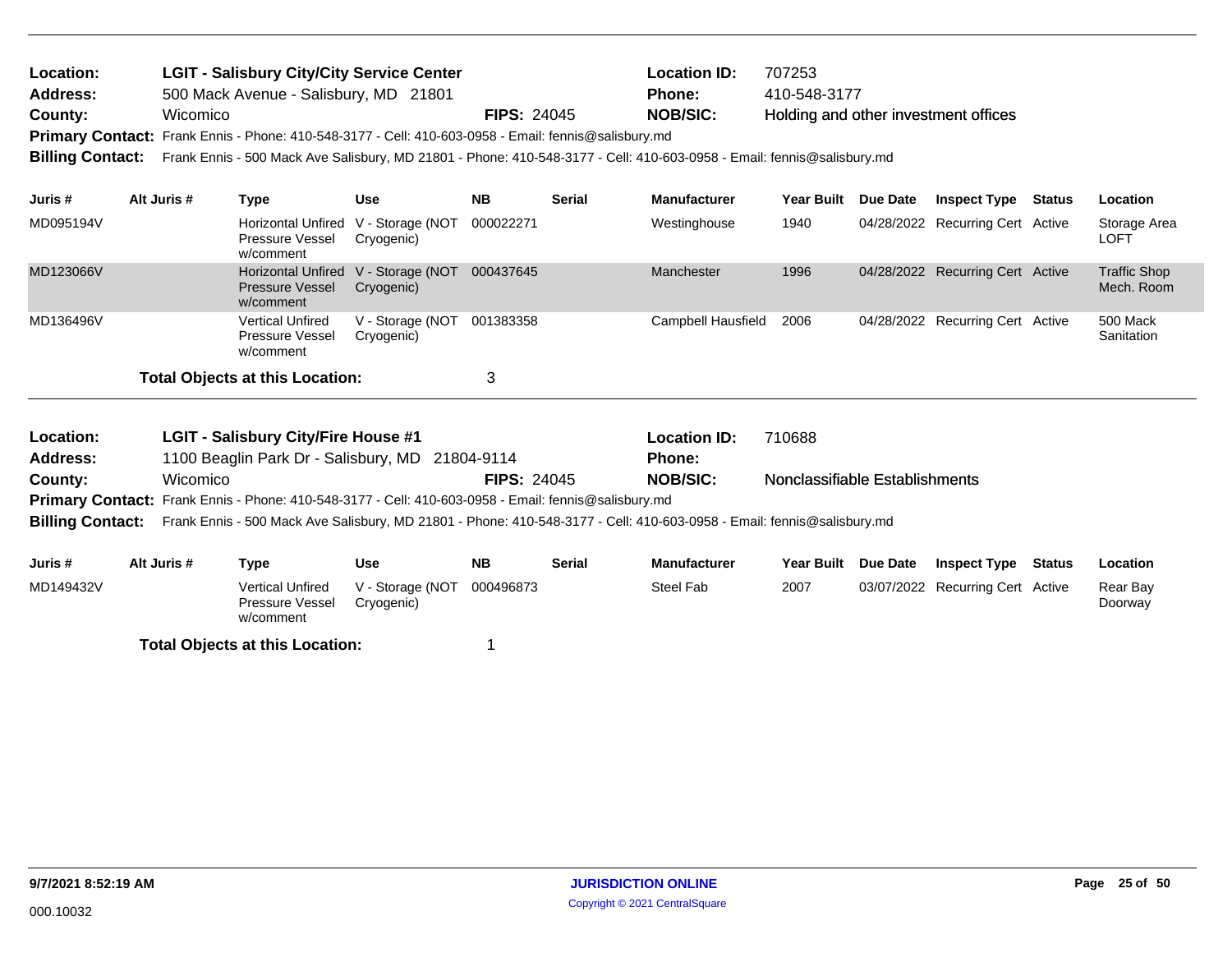| Location:<br><b>Address:</b><br>County:<br>Primary Contact: Frank Ennis - Phone: 410-548-3177 - Cell: 410-603-0958 - Email: fennis@salisbury.md<br><b>Billing Contact:</b> | Wicomico    | <b>LGIT - Salisbury City/City Service Center</b><br>500 Mack Avenue - Salisbury, MD 21801     |                                | <b>FIPS: 24045</b> |               | <b>Location ID:</b><br><b>Phone:</b><br><b>NOB/SIC:</b><br>Frank Ennis - 500 Mack Ave Salisbury, MD 21801 - Phone: 410-548-3177 - Cell: 410-603-0958 - Email: fennis@salisbury.md | 707253<br>410-548-3177                   |            | Holding and other investment offices |        |                                   |
|----------------------------------------------------------------------------------------------------------------------------------------------------------------------------|-------------|-----------------------------------------------------------------------------------------------|--------------------------------|--------------------|---------------|-----------------------------------------------------------------------------------------------------------------------------------------------------------------------------------|------------------------------------------|------------|--------------------------------------|--------|-----------------------------------|
| Juris #                                                                                                                                                                    | Alt Juris # | <b>Type</b>                                                                                   | <b>Use</b>                     | <b>NB</b>          | <b>Serial</b> | <b>Manufacturer</b>                                                                                                                                                               | <b>Year Built</b>                        | Due Date   | <b>Inspect Type</b>                  | Status | Location                          |
| MD095194V                                                                                                                                                                  |             | Horizontal Unfired V - Storage (NOT<br><b>Pressure Vessel</b><br>w/comment                    | Cryogenic)                     | 000022271          |               | Westinghouse                                                                                                                                                                      | 1940                                     |            | 04/28/2022 Recurring Cert Active     |        | Storage Area<br>LOFT              |
| MD123066V                                                                                                                                                                  |             | <b>Horizontal Unfired</b><br><b>Pressure Vessel</b><br>w/comment                              | V - Storage (NOT<br>Cryogenic) | 000437645          |               | Manchester                                                                                                                                                                        | 1996                                     | 04/28/2022 | <b>Recurring Cert Active</b>         |        | <b>Traffic Shop</b><br>Mech. Room |
| MD136496V                                                                                                                                                                  |             | <b>Vertical Unfired</b><br>Pressure Vessel<br>w/comment                                       | V - Storage (NOT<br>Cryogenic) | 001383358          |               | Campbell Hausfield                                                                                                                                                                | 2006                                     |            | 04/28/2022 Recurring Cert Active     |        | 500 Mack<br>Sanitation            |
|                                                                                                                                                                            |             | <b>Total Objects at this Location:</b>                                                        |                                | 3                  |               |                                                                                                                                                                                   |                                          |            |                                      |        |                                   |
| Location:<br><b>Address:</b><br>County:                                                                                                                                    | Wicomico    | <b>LGIT - Salisbury City/Fire House #1</b><br>1100 Beaglin Park Dr - Salisbury, MD 21804-9114 |                                | <b>FIPS: 24045</b> |               | <b>Location ID:</b><br><b>Phone:</b><br><b>NOB/SIC:</b>                                                                                                                           | 710688<br>Nonclassifiable Establishments |            |                                      |        |                                   |

Primary Contact: Frank Ennis - Phone: 410-548-3177 - Cell: 410-603-0958 - Email: fennis@salisbury.md

**Billing Contact:** Frank Ennis - 500 Mack Ave Salisbury, MD 21801 - Phone: 410-548-3177 - Cell: 410-603-0958 - Email: fennis@salisbury.md

| Juris #   | Alt Juris # | Type                                                    | Use                            | <b>NB</b> | Serial | <b>Manufacturer</b> | <b>Year Built</b> | <b>Due Date</b> | <b>Inspect Type</b>              | Status | Location            |
|-----------|-------------|---------------------------------------------------------|--------------------------------|-----------|--------|---------------------|-------------------|-----------------|----------------------------------|--------|---------------------|
| MD149432V |             | <b>Vertical Unfired</b><br>Pressure Vessel<br>w/comment | V - Storage (NOT<br>Cryogenic) | 000496873 |        | Steel Fab           | 2007              |                 | 03/07/2022 Recurring Cert Active |        | Rear Bay<br>Doorway |
|           |             | <b>Total Objects at this Location:</b>                  |                                |           |        |                     |                   |                 |                                  |        |                     |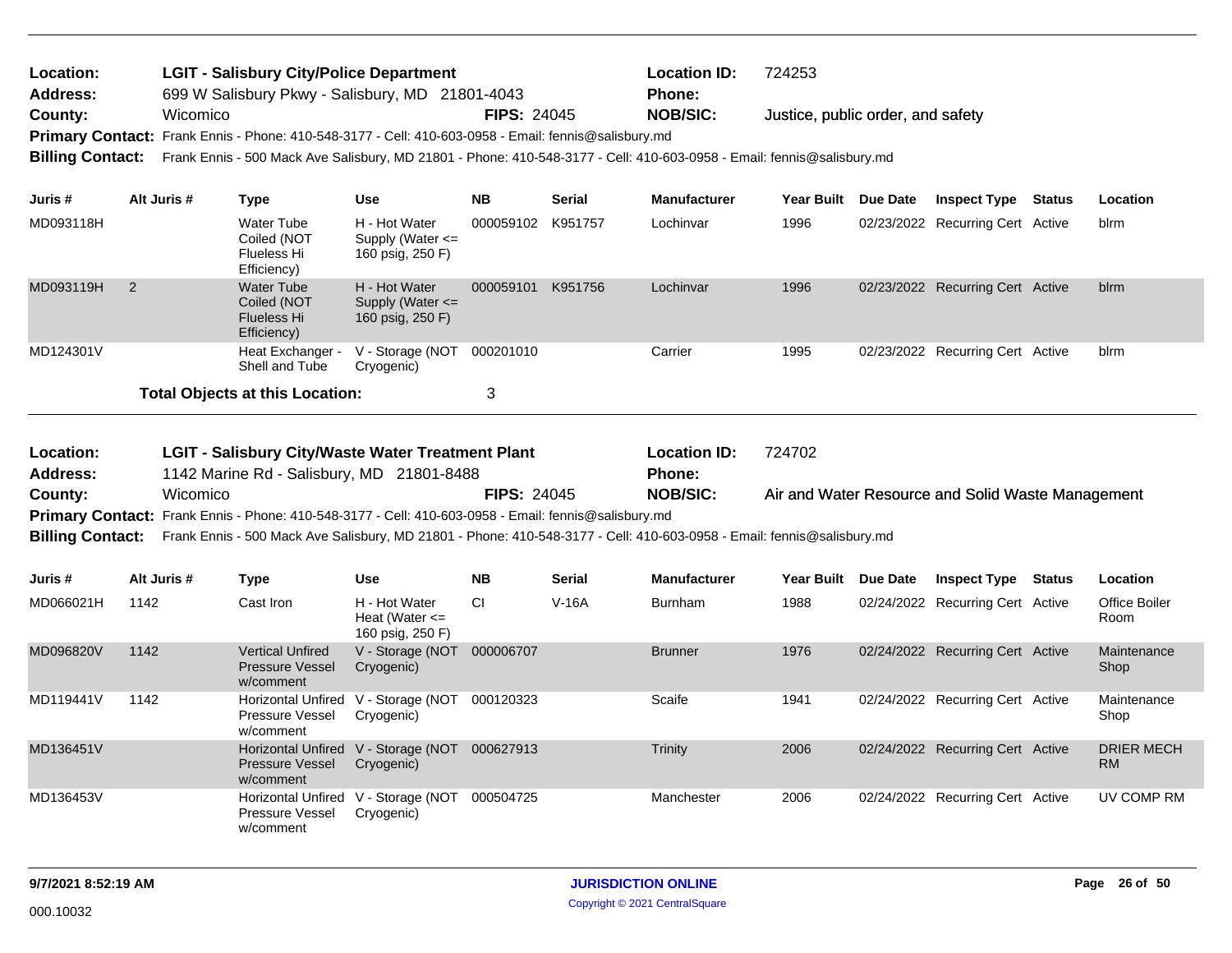| Location:               | <b>LGIT - Salisbury City/Police Department</b>                                                                         |                    | <b>Location ID:</b> | 724253                            |
|-------------------------|------------------------------------------------------------------------------------------------------------------------|--------------------|---------------------|-----------------------------------|
| <b>Address:</b>         | 699 W Salisbury Pkwy - Salisbury, MD 21801-4043                                                                        |                    | <b>Phone:</b>       |                                   |
| County:                 | Wicomico                                                                                                               | <b>FIPS: 24045</b> | <b>NOB/SIC:</b>     | Justice, public order, and safety |
|                         | Primary Contact: Frank Ennis - Phone: 410-548-3177 - Cell: 410-603-0958 - Email: fennis@salisbury.md                   |                    |                     |                                   |
| <b>Billing Contact:</b> | Frank Ennis - 500 Mack Ave Salisbury, MD 21801 - Phone: 410-548-3177 - Cell: 410-603-0958 - Email: fennis@salisbury.md |                    |                     |                                   |
|                         |                                                                                                                        |                    |                     |                                   |

| Juris #   | Alt Juris # | Type                                                           | Use                                                       | NΒ        | <b>Serial</b> | <b>Manufacturer</b> | Year Built | <b>Due Date</b> | <b>Inspect Type</b>              | <b>Status</b> | Location |
|-----------|-------------|----------------------------------------------------------------|-----------------------------------------------------------|-----------|---------------|---------------------|------------|-----------------|----------------------------------|---------------|----------|
| MD093118H |             | Water Tube<br>Coiled (NOT<br>Flueless Hi<br>Efficiency)        | H - Hot Water<br>Supply (Water $\leq$<br>160 psig, 250 F) | 000059102 | K951757       | Lochinvar           | 1996       |                 | 02/23/2022 Recurring Cert Active |               | blrm     |
| MD093119H |             | Water Tube<br>Coiled (NOT<br><b>Flueless Hi</b><br>Efficiency) | H - Hot Water<br>Supply (Water $\leq$<br>160 psig, 250 F) | 000059101 | K951756       | Lochinvar           | 1996       |                 | 02/23/2022 Recurring Cert Active |               | blrm     |
| MD124301V |             | Heat Exchanger -<br>Shell and Tube                             | V - Storage (NOT<br>Cryogenic)                            | 000201010 |               | Carrier             | 1995       |                 | 02/23/2022 Recurring Cert Active |               | blrm     |
|           |             | <b>Total Objects at this Location:</b>                         |                                                           | 3         |               |                     |            |                 |                                  |               |          |

| Location:       | <b>LGIT - Salisbury City/Waste Water Treatment Plant</b>                                                                                |                    | <b>Location ID:</b> | 724702                                            |
|-----------------|-----------------------------------------------------------------------------------------------------------------------------------------|--------------------|---------------------|---------------------------------------------------|
| <b>Address:</b> | 1142 Marine Rd - Salisbury, MD 21801-8488                                                                                               |                    | <b>Phone:</b>       |                                                   |
| County:         | Wicomico                                                                                                                                | <b>FIPS: 24045</b> | NOB/SIC:            | Air and Water Resource and Solid Waste Management |
|                 | Primary Contact: Frank Ennis - Phone: 410-548-3177 - Cell: 410-603-0958 - Email: fennis@salisbury.md                                    |                    |                     |                                                   |
|                 | Billing Contact: Frank Ennis - 500 Mack Ave Salisbury, MD 21801 - Phone: 410-548-3177 - Cell: 410-603-0958 - Email: fennis@salisbury.md |                    |                     |                                                   |

| Juris #   | Alt Juris # | Type                                                           | Use                                                     | <b>NB</b> | <b>Serial</b> | <b>Manufacturer</b> | <b>Year Built</b> | <b>Due Date</b> | <b>Inspect Type</b>              | Status | Location                       |
|-----------|-------------|----------------------------------------------------------------|---------------------------------------------------------|-----------|---------------|---------------------|-------------------|-----------------|----------------------------------|--------|--------------------------------|
| MD066021H | 1142        | Cast Iron                                                      | H - Hot Water<br>Heat (Water $\leq$<br>160 psig, 250 F) | CI.       | $V-16A$       | Burnham             | 1988              |                 | 02/24/2022 Recurring Cert Active |        | Office Boiler<br>Room          |
| MD096820V | 1142        | <b>Vertical Unfired</b><br><b>Pressure Vessel</b><br>w/comment | V - Storage (NOT<br>Cryogenic)                          | 000006707 |               | <b>Brunner</b>      | 1976              |                 | 02/24/2022 Recurring Cert Active |        | Maintenance<br>Shop            |
| MD119441V | 1142        | <b>Horizontal Unfired</b><br>Pressure Vessel<br>w/comment      | V - Storage (NOT<br>Cryogenic)                          | 000120323 |               | Scaife              | 1941              |                 | 02/24/2022 Recurring Cert Active |        | Maintenance<br>Shop            |
| MD136451V |             | <b>Pressure Vessel</b><br>w/comment                            | Horizontal Unfired V - Storage (NOT<br>Cryogenic)       | 000627913 |               | Trinity             | 2006              |                 | 02/24/2022 Recurring Cert Active |        | <b>DRIER MECH</b><br><b>RM</b> |
| MD136453V |             | <b>Horizontal Unfired</b><br>Pressure Vessel<br>w/comment      | V - Storage (NOT<br>Cryogenic)                          | 000504725 |               | Manchester          | 2006              |                 | 02/24/2022 Recurring Cert Active |        | UV COMP RM                     |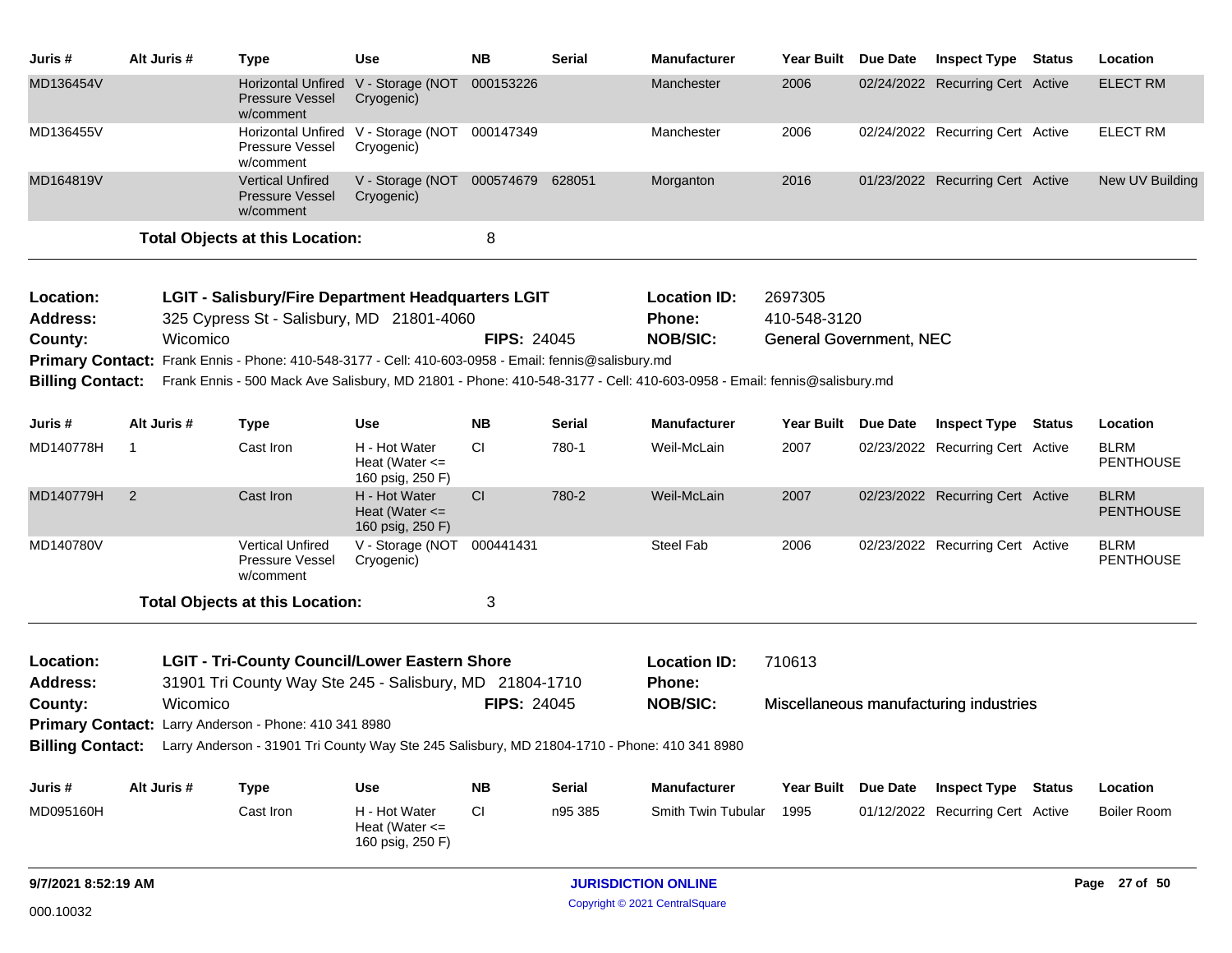| Juris #                 | Alt Juris #    | <b>Type</b>                                                                                                     | <b>Use</b>                                              | <b>NB</b>          | <b>Serial</b> | Manufacturer                                                                                                           | <b>Year Built</b>              | Due Date | <b>Inspect Type Status</b>             | Location                        |
|-------------------------|----------------|-----------------------------------------------------------------------------------------------------------------|---------------------------------------------------------|--------------------|---------------|------------------------------------------------------------------------------------------------------------------------|--------------------------------|----------|----------------------------------------|---------------------------------|
| MD136454V               |                | <b>Pressure Vessel</b><br>w/comment                                                                             | Horizontal Unfired V - Storage (NOT<br>Cryogenic)       | 000153226          |               | Manchester                                                                                                             | 2006                           |          | 02/24/2022 Recurring Cert Active       | <b>ELECT RM</b>                 |
| MD136455V               |                | Pressure Vessel<br>w/comment                                                                                    | Horizontal Unfired V - Storage (NOT<br>Cryogenic)       | 000147349          |               | Manchester                                                                                                             | 2006                           |          | 02/24/2022 Recurring Cert Active       | <b>ELECT RM</b>                 |
| MD164819V               |                | <b>Vertical Unfired</b><br><b>Pressure Vessel</b><br>w/comment                                                  | V - Storage (NOT 000574679 628051<br>Cryogenic)         |                    |               | Morganton                                                                                                              | 2016                           |          | 01/23/2022 Recurring Cert Active       | New UV Building                 |
|                         |                | <b>Total Objects at this Location:</b>                                                                          |                                                         | 8                  |               |                                                                                                                        |                                |          |                                        |                                 |
| Location:               |                | LGIT - Salisbury/Fire Department Headquarters LGIT                                                              |                                                         |                    |               | <b>Location ID:</b>                                                                                                    | 2697305                        |          |                                        |                                 |
| Address:                |                | 325 Cypress St - Salisbury, MD 21801-4060                                                                       |                                                         |                    |               | Phone:                                                                                                                 | 410-548-3120                   |          |                                        |                                 |
| County:                 | Wicomico       |                                                                                                                 |                                                         | <b>FIPS: 24045</b> |               | <b>NOB/SIC:</b>                                                                                                        | <b>General Government, NEC</b> |          |                                        |                                 |
|                         |                | Primary Contact: Frank Ennis - Phone: 410-548-3177 - Cell: 410-603-0958 - Email: fennis@salisbury.md            |                                                         |                    |               |                                                                                                                        |                                |          |                                        |                                 |
| <b>Billing Contact:</b> |                |                                                                                                                 |                                                         |                    |               | Frank Ennis - 500 Mack Ave Salisbury, MD 21801 - Phone: 410-548-3177 - Cell: 410-603-0958 - Email: fennis@salisbury.md |                                |          |                                        |                                 |
| Juris #                 | Alt Juris #    | Type                                                                                                            | Use                                                     | <b>NB</b>          | Serial        | <b>Manufacturer</b>                                                                                                    | Year Built Due Date            |          | <b>Inspect Type Status</b>             | Location                        |
| MD140778H               | $\mathbf{1}$   | Cast Iron                                                                                                       | H - Hot Water<br>Heat (Water $\leq$<br>160 psig, 250 F) | СI                 | 780-1         | Weil-McLain                                                                                                            | 2007                           |          | 02/23/2022 Recurring Cert Active       | <b>BLRM</b><br><b>PENTHOUSE</b> |
| MD140779H               | $\overline{2}$ | Cast Iron                                                                                                       | H - Hot Water<br>Heat (Water $\leq$<br>160 psig, 250 F) | CI                 | 780-2         | Weil-McLain                                                                                                            | 2007                           |          | 02/23/2022 Recurring Cert Active       | <b>BLRM</b><br><b>PENTHOUSE</b> |
| MD140780V               |                | <b>Vertical Unfired</b><br>Pressure Vessel<br>w/comment                                                         | V - Storage (NOT 000441431<br>Cryogenic)                |                    |               | Steel Fab                                                                                                              | 2006                           |          | 02/23/2022 Recurring Cert Active       | <b>BLRM</b><br><b>PENTHOUSE</b> |
|                         |                | <b>Total Objects at this Location:</b>                                                                          |                                                         | 3                  |               |                                                                                                                        |                                |          |                                        |                                 |
| Location:<br>Address:   |                | <b>LGIT - Tri-County Council/Lower Eastern Shore</b><br>31901 Tri County Way Ste 245 - Salisbury, MD 21804-1710 |                                                         |                    |               | <b>Location ID:</b><br><b>Phone:</b>                                                                                   | 710613                         |          |                                        |                                 |
| County:                 | Wicomico       |                                                                                                                 |                                                         | <b>FIPS: 24045</b> |               | <b>NOB/SIC:</b>                                                                                                        |                                |          | Miscellaneous manufacturing industries |                                 |
|                         |                | Primary Contact: Larry Anderson - Phone: 410 341 8980                                                           |                                                         |                    |               |                                                                                                                        |                                |          |                                        |                                 |
| <b>Billing Contact:</b> |                | Larry Anderson - 31901 Tri County Way Ste 245 Salisbury, MD 21804-1710 - Phone: 410 341 8980                    |                                                         |                    |               |                                                                                                                        |                                |          |                                        |                                 |
| Juris #                 | Alt Juris #    | <b>Type</b>                                                                                                     | <b>Use</b>                                              | <b>NB</b>          | <b>Serial</b> | <b>Manufacturer</b>                                                                                                    | <b>Year Built</b>              | Due Date | <b>Inspect Type Status</b>             | Location                        |
| MD095160H               |                | Cast Iron                                                                                                       | H - Hot Water<br>Heat (Water $\leq$<br>160 psig, 250 F) | CI                 | n95 385       | Smith Twin Tubular                                                                                                     | 1995                           |          | 01/12/2022 Recurring Cert Active       | <b>Boiler Room</b>              |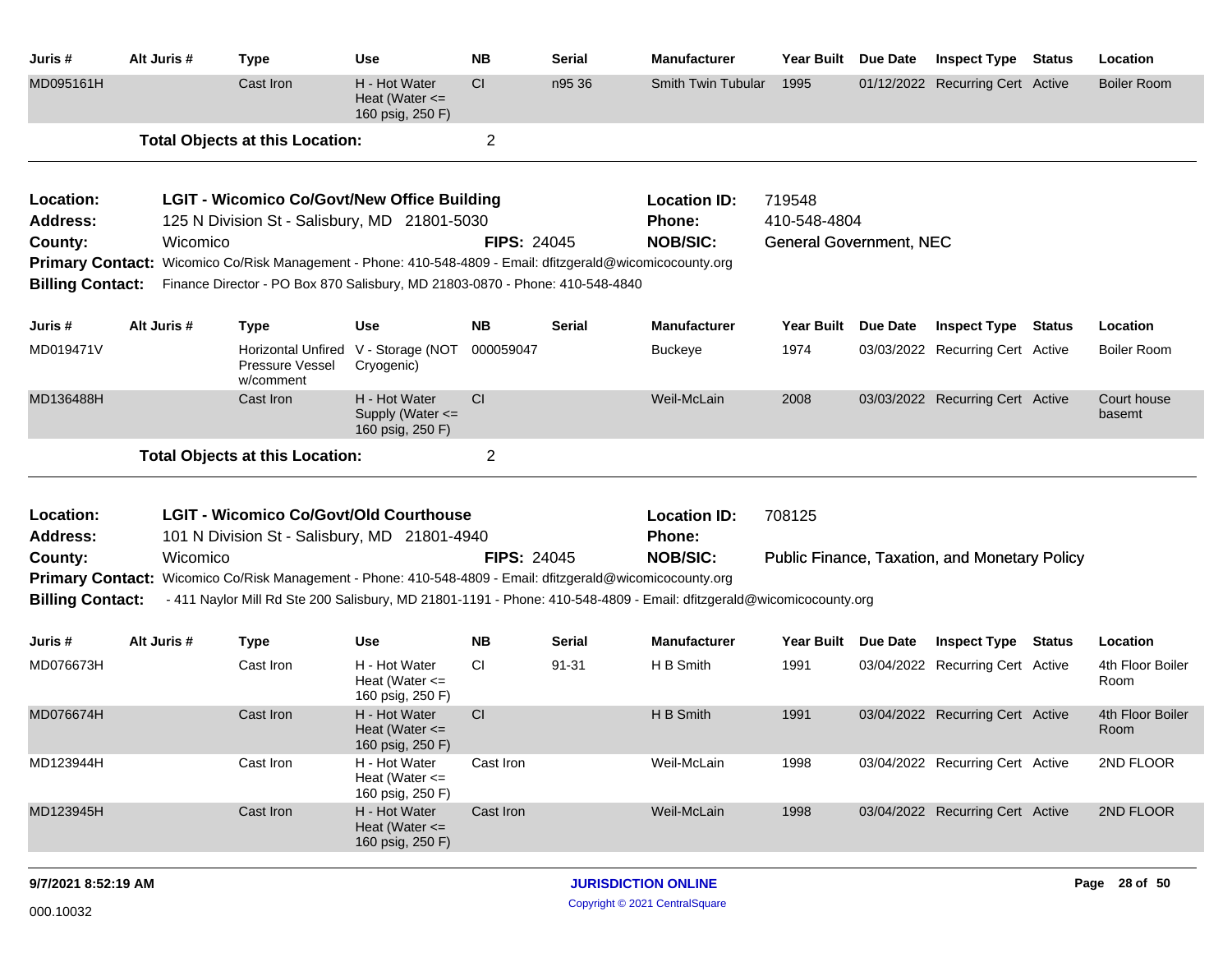| Alt Juris #             | <b>Type</b>                  | Use                                                       | <b>NB</b>                                                                        | <b>Serial</b>                                                                                                                                                                                                                              | <b>Manufacturer</b>                      | <b>Year Built</b>                                                                                                                                                                                                                                                                       | <b>Due Date</b>                        |                                                                                                                                                                                                    |                                | Location                                                                                                                                                                                                                                                                                                                                                                                            |
|-------------------------|------------------------------|-----------------------------------------------------------|----------------------------------------------------------------------------------|--------------------------------------------------------------------------------------------------------------------------------------------------------------------------------------------------------------------------------------------|------------------------------------------|-----------------------------------------------------------------------------------------------------------------------------------------------------------------------------------------------------------------------------------------------------------------------------------------|----------------------------------------|----------------------------------------------------------------------------------------------------------------------------------------------------------------------------------------------------|--------------------------------|-----------------------------------------------------------------------------------------------------------------------------------------------------------------------------------------------------------------------------------------------------------------------------------------------------------------------------------------------------------------------------------------------------|
|                         | Cast Iron                    | H - Hot Water<br>Heat (Water $\leq$<br>160 psig, 250 F)   | <b>CI</b>                                                                        | n95 36                                                                                                                                                                                                                                     |                                          | 1995                                                                                                                                                                                                                                                                                    |                                        |                                                                                                                                                                                                    |                                | <b>Boiler Room</b>                                                                                                                                                                                                                                                                                                                                                                                  |
|                         |                              |                                                           | $\overline{2}$                                                                   |                                                                                                                                                                                                                                            |                                          |                                                                                                                                                                                                                                                                                         |                                        |                                                                                                                                                                                                    |                                |                                                                                                                                                                                                                                                                                                                                                                                                     |
|                         |                              |                                                           |                                                                                  |                                                                                                                                                                                                                                            | <b>Location ID:</b>                      |                                                                                                                                                                                                                                                                                         |                                        |                                                                                                                                                                                                    |                                |                                                                                                                                                                                                                                                                                                                                                                                                     |
|                         |                              |                                                           |                                                                                  |                                                                                                                                                                                                                                            | <b>Phone:</b>                            |                                                                                                                                                                                                                                                                                         |                                        |                                                                                                                                                                                                    |                                |                                                                                                                                                                                                                                                                                                                                                                                                     |
|                         |                              |                                                           |                                                                                  |                                                                                                                                                                                                                                            | <b>NOB/SIC:</b>                          |                                                                                                                                                                                                                                                                                         |                                        |                                                                                                                                                                                                    |                                |                                                                                                                                                                                                                                                                                                                                                                                                     |
|                         |                              |                                                           |                                                                                  |                                                                                                                                                                                                                                            |                                          |                                                                                                                                                                                                                                                                                         |                                        |                                                                                                                                                                                                    |                                |                                                                                                                                                                                                                                                                                                                                                                                                     |
| <b>Billing Contact:</b> |                              |                                                           |                                                                                  |                                                                                                                                                                                                                                            |                                          |                                                                                                                                                                                                                                                                                         |                                        |                                                                                                                                                                                                    |                                |                                                                                                                                                                                                                                                                                                                                                                                                     |
| Alt Juris #             | <b>Type</b>                  | Use                                                       | <b>NB</b>                                                                        | <b>Serial</b>                                                                                                                                                                                                                              | <b>Manufacturer</b>                      |                                                                                                                                                                                                                                                                                         |                                        |                                                                                                                                                                                                    |                                | Location                                                                                                                                                                                                                                                                                                                                                                                            |
|                         | Pressure Vessel<br>w/comment | Cryogenic)                                                | 000059047                                                                        |                                                                                                                                                                                                                                            | <b>Buckeye</b>                           | 1974                                                                                                                                                                                                                                                                                    |                                        |                                                                                                                                                                                                    |                                | <b>Boiler Room</b>                                                                                                                                                                                                                                                                                                                                                                                  |
|                         | Cast Iron                    | H - Hot Water<br>Supply (Water $\leq$<br>160 psig, 250 F) | CI                                                                               |                                                                                                                                                                                                                                            | Weil-McLain                              | 2008                                                                                                                                                                                                                                                                                    |                                        |                                                                                                                                                                                                    |                                | Court house<br>basemt                                                                                                                                                                                                                                                                                                                                                                               |
|                         |                              |                                                           | $\overline{c}$                                                                   |                                                                                                                                                                                                                                            |                                          |                                                                                                                                                                                                                                                                                         |                                        |                                                                                                                                                                                                    |                                |                                                                                                                                                                                                                                                                                                                                                                                                     |
|                         |                              |                                                           |                                                                                  |                                                                                                                                                                                                                                            | <b>Location ID:</b>                      |                                                                                                                                                                                                                                                                                         |                                        |                                                                                                                                                                                                    |                                |                                                                                                                                                                                                                                                                                                                                                                                                     |
|                         |                              |                                                           |                                                                                  |                                                                                                                                                                                                                                            | <b>Phone:</b>                            |                                                                                                                                                                                                                                                                                         |                                        |                                                                                                                                                                                                    |                                |                                                                                                                                                                                                                                                                                                                                                                                                     |
|                         |                              |                                                           |                                                                                  |                                                                                                                                                                                                                                            | <b>NOB/SIC:</b>                          |                                                                                                                                                                                                                                                                                         |                                        |                                                                                                                                                                                                    |                                |                                                                                                                                                                                                                                                                                                                                                                                                     |
| <b>Primary Contact:</b> |                              |                                                           |                                                                                  |                                                                                                                                                                                                                                            |                                          |                                                                                                                                                                                                                                                                                         |                                        |                                                                                                                                                                                                    |                                |                                                                                                                                                                                                                                                                                                                                                                                                     |
| <b>Billing Contact:</b> |                              |                                                           |                                                                                  |                                                                                                                                                                                                                                            |                                          |                                                                                                                                                                                                                                                                                         |                                        |                                                                                                                                                                                                    |                                |                                                                                                                                                                                                                                                                                                                                                                                                     |
| Alt Juris #             | <b>Type</b>                  | Use                                                       | <b>NB</b>                                                                        | Serial                                                                                                                                                                                                                                     | <b>Manufacturer</b>                      |                                                                                                                                                                                                                                                                                         |                                        |                                                                                                                                                                                                    |                                | Location                                                                                                                                                                                                                                                                                                                                                                                            |
|                         | Cast Iron                    | H - Hot Water<br>Heat (Water $\leq$<br>160 psig, 250 F)   | <b>CI</b>                                                                        | 91-31                                                                                                                                                                                                                                      | H B Smith                                | 1991                                                                                                                                                                                                                                                                                    |                                        |                                                                                                                                                                                                    |                                | 4th Floor Boiler<br>Room                                                                                                                                                                                                                                                                                                                                                                            |
|                         | Cast Iron                    | H - Hot Water<br>Heat (Water $\leq$<br>160 psig, 250 F)   | CI                                                                               |                                                                                                                                                                                                                                            | H B Smith                                | 1991                                                                                                                                                                                                                                                                                    |                                        |                                                                                                                                                                                                    |                                | 4th Floor Boiler<br>Room                                                                                                                                                                                                                                                                                                                                                                            |
|                         | Cast Iron                    | H - Hot Water<br>Heat (Water $\leq$<br>160 psig, 250 F)   | Cast Iron                                                                        |                                                                                                                                                                                                                                            | Weil-McLain                              | 1998                                                                                                                                                                                                                                                                                    |                                        |                                                                                                                                                                                                    |                                | 2ND FLOOR                                                                                                                                                                                                                                                                                                                                                                                           |
|                         | Cast Iron                    | H - Hot Water<br>Heat (Water $\leq$<br>160 psig, 250 F)   | Cast Iron                                                                        |                                                                                                                                                                                                                                            | Weil-McLain                              | 1998                                                                                                                                                                                                                                                                                    |                                        |                                                                                                                                                                                                    |                                | 2ND FLOOR                                                                                                                                                                                                                                                                                                                                                                                           |
|                         |                              | Wicomico<br>Wicomico                                      | <b>Total Objects at this Location:</b><br><b>Total Objects at this Location:</b> | <b>LGIT - Wicomico Co/Govt/New Office Building</b><br>125 N Division St - Salisbury, MD 21801-5030<br>Horizontal Unfired V - Storage (NOT<br><b>LGIT - Wicomico Co/Govt/Old Courthouse</b><br>101 N Division St - Salisbury, MD 21801-4940 | <b>FIPS: 24045</b><br><b>FIPS: 24045</b> | Primary Contact: Wicomico Co/Risk Management - Phone: 410-548-4809 - Email: dfitzgerald@wicomicocounty.org<br>Finance Director - PO Box 870 Salisbury, MD 21803-0870 - Phone: 410-548-4840<br>Wicomico Co/Risk Management - Phone: 410-548-4809 - Email: dfitzgerald@wicomicocounty.org | Smith Twin Tubular<br>719548<br>708125 | 410-548-4804<br><b>Year Built</b><br><b>Due Date</b><br>- 411 Naylor Mill Rd Ste 200 Salisbury, MD 21801-1191 - Phone: 410-548-4809 - Email: dfitzgerald@wicomicocounty.org<br>Year Built Due Date | <b>General Government, NEC</b> | <b>Inspect Type Status</b><br>01/12/2022 Recurring Cert Active<br><b>Inspect Type Status</b><br>03/03/2022 Recurring Cert Active<br>03/03/2022 Recurring Cert Active<br>Public Finance, Taxation, and Monetary Policy<br><b>Inspect Type Status</b><br>03/04/2022 Recurring Cert Active<br>03/04/2022 Recurring Cert Active<br>03/04/2022 Recurring Cert Active<br>03/04/2022 Recurring Cert Active |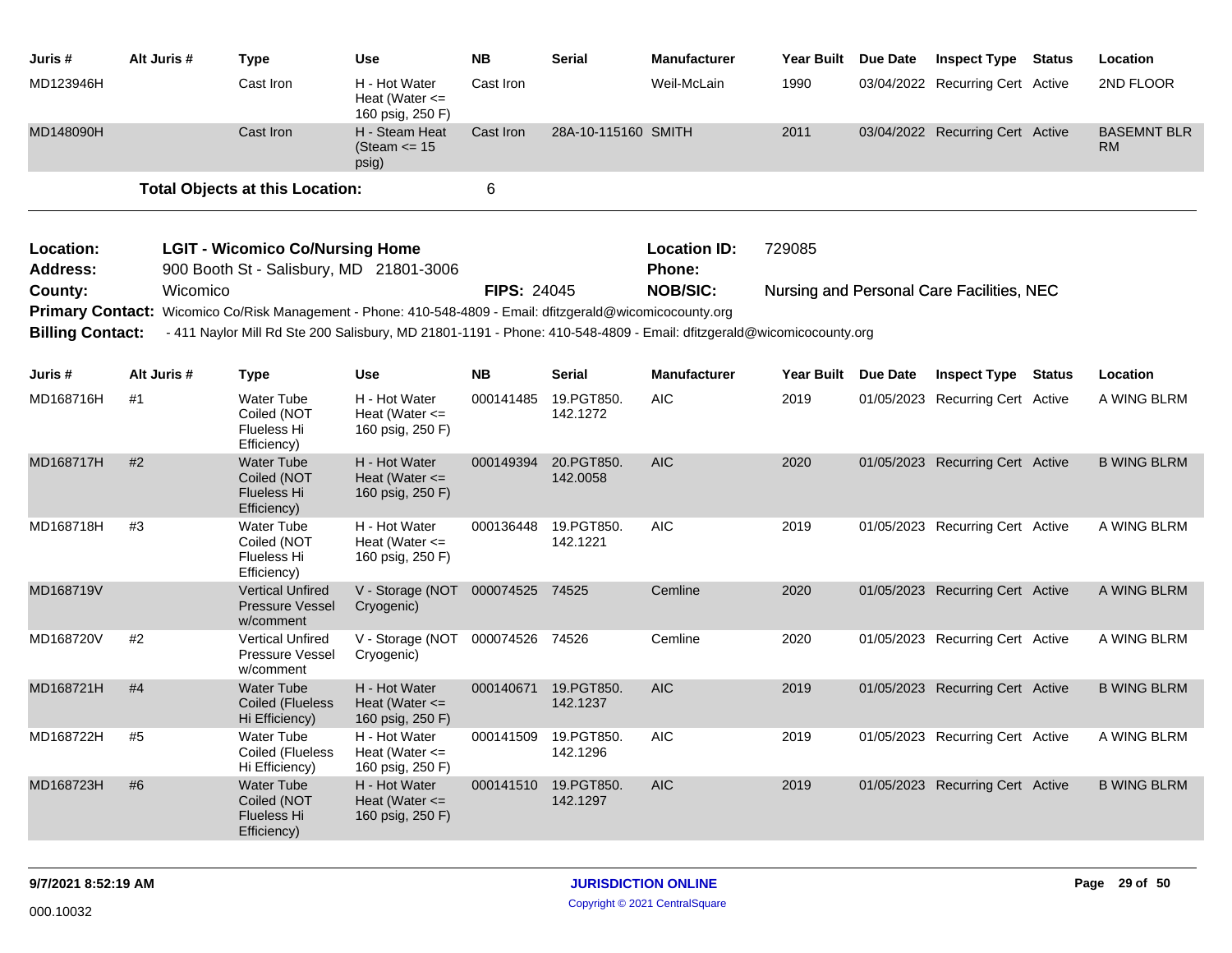| Juris #                             | Alt Juris # | <b>Type</b>                                                                                                         | <b>Use</b>                                              | <b>NB</b>          | Serial                 | <b>Manufacturer</b>                  | Year Built Due Date | <b>Inspect Type Status</b>                |               | Location                        |
|-------------------------------------|-------------|---------------------------------------------------------------------------------------------------------------------|---------------------------------------------------------|--------------------|------------------------|--------------------------------------|---------------------|-------------------------------------------|---------------|---------------------------------|
| MD123946H                           |             | Cast Iron                                                                                                           | H - Hot Water<br>Heat (Water $\leq$<br>160 psig, 250 F) | Cast Iron          |                        | Weil-McLain                          | 1990                | 03/04/2022 Recurring Cert Active          |               | 2ND FLOOR                       |
| MD148090H                           |             | Cast Iron                                                                                                           | H - Steam Heat<br>(Steam $\le$ 15<br>psig)              | Cast Iron          | 28A-10-115160 SMITH    |                                      | 2011                | 03/04/2022 Recurring Cert Active          |               | <b>BASEMNT BLR</b><br><b>RM</b> |
|                                     |             | <b>Total Objects at this Location:</b>                                                                              |                                                         | 6                  |                        |                                      |                     |                                           |               |                                 |
| <b>Location:</b><br><b>Address:</b> |             | <b>LGIT - Wicomico Co/Nursing Home</b><br>900 Booth St - Salisbury, MD 21801-3006                                   |                                                         |                    |                        | <b>Location ID:</b><br><b>Phone:</b> | 729085              |                                           |               |                                 |
| County:                             | Wicomico    |                                                                                                                     |                                                         | <b>FIPS: 24045</b> |                        | <b>NOB/SIC:</b>                      |                     | Nursing and Personal Care Facilities, NEC |               |                                 |
|                                     |             | Primary Contact: Wicomico Co/Risk Management - Phone: 410-548-4809 - Email: dfitzgerald@wicomicocounty.org          |                                                         |                    |                        |                                      |                     |                                           |               |                                 |
| <b>Billing Contact:</b>             |             | - 411 Naylor Mill Rd Ste 200 Salisbury, MD 21801-1191 - Phone: 410-548-4809 - Email: dfitzgerald@wicomicocounty.org |                                                         |                    |                        |                                      |                     |                                           |               |                                 |
| Juris #                             | Alt Juris # | Type                                                                                                                | <b>Use</b>                                              | <b>NB</b>          | Serial                 | <b>Manufacturer</b>                  | Year Built Due Date | <b>Inspect Type</b>                       | <b>Status</b> | Location                        |
| MD168716H                           | #1          | <b>Water Tube</b><br>Coiled (NOT<br>Flueless Hi<br>Efficiency)                                                      | H - Hot Water<br>Heat (Water $\leq$<br>160 psig, 250 F) | 000141485          | 19.PGT850.<br>142.1272 | <b>AIC</b>                           | 2019                | 01/05/2023 Recurring Cert Active          |               | A WING BLRM                     |
| MD168717H                           | #2          | <b>Water Tube</b><br>Coiled (NOT<br><b>Flueless Hi</b><br>Efficiency)                                               | H - Hot Water<br>Heat (Water $\leq$<br>160 psig, 250 F) | 000149394          | 20.PGT850.<br>142.0058 | <b>AIC</b>                           | 2020                | 01/05/2023 Recurring Cert Active          |               | <b>B WING BLRM</b>              |
| MD168718H                           | #3          | <b>Water Tube</b><br>Coiled (NOT<br>Flueless Hi<br>Efficiency)                                                      | H - Hot Water<br>Heat (Water $\leq$<br>160 psig, 250 F) | 000136448          | 19.PGT850.<br>142.1221 | <b>AIC</b>                           | 2019                | 01/05/2023 Recurring Cert Active          |               | A WING BLRM                     |
| MD168719V                           |             | <b>Vertical Unfired</b><br><b>Pressure Vessel</b><br>w/comment                                                      | V - Storage (NOT<br>Cryogenic)                          | 000074525 74525    |                        | Cemline                              | 2020                | 01/05/2023 Recurring Cert Active          |               | A WING BLRM                     |
| MD168720V                           | #2          | <b>Vertical Unfired</b><br>Pressure Vessel<br>w/comment                                                             | V - Storage (NOT 000074526 74526<br>Cryogenic)          |                    |                        | Cemline                              | 2020                | 01/05/2023 Recurring Cert Active          |               | A WING BLRM                     |
| MD168721H                           | #4          | <b>Water Tube</b><br>Coiled (Flueless<br>Hi Efficiency)                                                             | H - Hot Water<br>Heat (Water $\leq$<br>160 psig, 250 F) | 000140671          | 19.PGT850.<br>142.1237 | <b>AIC</b>                           | 2019                | 01/05/2023 Recurring Cert Active          |               | <b>B WING BLRM</b>              |
| MD168722H                           | #5          | <b>Water Tube</b><br>Coiled (Flueless<br>Hi Efficiency)                                                             | H - Hot Water<br>Heat (Water $\leq$<br>160 psig, 250 F) | 000141509          | 19.PGT850.<br>142.1296 | <b>AIC</b>                           | 2019                | 01/05/2023 Recurring Cert Active          |               | A WING BLRM                     |
| MD168723H                           | #6          | <b>Water Tube</b><br>Coiled (NOT<br><b>Flueless Hi</b><br>Efficiency)                                               | H - Hot Water<br>Heat (Water $\leq$<br>160 psig, 250 F) | 000141510          | 19.PGT850.<br>142.1297 | <b>AIC</b>                           | 2019                | 01/05/2023 Recurring Cert Active          |               | <b>B WING BLRM</b>              |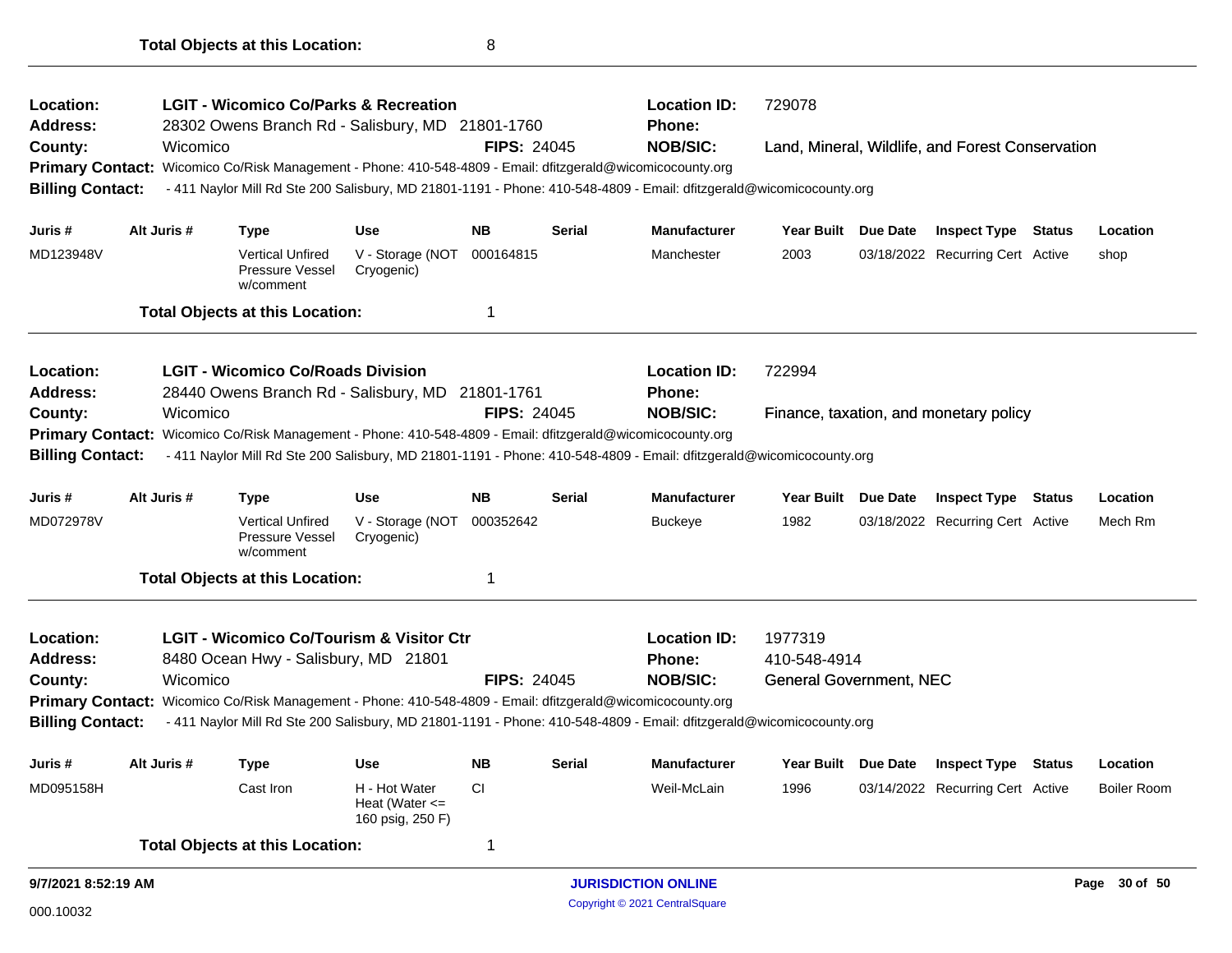| Location:<br><b>Address:</b> |             | <b>LGIT - Wicomico Co/Parks &amp; Recreation</b><br>28302 Owens Branch Rd - Salisbury, MD 21801-1760       |                                                         |                    |               | <b>Location ID:</b><br><b>Phone:</b>                                                                                | 729078                         |                                                  |                    |
|------------------------------|-------------|------------------------------------------------------------------------------------------------------------|---------------------------------------------------------|--------------------|---------------|---------------------------------------------------------------------------------------------------------------------|--------------------------------|--------------------------------------------------|--------------------|
| County:                      | Wicomico    |                                                                                                            |                                                         | <b>FIPS: 24045</b> |               | <b>NOB/SIC:</b>                                                                                                     |                                | Land, Mineral, Wildlife, and Forest Conservation |                    |
| <b>Primary Contact:</b>      |             | Wicomico Co/Risk Management - Phone: 410-548-4809 - Email: dfitzgerald@wicomicocounty.org                  |                                                         |                    |               |                                                                                                                     |                                |                                                  |                    |
| <b>Billing Contact:</b>      |             |                                                                                                            |                                                         |                    |               | - 411 Naylor Mill Rd Ste 200 Salisbury, MD 21801-1191 - Phone: 410-548-4809 - Email: dfitzgerald@wicomicocounty.org |                                |                                                  |                    |
| Juris #                      | Alt Juris # | <b>Type</b>                                                                                                | <b>Use</b>                                              | <b>NB</b>          | <b>Serial</b> | <b>Manufacturer</b>                                                                                                 | Year Built Due Date            | <b>Inspect Type Status</b>                       | Location           |
| MD123948V                    |             | <b>Vertical Unfired</b><br>Pressure Vessel<br>w/comment                                                    | V - Storage (NOT<br>Cryogenic)                          | 000164815          |               | Manchester                                                                                                          | 2003                           | 03/18/2022 Recurring Cert Active                 | shop               |
|                              |             | <b>Total Objects at this Location:</b>                                                                     |                                                         | 1                  |               |                                                                                                                     |                                |                                                  |                    |
| Location:                    |             | <b>LGIT - Wicomico Co/Roads Division</b>                                                                   |                                                         |                    |               | <b>Location ID:</b>                                                                                                 | 722994                         |                                                  |                    |
| <b>Address:</b>              |             | 28440 Owens Branch Rd - Salisbury, MD 21801-1761                                                           |                                                         |                    |               | <b>Phone:</b>                                                                                                       |                                |                                                  |                    |
| County:                      | Wicomico    |                                                                                                            |                                                         | <b>FIPS: 24045</b> |               | <b>NOB/SIC:</b>                                                                                                     |                                | Finance, taxation, and monetary policy           |                    |
| <b>Primary Contact:</b>      |             | Wicomico Co/Risk Management - Phone: 410-548-4809 - Email: dfitzgerald@wicomicocounty.org                  |                                                         |                    |               |                                                                                                                     |                                |                                                  |                    |
| <b>Billing Contact:</b>      |             |                                                                                                            |                                                         |                    |               | - 411 Naylor Mill Rd Ste 200 Salisbury, MD 21801-1191 - Phone: 410-548-4809 - Email: dfitzgerald@wicomicocounty.org |                                |                                                  |                    |
| Juris #                      | Alt Juris # | <b>Type</b>                                                                                                | <b>Use</b>                                              | <b>NB</b>          | Serial        | <b>Manufacturer</b>                                                                                                 | Year Built Due Date            | <b>Inspect Type Status</b>                       | Location           |
| MD072978V                    |             | <b>Vertical Unfired</b><br>Pressure Vessel<br>w/comment                                                    | V - Storage (NOT<br>Cryogenic)                          | 000352642          |               | <b>Buckeye</b>                                                                                                      | 1982                           | 03/18/2022 Recurring Cert Active                 | Mech Rm            |
|                              |             | <b>Total Objects at this Location:</b>                                                                     |                                                         | $\overline{1}$     |               |                                                                                                                     |                                |                                                  |                    |
| Location:                    |             | <b>LGIT - Wicomico Co/Tourism &amp; Visitor Ctr</b>                                                        |                                                         |                    |               | <b>Location ID:</b>                                                                                                 | 1977319                        |                                                  |                    |
| <b>Address:</b>              |             | 8480 Ocean Hwy - Salisbury, MD 21801                                                                       |                                                         |                    |               | <b>Phone:</b>                                                                                                       | 410-548-4914                   |                                                  |                    |
| County:                      | Wicomico    |                                                                                                            |                                                         | <b>FIPS: 24045</b> |               | <b>NOB/SIC:</b>                                                                                                     | <b>General Government, NEC</b> |                                                  |                    |
|                              |             | Primary Contact: Wicomico Co/Risk Management - Phone: 410-548-4809 - Email: dfitzgerald@wicomicocounty.org |                                                         |                    |               |                                                                                                                     |                                |                                                  |                    |
| <b>Billing Contact:</b>      |             |                                                                                                            |                                                         |                    |               | - 411 Naylor Mill Rd Ste 200 Salisbury, MD 21801-1191 - Phone: 410-548-4809 - Email: dfitzgerald@wicomicocounty.org |                                |                                                  |                    |
| Juris #                      | Alt Juris # | <b>Type</b>                                                                                                | <b>Use</b>                                              | <b>NB</b>          | <b>Serial</b> | <b>Manufacturer</b>                                                                                                 | Year Built Due Date            | <b>Inspect Type Status</b>                       | Location           |
| MD095158H                    |             | Cast Iron                                                                                                  | H - Hot Water<br>Heat (Water $\leq$<br>160 psig, 250 F) | <b>CI</b>          |               | Weil-McLain                                                                                                         | 1996                           | 03/14/2022 Recurring Cert Active                 | <b>Boiler Room</b> |
|                              |             | <b>Total Objects at this Location:</b>                                                                     |                                                         | 1                  |               |                                                                                                                     |                                |                                                  |                    |
| 9/7/2021 8:52:19 AM          |             |                                                                                                            |                                                         |                    |               | <b>JURISDICTION ONLINE</b>                                                                                          |                                |                                                  | Page 30 of 50      |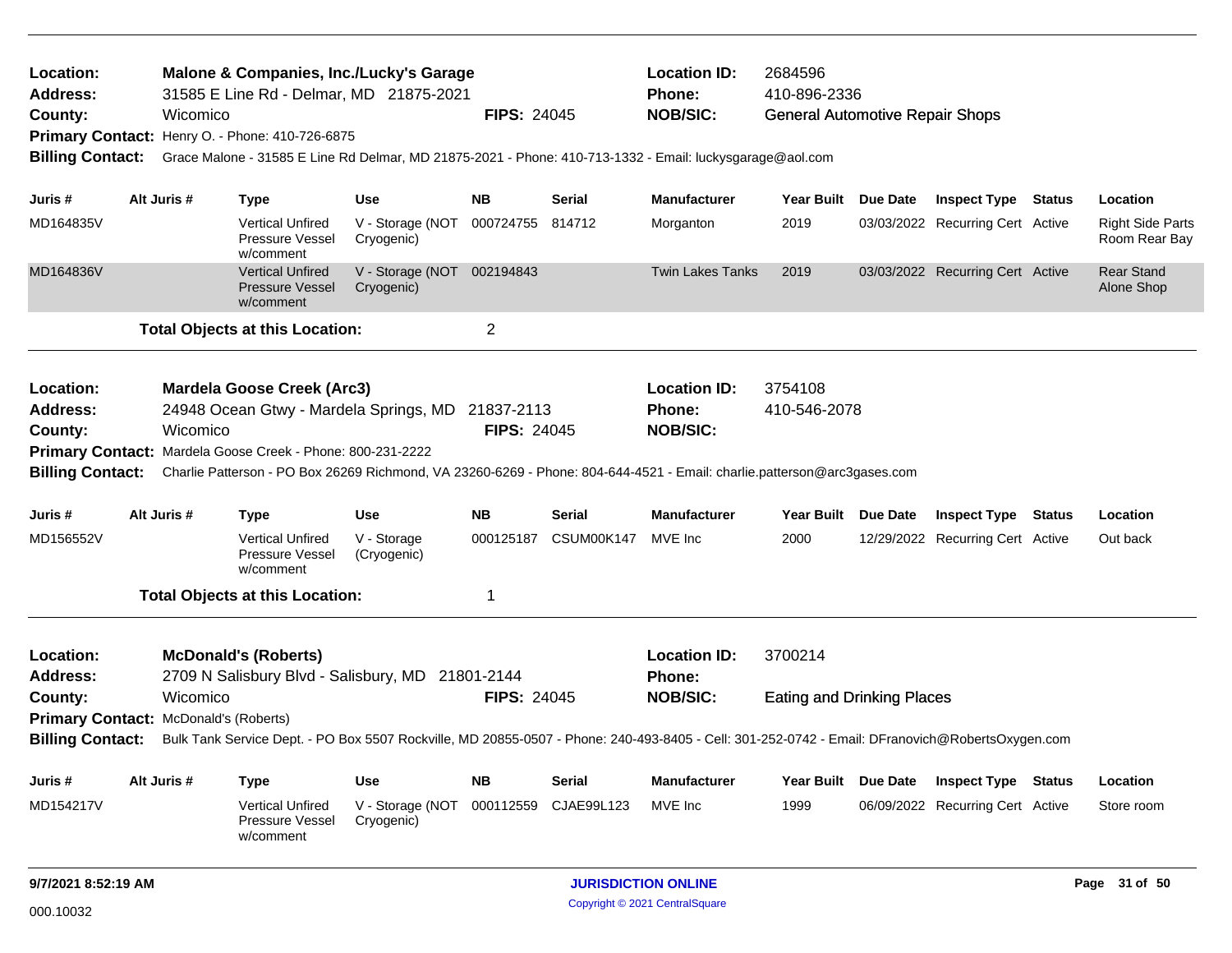| Location:<br><b>Address:</b>          |             | <b>Malone &amp; Companies, Inc./Lucky's Garage</b><br>31585 E Line Rd - Delmar, MD 21875-2021 |                                                 |                    |               | <b>Location ID:</b><br>Phone:                                                                                                                   | 2684596<br>410-896-2336                |                 |                                  |        |                                          |
|---------------------------------------|-------------|-----------------------------------------------------------------------------------------------|-------------------------------------------------|--------------------|---------------|-------------------------------------------------------------------------------------------------------------------------------------------------|----------------------------------------|-----------------|----------------------------------|--------|------------------------------------------|
| County:                               | Wicomico    |                                                                                               |                                                 | <b>FIPS: 24045</b> |               | <b>NOB/SIC:</b>                                                                                                                                 | <b>General Automotive Repair Shops</b> |                 |                                  |        |                                          |
|                                       |             | Primary Contact: Henry O. - Phone: 410-726-6875                                               |                                                 |                    |               |                                                                                                                                                 |                                        |                 |                                  |        |                                          |
| <b>Billing Contact:</b>               |             |                                                                                               |                                                 |                    |               | Grace Malone - 31585 E Line Rd Delmar, MD 21875-2021 - Phone: 410-713-1332 - Email: luckysgarage@aol.com                                        |                                        |                 |                                  |        |                                          |
| Juris #                               | Alt Juris # | <b>Type</b>                                                                                   | <b>Use</b>                                      | <b>NB</b>          | Serial        | <b>Manufacturer</b>                                                                                                                             | Year Built Due Date                    |                 | <b>Inspect Type Status</b>       |        | Location                                 |
| MD164835V                             |             | <b>Vertical Unfired</b><br>Pressure Vessel<br>w/comment                                       | V - Storage (NOT 000724755 814712<br>Cryogenic) |                    |               | Morganton                                                                                                                                       | 2019                                   |                 | 03/03/2022 Recurring Cert Active |        | <b>Right Side Parts</b><br>Room Rear Bay |
| MD164836V                             |             | <b>Vertical Unfired</b><br>Pressure Vessel<br>w/comment                                       | V - Storage (NOT 002194843<br>Cryogenic)        |                    |               | <b>Twin Lakes Tanks</b>                                                                                                                         | 2019                                   |                 | 03/03/2022 Recurring Cert Active |        | <b>Rear Stand</b><br>Alone Shop          |
|                                       |             | <b>Total Objects at this Location:</b>                                                        |                                                 | $\overline{2}$     |               |                                                                                                                                                 |                                        |                 |                                  |        |                                          |
| Location:                             |             | <b>Mardela Goose Creek (Arc3)</b>                                                             |                                                 |                    |               | <b>Location ID:</b>                                                                                                                             | 3754108                                |                 |                                  |        |                                          |
| <b>Address:</b><br>County:            | Wicomico    | 24948 Ocean Gtwy - Mardela Springs, MD 21837-2113                                             |                                                 | <b>FIPS: 24045</b> |               | Phone:<br><b>NOB/SIC:</b>                                                                                                                       | 410-546-2078                           |                 |                                  |        |                                          |
|                                       |             | Primary Contact: Mardela Goose Creek - Phone: 800-231-2222                                    |                                                 |                    |               |                                                                                                                                                 |                                        |                 |                                  |        |                                          |
| <b>Billing Contact:</b>               |             |                                                                                               |                                                 |                    |               | Charlie Patterson - PO Box 26269 Richmond, VA 23260-6269 - Phone: 804-644-4521 - Email: charlie.patterson@arc3gases.com                         |                                        |                 |                                  |        |                                          |
| Juris #                               | Alt Juris # | <b>Type</b>                                                                                   | Use                                             | <b>NB</b>          | Serial        | <b>Manufacturer</b>                                                                                                                             | Year Built Due Date                    |                 | <b>Inspect Type Status</b>       |        | Location                                 |
| MD156552V                             |             | <b>Vertical Unfired</b><br>Pressure Vessel<br>w/comment                                       | V - Storage<br>(Cryogenic)                      | 000125187          | CSUM00K147    | MVE Inc                                                                                                                                         | 2000                                   |                 | 12/29/2022 Recurring Cert Active |        | Out back                                 |
|                                       |             | <b>Total Objects at this Location:</b>                                                        |                                                 | 1                  |               |                                                                                                                                                 |                                        |                 |                                  |        |                                          |
| Location:                             |             | <b>McDonald's (Roberts)</b>                                                                   |                                                 |                    |               | <b>Location ID:</b>                                                                                                                             | 3700214                                |                 |                                  |        |                                          |
| <b>Address:</b>                       |             | 2709 N Salisbury Blvd - Salisbury, MD 21801-2144                                              |                                                 |                    |               | Phone:                                                                                                                                          |                                        |                 |                                  |        |                                          |
| County:                               | Wicomico    |                                                                                               |                                                 | <b>FIPS: 24045</b> |               | <b>NOB/SIC:</b>                                                                                                                                 | <b>Eating and Drinking Places</b>      |                 |                                  |        |                                          |
| Primary Contact: McDonald's (Roberts) |             |                                                                                               |                                                 |                    |               |                                                                                                                                                 |                                        |                 |                                  |        |                                          |
| <b>Billing Contact:</b>               |             |                                                                                               |                                                 |                    |               | Bulk Tank Service Dept. - PO Box 5507 Rockville, MD 20855-0507 - Phone: 240-493-8405 - Cell: 301-252-0742 - Email: DFranovich@RobertsOxygen.com |                                        |                 |                                  |        |                                          |
| Juris #                               | Alt Juris # | <b>Type</b>                                                                                   | <b>Use</b>                                      | ΝB                 | <b>Serial</b> | <b>Manufacturer</b>                                                                                                                             | Year Built                             | <b>Due Date</b> | <b>Inspect Type</b>              | Status | Location                                 |
| MD154217V                             |             | <b>Vertical Unfired</b><br>Pressure Vessel<br>w/comment                                       | V - Storage (NOT<br>Cryogenic)                  | 000112559          | CJAE99L123    | MVE Inc                                                                                                                                         | 1999                                   |                 | 06/09/2022 Recurring Cert Active |        | Store room                               |
| 9/7/2021 8:52:19 AM                   |             |                                                                                               |                                                 |                    |               | <b>JURISDICTION ONLINE</b>                                                                                                                      |                                        |                 |                                  |        | Page 31 of 50                            |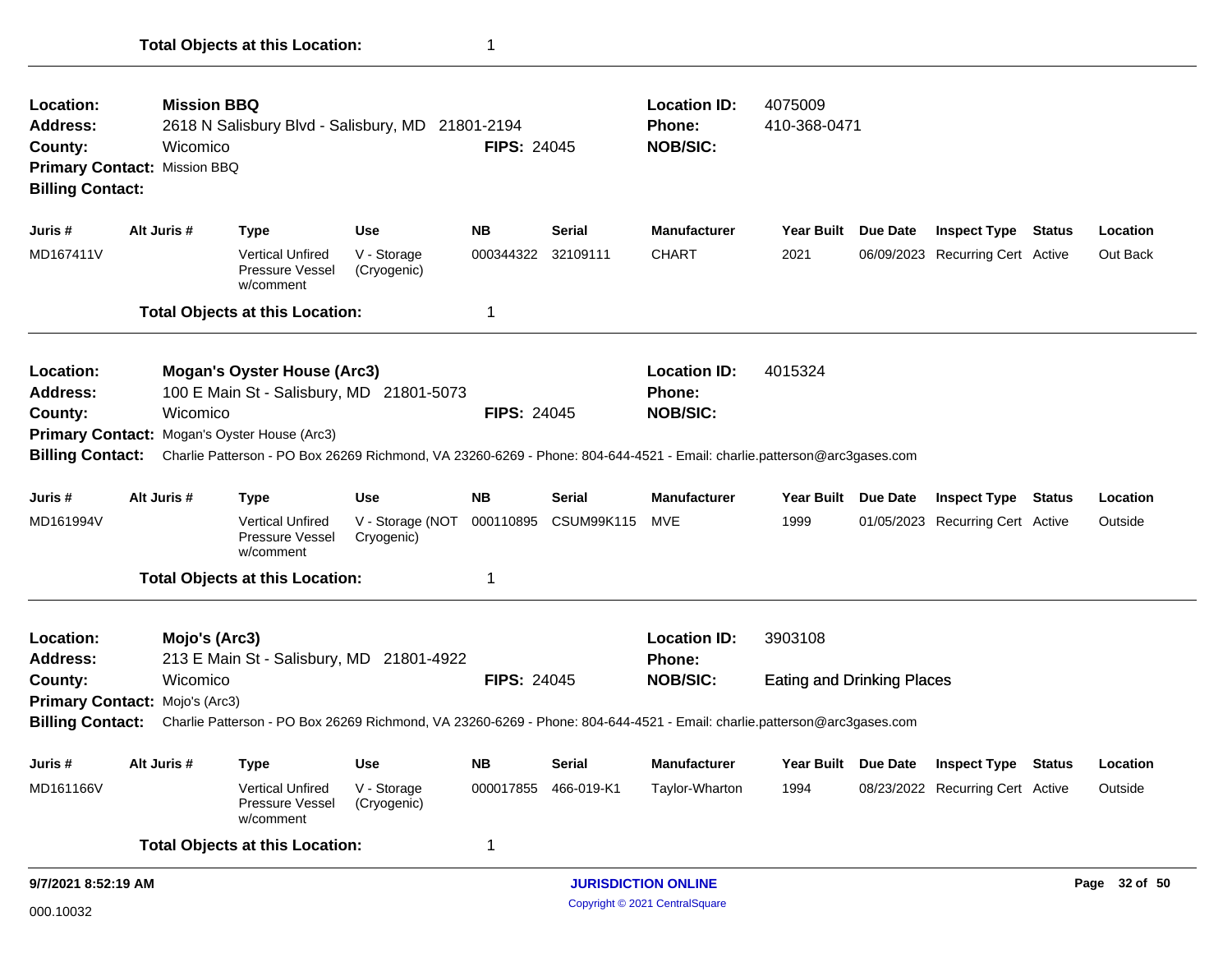| Location:<br>Address:<br>County:<br><b>Billing Contact:</b> | <b>Mission BBQ</b><br>Wicomico<br>Primary Contact: Mission BBQ | 2618 N Salisbury Blvd - Salisbury, MD 21801-2194                                                                                                                        |                                | <b>FIPS: 24045</b> |                   | <b>Location ID:</b><br><b>Phone:</b><br><b>NOB/SIC:</b> | 4075009<br>410-368-0471           |                                  |               |               |
|-------------------------------------------------------------|----------------------------------------------------------------|-------------------------------------------------------------------------------------------------------------------------------------------------------------------------|--------------------------------|--------------------|-------------------|---------------------------------------------------------|-----------------------------------|----------------------------------|---------------|---------------|
| Juris #                                                     | Alt Juris #                                                    | <b>Type</b>                                                                                                                                                             | <b>Use</b>                     | <b>NB</b>          | <b>Serial</b>     | <b>Manufacturer</b>                                     | Year Built Due Date               | <b>Inspect Type</b>              | <b>Status</b> | Location      |
| MD167411V                                                   |                                                                | <b>Vertical Unfired</b><br>Pressure Vessel<br>w/comment                                                                                                                 | V - Storage<br>(Cryogenic)     | 000344322 32109111 |                   | <b>CHART</b>                                            | 2021                              | 06/09/2023 Recurring Cert Active |               | Out Back      |
|                                                             |                                                                | <b>Total Objects at this Location:</b>                                                                                                                                  |                                | 1                  |                   |                                                         |                                   |                                  |               |               |
| Location:<br><b>Address:</b>                                |                                                                | <b>Mogan's Oyster House (Arc3)</b><br>100 E Main St - Salisbury, MD 21801-5073                                                                                          |                                |                    |                   | <b>Location ID:</b><br>Phone:                           | 4015324                           |                                  |               |               |
| County:                                                     | Wicomico                                                       |                                                                                                                                                                         |                                | <b>FIPS: 24045</b> |                   | <b>NOB/SIC:</b>                                         |                                   |                                  |               |               |
| <b>Billing Contact:</b>                                     |                                                                | Primary Contact: Mogan's Oyster House (Arc3)<br>Charlie Patterson - PO Box 26269 Richmond, VA 23260-6269 - Phone: 804-644-4521 - Email: charlie.patterson@arc3gases.com |                                |                    |                   |                                                         |                                   |                                  |               |               |
|                                                             |                                                                |                                                                                                                                                                         |                                |                    |                   |                                                         |                                   |                                  |               |               |
| Juris #                                                     | Alt Juris #                                                    | <b>Type</b>                                                                                                                                                             | <b>Use</b>                     | <b>NB</b>          | <b>Serial</b>     | <b>Manufacturer</b>                                     | Year Built Due Date               | <b>Inspect Type</b>              | <b>Status</b> | Location      |
| MD161994V                                                   |                                                                | <b>Vertical Unfired</b><br>Pressure Vessel<br>w/comment                                                                                                                 | V - Storage (NOT<br>Cryogenic) | 000110895          | <b>CSUM99K115</b> | MVE                                                     | 1999                              | 01/05/2023 Recurring Cert Active |               | Outside       |
|                                                             |                                                                | <b>Total Objects at this Location:</b>                                                                                                                                  |                                | 1                  |                   |                                                         |                                   |                                  |               |               |
| Location:<br><b>Address:</b>                                | Mojo's (Arc3)                                                  | 213 E Main St - Salisbury, MD 21801-4922                                                                                                                                |                                |                    |                   | <b>Location ID:</b><br>Phone:                           | 3903108                           |                                  |               |               |
| County:                                                     | Wicomico                                                       |                                                                                                                                                                         |                                | <b>FIPS: 24045</b> |                   | <b>NOB/SIC:</b>                                         | <b>Eating and Drinking Places</b> |                                  |               |               |
|                                                             | Primary Contact: Mojo's (Arc3)                                 |                                                                                                                                                                         |                                |                    |                   |                                                         |                                   |                                  |               |               |
| <b>Billing Contact:</b>                                     |                                                                | Charlie Patterson - PO Box 26269 Richmond, VA 23260-6269 - Phone: 804-644-4521 - Email: charlie.patterson@arc3gases.com                                                 |                                |                    |                   |                                                         |                                   |                                  |               |               |
| Juris #                                                     | Alt Juris #                                                    | <b>Type</b>                                                                                                                                                             | <b>Use</b>                     | <b>NB</b>          | Serial            | <b>Manufacturer</b>                                     | Year Built Due Date               | <b>Inspect Type</b>              | <b>Status</b> | Location      |
| MD161166V                                                   |                                                                | <b>Vertical Unfired</b><br><b>Pressure Vessel</b><br>w/comment                                                                                                          | V - Storage<br>(Cryogenic)     | 000017855          | 466-019-K1        | Taylor-Wharton                                          | 1994                              | 08/23/2022 Recurring Cert Active |               | Outside       |
|                                                             |                                                                | <b>Total Objects at this Location:</b>                                                                                                                                  |                                | 1                  |                   |                                                         |                                   |                                  |               |               |
| 9/7/2021 8:52:19 AM                                         |                                                                |                                                                                                                                                                         |                                |                    |                   | <b>JURISDICTION ONLINE</b>                              |                                   |                                  |               | Page 32 of 50 |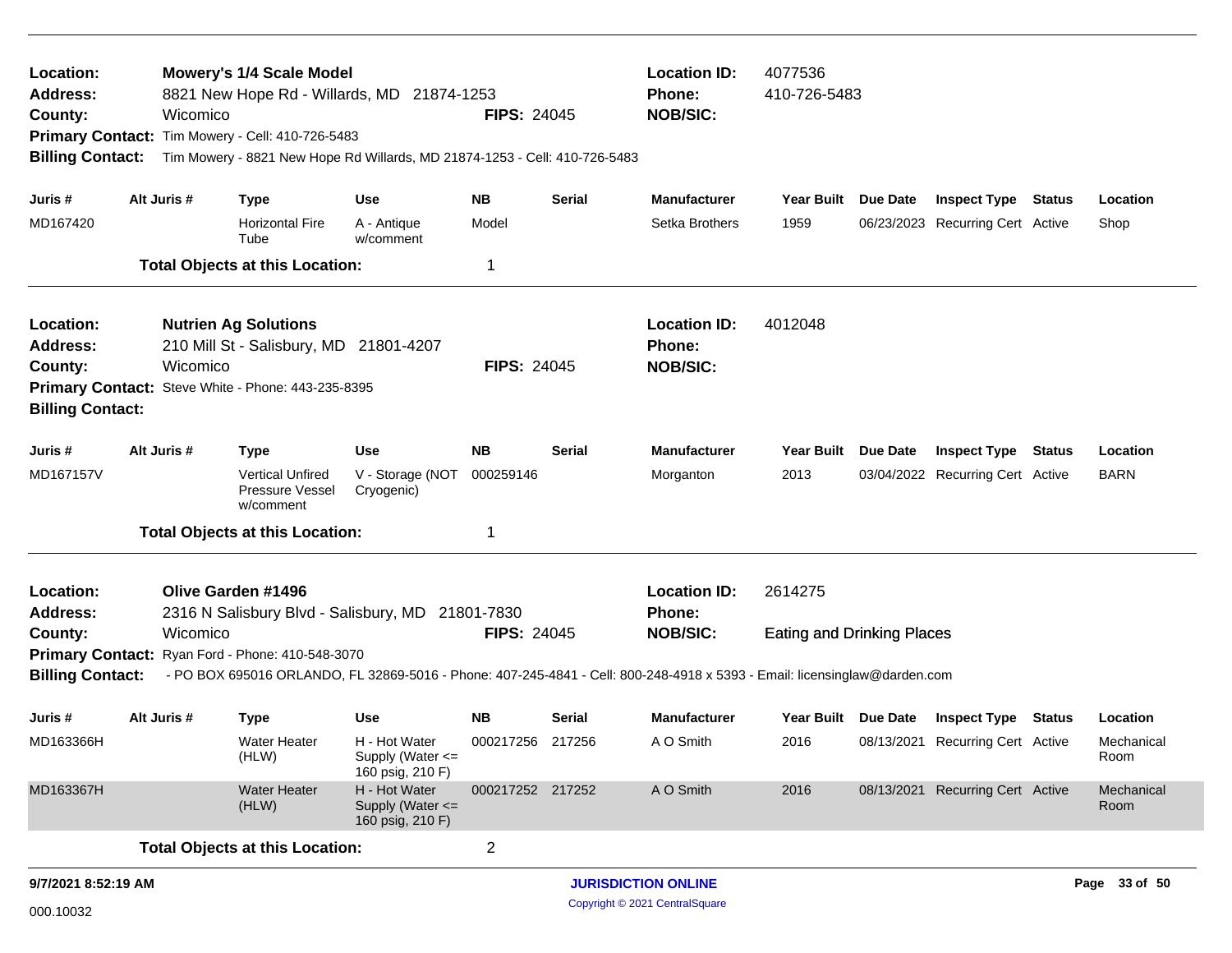| Location:<br><b>Address:</b><br>County:<br><b>Billing Contact:</b> | Wicomico    | <b>Mowery's 1/4 Scale Model</b><br>8821 New Hope Rd - Willards, MD 21874-1253<br>Primary Contact: Tim Mowery - Cell: 410-726-5483<br>Tim Mowery - 8821 New Hope Rd Willards, MD 21874-1253 - Cell: 410-726-5483 |                                                                           | <b>FIPS: 24045</b>           |                  | <b>Location ID:</b><br><b>Phone:</b><br><b>NOB/SIC:</b>                                                                                                                       | 4077536<br>410-726-5483                      |                 |                                                                |               |                                |
|--------------------------------------------------------------------|-------------|-----------------------------------------------------------------------------------------------------------------------------------------------------------------------------------------------------------------|---------------------------------------------------------------------------|------------------------------|------------------|-------------------------------------------------------------------------------------------------------------------------------------------------------------------------------|----------------------------------------------|-----------------|----------------------------------------------------------------|---------------|--------------------------------|
| Juris #<br>MD167420                                                | Alt Juris # | <b>Type</b><br><b>Horizontal Fire</b>                                                                                                                                                                           | Use<br>A - Antique                                                        | <b>NB</b><br>Model           | Serial           | <b>Manufacturer</b><br>Setka Brothers                                                                                                                                         | Year Built<br>1959                           | Due Date        | <b>Inspect Type Status</b><br>06/23/2023 Recurring Cert Active |               | Location<br>Shop               |
|                                                                    |             | Tube<br><b>Total Objects at this Location:</b>                                                                                                                                                                  | w/comment                                                                 | -1                           |                  |                                                                                                                                                                               |                                              |                 |                                                                |               |                                |
| Location:<br><b>Address:</b><br>County:<br><b>Billing Contact:</b> | Wicomico    | <b>Nutrien Ag Solutions</b><br>210 Mill St - Salisbury, MD 21801-4207<br>Primary Contact: Steve White - Phone: 443-235-8395                                                                                     |                                                                           | <b>FIPS: 24045</b>           |                  | <b>Location ID:</b><br>Phone:<br><b>NOB/SIC:</b>                                                                                                                              | 4012048                                      |                 |                                                                |               |                                |
| Juris #<br>MD167157V                                               | Alt Juris # | <b>Type</b><br><b>Vertical Unfired</b><br>Pressure Vessel<br>w/comment<br><b>Total Objects at this Location:</b>                                                                                                | <b>Use</b><br>V - Storage (NOT<br>Cryogenic)                              | <b>NB</b><br>000259146<br>-1 | Serial           | <b>Manufacturer</b><br>Morganton                                                                                                                                              | Year Built<br>2013                           | <b>Due Date</b> | <b>Inspect Type</b><br>03/04/2022 Recurring Cert Active        | <b>Status</b> | Location<br><b>BARN</b>        |
| Location:<br><b>Address:</b><br>County:<br><b>Billing Contact:</b> | Wicomico    | Olive Garden #1496<br>2316 N Salisbury Blvd - Salisbury, MD 21801-7830<br>Primary Contact: Ryan Ford - Phone: 410-548-3070                                                                                      |                                                                           | <b>FIPS: 24045</b>           |                  | <b>Location ID:</b><br>Phone:<br><b>NOB/SIC:</b><br>- PO BOX 695016 ORLANDO, FL 32869-5016 - Phone: 407-245-4841 - Cell: 800-248-4918 x 5393 - Email: licensinglaw@darden.com | 2614275<br><b>Eating and Drinking Places</b> |                 |                                                                |               |                                |
| Juris #<br>MD163366H                                               | Alt Juris # | <b>Type</b><br><b>Water Heater</b><br>(HLW)                                                                                                                                                                     | <b>Use</b><br>H - Hot Water<br>Supply (Water $\leq$                       | <b>NB</b><br>000217256       | Serial<br>217256 | <b>Manufacturer</b><br>A O Smith                                                                                                                                              | Year Built<br>2016                           | Due Date        | <b>Inspect Type</b><br>08/13/2021 Recurring Cert Active        | Status        | Location<br>Mechanical<br>Room |
| MD163367H                                                          |             | <b>Water Heater</b><br>(HLW)                                                                                                                                                                                    | 160 psig, 210 F)<br>H - Hot Water<br>Supply (Water <=<br>160 psig, 210 F) | 000217252 217252             |                  | A O Smith                                                                                                                                                                     | 2016                                         |                 | 08/13/2021 Recurring Cert Active                               |               | Mechanical<br>Room             |
| 9/7/2021 8:52:19 AM                                                |             | <b>Total Objects at this Location:</b>                                                                                                                                                                          |                                                                           | $\overline{c}$               |                  | <b>JURISDICTION ONLINE</b>                                                                                                                                                    |                                              |                 |                                                                |               | Page 33 of 50                  |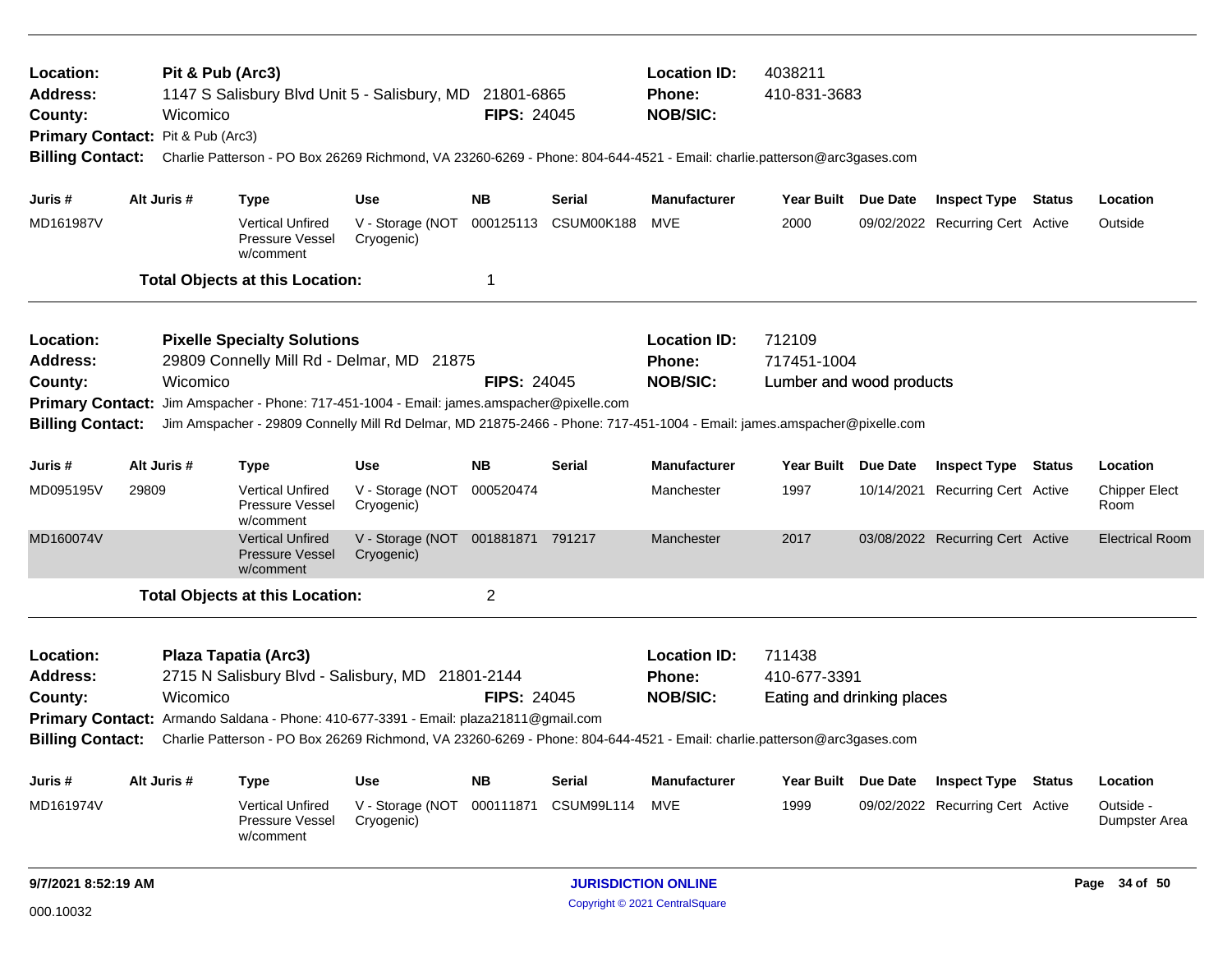| Location:<br><b>Address:</b><br>County:<br>Primary Contact: Pit & Pub (Arc3)<br><b>Billing Contact:</b> |       | Pit & Pub (Arc3)<br>Wicomico |                                                                | 1147 S Salisbury Blvd Unit 5 - Salisbury, MD 21801-6865<br>Charlie Patterson - PO Box 26269 Richmond, VA 23260-6269 - Phone: 804-644-4521 - Email: charlie.patterson@arc3gases.com | <b>FIPS: 24045</b> |                      | <b>Location ID:</b><br>Phone:<br><b>NOB/SIC:</b> | 4038211<br>410-831-3683    |                                  |                              |
|---------------------------------------------------------------------------------------------------------|-------|------------------------------|----------------------------------------------------------------|------------------------------------------------------------------------------------------------------------------------------------------------------------------------------------|--------------------|----------------------|--------------------------------------------------|----------------------------|----------------------------------|------------------------------|
|                                                                                                         |       |                              |                                                                |                                                                                                                                                                                    |                    |                      |                                                  |                            |                                  |                              |
| Juris #                                                                                                 |       | Alt Juris #                  | <b>Type</b>                                                    | <b>Use</b>                                                                                                                                                                         | <b>NB</b>          | Serial               | <b>Manufacturer</b>                              | Year Built Due Date        | <b>Inspect Type Status</b>       | Location                     |
| MD161987V                                                                                               |       |                              | <b>Vertical Unfired</b><br>Pressure Vessel<br>w/comment        | V - Storage (NOT<br>Cryogenic)                                                                                                                                                     |                    | 000125113 CSUM00K188 | MVE                                              | 2000                       | 09/02/2022 Recurring Cert Active | Outside                      |
|                                                                                                         |       |                              | <b>Total Objects at this Location:</b>                         |                                                                                                                                                                                    | 1                  |                      |                                                  |                            |                                  |                              |
| Location:                                                                                               |       |                              | <b>Pixelle Specialty Solutions</b>                             |                                                                                                                                                                                    |                    |                      | <b>Location ID:</b>                              | 712109                     |                                  |                              |
| Address:                                                                                                |       |                              |                                                                | 29809 Connelly Mill Rd - Delmar, MD 21875                                                                                                                                          |                    |                      | Phone:                                           | 717451-1004                |                                  |                              |
| County:                                                                                                 |       | Wicomico                     |                                                                |                                                                                                                                                                                    | <b>FIPS: 24045</b> |                      | <b>NOB/SIC:</b>                                  | Lumber and wood products   |                                  |                              |
| <b>Primary Contact:</b>                                                                                 |       |                              |                                                                | Jim Amspacher - Phone: 717-451-1004 - Email: james.amspacher@pixelle.com                                                                                                           |                    |                      |                                                  |                            |                                  |                              |
| <b>Billing Contact:</b>                                                                                 |       |                              |                                                                | Jim Amspacher - 29809 Connelly Mill Rd Delmar, MD 21875-2466 - Phone: 717-451-1004 - Email: james.amspacher@pixelle.com                                                            |                    |                      |                                                  |                            |                                  |                              |
| Juris #                                                                                                 |       | Alt Juris #                  | <b>Type</b>                                                    | <b>Use</b>                                                                                                                                                                         | <b>NB</b>          | Serial               | <b>Manufacturer</b>                              | Year Built Due Date        | <b>Inspect Type Status</b>       | Location                     |
| MD095195V                                                                                               | 29809 |                              | <b>Vertical Unfired</b><br>Pressure Vessel<br>w/comment        | V - Storage (NOT<br>Cryogenic)                                                                                                                                                     | 000520474          |                      | Manchester                                       | 1997                       | 10/14/2021 Recurring Cert Active | <b>Chipper Elect</b><br>Room |
| MD160074V                                                                                               |       |                              | <b>Vertical Unfired</b><br><b>Pressure Vessel</b><br>w/comment | V - Storage (NOT 001881871 791217<br>Cryogenic)                                                                                                                                    |                    |                      | Manchester                                       | 2017                       | 03/08/2022 Recurring Cert Active | <b>Electrical Room</b>       |
|                                                                                                         |       |                              | <b>Total Objects at this Location:</b>                         |                                                                                                                                                                                    | $\overline{c}$     |                      |                                                  |                            |                                  |                              |
| Location:                                                                                               |       |                              | Plaza Tapatia (Arc3)                                           |                                                                                                                                                                                    |                    |                      | <b>Location ID:</b>                              | 711438                     |                                  |                              |
| <b>Address:</b>                                                                                         |       |                              |                                                                | 2715 N Salisbury Blvd - Salisbury, MD 21801-2144                                                                                                                                   |                    |                      | Phone:                                           | 410-677-3391               |                                  |                              |
| County:                                                                                                 |       | Wicomico                     |                                                                |                                                                                                                                                                                    | <b>FIPS: 24045</b> |                      | <b>NOB/SIC:</b>                                  | Eating and drinking places |                                  |                              |
|                                                                                                         |       |                              |                                                                | Primary Contact: Armando Saldana - Phone: 410-677-3391 - Email: plaza21811@gmail.com                                                                                               |                    |                      |                                                  |                            |                                  |                              |
| <b>Billing Contact:</b>                                                                                 |       |                              |                                                                | Charlie Patterson - PO Box 26269 Richmond, VA 23260-6269 - Phone: 804-644-4521 - Email: charlie.patterson@arc3gases.com                                                            |                    |                      |                                                  |                            |                                  |                              |
| Juris #                                                                                                 |       | Alt Juris #                  | <b>Type</b>                                                    | Use                                                                                                                                                                                | <b>NB</b>          | Serial               | <b>Manufacturer</b>                              | Year Built Due Date        | <b>Inspect Type Status</b>       | Location                     |
| MD161974V                                                                                               |       |                              | <b>Vertical Unfired</b><br>Pressure Vessel<br>w/comment        | V - Storage (NOT<br>Cryogenic)                                                                                                                                                     | 000111871          | <b>CSUM99L114</b>    | MVE                                              | 1999                       | 09/02/2022 Recurring Cert Active | Outside -<br>Dumpster Area   |
| 9/7/2021 8:52:19 AM                                                                                     |       |                              |                                                                |                                                                                                                                                                                    |                    |                      | <b>JURISDICTION ONLINE</b>                       |                            |                                  | Page 34 of 50                |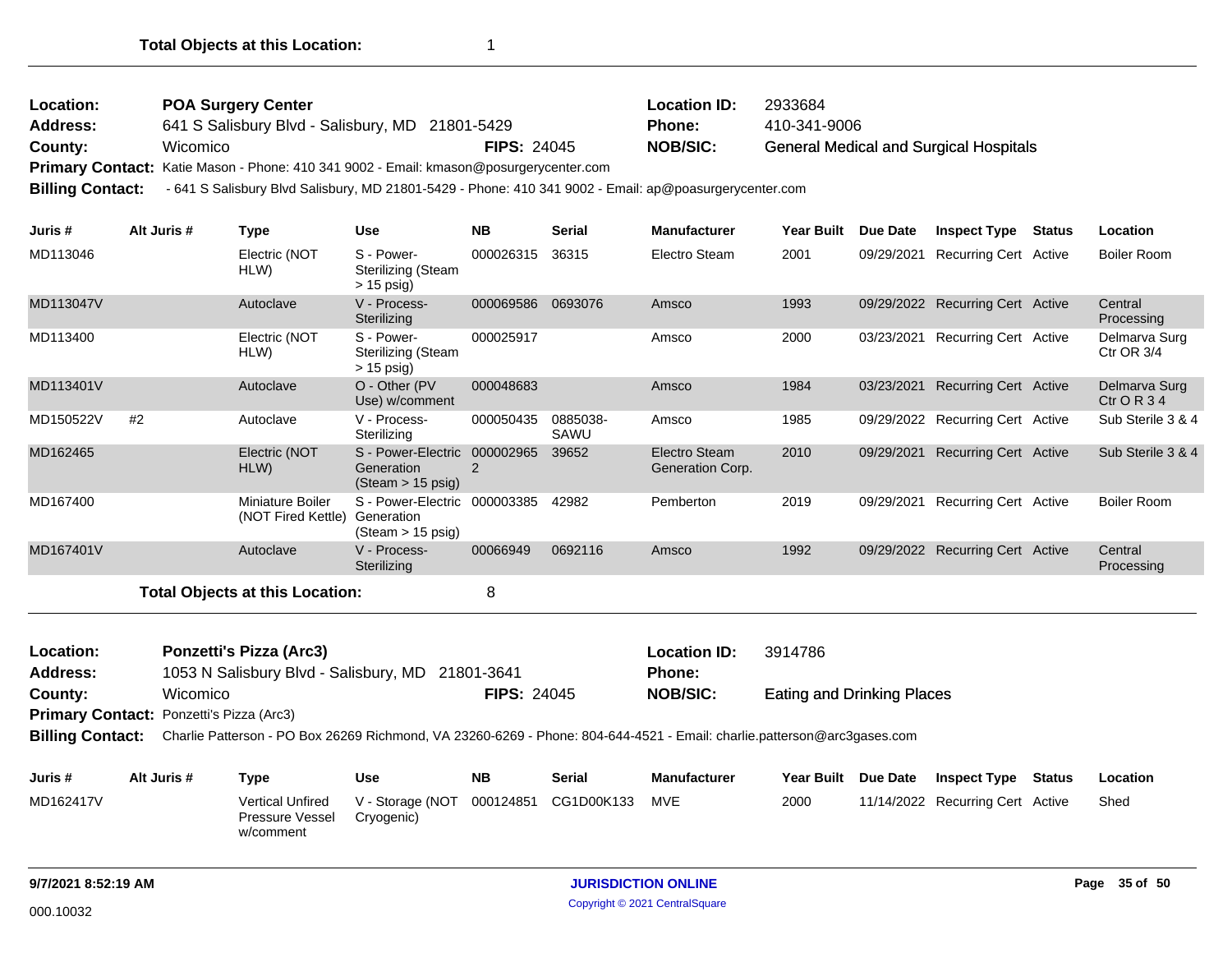| Location:<br>Address:<br>County:<br><b>Billing Contact:</b> |    | Wicomico    | <b>POA Surgery Center</b><br>641 S Salisbury Blvd - Salisbury, MD 21801-5429<br>Primary Contact: Katie Mason - Phone: 410 341 9002 - Email: kmason@posurgerycenter.com<br>- 641 S Salisbury Blvd Salisbury, MD 21801-5429 - Phone: 410 341 9002 - Email: ap@poasurgerycenter.com |                                                                           | <b>FIPS: 24045</b> |                  | <b>Location ID:</b><br>Phone:<br><b>NOB/SIC:</b> | 2933684<br>410-341-9006           | <b>General Medical and Surgical Hospitals</b> |                              |
|-------------------------------------------------------------|----|-------------|----------------------------------------------------------------------------------------------------------------------------------------------------------------------------------------------------------------------------------------------------------------------------------|---------------------------------------------------------------------------|--------------------|------------------|--------------------------------------------------|-----------------------------------|-----------------------------------------------|------------------------------|
| Juris #                                                     |    | Alt Juris # | <b>Type</b>                                                                                                                                                                                                                                                                      | <b>Use</b>                                                                | <b>NB</b>          | <b>Serial</b>    | <b>Manufacturer</b>                              | Year Built Due Date               | <b>Inspect Type Status</b>                    | Location                     |
| MD113046                                                    |    |             | Electric (NOT<br>HLW)                                                                                                                                                                                                                                                            | S - Power-<br><b>Sterilizing (Steam</b><br>$> 15$ psig)                   | 000026315          | 36315            | Electro Steam                                    | 2001                              | 09/29/2021 Recurring Cert Active              | <b>Boiler Room</b>           |
| MD113047V                                                   |    |             | Autoclave                                                                                                                                                                                                                                                                        | V - Process-<br>Sterilizing                                               | 000069586 0693076  |                  | Amsco                                            | 1993                              | 09/29/2022 Recurring Cert Active              | Central<br>Processing        |
| MD113400                                                    |    |             | Electric (NOT<br>HLW)                                                                                                                                                                                                                                                            | S - Power-<br><b>Sterilizing (Steam</b><br>$> 15$ psig)                   | 000025917          |                  | Amsco                                            | 2000                              | 03/23/2021 Recurring Cert Active              | Delmarva Surg<br>Ctr OR 3/4  |
| MD113401V                                                   |    |             | Autoclave                                                                                                                                                                                                                                                                        | O - Other (PV<br>Use) w/comment                                           | 000048683          |                  | Amsco                                            | 1984                              | 03/23/2021 Recurring Cert Active              | Delmarva Surg<br>$ctr$ OR 34 |
| MD150522V                                                   | #2 |             | Autoclave                                                                                                                                                                                                                                                                        | V - Process-<br>Sterilizing                                               | 000050435          | 0885038-<br>SAWU | Amsco                                            | 1985                              | 09/29/2022 Recurring Cert Active              | Sub Sterile 3 & 4            |
| MD162465                                                    |    |             | Electric (NOT<br>HLW)                                                                                                                                                                                                                                                            | S - Power-Electric 000002965<br>Generation<br>(Steam > 15 psig)           | $\overline{2}$     | 39652            | Electro Steam<br>Generation Corp.                | 2010                              | 09/29/2021 Recurring Cert Active              | Sub Sterile 3 & 4            |
| MD167400                                                    |    |             | <b>Miniature Boiler</b><br>(NOT Fired Kettle)                                                                                                                                                                                                                                    | S - Power-Electric 000003385<br>Generation<br>$(Steam > 15 \text{ psig})$ |                    | 42982            | Pemberton                                        | 2019                              | 09/29/2021 Recurring Cert Active              | <b>Boiler Room</b>           |
| MD167401V                                                   |    |             | Autoclave                                                                                                                                                                                                                                                                        | V - Process-<br>Sterilizing                                               | 00066949           | 0692116          | Amsco                                            | 1992                              | 09/29/2022 Recurring Cert Active              | Central<br>Processing        |
|                                                             |    |             | <b>Total Objects at this Location:</b>                                                                                                                                                                                                                                           |                                                                           | 8                  |                  |                                                  |                                   |                                               |                              |
| Location:<br><b>Address:</b>                                |    |             | <b>Ponzetti's Pizza (Arc3)</b><br>1053 N Salisbury Blvd - Salisbury, MD 21801-3641                                                                                                                                                                                               |                                                                           |                    |                  | <b>Location ID:</b><br>Phone:                    | 3914786                           |                                               |                              |
| County:                                                     |    | Wicomico    |                                                                                                                                                                                                                                                                                  |                                                                           | <b>FIPS: 24045</b> |                  | <b>NOB/SIC:</b>                                  | <b>Eating and Drinking Places</b> |                                               |                              |
| Primary Contact: Ponzetti's Pizza (Arc3)                    |    |             |                                                                                                                                                                                                                                                                                  |                                                                           |                    |                  |                                                  |                                   |                                               |                              |
| <b>Billing Contact:</b>                                     |    |             | Charlie Patterson - PO Box 26269 Richmond, VA 23260-6269 - Phone: 804-644-4521 - Email: charlie.patterson@arc3gases.com                                                                                                                                                          |                                                                           |                    |                  |                                                  |                                   |                                               |                              |
|                                                             |    |             |                                                                                                                                                                                                                                                                                  |                                                                           |                    |                  |                                                  |                                   |                                               |                              |

| Juris #   | Alt Juris # | Tvpe                                                    | Use                                                     | <b>NB</b> | Serial | <b>Manufacturer</b> |      | Year Built Due Date | <b>Inspect Type</b>              | Status | <b>Location</b> |
|-----------|-------------|---------------------------------------------------------|---------------------------------------------------------|-----------|--------|---------------------|------|---------------------|----------------------------------|--------|-----------------|
| MD162417V |             | <b>Vertical Unfired</b><br>Pressure Vessel<br>w/comment | V - Storage (NOT 000124851 CG1D00K133 MVE<br>Cryogenic) |           |        |                     | 2000 |                     | 11/14/2022 Recurring Cert Active |        | Shed            |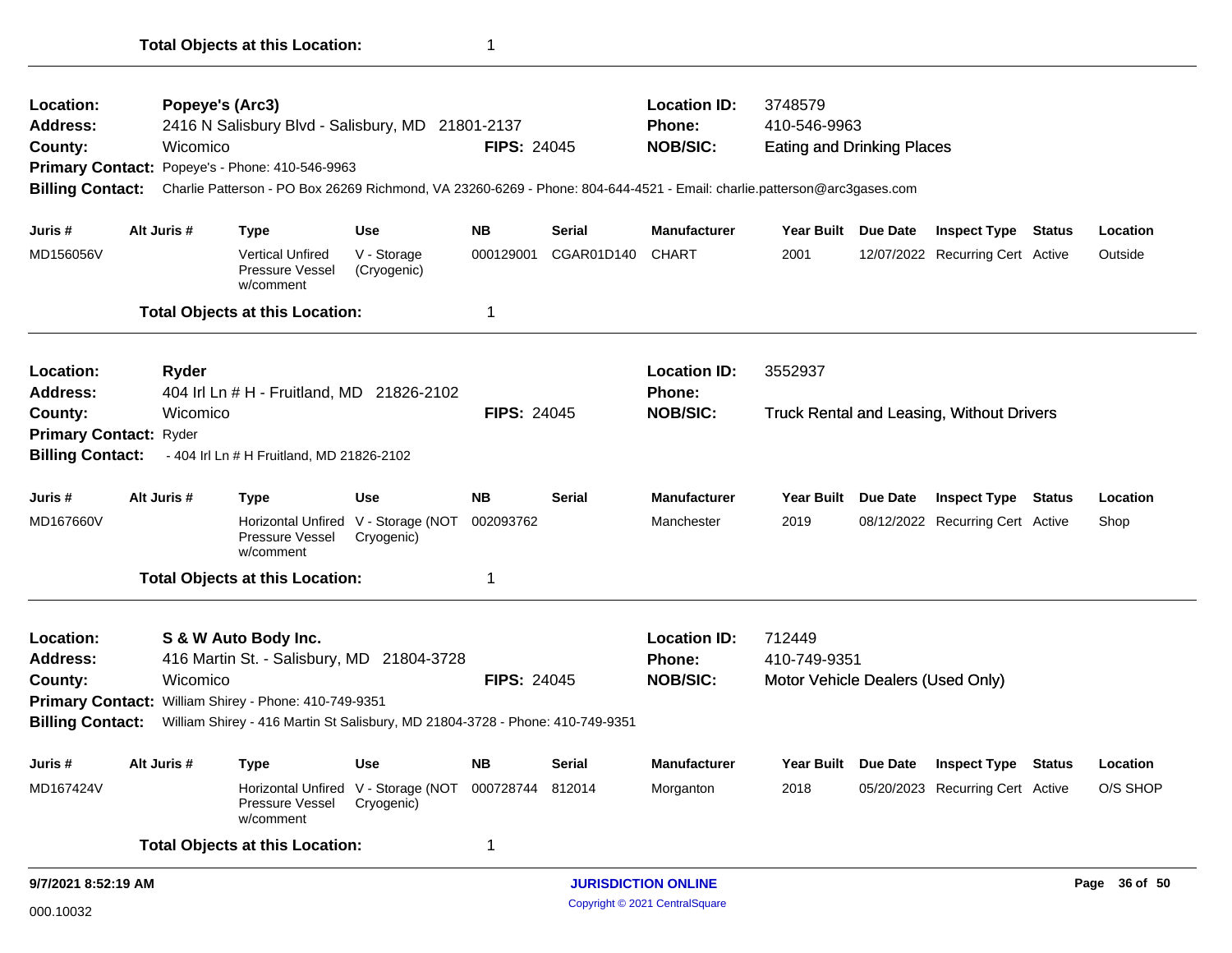| Location:                    | Popeye's (Arc3) |                                                                                                                         |                                                                    |                    |               | <b>Location ID:</b>           | 3748579                           |                                                  |          |
|------------------------------|-----------------|-------------------------------------------------------------------------------------------------------------------------|--------------------------------------------------------------------|--------------------|---------------|-------------------------------|-----------------------------------|--------------------------------------------------|----------|
| <b>Address:</b>              |                 | 2416 N Salisbury Blvd - Salisbury, MD 21801-2137                                                                        |                                                                    |                    |               | Phone:                        | 410-546-9963                      |                                                  |          |
| County:                      | Wicomico        |                                                                                                                         |                                                                    | <b>FIPS: 24045</b> |               | <b>NOB/SIC:</b>               | <b>Eating and Drinking Places</b> |                                                  |          |
|                              |                 | Primary Contact: Popeye's - Phone: 410-546-9963                                                                         |                                                                    |                    |               |                               |                                   |                                                  |          |
| <b>Billing Contact:</b>      |                 | Charlie Patterson - PO Box 26269 Richmond, VA 23260-6269 - Phone: 804-644-4521 - Email: charlie.patterson@arc3gases.com |                                                                    |                    |               |                               |                                   |                                                  |          |
| Juris #                      | Alt Juris #     | Type                                                                                                                    | Use                                                                | <b>NB</b>          | Serial        | <b>Manufacturer</b>           | Year Built Due Date               | <b>Inspect Type Status</b>                       | Location |
| MD156056V                    |                 | <b>Vertical Unfired</b><br>Pressure Vessel<br>w/comment                                                                 | V - Storage<br>(Cryogenic)                                         | 000129001          | CGAR01D140    | <b>CHART</b>                  | 2001                              | 12/07/2022 Recurring Cert Active                 | Outside  |
|                              |                 | <b>Total Objects at this Location:</b>                                                                                  |                                                                    | 1                  |               |                               |                                   |                                                  |          |
| Location:<br><b>Address:</b> | <b>Ryder</b>    | 404 Irl Ln # H - Fruitland, MD 21826-2102                                                                               |                                                                    |                    |               | <b>Location ID:</b><br>Phone: | 3552937                           |                                                  |          |
| County:                      | Wicomico        |                                                                                                                         |                                                                    | <b>FIPS: 24045</b> |               | <b>NOB/SIC:</b>               |                                   | <b>Truck Rental and Leasing, Without Drivers</b> |          |
| Primary Contact: Ryder       |                 |                                                                                                                         |                                                                    |                    |               |                               |                                   |                                                  |          |
| <b>Billing Contact:</b>      |                 | - 404 Irl Ln # H Fruitland, MD 21826-2102                                                                               |                                                                    |                    |               |                               |                                   |                                                  |          |
| Juris #                      | Alt Juris #     | <b>Type</b>                                                                                                             | Use                                                                | <b>NB</b>          | <b>Serial</b> | <b>Manufacturer</b>           | Year Built Due Date               | <b>Inspect Type Status</b>                       | Location |
| MD167660V                    |                 | Horizontal Unfired V - Storage (NOT<br>Pressure Vessel<br>w/comment                                                     | Cryogenic)                                                         | 002093762          |               | Manchester                    | 2019                              | 08/12/2022 Recurring Cert Active                 | Shop     |
|                              |                 | <b>Total Objects at this Location:</b>                                                                                  |                                                                    | 1                  |               |                               |                                   |                                                  |          |
| Location:                    |                 | S & W Auto Body Inc.                                                                                                    |                                                                    |                    |               | <b>Location ID:</b>           | 712449                            |                                                  |          |
| <b>Address:</b>              |                 | 416 Martin St. - Salisbury, MD 21804-3728                                                                               |                                                                    |                    |               | Phone:                        | 410-749-9351                      |                                                  |          |
| County:                      | Wicomico        |                                                                                                                         |                                                                    | <b>FIPS: 24045</b> |               | <b>NOB/SIC:</b>               | Motor Vehicle Dealers (Used Only) |                                                  |          |
|                              |                 | Primary Contact: William Shirey - Phone: 410-749-9351                                                                   |                                                                    |                    |               |                               |                                   |                                                  |          |
| <b>Billing Contact:</b>      |                 | William Shirey - 416 Martin St Salisbury, MD 21804-3728 - Phone: 410-749-9351                                           |                                                                    |                    |               |                               |                                   |                                                  |          |
| Juris #                      | Alt Juris #     | <b>Type</b>                                                                                                             | Use                                                                | <b>NB</b>          | <b>Serial</b> | <b>Manufacturer</b>           | Year Built Due Date               | <b>Inspect Type Status</b>                       | Location |
| MD167424V                    |                 | Pressure Vessel<br>w/comment                                                                                            | Horizontal Unfired V - Storage (NOT 000728744 812014<br>Cryogenic) |                    |               | Morganton                     | 2018                              | 05/20/2023 Recurring Cert Active                 | O/S SHOP |
|                              |                 | <b>Total Objects at this Location:</b>                                                                                  |                                                                    | 1                  |               |                               |                                   |                                                  |          |
|                              |                 |                                                                                                                         |                                                                    |                    |               |                               |                                   |                                                  |          |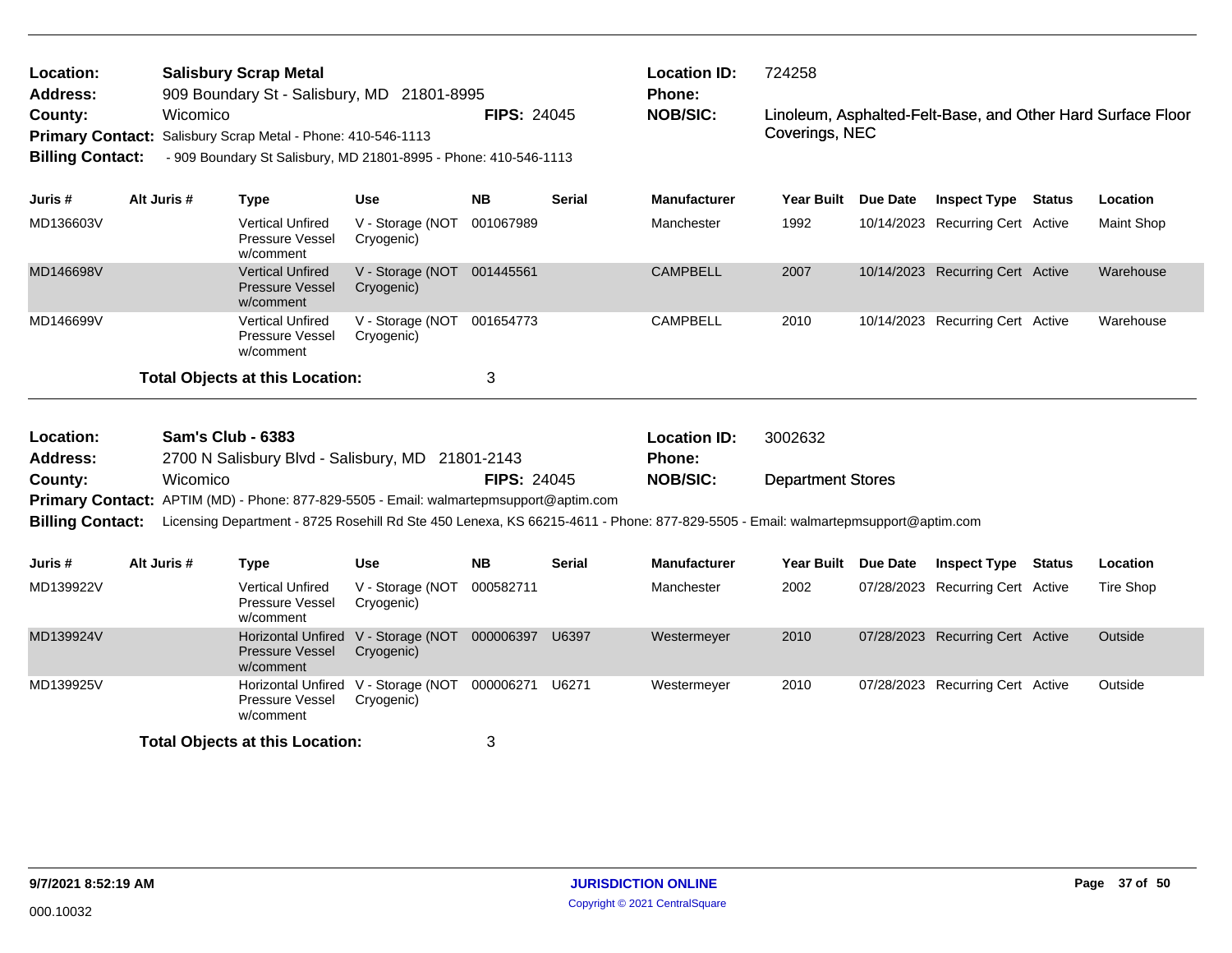| Location:<br><b>Address:</b> | <b>Salisbury Scrap Metal</b><br>909 Boundary St - Salisbury, MD 21801-8995<br>Wicomico |                          |                                                                                        |                                                   | <b>Location ID:</b><br>724258<br>Phone:<br><b>FIPS: 24045</b><br>Linoleum, Asphalted-Felt-Base, and Other Hard Surface Floor |               |                                                                                                                                  |                          |          |                                  |        |                  |
|------------------------------|----------------------------------------------------------------------------------------|--------------------------|----------------------------------------------------------------------------------------|---------------------------------------------------|------------------------------------------------------------------------------------------------------------------------------|---------------|----------------------------------------------------------------------------------------------------------------------------------|--------------------------|----------|----------------------------------|--------|------------------|
| County:                      |                                                                                        |                          |                                                                                        |                                                   |                                                                                                                              |               | <b>NOB/SIC:</b>                                                                                                                  |                          |          |                                  |        |                  |
| <b>Primary Contact:</b>      |                                                                                        |                          | Salisbury Scrap Metal - Phone: 410-546-1113                                            |                                                   |                                                                                                                              |               |                                                                                                                                  | Coverings, NEC           |          |                                  |        |                  |
| <b>Billing Contact:</b>      |                                                                                        |                          | - 909 Boundary St Salisbury, MD 21801-8995 - Phone: 410-546-1113                       |                                                   |                                                                                                                              |               |                                                                                                                                  |                          |          |                                  |        |                  |
|                              |                                                                                        |                          |                                                                                        |                                                   |                                                                                                                              |               |                                                                                                                                  |                          |          |                                  |        |                  |
| Juris #                      |                                                                                        | Alt Juris #              | <b>Type</b>                                                                            | <b>Use</b>                                        | <b>NB</b>                                                                                                                    | <b>Serial</b> | <b>Manufacturer</b>                                                                                                              | <b>Year Built</b>        | Due Date | <b>Inspect Type</b>              | Status | Location         |
| MD136603V                    |                                                                                        |                          | <b>Vertical Unfired</b><br>Pressure Vessel<br>w/comment                                | V - Storage (NOT<br>Cryogenic)                    | 001067989                                                                                                                    |               | Manchester                                                                                                                       | 1992                     |          | 10/14/2023 Recurring Cert Active |        | Maint Shop       |
| MD146698V                    |                                                                                        |                          | <b>Vertical Unfired</b><br><b>Pressure Vessel</b><br>w/comment                         | V - Storage (NOT<br>Cryogenic)                    | 001445561                                                                                                                    |               | <b>CAMPBELL</b>                                                                                                                  | 2007                     |          | 10/14/2023 Recurring Cert Active |        | Warehouse        |
| MD146699V                    |                                                                                        |                          | <b>Vertical Unfired</b><br>Pressure Vessel<br>w/comment                                | V - Storage (NOT<br>Cryogenic)                    | 001654773                                                                                                                    |               | <b>CAMPBELL</b>                                                                                                                  | 2010                     |          | 10/14/2023 Recurring Cert Active |        | Warehouse        |
|                              |                                                                                        |                          | <b>Total Objects at this Location:</b>                                                 |                                                   | 3                                                                                                                            |               |                                                                                                                                  |                          |          |                                  |        |                  |
| Location:                    |                                                                                        | <b>Sam's Club - 6383</b> |                                                                                        |                                                   |                                                                                                                              |               | <b>Location ID:</b>                                                                                                              | 3002632                  |          |                                  |        |                  |
| <b>Address:</b>              |                                                                                        |                          | 2700 N Salisbury Blvd - Salisbury, MD 21801-2143                                       |                                                   |                                                                                                                              |               | <b>Phone:</b>                                                                                                                    |                          |          |                                  |        |                  |
| County:                      |                                                                                        | Wicomico                 |                                                                                        |                                                   | <b>FIPS: 24045</b>                                                                                                           |               | <b>NOB/SIC:</b>                                                                                                                  | <b>Department Stores</b> |          |                                  |        |                  |
|                              |                                                                                        |                          | Primary Contact: APTIM (MD) - Phone: 877-829-5505 - Email: walmartepmsupport@aptim.com |                                                   |                                                                                                                              |               |                                                                                                                                  |                          |          |                                  |        |                  |
| <b>Billing Contact:</b>      |                                                                                        |                          |                                                                                        |                                                   |                                                                                                                              |               | Licensing Department - 8725 Rosehill Rd Ste 450 Lenexa, KS 66215-4611 - Phone: 877-829-5505 - Email: walmartepmsupport@aptim.com |                          |          |                                  |        |                  |
| Juris #                      |                                                                                        | Alt Juris #              | <b>Type</b>                                                                            | <b>Use</b>                                        | <b>NB</b>                                                                                                                    | <b>Serial</b> | <b>Manufacturer</b>                                                                                                              | <b>Year Built</b>        | Due Date | <b>Inspect Type</b>              | Status | Location         |
| MD139922V                    |                                                                                        |                          | <b>Vertical Unfired</b><br><b>Pressure Vessel</b><br>w/comment                         | V - Storage (NOT<br>Cryogenic)                    | 000582711                                                                                                                    |               | Manchester                                                                                                                       | 2002                     |          | 07/28/2023 Recurring Cert Active |        | <b>Tire Shop</b> |
| MD139924V                    |                                                                                        |                          | <b>Pressure Vessel</b><br>w/comment                                                    | Horizontal Unfired V - Storage (NOT<br>Cryogenic) | 000006397                                                                                                                    | U6397         | Westermeyer                                                                                                                      | 2010                     |          | 07/28/2023 Recurring Cert Active |        | Outside          |
| MD139925V                    |                                                                                        |                          | Pressure Vessel<br>w/comment                                                           | Horizontal Unfired V - Storage (NOT<br>Cryogenic) | 000006271                                                                                                                    | U6271         | Westermeyer                                                                                                                      | 2010                     |          | 07/28/2023 Recurring Cert Active |        | Outside          |
|                              |                                                                                        |                          | <b>Total Objects at this Location:</b>                                                 |                                                   | 3                                                                                                                            |               |                                                                                                                                  |                          |          |                                  |        |                  |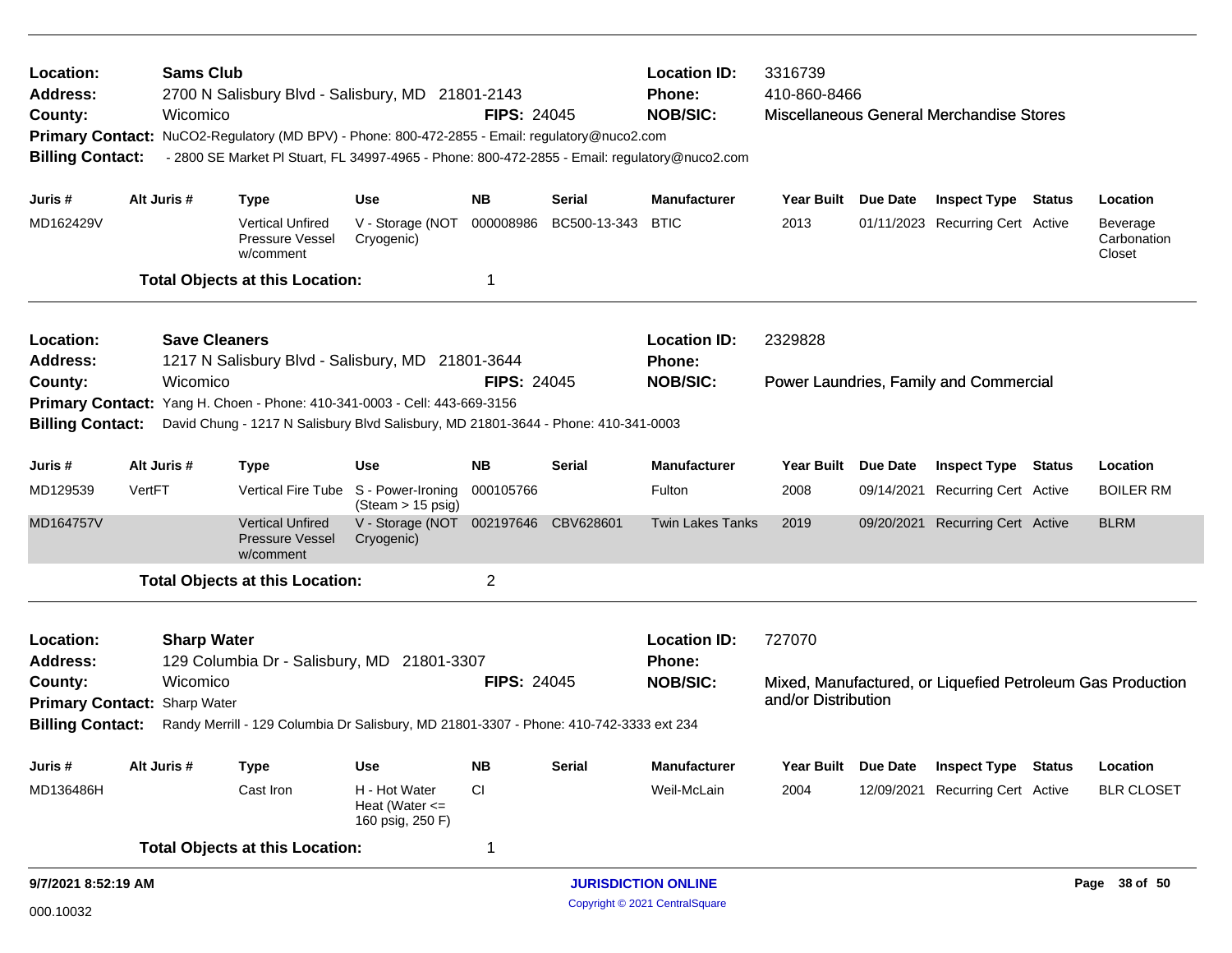| Location:<br>Address:<br>County:<br><b>Billing Contact:</b>                                                                                                                        |        | <b>Sams Club</b><br>Wicomico                             | 2700 N Salisbury Blvd - Salisbury, MD 21801-2143<br>Primary Contact: NuCO2-Regulatory (MD BPV) - Phone: 800-472-2855 - Email: regulatory@nuco2.com<br>- 2800 SE Market PI Stuart, FL 34997-4965 - Phone: 800-472-2855 - Email: regulatory@nuco2.com |                                                                     | <b>FIPS: 24045</b> |                     | <b>Location ID:</b><br>Phone:<br><b>NOB/SIC:</b> | 3316739<br>410-860-8466   |                 | Miscellaneous General Merchandise Stores                       |                                                            |
|------------------------------------------------------------------------------------------------------------------------------------------------------------------------------------|--------|----------------------------------------------------------|-----------------------------------------------------------------------------------------------------------------------------------------------------------------------------------------------------------------------------------------------------|---------------------------------------------------------------------|--------------------|---------------------|--------------------------------------------------|---------------------------|-----------------|----------------------------------------------------------------|------------------------------------------------------------|
| Juris #                                                                                                                                                                            |        | Alt Juris #                                              | <b>Type</b>                                                                                                                                                                                                                                         | Use                                                                 | <b>NB</b>          | Serial              | <b>Manufacturer</b>                              | Year Built Due Date       |                 | <b>Inspect Type Status</b>                                     | Location                                                   |
| MD162429V                                                                                                                                                                          |        |                                                          | <b>Vertical Unfired</b><br>Pressure Vessel<br>w/comment                                                                                                                                                                                             | V - Storage (NOT<br>Cryogenic)                                      | 000008986          | BC500-13-343        | <b>BTIC</b>                                      | 2013                      |                 | 01/11/2023 Recurring Cert Active                               | Beverage<br>Carbonation<br>Closet                          |
|                                                                                                                                                                                    |        |                                                          | <b>Total Objects at this Location:</b>                                                                                                                                                                                                              |                                                                     | 1                  |                     |                                                  |                           |                 |                                                                |                                                            |
| Location:<br><b>Address:</b><br>County:                                                                                                                                            |        | <b>Save Cleaners</b><br>Wicomico                         | 1217 N Salisbury Blvd - Salisbury, MD 21801-3644                                                                                                                                                                                                    |                                                                     | <b>FIPS: 24045</b> |                     | <b>Location ID:</b><br>Phone:<br><b>NOB/SIC:</b> | 2329828                   |                 | Power Laundries, Family and Commercial                         |                                                            |
| <b>Primary Contact:</b>                                                                                                                                                            |        | Yang H. Choen - Phone: 410-341-0003 - Cell: 443-669-3156 |                                                                                                                                                                                                                                                     |                                                                     |                    |                     |                                                  |                           |                 |                                                                |                                                            |
| <b>Billing Contact:</b>                                                                                                                                                            |        |                                                          | David Chung - 1217 N Salisbury Blvd Salisbury, MD 21801-3644 - Phone: 410-341-0003                                                                                                                                                                  |                                                                     |                    |                     |                                                  |                           |                 |                                                                |                                                            |
| Juris #                                                                                                                                                                            |        | Alt Juris #                                              | <b>Type</b>                                                                                                                                                                                                                                         | Use                                                                 | <b>NB</b>          | <b>Serial</b>       | <b>Manufacturer</b>                              | <b>Year Built</b>         | <b>Due Date</b> | <b>Inspect Type Status</b>                                     | Location                                                   |
| MD129539                                                                                                                                                                           | VertFT |                                                          |                                                                                                                                                                                                                                                     | Vertical Fire Tube S - Power-Ironing<br>$(Steam > 15 \text{ psig})$ | 000105766          |                     | Fulton                                           | 2008                      |                 | 09/14/2021 Recurring Cert Active                               | <b>BOILER RM</b>                                           |
| MD164757V                                                                                                                                                                          |        |                                                          | <b>Vertical Unfired</b><br><b>Pressure Vessel</b><br>w/comment                                                                                                                                                                                      | V - Storage (NOT<br>Cryogenic)                                      |                    | 002197646 CBV628601 | <b>Twin Lakes Tanks</b>                          | 2019                      |                 | 09/20/2021 Recurring Cert Active                               | <b>BLRM</b>                                                |
|                                                                                                                                                                                    |        |                                                          | <b>Total Objects at this Location:</b>                                                                                                                                                                                                              |                                                                     | $\overline{2}$     |                     |                                                  |                           |                 |                                                                |                                                            |
| Location:<br><b>Address:</b>                                                                                                                                                       |        | <b>Sharp Water</b>                                       | 129 Columbia Dr - Salisbury, MD 21801-3307                                                                                                                                                                                                          |                                                                     |                    |                     | <b>Location ID:</b><br><b>Phone:</b>             | 727070                    |                 |                                                                |                                                            |
| Wicomico<br>County:<br><b>Primary Contact:</b><br>Sharp Water<br><b>Billing Contact:</b><br>Randy Merrill - 129 Columbia Dr Salisbury, MD 21801-3307 - Phone: 410-742-3333 ext 234 |        |                                                          |                                                                                                                                                                                                                                                     |                                                                     | <b>FIPS: 24045</b> |                     | <b>NOB/SIC:</b>                                  | and/or Distribution       |                 |                                                                | Mixed, Manufactured, or Liquefied Petroleum Gas Production |
|                                                                                                                                                                                    |        |                                                          |                                                                                                                                                                                                                                                     |                                                                     |                    |                     |                                                  |                           |                 |                                                                |                                                            |
| Juris#<br>MD136486H                                                                                                                                                                |        | Alt Juris #                                              | Type<br>Cast Iron                                                                                                                                                                                                                                   | Use<br>H - Hot Water<br>Heat (Water $\leq$<br>160 psig, 250 F)      | <b>NB</b><br>CI    | <b>Serial</b>       | Manufacturer<br>Weil-McLain                      | <b>Year Built</b><br>2004 | <b>Due Date</b> | <b>Inspect Type Status</b><br>12/09/2021 Recurring Cert Active | Location<br><b>BLR CLOSET</b>                              |
|                                                                                                                                                                                    |        |                                                          | <b>Total Objects at this Location:</b>                                                                                                                                                                                                              |                                                                     | 1                  |                     |                                                  |                           |                 |                                                                |                                                            |
| 9/7/2021 8:52:19 AM                                                                                                                                                                |        |                                                          |                                                                                                                                                                                                                                                     |                                                                     |                    |                     | <b>JURISDICTION ONLINE</b>                       |                           |                 |                                                                | Page 38 of 50                                              |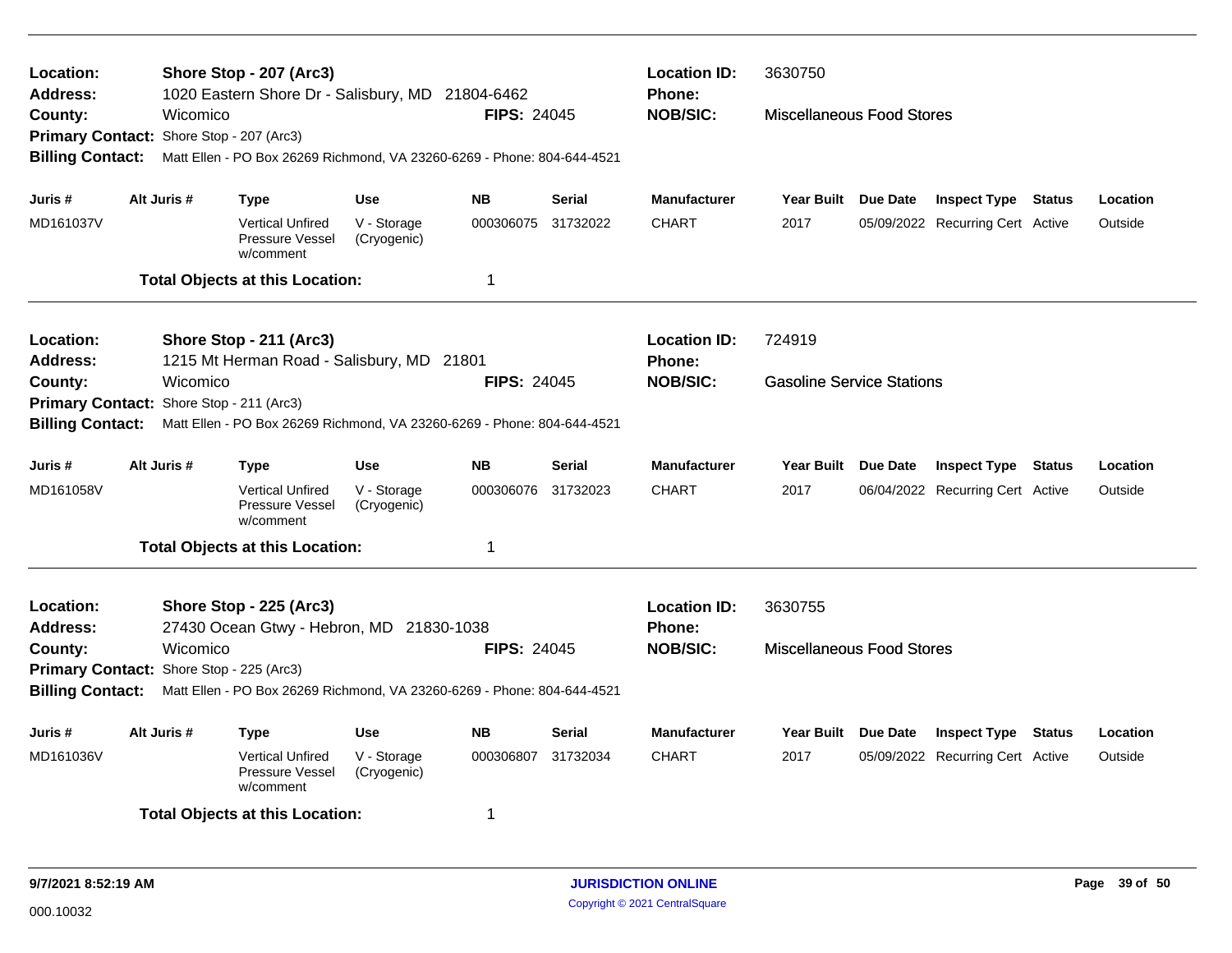| Location:<br><b>Address:</b><br>County:                                                                                                                                                                                                                 |                                                                                                    | Shore Stop - 207 (Arc3) |                                                                                                                                                           |                            |                    | <b>Location ID:</b><br>Phone: | 3630750             |         |                                                                                                                                                                                                                                                                                                                                                                                        |  |  |          |  |  |
|---------------------------------------------------------------------------------------------------------------------------------------------------------------------------------------------------------------------------------------------------------|----------------------------------------------------------------------------------------------------|-------------------------|-----------------------------------------------------------------------------------------------------------------------------------------------------------|----------------------------|--------------------|-------------------------------|---------------------|---------|----------------------------------------------------------------------------------------------------------------------------------------------------------------------------------------------------------------------------------------------------------------------------------------------------------------------------------------------------------------------------------------|--|--|----------|--|--|
| 1020 Eastern Shore Dr - Salisbury, MD 21804-6462<br><b>NOB/SIC:</b><br>Wicomico<br><b>FIPS: 24045</b><br>Primary Contact: Shore Stop - 207 (Arc3)<br><b>Billing Contact:</b><br>Matt Ellen - PO Box 26269 Richmond, VA 23260-6269 - Phone: 804-644-4521 |                                                                                                    |                         |                                                                                                                                                           |                            |                    |                               |                     |         |                                                                                                                                                                                                                                                                                                                                                                                        |  |  |          |  |  |
|                                                                                                                                                                                                                                                         |                                                                                                    |                         |                                                                                                                                                           |                            |                    |                               |                     |         |                                                                                                                                                                                                                                                                                                                                                                                        |  |  |          |  |  |
|                                                                                                                                                                                                                                                         |                                                                                                    |                         | <b>Use</b><br><b>NB</b><br><b>Serial</b><br><b>Manufacturer</b><br><b>Type</b><br>Year Built Due Date<br><b>Inspect Type Status</b><br>000306075 31732022 |                            |                    |                               |                     |         |                                                                                                                                                                                                                                                                                                                                                                                        |  |  |          |  |  |
| Juris #                                                                                                                                                                                                                                                 |                                                                                                    | Alt Juris #             |                                                                                                                                                           |                            |                    |                               |                     |         |                                                                                                                                                                                                                                                                                                                                                                                        |  |  | Location |  |  |
| MD161037V                                                                                                                                                                                                                                               |                                                                                                    |                         | <b>Vertical Unfired</b><br>Pressure Vessel<br>w/comment                                                                                                   | V - Storage<br>(Cryogenic) |                    |                               | <b>CHART</b>        | 2017    |                                                                                                                                                                                                                                                                                                                                                                                        |  |  | Outside  |  |  |
|                                                                                                                                                                                                                                                         |                                                                                                    |                         | <b>Total Objects at this Location:</b>                                                                                                                    |                            | $\mathbf 1$        |                               |                     |         |                                                                                                                                                                                                                                                                                                                                                                                        |  |  |          |  |  |
| Location:                                                                                                                                                                                                                                               |                                                                                                    |                         | Shore Stop - 211 (Arc3)                                                                                                                                   |                            |                    |                               | <b>Location ID:</b> | 724919  |                                                                                                                                                                                                                                                                                                                                                                                        |  |  |          |  |  |
| <b>Address:</b>                                                                                                                                                                                                                                         |                                                                                                    |                         | 1215 Mt Herman Road - Salisbury, MD 21801                                                                                                                 |                            |                    |                               | <b>Phone:</b>       |         |                                                                                                                                                                                                                                                                                                                                                                                        |  |  |          |  |  |
| County:                                                                                                                                                                                                                                                 |                                                                                                    | Wicomico                |                                                                                                                                                           |                            | <b>FIPS: 24045</b> |                               | <b>NOB/SIC:</b>     |         | <b>Miscellaneous Food Stores</b><br>05/09/2022 Recurring Cert Active<br><b>Gasoline Service Stations</b><br>Year Built Due Date<br><b>Inspect Type</b><br><b>Status</b><br>Location<br>06/04/2022 Recurring Cert Active<br>Outside<br><b>Miscellaneous Food Stores</b><br>Year Built Due Date<br><b>Inspect Type Status</b><br>Location<br>Outside<br>05/09/2022 Recurring Cert Active |  |  |          |  |  |
| Primary Contact: Shore Stop - 211 (Arc3)                                                                                                                                                                                                                |                                                                                                    |                         |                                                                                                                                                           |                            |                    |                               |                     |         |                                                                                                                                                                                                                                                                                                                                                                                        |  |  |          |  |  |
|                                                                                                                                                                                                                                                         | <b>Billing Contact:</b><br>Matt Ellen - PO Box 26269 Richmond, VA 23260-6269 - Phone: 804-644-4521 |                         |                                                                                                                                                           |                            |                    |                               |                     |         |                                                                                                                                                                                                                                                                                                                                                                                        |  |  |          |  |  |
| Juris #                                                                                                                                                                                                                                                 |                                                                                                    | Alt Juris #             | <b>Type</b>                                                                                                                                               | <b>Use</b>                 | <b>NB</b>          | Serial                        | <b>Manufacturer</b> |         |                                                                                                                                                                                                                                                                                                                                                                                        |  |  |          |  |  |
| MD161058V                                                                                                                                                                                                                                               |                                                                                                    |                         | <b>Vertical Unfired</b><br>Pressure Vessel<br>w/comment                                                                                                   | V - Storage<br>(Cryogenic) | 000306076          | 31732023                      | <b>CHART</b>        | 2017    |                                                                                                                                                                                                                                                                                                                                                                                        |  |  |          |  |  |
|                                                                                                                                                                                                                                                         |                                                                                                    |                         | <b>Total Objects at this Location:</b>                                                                                                                    |                            | 1                  |                               |                     |         |                                                                                                                                                                                                                                                                                                                                                                                        |  |  |          |  |  |
| Location:                                                                                                                                                                                                                                               |                                                                                                    |                         | Shore Stop - 225 (Arc3)                                                                                                                                   |                            |                    |                               | <b>Location ID:</b> | 3630755 |                                                                                                                                                                                                                                                                                                                                                                                        |  |  |          |  |  |
| <b>Address:</b>                                                                                                                                                                                                                                         |                                                                                                    |                         | 27430 Ocean Gtwy - Hebron, MD 21830-1038                                                                                                                  |                            |                    |                               | Phone:              |         |                                                                                                                                                                                                                                                                                                                                                                                        |  |  |          |  |  |
| County:                                                                                                                                                                                                                                                 |                                                                                                    | Wicomico                |                                                                                                                                                           |                            | <b>FIPS: 24045</b> |                               | <b>NOB/SIC:</b>     |         |                                                                                                                                                                                                                                                                                                                                                                                        |  |  |          |  |  |
| Primary Contact: Shore Stop - 225 (Arc3)                                                                                                                                                                                                                |                                                                                                    |                         |                                                                                                                                                           |                            |                    |                               |                     |         |                                                                                                                                                                                                                                                                                                                                                                                        |  |  |          |  |  |
| <b>Billing Contact:</b><br>Matt Ellen - PO Box 26269 Richmond, VA 23260-6269 - Phone: 804-644-4521                                                                                                                                                      |                                                                                                    |                         |                                                                                                                                                           |                            |                    |                               |                     |         |                                                                                                                                                                                                                                                                                                                                                                                        |  |  |          |  |  |
| Juris #                                                                                                                                                                                                                                                 |                                                                                                    | Alt Juris #             | <b>Type</b>                                                                                                                                               | <b>Use</b>                 | <b>NB</b>          | <b>Serial</b>                 | <b>Manufacturer</b> |         |                                                                                                                                                                                                                                                                                                                                                                                        |  |  |          |  |  |
| MD161036V                                                                                                                                                                                                                                               |                                                                                                    |                         | <b>Vertical Unfired</b><br>Pressure Vessel<br>w/comment                                                                                                   | V - Storage<br>(Cryogenic) | 000306807          | 31732034                      | <b>CHART</b>        | 2017    |                                                                                                                                                                                                                                                                                                                                                                                        |  |  |          |  |  |
| <b>Total Objects at this Location:</b><br>-1                                                                                                                                                                                                            |                                                                                                    |                         |                                                                                                                                                           |                            |                    |                               |                     |         |                                                                                                                                                                                                                                                                                                                                                                                        |  |  |          |  |  |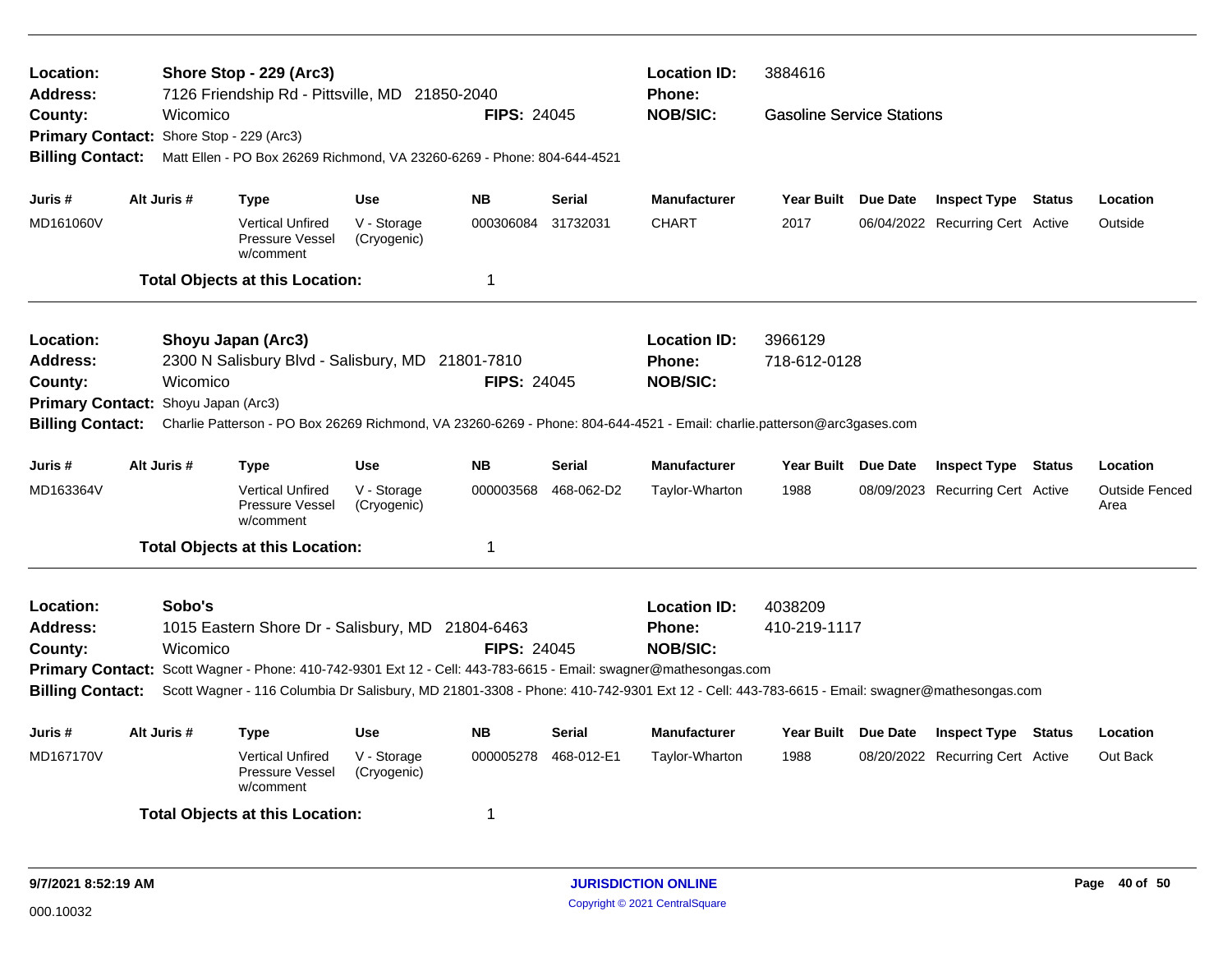| Location:<br><b>Address:</b>             |             |          | Shore Stop - 229 (Arc3)<br>7126 Friendship Rd - Pittsville, MD 21850-2040 |                            |                    |               | <b>Location ID:</b><br>Phone:                                                                                                              | 3884616                          |                                  |        |                               |
|------------------------------------------|-------------|----------|---------------------------------------------------------------------------|----------------------------|--------------------|---------------|--------------------------------------------------------------------------------------------------------------------------------------------|----------------------------------|----------------------------------|--------|-------------------------------|
| County:                                  |             | Wicomico |                                                                           |                            | <b>FIPS: 24045</b> |               | <b>NOB/SIC:</b>                                                                                                                            | <b>Gasoline Service Stations</b> |                                  |        |                               |
| Primary Contact: Shore Stop - 229 (Arc3) |             |          |                                                                           |                            |                    |               |                                                                                                                                            |                                  |                                  |        |                               |
| <b>Billing Contact:</b>                  |             |          | Matt Ellen - PO Box 26269 Richmond, VA 23260-6269 - Phone: 804-644-4521   |                            |                    |               |                                                                                                                                            |                                  |                                  |        |                               |
| Juris #                                  | Alt Juris # |          | <b>Type</b>                                                               | <b>Use</b>                 | <b>NB</b>          | <b>Serial</b> | <b>Manufacturer</b>                                                                                                                        | Year Built Due Date              | <b>Inspect Type Status</b>       |        | Location                      |
| MD161060V                                |             |          | <b>Vertical Unfired</b><br>Pressure Vessel<br>w/comment                   | V - Storage<br>(Cryogenic) | 000306084          | 31732031      | <b>CHART</b>                                                                                                                               | 2017                             | 06/04/2022 Recurring Cert Active |        | Outside                       |
|                                          |             |          | <b>Total Objects at this Location:</b>                                    |                            | $\mathbf 1$        |               |                                                                                                                                            |                                  |                                  |        |                               |
| Location:                                |             |          | Shoyu Japan (Arc3)                                                        |                            |                    |               | <b>Location ID:</b>                                                                                                                        | 3966129                          |                                  |        |                               |
| <b>Address:</b>                          |             |          | 2300 N Salisbury Blvd - Salisbury, MD 21801-7810                          |                            |                    |               | Phone:                                                                                                                                     | 718-612-0128                     |                                  |        |                               |
| County:                                  |             | Wicomico |                                                                           |                            | <b>FIPS: 24045</b> |               | <b>NOB/SIC:</b>                                                                                                                            |                                  |                                  |        |                               |
| Primary Contact: Shoyu Japan (Arc3)      |             |          |                                                                           |                            |                    |               |                                                                                                                                            |                                  |                                  |        |                               |
| <b>Billing Contact:</b>                  |             |          |                                                                           |                            |                    |               | Charlie Patterson - PO Box 26269 Richmond, VA 23260-6269 - Phone: 804-644-4521 - Email: charlie.patterson@arc3gases.com                    |                                  |                                  |        |                               |
| Juris #                                  | Alt Juris # |          | <b>Type</b>                                                               | <b>Use</b>                 | <b>NB</b>          | <b>Serial</b> | <b>Manufacturer</b>                                                                                                                        | Year Built Due Date              | <b>Inspect Type Status</b>       |        | Location                      |
| MD163364V                                |             |          | <b>Vertical Unfired</b><br>Pressure Vessel<br>w/comment                   | V - Storage<br>(Cryogenic) | 000003568          | 468-062-D2    | Taylor-Wharton                                                                                                                             | 1988                             | 08/09/2023 Recurring Cert Active |        | <b>Outside Fenced</b><br>Area |
|                                          |             |          | <b>Total Objects at this Location:</b>                                    |                            | -1                 |               |                                                                                                                                            |                                  |                                  |        |                               |
| Location:                                |             | Sobo's   |                                                                           |                            |                    |               | <b>Location ID:</b>                                                                                                                        | 4038209                          |                                  |        |                               |
| <b>Address:</b>                          |             |          | 1015 Eastern Shore Dr - Salisbury, MD 21804-6463                          |                            |                    |               | <b>Phone:</b>                                                                                                                              | 410-219-1117                     |                                  |        |                               |
| County:                                  |             | Wicomico |                                                                           |                            | <b>FIPS: 24045</b> |               | <b>NOB/SIC:</b>                                                                                                                            |                                  |                                  |        |                               |
|                                          |             |          |                                                                           |                            |                    |               | Primary Contact: Scott Wagner - Phone: 410-742-9301 Ext 12 - Cell: 443-783-6615 - Email: swagner@mathesongas.com                           |                                  |                                  |        |                               |
| <b>Billing Contact:</b>                  |             |          |                                                                           |                            |                    |               | Scott Wagner - 116 Columbia Dr Salisbury, MD 21801-3308 - Phone: 410-742-9301 Ext 12 - Cell: 443-783-6615 - Email: swagner@mathesongas.com |                                  |                                  |        |                               |
| Juris #                                  | Alt Juris # |          | <b>Type</b>                                                               | <b>Use</b>                 | <b>NB</b>          | <b>Serial</b> | <b>Manufacturer</b>                                                                                                                        | Year Built Due Date              | <b>Inspect Type</b>              | Status | Location                      |
| MD167170V                                |             |          | <b>Vertical Unfired</b><br>Pressure Vessel<br>w/comment                   | V - Storage<br>(Cryogenic) | 000005278          | 468-012-E1    | Taylor-Wharton                                                                                                                             | 1988                             | 08/20/2022 Recurring Cert Active |        | Out Back                      |
|                                          |             |          | <b>Total Objects at this Location:</b>                                    |                            | -1                 |               |                                                                                                                                            |                                  |                                  |        |                               |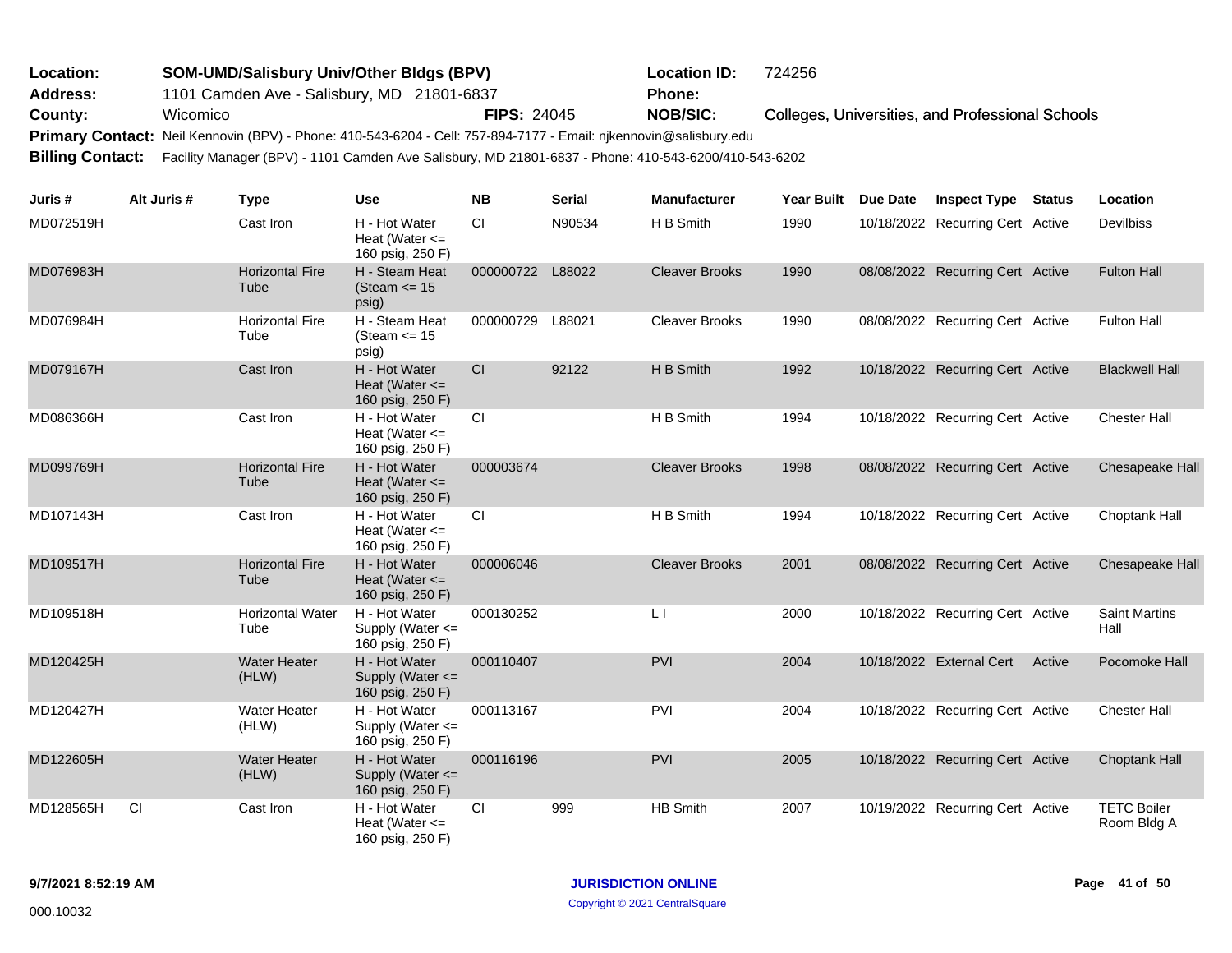| <b>Location:</b> | <b>SOM-UMD/Salisbury Univ/Other Bldgs (BPV)</b>                                                                       |                    | <b>Location ID:</b> | 724256                                           |
|------------------|-----------------------------------------------------------------------------------------------------------------------|--------------------|---------------------|--------------------------------------------------|
| <b>Address:</b>  | 1101 Camden Ave - Salisbury, MD 21801-6837                                                                            |                    | <b>Phone:</b>       |                                                  |
| County:          | Wicomico                                                                                                              | <b>FIPS: 24045</b> | <b>NOB/SIC:</b>     | Colleges, Universities, and Professional Schools |
|                  | Primary Contact: Neil Kennovin (BPV) - Phone: 410-543-6204 - Cell: 757-894-7177 - Email: njkennovin@salisbury.edu     |                    |                     |                                                  |
|                  | Billing Contact: Facility Manager (BPV) - 1101 Camden Ave Salisbury, MD 21801-6837 - Phone: 410-543-6200/410-543-6202 |                    |                     |                                                  |

| Juris #   | Alt Juris # | <b>Type</b>                     | Use                                                     | <b>NB</b> | <b>Serial</b> | <b>Manufacturer</b>     | <b>Year Built</b> | Due Date | <b>Inspect Type</b>              | <b>Status</b> | Location                          |
|-----------|-------------|---------------------------------|---------------------------------------------------------|-----------|---------------|-------------------------|-------------------|----------|----------------------------------|---------------|-----------------------------------|
| MD072519H |             | Cast Iron                       | H - Hot Water<br>Heat (Water $\leq$<br>160 psig, 250 F) | <b>CI</b> | N90534        | H B Smith               | 1990              |          | 10/18/2022 Recurring Cert Active |               | <b>Devilbiss</b>                  |
| MD076983H |             | <b>Horizontal Fire</b><br>Tube  | H - Steam Heat<br>(Steam $\le$ 15<br>psig)              | 000000722 | L88022        | <b>Cleaver Brooks</b>   | 1990              |          | 08/08/2022 Recurring Cert Active |               | <b>Fulton Hall</b>                |
| MD076984H |             | <b>Horizontal Fire</b><br>Tube  | H - Steam Heat<br>(Steam $\le$ 15<br>psig)              | 000000729 | L88021        | <b>Cleaver Brooks</b>   | 1990              |          | 08/08/2022 Recurring Cert Active |               | <b>Fulton Hall</b>                |
| MD079167H |             | Cast Iron                       | H - Hot Water<br>Heat (Water $\leq$<br>160 psig, 250 F) | CI        | 92122         | H B Smith               | 1992              |          | 10/18/2022 Recurring Cert Active |               | <b>Blackwell Hall</b>             |
| MD086366H |             | Cast Iron                       | H - Hot Water<br>Heat (Water $\leq$<br>160 psig, 250 F) | <b>CI</b> |               | H B Smith               | 1994              |          | 10/18/2022 Recurring Cert Active |               | <b>Chester Hall</b>               |
| MD099769H |             | <b>Horizontal Fire</b><br>Tube  | H - Hot Water<br>Heat (Water $\leq$<br>160 psig, 250 F) | 000003674 |               | <b>Cleaver Brooks</b>   | 1998              |          | 08/08/2022 Recurring Cert Active |               | Chesapeake Hall                   |
| MD107143H |             | Cast Iron                       | H - Hot Water<br>Heat (Water $\leq$<br>160 psig, 250 F) | <b>CI</b> |               | H B Smith               | 1994              |          | 10/18/2022 Recurring Cert Active |               | Choptank Hall                     |
| MD109517H |             | <b>Horizontal Fire</b><br>Tube  | H - Hot Water<br>Heat (Water $\leq$<br>160 psig, 250 F) | 000006046 |               | <b>Cleaver Brooks</b>   | 2001              |          | 08/08/2022 Recurring Cert Active |               | Chesapeake Hall                   |
| MD109518H |             | <b>Horizontal Water</b><br>Tube | H - Hot Water<br>Supply (Water <=<br>160 psig, 250 F)   | 000130252 |               | $\lfloor \cdot \rfloor$ | 2000              |          | 10/18/2022 Recurring Cert Active |               | <b>Saint Martins</b><br>Hall      |
| MD120425H |             | <b>Water Heater</b><br>(HLW)    | H - Hot Water<br>Supply (Water <=<br>160 psig, 250 F)   | 000110407 |               | PVI                     | 2004              |          | 10/18/2022 External Cert         | Active        | Pocomoke Hall                     |
| MD120427H |             | <b>Water Heater</b><br>(HLW)    | H - Hot Water<br>Supply (Water <=<br>160 psig, 250 F)   | 000113167 |               | <b>PVI</b>              | 2004              |          | 10/18/2022 Recurring Cert Active |               | <b>Chester Hall</b>               |
| MD122605H |             | <b>Water Heater</b><br>(HLW)    | H - Hot Water<br>Supply (Water <=<br>160 psig, 250 F)   | 000116196 |               | PVI                     | 2005              |          | 10/18/2022 Recurring Cert Active |               | <b>Choptank Hall</b>              |
| MD128565H | CI          | Cast Iron                       | H - Hot Water<br>Heat (Water $\leq$<br>160 psig, 250 F) | <b>CI</b> | 999           | <b>HB Smith</b>         | 2007              |          | 10/19/2022 Recurring Cert Active |               | <b>TETC Boiler</b><br>Room Bldg A |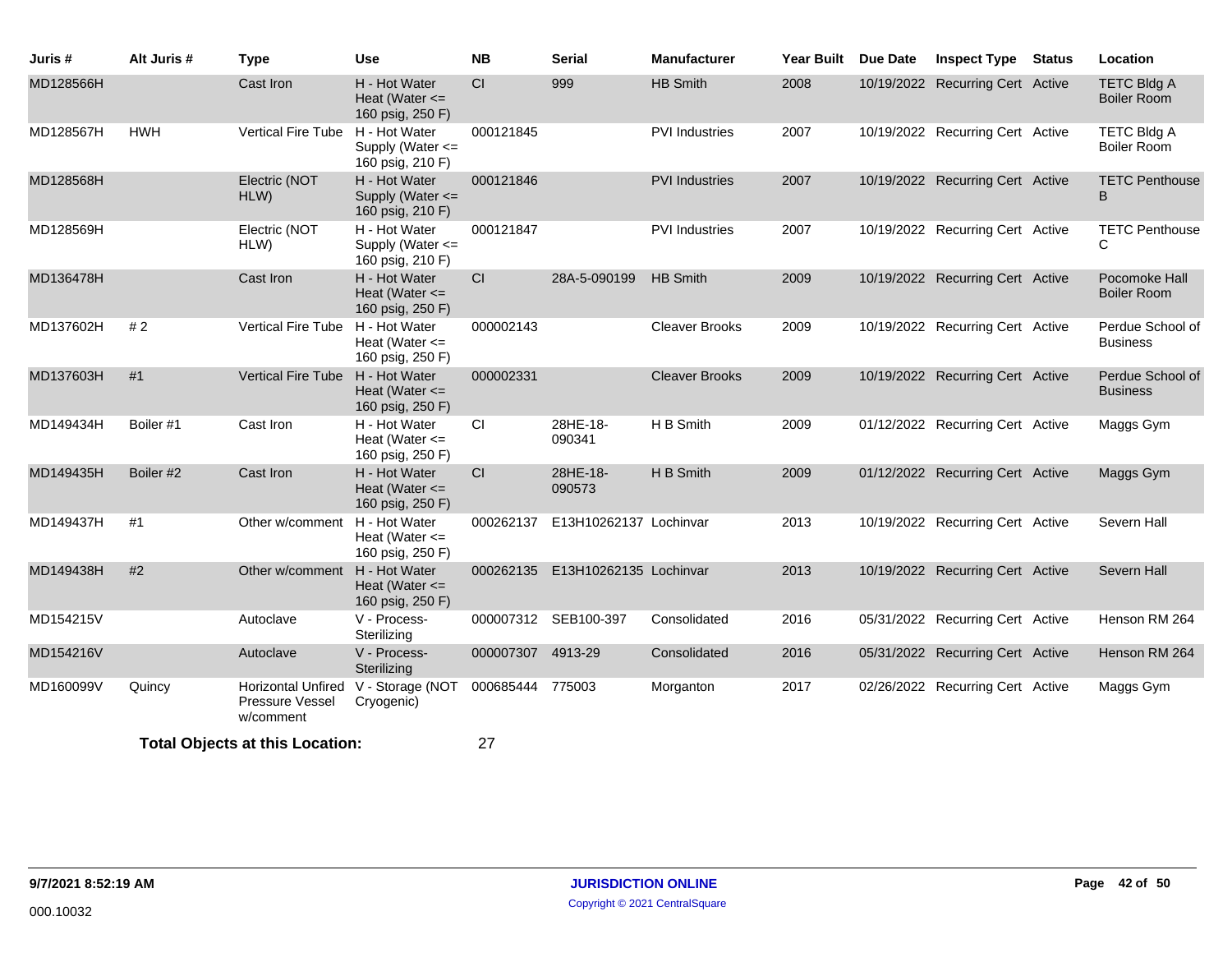| Juris #   | Alt Juris # | <b>Type</b>                                               | <b>Use</b>                                                | <b>NB</b>         | <b>Serial</b>                    | <b>Manufacturer</b>   | <b>Year Built</b> | <b>Due Date</b> | <b>Inspect Type</b>              | <b>Status</b> | Location                                 |
|-----------|-------------|-----------------------------------------------------------|-----------------------------------------------------------|-------------------|----------------------------------|-----------------------|-------------------|-----------------|----------------------------------|---------------|------------------------------------------|
| MD128566H |             | Cast Iron                                                 | H - Hot Water<br>Heat (Water $\leq$<br>160 psig, 250 F)   | CI                | 999                              | <b>HB Smith</b>       | 2008              |                 | 10/19/2022 Recurring Cert Active |               | <b>TETC Bldg A</b><br><b>Boiler Room</b> |
| MD128567H | <b>HWH</b>  | <b>Vertical Fire Tube</b>                                 | H - Hot Water<br>Supply (Water <=<br>160 psig, 210 F)     | 000121845         |                                  | <b>PVI</b> Industries | 2007              |                 | 10/19/2022 Recurring Cert Active |               | <b>TETC Bldg A</b><br><b>Boiler Room</b> |
| MD128568H |             | Electric (NOT<br>HLW)                                     | H - Hot Water<br>Supply (Water $\leq$<br>160 psig, 210 F) | 000121846         |                                  | <b>PVI</b> Industries | 2007              |                 | 10/19/2022 Recurring Cert Active |               | <b>TETC Penthouse</b><br>B               |
| MD128569H |             | Electric (NOT<br>HLW)                                     | H - Hot Water<br>Supply (Water <=<br>160 psig, 210 F)     | 000121847         |                                  | <b>PVI</b> Industries | 2007              |                 | 10/19/2022 Recurring Cert Active |               | <b>TETC Penthouse</b><br>C               |
| MD136478H |             | Cast Iron                                                 | H - Hot Water<br>Heat (Water $\leq$<br>160 psig, 250 F)   | <b>CI</b>         | 28A-5-090199                     | <b>HB Smith</b>       | 2009              |                 | 10/19/2022 Recurring Cert Active |               | Pocomoke Hall<br><b>Boiler Room</b>      |
| MD137602H | #2          | <b>Vertical Fire Tube</b>                                 | H - Hot Water<br>Heat (Water $\leq$<br>160 psig, 250 F)   | 000002143         |                                  | <b>Cleaver Brooks</b> | 2009              |                 | 10/19/2022 Recurring Cert Active |               | Perdue School of<br><b>Business</b>      |
| MD137603H | #1          | <b>Vertical Fire Tube</b>                                 | H - Hot Water<br>Heat (Water $\leq$<br>160 psig, 250 F)   | 000002331         |                                  | <b>Cleaver Brooks</b> | 2009              |                 | 10/19/2022 Recurring Cert Active |               | Perdue School of<br><b>Business</b>      |
| MD149434H | Boiler #1   | Cast Iron                                                 | H - Hot Water<br>Heat (Water $\leq$<br>160 psig, 250 F)   | CI.               | 28HE-18-<br>090341               | H B Smith             | 2009              |                 | 01/12/2022 Recurring Cert Active |               | Maggs Gym                                |
| MD149435H | Boiler #2   | Cast Iron                                                 | H - Hot Water<br>Heat (Water $\leq$<br>160 psig, 250 F)   | CI                | 28HE-18-<br>090573               | H B Smith             | 2009              |                 | 01/12/2022 Recurring Cert Active |               | Maggs Gym                                |
| MD149437H | #1          | Other w/comment                                           | H - Hot Water<br>Heat (Water $\leq$<br>160 psig, 250 F)   | 000262137         | E13H10262137 Lochinvar           |                       | 2013              |                 | 10/19/2022 Recurring Cert Active |               | Severn Hall                              |
| MD149438H | #2          | Other w/comment                                           | H - Hot Water<br>Heat (Water $\leq$<br>160 psig, 250 F)   |                   | 000262135 E13H10262135 Lochinvar |                       | 2013              |                 | 10/19/2022 Recurring Cert Active |               | Severn Hall                              |
| MD154215V |             | Autoclave                                                 | V - Process-<br>Sterilizing                               |                   | 000007312 SEB100-397             | Consolidated          | 2016              |                 | 05/31/2022 Recurring Cert Active |               | Henson RM 264                            |
| MD154216V |             | Autoclave                                                 | V - Process-<br>Sterilizing                               | 000007307 4913-29 |                                  | Consolidated          | 2016              |                 | 05/31/2022 Recurring Cert Active |               | Henson RM 264                            |
| MD160099V | Quincy      | <b>Horizontal Unfired</b><br>Pressure Vessel<br>w/comment | V - Storage (NOT<br>Cryogenic)                            | 000685444 775003  |                                  | Morganton             | 2017              |                 | 02/26/2022 Recurring Cert Active |               | Maggs Gym                                |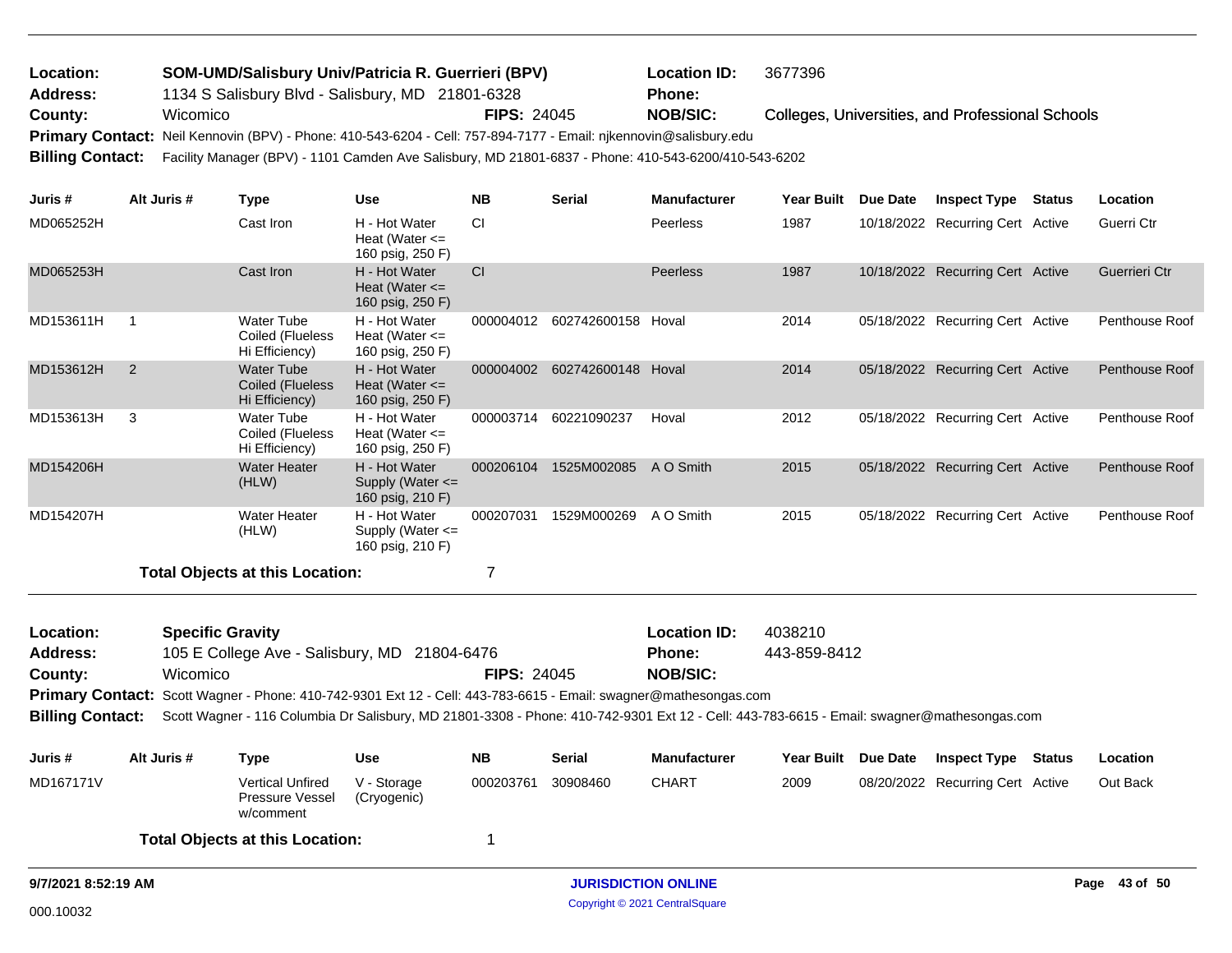|          |                    | <b>Location ID:</b>                                                                                    | 3677396                                                                                                                                                                                                                                    |
|----------|--------------------|--------------------------------------------------------------------------------------------------------|--------------------------------------------------------------------------------------------------------------------------------------------------------------------------------------------------------------------------------------------|
|          |                    | <b>Phone:</b>                                                                                          |                                                                                                                                                                                                                                            |
| Wicomico | <b>FIPS: 24045</b> | <b>NOB/SIC:</b>                                                                                        | Colleges, Universities, and Professional Schools                                                                                                                                                                                           |
|          |                    |                                                                                                        |                                                                                                                                                                                                                                            |
|          |                    |                                                                                                        |                                                                                                                                                                                                                                            |
|          |                    | SOM-UMD/Salisbury Univ/Patricia R. Guerrieri (BPV)<br>1134 S Salisbury Blvd - Salisbury, MD 21801-6328 | Primary Contact: Neil Kennovin (BPV) - Phone: 410-543-6204 - Cell: 757-894-7177 - Email: njkennovin@salisbury.edu<br>Billing Contact: Facility Manager (BPV) - 1101 Camden Ave Salisbury, MD 21801-6837 - Phone: 410-543-6200/410-543-6202 |

| Juris #   | Alt Juris # | Type                                                    | <b>Use</b>                                                | <b>NB</b> | <b>Serial</b>      | <b>Manufacturer</b> | Year Built | Due Date   | <b>Inspect Type</b>              | Status | Location       |
|-----------|-------------|---------------------------------------------------------|-----------------------------------------------------------|-----------|--------------------|---------------------|------------|------------|----------------------------------|--------|----------------|
| MD065252H |             | Cast Iron                                               | H - Hot Water<br>Heat (Water $\leq$<br>160 psig, 250 F)   | <b>CI</b> |                    | <b>Peerless</b>     | 1987       |            | 10/18/2022 Recurring Cert Active |        | Guerri Ctr     |
| MD065253H |             | Cast Iron                                               | H - Hot Water<br>Heat (Water $\leq$<br>160 psig, 250 F)   | CI        |                    | Peerless            | 1987       |            | 10/18/2022 Recurring Cert Active |        | Guerrieri Ctr  |
| MD153611H |             | Water Tube<br>Coiled (Flueless<br>Hi Efficiency)        | H - Hot Water<br>Heat (Water $\leq$<br>160 psig, 250 F)   | 000004012 | 602742600158       | Hoval               | 2014       | 05/18/2022 | <b>Recurring Cert Active</b>     |        | Penthouse Roof |
| MD153612H | 2           | <b>Water Tube</b><br>Coiled (Flueless<br>Hi Efficiency) | H - Hot Water<br>Heat (Water $\leq$<br>160 psig, 250 F)   | 000004002 | 602742600148 Hoval |                     | 2014       |            | 05/18/2022 Recurring Cert Active |        | Penthouse Roof |
| MD153613H | 3           | Water Tube<br>Coiled (Flueless<br>Hi Efficiency)        | H - Hot Water<br>Heat (Water $\leq$<br>160 psig, 250 F)   | 000003714 | 60221090237        | Hoval               | 2012       |            | 05/18/2022 Recurring Cert Active |        | Penthouse Roof |
| MD154206H |             | <b>Water Heater</b><br>(HLW)                            | H - Hot Water<br>Supply (Water $\leq$<br>160 psig, 210 F) | 000206104 | 1525M002085        | A O Smith           | 2015       |            | 05/18/2022 Recurring Cert Active |        | Penthouse Roof |
| MD154207H |             | Water Heater<br>(HLW)                                   | H - Hot Water<br>Supply (Water $\leq$<br>160 psig, 210 F) | 000207031 | 1529M000269        | A O Smith           | 2015       |            | 05/18/2022 Recurring Cert Active |        | Penthouse Roof |
|           |             | Total Objects at this Location:                         |                                                           |           |                    |                     |            |            |                                  |        |                |

105 E College Ave - Salisbury, MD 21804-6476 **County:** Wicomico **NOB/SIC: FIPS:** 24045 Primary Contact: Scott Wagner - Phone: 410-742-9301 Ext 12 - Cell: 443-783-6615 - Email: swagner@mathesongas.com **Billing Contact:** Scott Wagner - 116 Columbia Dr Salisbury, MD 21801-3308 - Phone: 410-742-9301 Ext 12 - Cell: 443-783-6615 - Email: swagner@mathesongas.com **Specific Gravity Location ID:** 4038210 **Address: Location: Phone:** 443-859-8412 **Juris # Alt Juris # Type Use NB Serial Manufacturer Year Built Due Date Inspect Type Status Location**

| Juris #   | AIT JUITS $\overline{H}$ | l vpe                                            | use                        | NB        | serial   | manufacturer |      | rear Bullt Due Date | INSPECT TVDE                     | ้ Status | Location |
|-----------|--------------------------|--------------------------------------------------|----------------------------|-----------|----------|--------------|------|---------------------|----------------------------------|----------|----------|
| MD167171V |                          | Vertical Unfired<br>Pressure Vessel<br>w/comment | V - Storage<br>(Cryogenic) | 000203761 | 30908460 | <b>CHART</b> | 2009 |                     | 08/20/2022 Recurring Cert Active |          | Out Back |
|           |                          | <b>Total Objects at this Location:</b>           |                            |           |          |              |      |                     |                                  |          |          |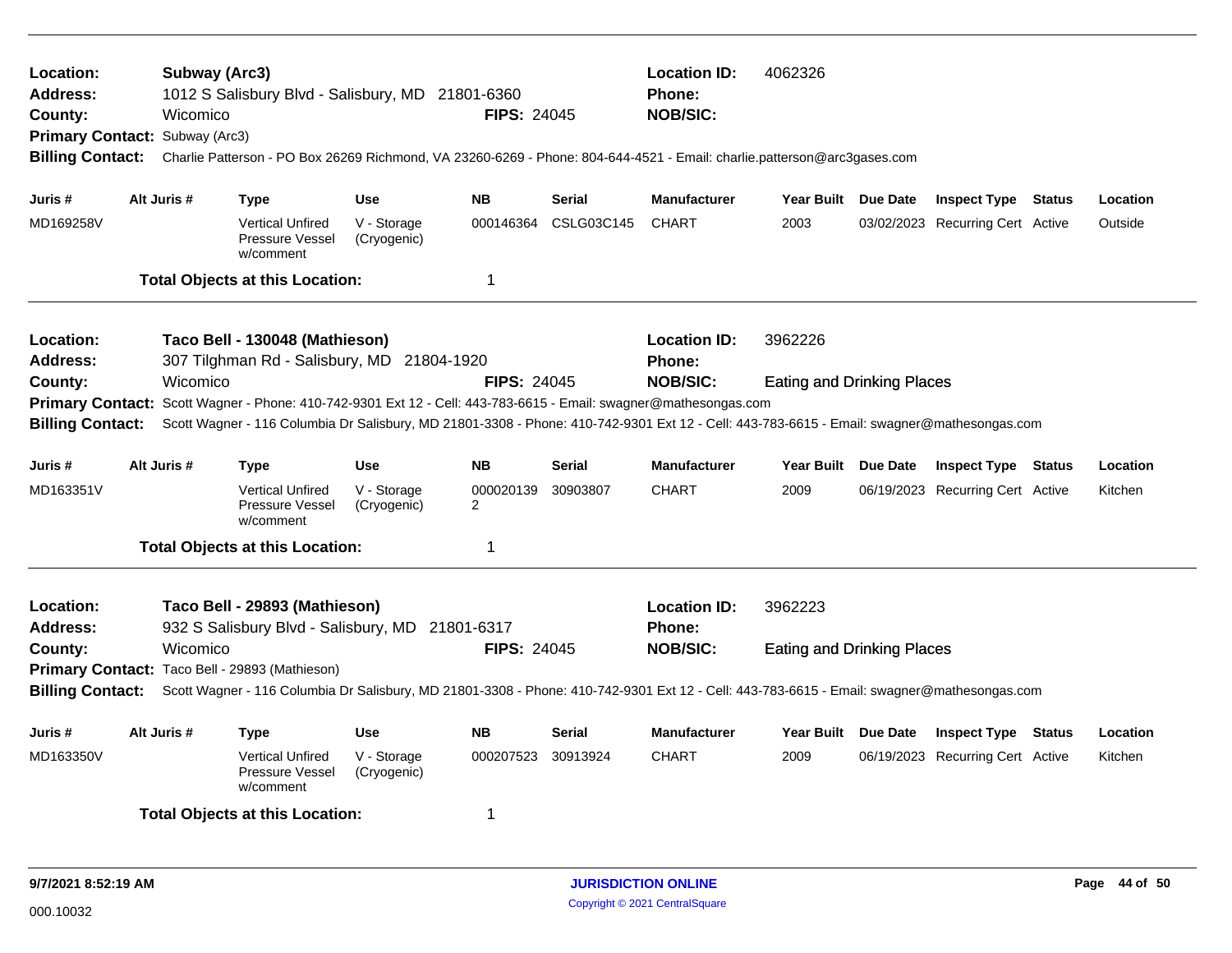| Location:<br><b>Address:</b><br>County:<br>Primary Contact: Subway (Arc3)<br><b>Billing Contact:</b>                                                                                                                                                                                                                    |             | Wicomico | Subway (Arc3)                                           | 1012 S Salisbury Blvd - Salisbury, MD 21801-6360<br>Charlie Patterson - PO Box 26269 Richmond, VA 23260-6269 - Phone: 804-644-4521 - Email: charlie.patterson@arc3gases.com                                                                   | <b>FIPS: 24045</b>          |                 | <b>Location ID:</b><br>Phone:<br><b>NOB/SIC:</b> | 4062326                           |                                  |        |          |
|-------------------------------------------------------------------------------------------------------------------------------------------------------------------------------------------------------------------------------------------------------------------------------------------------------------------------|-------------|----------|---------------------------------------------------------|-----------------------------------------------------------------------------------------------------------------------------------------------------------------------------------------------------------------------------------------------|-----------------------------|-----------------|--------------------------------------------------|-----------------------------------|----------------------------------|--------|----------|
| Juris #                                                                                                                                                                                                                                                                                                                 | Alt Juris # |          | Type                                                    | <b>Use</b>                                                                                                                                                                                                                                    | <b>NB</b>                   | <b>Serial</b>   | <b>Manufacturer</b>                              | Year Built Due Date               | <b>Inspect Type Status</b>       |        | Location |
| MD169258V                                                                                                                                                                                                                                                                                                               |             |          | <b>Vertical Unfired</b><br>Pressure Vessel<br>w/comment | V - Storage<br>(Cryogenic)                                                                                                                                                                                                                    | 000146364                   | CSLG03C145      | <b>CHART</b>                                     | 2003                              | 03/02/2023 Recurring Cert Active |        | Outside  |
|                                                                                                                                                                                                                                                                                                                         |             |          | <b>Total Objects at this Location:</b>                  |                                                                                                                                                                                                                                               | -1                          |                 |                                                  |                                   |                                  |        |          |
| Location:<br>Address:                                                                                                                                                                                                                                                                                                   |             |          | Taco Bell - 130048 (Mathieson)                          | 307 Tilghman Rd - Salisbury, MD 21804-1920                                                                                                                                                                                                    |                             |                 | <b>Location ID:</b><br><b>Phone:</b>             | 3962226                           |                                  |        |          |
| County:<br><b>Primary Contact:</b><br><b>Billing Contact:</b>                                                                                                                                                                                                                                                           |             | Wicomico |                                                         | Scott Wagner - Phone: 410-742-9301 Ext 12 - Cell: 443-783-6615 - Email: swagner@mathesongas.com<br>Scott Wagner - 116 Columbia Dr Salisbury, MD 21801-3308 - Phone: 410-742-9301 Ext 12 - Cell: 443-783-6615 - Email: swagner@mathesongas.com | <b>FIPS: 24045</b>          |                 | <b>NOB/SIC:</b>                                  | <b>Eating and Drinking Places</b> |                                  |        |          |
| Juris #                                                                                                                                                                                                                                                                                                                 | Alt Juris # |          | <b>Type</b>                                             | <b>Use</b>                                                                                                                                                                                                                                    | <b>NB</b>                   | <b>Serial</b>   | <b>Manufacturer</b>                              | Year Built Due Date               | <b>Inspect Type Status</b>       |        | Location |
| MD163351V                                                                                                                                                                                                                                                                                                               |             |          | <b>Vertical Unfired</b><br>Pressure Vessel<br>w/comment | V - Storage<br>(Cryogenic)                                                                                                                                                                                                                    | 000020139<br>$\overline{2}$ | 30903807        | <b>CHART</b>                                     | 2009                              | 06/19/2023 Recurring Cert Active |        | Kitchen  |
|                                                                                                                                                                                                                                                                                                                         |             |          | <b>Total Objects at this Location:</b>                  |                                                                                                                                                                                                                                               | $\mathbf 1$                 |                 |                                                  |                                   |                                  |        |          |
| Location:<br><b>Address:</b>                                                                                                                                                                                                                                                                                            |             |          | Taco Bell - 29893 (Mathieson)                           |                                                                                                                                                                                                                                               |                             |                 | <b>Location ID:</b><br><b>Phone:</b>             | 3962223                           |                                  |        |          |
| 932 S Salisbury Blvd - Salisbury, MD 21801-6317<br>Wicomico<br><b>FIPS: 24045</b><br>County:<br>Primary Contact: Taco Bell - 29893 (Mathieson)<br><b>Billing Contact:</b><br>Scott Wagner - 116 Columbia Dr Salisbury, MD 21801-3308 - Phone: 410-742-9301 Ext 12 - Cell: 443-783-6615 - Email: swagner@mathesongas.com |             |          |                                                         |                                                                                                                                                                                                                                               |                             | <b>NOB/SIC:</b> | <b>Eating and Drinking Places</b>                |                                   |                                  |        |          |
| Alt Juris #<br><b>NB</b><br>Juris #<br><b>Use</b><br><b>Type</b>                                                                                                                                                                                                                                                        |             |          |                                                         |                                                                                                                                                                                                                                               |                             | <b>Serial</b>   | <b>Manufacturer</b>                              | Year Built Due Date               | <b>Inspect Type</b>              | Status | Location |
| MD163350V                                                                                                                                                                                                                                                                                                               |             |          | <b>Vertical Unfired</b><br>Pressure Vessel<br>w/comment | V - Storage<br>(Cryogenic)                                                                                                                                                                                                                    | 000207523                   | 30913924        | <b>CHART</b>                                     | 2009                              | 06/19/2023 Recurring Cert Active |        | Kitchen  |
| <b>Total Objects at this Location:</b><br>-1                                                                                                                                                                                                                                                                            |             |          |                                                         |                                                                                                                                                                                                                                               |                             |                 |                                                  |                                   |                                  |        |          |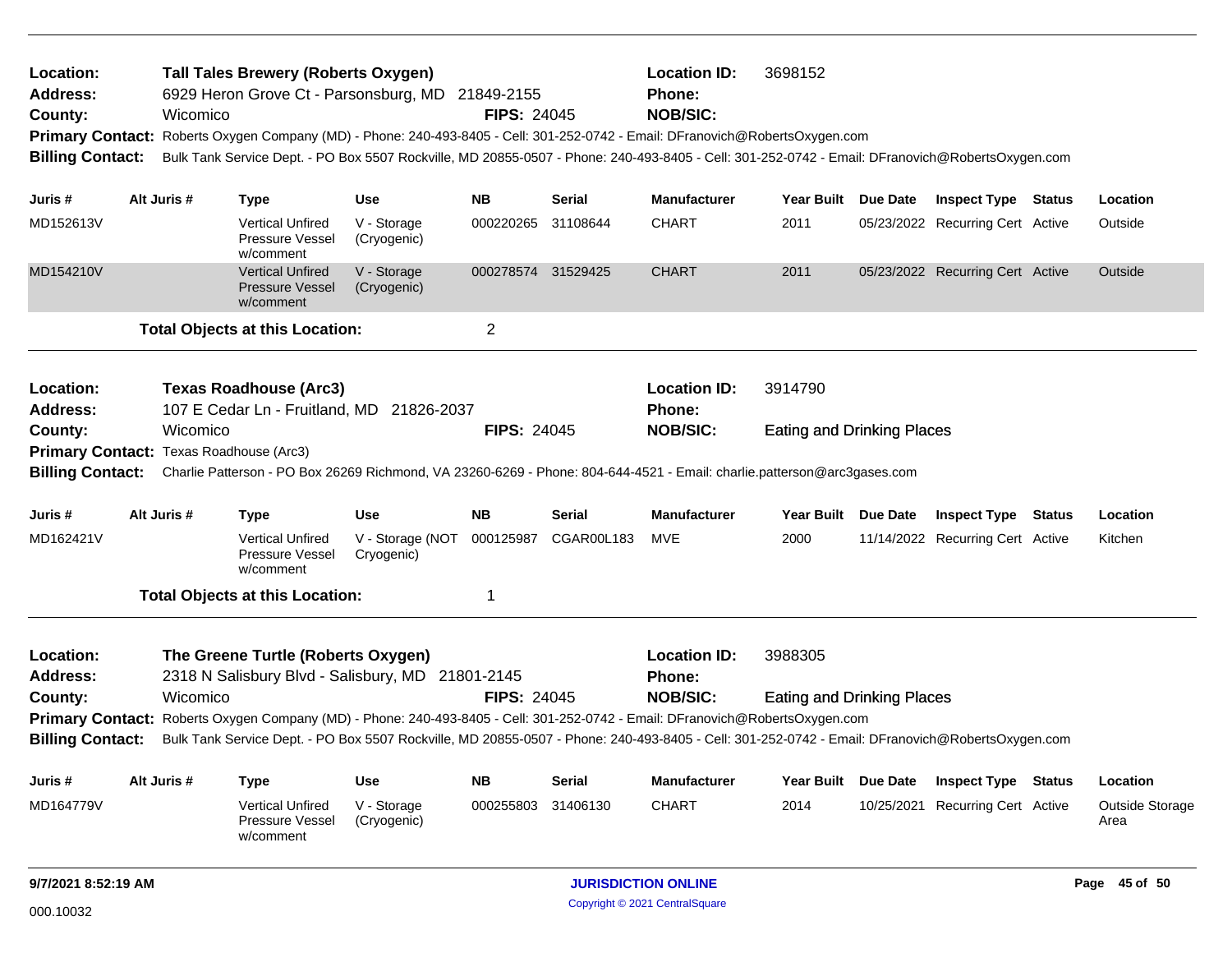| Location:<br>Address:<br>County:<br><b>Primary Contact:</b><br><b>Billing Contact:</b> | Wicomico    | <b>Tall Tales Brewery (Roberts Oxygen)</b><br>6929 Heron Grove Ct - Parsonsburg, MD 21849-2155<br>Roberts Oxygen Company (MD) - Phone: 240-493-8405 - Cell: 301-252-0742 - Email: DFranovich@RobertsOxygen.com<br>Bulk Tank Service Dept. - PO Box 5507 Rockville, MD 20855-0507 - Phone: 240-493-8405 - Cell: 301-252-0742 - Email: DFranovich@RobertsOxygen.com |                                | <b>FIPS: 24045</b> |               | <b>Location ID:</b><br>Phone:<br><b>NOB/SIC:</b> | 3698152                           |                                  |               |                         |
|----------------------------------------------------------------------------------------|-------------|-------------------------------------------------------------------------------------------------------------------------------------------------------------------------------------------------------------------------------------------------------------------------------------------------------------------------------------------------------------------|--------------------------------|--------------------|---------------|--------------------------------------------------|-----------------------------------|----------------------------------|---------------|-------------------------|
| Juris #                                                                                | Alt Juris # | Type                                                                                                                                                                                                                                                                                                                                                              | Use                            | <b>NB</b>          | Serial        | <b>Manufacturer</b>                              | Year Built Due Date               | <b>Inspect Type Status</b>       |               | Location                |
| MD152613V                                                                              |             | <b>Vertical Unfired</b><br><b>Pressure Vessel</b><br>w/comment                                                                                                                                                                                                                                                                                                    | V - Storage<br>(Cryogenic)     | 000220265          | 31108644      | <b>CHART</b>                                     | 2011                              | 05/23/2022 Recurring Cert Active |               | Outside                 |
| MD154210V                                                                              |             | <b>Vertical Unfired</b><br><b>Pressure Vessel</b><br>w/comment                                                                                                                                                                                                                                                                                                    | V - Storage<br>(Cryogenic)     | 000278574 31529425 |               | <b>CHART</b>                                     | 2011                              | 05/23/2022 Recurring Cert Active |               | Outside                 |
|                                                                                        |             | <b>Total Objects at this Location:</b>                                                                                                                                                                                                                                                                                                                            |                                | $\overline{2}$     |               |                                                  |                                   |                                  |               |                         |
| Location:<br><b>Address:</b>                                                           |             | <b>Texas Roadhouse (Arc3)</b><br>107 E Cedar Ln - Fruitland, MD 21826-2037                                                                                                                                                                                                                                                                                        |                                |                    |               | <b>Location ID:</b><br><b>Phone:</b>             | 3914790                           |                                  |               |                         |
| County:<br>Primary Contact: Texas Roadhouse (Arc3)<br><b>Billing Contact:</b>          | Wicomico    | Charlie Patterson - PO Box 26269 Richmond, VA 23260-6269 - Phone: 804-644-4521 - Email: charlie.patterson@arc3gases.com                                                                                                                                                                                                                                           |                                | <b>FIPS: 24045</b> |               | <b>NOB/SIC:</b>                                  | <b>Eating and Drinking Places</b> |                                  |               |                         |
| Juris #                                                                                | Alt Juris # | <b>Type</b>                                                                                                                                                                                                                                                                                                                                                       | <b>Use</b>                     | <b>NB</b>          | Serial        | <b>Manufacturer</b>                              | Year Built Due Date               | <b>Inspect Type Status</b>       |               | Location                |
| MD162421V                                                                              |             | <b>Vertical Unfired</b><br><b>Pressure Vessel</b><br>w/comment                                                                                                                                                                                                                                                                                                    | V - Storage (NOT<br>Cryogenic) | 000125987          | CGAR00L183    | MVE                                              | 2000                              | 11/14/2022 Recurring Cert Active |               | Kitchen                 |
|                                                                                        |             | <b>Total Objects at this Location:</b>                                                                                                                                                                                                                                                                                                                            |                                | 1                  |               |                                                  |                                   |                                  |               |                         |
| Location:<br><b>Address:</b>                                                           |             | The Greene Turtle (Roberts Oxygen)<br>2318 N Salisbury Blvd - Salisbury, MD 21801-2145                                                                                                                                                                                                                                                                            |                                |                    |               | <b>Location ID:</b><br><b>Phone:</b>             | 3988305                           |                                  |               |                         |
| County:                                                                                | Wicomico    |                                                                                                                                                                                                                                                                                                                                                                   |                                | <b>FIPS: 24045</b> |               | <b>NOB/SIC:</b>                                  | <b>Eating and Drinking Places</b> |                                  |               |                         |
| <b>Billing Contact:</b>                                                                |             | Primary Contact: Roberts Oxygen Company (MD) - Phone: 240-493-8405 - Cell: 301-252-0742 - Email: DFranovich@RobertsOxygen.com<br>Bulk Tank Service Dept. - PO Box 5507 Rockville, MD 20855-0507 - Phone: 240-493-8405 - Cell: 301-252-0742 - Email: DFranovich@RobertsOxygen.com                                                                                  |                                |                    |               |                                                  |                                   |                                  |               |                         |
| Juris #                                                                                | Alt Juris # | <b>Type</b>                                                                                                                                                                                                                                                                                                                                                       | <b>Use</b>                     | <b>NB</b>          | <b>Serial</b> | <b>Manufacturer</b>                              | Year Built Due Date               | <b>Inspect Type</b>              | <b>Status</b> | Location                |
| MD164779V                                                                              |             | <b>Vertical Unfired</b><br>Pressure Vessel<br>w/comment                                                                                                                                                                                                                                                                                                           | V - Storage<br>(Cryogenic)     | 000255803          | 31406130      | <b>CHART</b>                                     | 2014                              | 10/25/2021 Recurring Cert Active |               | Outside Storage<br>Area |
| 9/7/2021 8:52:19 AM                                                                    |             |                                                                                                                                                                                                                                                                                                                                                                   |                                |                    |               | <b>JURISDICTION ONLINE</b>                       |                                   |                                  |               | Page 45 of 50           |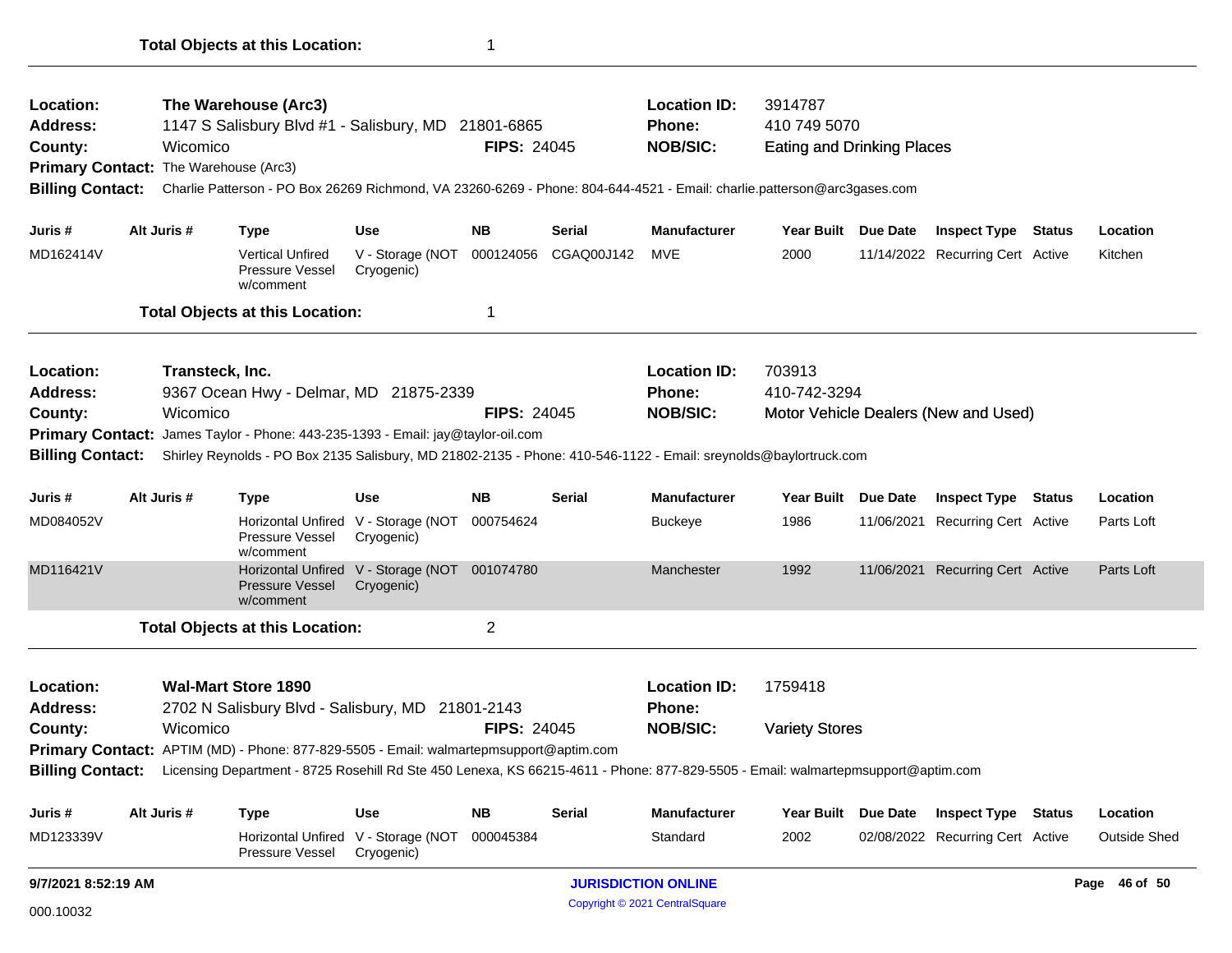| Location:<br>Address:<br>County:<br>Primary Contact: The Warehouse (Arc3)<br><b>Billing Contact:</b> |                                                                                                                                                                                                                                                                                   | Wicomico    | The Warehouse (Arc3)<br>1147 S Salisbury Blvd #1 - Salisbury, MD 21801-6865<br>Charlie Patterson - PO Box 26269 Richmond, VA 23260-6269 - Phone: 804-644-4521 - Email: charlie.patterson@arc3gases.com                            |                                                   | <b>Location ID:</b><br><b>Phone:</b><br><b>NOB/SIC:</b> | 3914787<br>410 749 5070<br><b>Eating and Drinking Places</b> |                                                         |                                                                |                     |                                  |  |                     |
|------------------------------------------------------------------------------------------------------|-----------------------------------------------------------------------------------------------------------------------------------------------------------------------------------------------------------------------------------------------------------------------------------|-------------|-----------------------------------------------------------------------------------------------------------------------------------------------------------------------------------------------------------------------------------|---------------------------------------------------|---------------------------------------------------------|--------------------------------------------------------------|---------------------------------------------------------|----------------------------------------------------------------|---------------------|----------------------------------|--|---------------------|
|                                                                                                      |                                                                                                                                                                                                                                                                                   |             |                                                                                                                                                                                                                                   |                                                   |                                                         |                                                              |                                                         |                                                                |                     |                                  |  |                     |
| Juris #                                                                                              |                                                                                                                                                                                                                                                                                   | Alt Juris # | <b>Type</b>                                                                                                                                                                                                                       | Use                                               | <b>NB</b>                                               | Serial                                                       | <b>Manufacturer</b>                                     | Year Built Due Date                                            |                     | <b>Inspect Type Status</b>       |  | Location            |
| MD162414V                                                                                            |                                                                                                                                                                                                                                                                                   |             | <b>Vertical Unfired</b><br>Pressure Vessel<br>w/comment                                                                                                                                                                           | V - Storage (NOT<br>Cryogenic)                    |                                                         | 000124056 CGAQ00J142                                         | MVE                                                     | 2000                                                           |                     | 11/14/2022 Recurring Cert Active |  | Kitchen             |
|                                                                                                      |                                                                                                                                                                                                                                                                                   |             | <b>Total Objects at this Location:</b>                                                                                                                                                                                            |                                                   | 1                                                       |                                                              |                                                         |                                                                |                     |                                  |  |                     |
| Location:<br><b>Address:</b><br>County:<br><b>Primary Contact:</b><br><b>Billing Contact:</b>        | Transteck, Inc.<br>9367 Ocean Hwy - Delmar, MD 21875-2339<br><b>FIPS: 24045</b><br>Wicomico<br>James Taylor - Phone: 443-235-1393 - Email: jay@taylor-oil.com<br>Shirley Reynolds - PO Box 2135 Salisbury, MD 21802-2135 - Phone: 410-546-1122 - Email: sreynolds@baylortruck.com |             |                                                                                                                                                                                                                                   |                                                   |                                                         |                                                              | <b>Location ID:</b><br><b>Phone:</b><br><b>NOB/SIC:</b> | 703913<br>410-742-3294<br>Motor Vehicle Dealers (New and Used) |                     |                                  |  |                     |
| Juris #                                                                                              |                                                                                                                                                                                                                                                                                   | Alt Juris # | <b>Type</b>                                                                                                                                                                                                                       | Use                                               | <b>NB</b>                                               | Serial                                                       | <b>Manufacturer</b>                                     | Year Built Due Date                                            |                     | <b>Inspect Type Status</b>       |  | Location            |
| MD084052V                                                                                            |                                                                                                                                                                                                                                                                                   |             | <b>Pressure Vessel</b><br>w/comment                                                                                                                                                                                               | Horizontal Unfired V - Storage (NOT<br>Cryogenic) | 000754624                                               |                                                              | <b>Buckeye</b>                                          | 1986                                                           |                     | 11/06/2021 Recurring Cert Active |  | Parts Loft          |
| MD116421V                                                                                            |                                                                                                                                                                                                                                                                                   |             | Horizontal Unfired V - Storage (NOT 001074780<br>Pressure Vessel<br>w/comment                                                                                                                                                     | Cryogenic)                                        |                                                         |                                                              | Manchester                                              | 1992                                                           |                     | 11/06/2021 Recurring Cert Active |  | Parts Loft          |
|                                                                                                      |                                                                                                                                                                                                                                                                                   |             | <b>Total Objects at this Location:</b>                                                                                                                                                                                            |                                                   | $\overline{2}$                                          |                                                              |                                                         |                                                                |                     |                                  |  |                     |
| Location:<br><b>Address:</b>                                                                         |                                                                                                                                                                                                                                                                                   |             | <b>Wal-Mart Store 1890</b><br>2702 N Salisbury Blvd - Salisbury, MD 21801-2143                                                                                                                                                    |                                                   |                                                         |                                                              | <b>Location ID:</b><br>Phone:                           | 1759418                                                        |                     |                                  |  |                     |
| County:<br><b>Billing Contact:</b>                                                                   |                                                                                                                                                                                                                                                                                   | Wicomico    | <b>Primary Contact:</b> APTIM (MD) - Phone: 877-829-5505 - Email: walmartepmsupport@aptim.com<br>Licensing Department - 8725 Rosehill Rd Ste 450 Lenexa, KS 66215-4611 - Phone: 877-829-5505 - Email: walmartepmsupport@aptim.com |                                                   | <b>FIPS: 24045</b>                                      |                                                              | <b>NOB/SIC:</b>                                         | <b>Variety Stores</b>                                          |                     |                                  |  |                     |
|                                                                                                      |                                                                                                                                                                                                                                                                                   |             |                                                                                                                                                                                                                                   |                                                   |                                                         |                                                              |                                                         |                                                                |                     |                                  |  |                     |
| Juris #                                                                                              |                                                                                                                                                                                                                                                                                   | Alt Juris # | <b>Type</b>                                                                                                                                                                                                                       | <b>Use</b>                                        | <b>NB</b>                                               | <b>Serial</b>                                                | Manufacturer                                            |                                                                | Year Built Due Date | <b>Inspect Type Status</b>       |  | Location            |
| MD123339V                                                                                            |                                                                                                                                                                                                                                                                                   |             | <b>Horizontal Unfired</b><br>Pressure Vessel                                                                                                                                                                                      | V - Storage (NOT<br>Cryogenic)                    | 000045384                                               |                                                              | Standard                                                | 2002                                                           |                     | 02/08/2022 Recurring Cert Active |  | <b>Outside Shed</b> |
| 9/7/2021 8:52:19 AM                                                                                  |                                                                                                                                                                                                                                                                                   |             |                                                                                                                                                                                                                                   |                                                   |                                                         |                                                              | <b>JURISDICTION ONLINE</b>                              |                                                                |                     |                                  |  | Page 46 of 50       |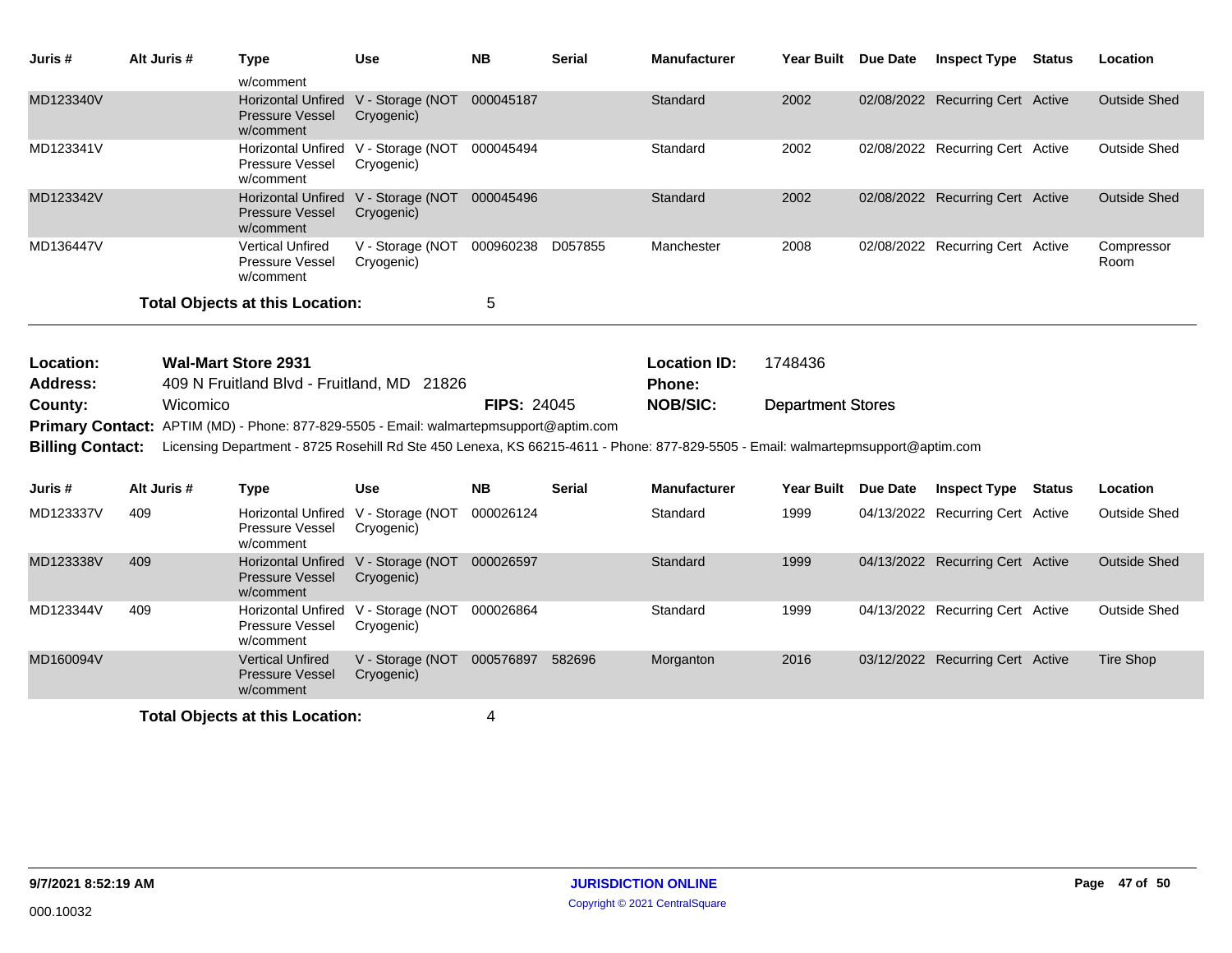| Juris #                 | Alt Juris # | <b>Type</b>                                                                                                                      | <b>Use</b>                                                                                    | <b>NB</b>          | <b>Serial</b> | <b>Manufacturer</b>                         | Year Built Due Date |                 | <b>Inspect Type Status</b>       |  | Location            |
|-------------------------|-------------|----------------------------------------------------------------------------------------------------------------------------------|-----------------------------------------------------------------------------------------------|--------------------|---------------|---------------------------------------------|---------------------|-----------------|----------------------------------|--|---------------------|
| MD123340V               |             | w/comment<br><b>Pressure Vessel</b><br>w/comment                                                                                 | Horizontal Unfired V - Storage (NOT 000045187<br>Cryogenic)                                   |                    |               | Standard                                    | 2002                |                 | 02/08/2022 Recurring Cert Active |  | <b>Outside Shed</b> |
| MD123341V               |             | <b>Horizontal Unfired</b><br>Pressure Vessel<br>w/comment                                                                        | V - Storage (NOT 000045494<br>Cryogenic)                                                      |                    |               | Standard                                    | 2002                |                 | 02/08/2022 Recurring Cert Active |  | <b>Outside Shed</b> |
| MD123342V               |             | <b>Pressure Vessel</b><br>w/comment                                                                                              | Horizontal Unfired V - Storage (NOT 000045496<br>Cryogenic)                                   |                    |               | Standard                                    | 2002                |                 | 02/08/2022 Recurring Cert Active |  | <b>Outside Shed</b> |
| MD136447V               |             | <b>Vertical Unfired</b><br>Pressure Vessel<br>w/comment                                                                          | V - Storage (NOT<br>Cryogenic)                                                                | 000960238 D057855  |               | Manchester                                  | 2008                |                 | 02/08/2022 Recurring Cert Active |  | Compressor<br>Room  |
|                         |             | <b>Total Objects at this Location:</b>                                                                                           |                                                                                               | 5                  |               |                                             |                     |                 |                                  |  |                     |
| Location:<br>Address:   |             | <b>Wal-Mart Store 2931</b><br>409 N Fruitland Blvd - Fruitland, MD 21826                                                         |                                                                                               |                    |               | <b>Location ID:</b><br>Phone:               | 1748436             |                 |                                  |  |                     |
| County:                 | Wicomico    |                                                                                                                                  |                                                                                               | <b>FIPS: 24045</b> |               | <b>NOB/SIC:</b><br><b>Department Stores</b> |                     |                 |                                  |  |                     |
|                         |             |                                                                                                                                  | <b>Primary Contact:</b> APTIM (MD) - Phone: 877-829-5505 - Email: walmartepmsupport@aptim.com |                    |               |                                             |                     |                 |                                  |  |                     |
| <b>Billing Contact:</b> |             |                                                                                                                                  |                                                                                               |                    |               |                                             |                     |                 |                                  |  |                     |
|                         |             | Licensing Department - 8725 Rosehill Rd Ste 450 Lenexa, KS 66215-4611 - Phone: 877-829-5505 - Email: walmartepmsupport@aptim.com |                                                                                               |                    |               |                                             |                     |                 |                                  |  |                     |
| Juris #                 | Alt Juris # | <b>Type</b>                                                                                                                      | <b>Use</b>                                                                                    | <b>NB</b>          | <b>Serial</b> | <b>Manufacturer</b>                         | Year Built          | <b>Due Date</b> | <b>Inspect Type Status</b>       |  | Location            |
| MD123337V               | 409         | <b>Pressure Vessel</b><br>w/comment                                                                                              | Horizontal Unfired V - Storage (NOT<br>Cryogenic)                                             | 000026124          |               | Standard                                    | 1999                |                 | 04/13/2022 Recurring Cert Active |  | <b>Outside Shed</b> |
| MD123338V               | 409         | <b>Pressure Vessel</b><br>w/comment                                                                                              | Horizontal Unfired V - Storage (NOT 000026597<br>Cryogenic)                                   |                    |               | Standard                                    | 1999                |                 | 04/13/2022 Recurring Cert Active |  | <b>Outside Shed</b> |
| MD123344V               | 409         | Pressure Vessel<br>w/comment                                                                                                     | Horizontal Unfired V - Storage (NOT 000026864<br>Cryogenic)                                   |                    |               | Standard                                    | 1999                |                 | 04/13/2022 Recurring Cert Active |  | <b>Outside Shed</b> |
| MD160094V               |             | <b>Vertical Unfired</b><br>Pressure Vessel<br>w/comment                                                                          | V - Storage (NOT 000576897 582696<br>Cryogenic)                                               |                    |               | Morganton                                   | 2016                |                 | 03/12/2022 Recurring Cert Active |  | Tire Shop           |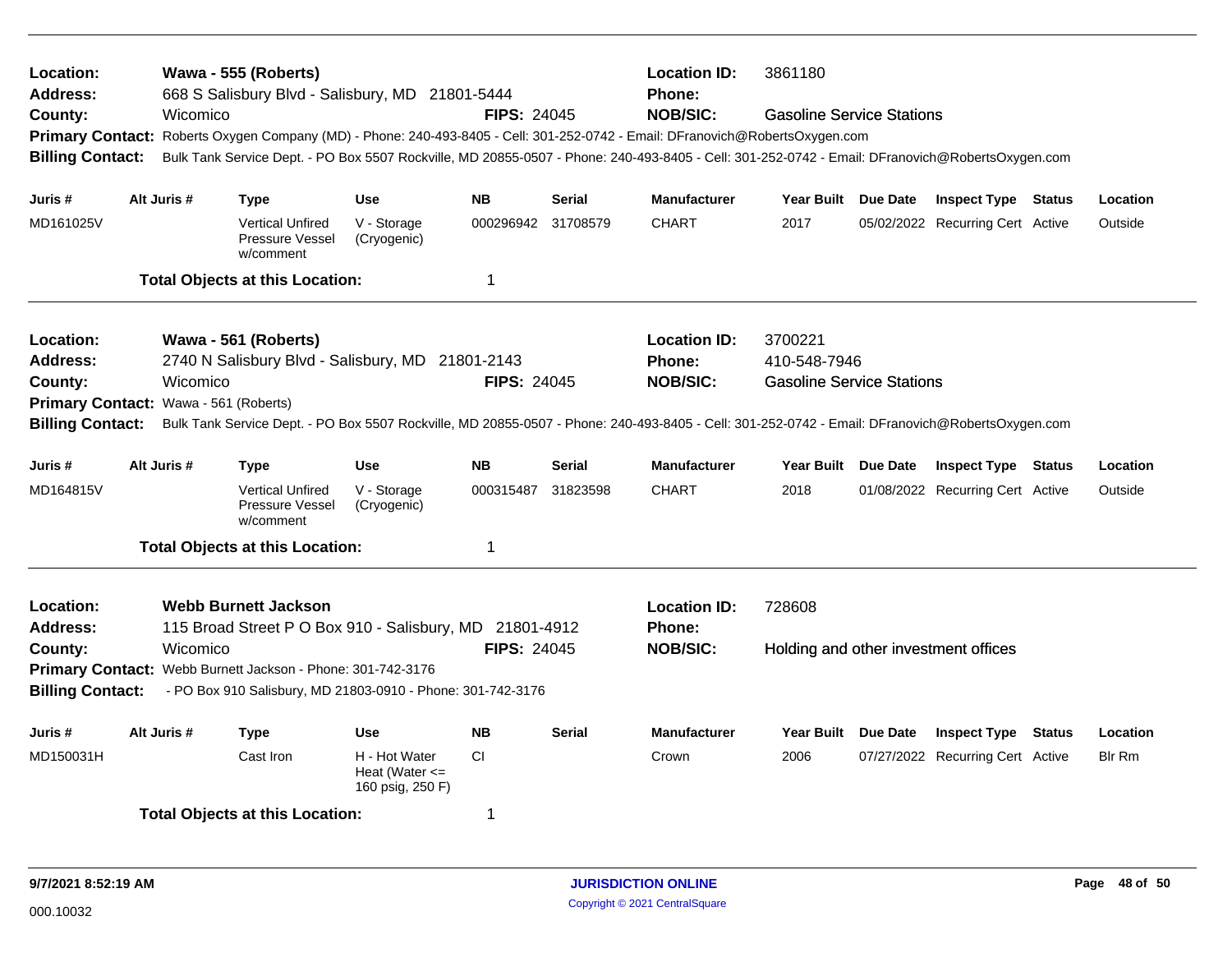| Location:<br><b>Address:</b><br>County:<br><b>Primary Contact:</b><br><b>Billing Contact:</b> |                                                                                                                                                                                                                                                                                                                                             | Wicomico | Wawa - 555 (Roberts)<br>668 S Salisbury Blvd - Salisbury, MD 21801-5444 |                                                         | <b>FIPS: 24045</b> |               | <b>Location ID:</b><br>Phone:<br><b>NOB/SIC:</b> | 3861180<br><b>Gasoline Service Stations</b><br>Roberts Oxygen Company (MD) - Phone: 240-493-8405 - Cell: 301-252-0742 - Email: DFranovich@RobertsOxygen.com<br>Bulk Tank Service Dept. - PO Box 5507 Rockville, MD 20855-0507 - Phone: 240-493-8405 - Cell: 301-252-0742 - Email: DFranovich@RobertsOxygen.com |  |                                  |  |               |  |
|-----------------------------------------------------------------------------------------------|---------------------------------------------------------------------------------------------------------------------------------------------------------------------------------------------------------------------------------------------------------------------------------------------------------------------------------------------|----------|-------------------------------------------------------------------------|---------------------------------------------------------|--------------------|---------------|--------------------------------------------------|----------------------------------------------------------------------------------------------------------------------------------------------------------------------------------------------------------------------------------------------------------------------------------------------------------------|--|----------------------------------|--|---------------|--|
| Juris #                                                                                       | Alt Juris #                                                                                                                                                                                                                                                                                                                                 |          | <b>Type</b>                                                             | <b>Use</b>                                              | <b>NB</b>          | <b>Serial</b> | <b>Manufacturer</b>                              | Year Built Due Date                                                                                                                                                                                                                                                                                            |  | <b>Inspect Type Status</b>       |  | Location      |  |
| MD161025V                                                                                     |                                                                                                                                                                                                                                                                                                                                             |          | <b>Vertical Unfired</b><br>Pressure Vessel<br>w/comment                 | V - Storage<br>(Cryogenic)                              | 000296942 31708579 |               | <b>CHART</b>                                     | 2017                                                                                                                                                                                                                                                                                                           |  | 05/02/2022 Recurring Cert Active |  | Outside       |  |
|                                                                                               |                                                                                                                                                                                                                                                                                                                                             |          | <b>Total Objects at this Location:</b>                                  |                                                         | $\mathbf 1$        |               |                                                  |                                                                                                                                                                                                                                                                                                                |  |                                  |  |               |  |
| Location:<br>Address:<br>County:                                                              | Wawa - 561 (Roberts)<br>2740 N Salisbury Blvd - Salisbury, MD 21801-2143<br>Wicomico<br><b>FIPS: 24045</b><br>Wawa - 561 (Roberts)<br><b>Primary Contact:</b><br><b>Billing Contact:</b><br>Bulk Tank Service Dept. - PO Box 5507 Rockville, MD 20855-0507 - Phone: 240-493-8405 - Cell: 301-252-0742 - Email: DFranovich@RobertsOxygen.com |          |                                                                         |                                                         |                    |               |                                                  | 3700221<br>410-548-7946<br><b>Gasoline Service Stations</b>                                                                                                                                                                                                                                                    |  |                                  |  |               |  |
| Juris #                                                                                       | Alt Juris #                                                                                                                                                                                                                                                                                                                                 |          | <b>Type</b>                                                             | <b>Use</b>                                              | <b>NB</b>          | <b>Serial</b> | <b>Manufacturer</b>                              | Year Built Due Date                                                                                                                                                                                                                                                                                            |  | <b>Inspect Type Status</b>       |  | Location      |  |
| MD164815V                                                                                     |                                                                                                                                                                                                                                                                                                                                             |          | <b>Vertical Unfired</b><br>Pressure Vessel<br>w/comment                 | V - Storage<br>(Cryogenic)                              | 000315487          | 31823598      | <b>CHART</b>                                     | 2018                                                                                                                                                                                                                                                                                                           |  | 01/08/2022 Recurring Cert Active |  | Outside       |  |
|                                                                                               |                                                                                                                                                                                                                                                                                                                                             |          | <b>Total Objects at this Location:</b>                                  |                                                         | $\mathbf 1$        |               |                                                  |                                                                                                                                                                                                                                                                                                                |  |                                  |  |               |  |
| Location:<br><b>Address:</b><br>County:<br><b>Billing Contact:</b>                            | <b>Webb Burnett Jackson</b><br>115 Broad Street P O Box 910 - Salisbury, MD 21801-4912<br><b>FIPS: 24045</b><br>Wicomico<br>Primary Contact: Webb Burnett Jackson - Phone: 301-742-3176<br>- PO Box 910 Salisbury, MD 21803-0910 - Phone: 301-742-3176                                                                                      |          |                                                                         |                                                         |                    |               |                                                  | 728608<br>Holding and other investment offices                                                                                                                                                                                                                                                                 |  |                                  |  |               |  |
| Juris #                                                                                       | Alt Juris #                                                                                                                                                                                                                                                                                                                                 |          | <b>Type</b>                                                             | <b>Use</b>                                              | <b>NB</b>          | <b>Serial</b> | <b>Manufacturer</b>                              | Year Built Due Date                                                                                                                                                                                                                                                                                            |  | <b>Inspect Type Status</b>       |  | Location      |  |
| MD150031H                                                                                     |                                                                                                                                                                                                                                                                                                                                             |          | Cast Iron                                                               | H - Hot Water<br>Heat (Water $\leq$<br>160 psig, 250 F) | CI.                |               | Crown                                            | 2006                                                                                                                                                                                                                                                                                                           |  | 07/27/2022 Recurring Cert Active |  | <b>Blr Rm</b> |  |
|                                                                                               |                                                                                                                                                                                                                                                                                                                                             |          | <b>Total Objects at this Location:</b>                                  |                                                         | -1                 |               |                                                  |                                                                                                                                                                                                                                                                                                                |  |                                  |  |               |  |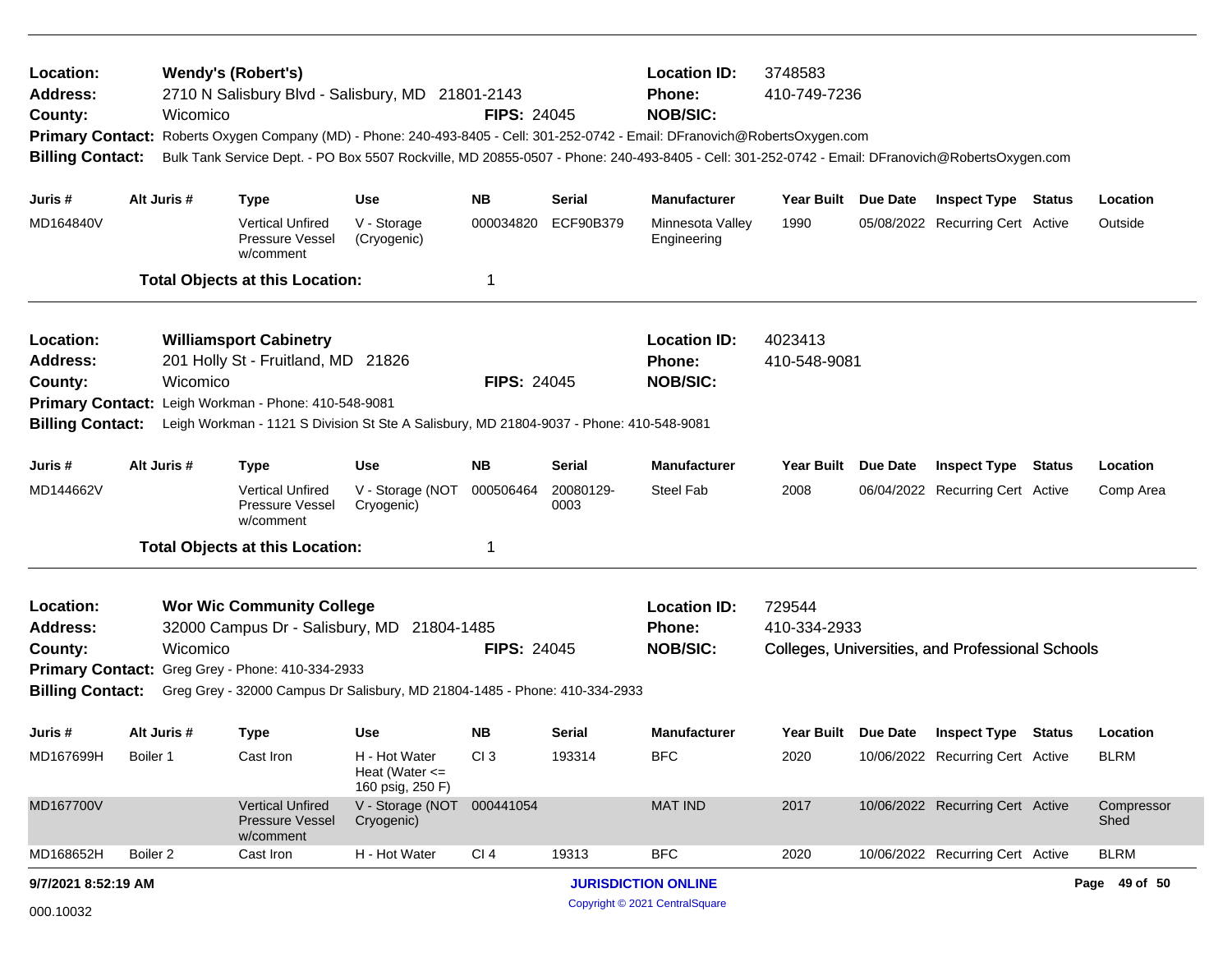| Location:<br><b>Wendy's (Robert's)</b><br>2710 N Salisbury Blvd - Salisbury, MD 21801-2143<br><b>Address:</b><br>Wicomico<br>County:<br>Roberts Oxygen Company (MD) - Phone: 240-493-8405 - Cell: 301-252-0742 - Email: DFranovich@RobertsOxygen.com<br><b>Primary Contact:</b><br>Bulk Tank Service Dept. - PO Box 5507 Rockville, MD 20855-0507 - Phone: 240-493-8405 - Cell: 301-252-0742 - Email: DFranovich@RobertsOxygen.com<br><b>Billing Contact:</b> |                                                                                                                                                                                                                                                                                               |             |                                                                |                                                         | <b>FIPS: 24045</b> |                   | <b>Location ID:</b><br><b>Phone:</b><br><b>NOB/SIC:</b> | 3748583<br>410-749-7236                                                    |                 |                                  |               |                    |  |
|---------------------------------------------------------------------------------------------------------------------------------------------------------------------------------------------------------------------------------------------------------------------------------------------------------------------------------------------------------------------------------------------------------------------------------------------------------------|-----------------------------------------------------------------------------------------------------------------------------------------------------------------------------------------------------------------------------------------------------------------------------------------------|-------------|----------------------------------------------------------------|---------------------------------------------------------|--------------------|-------------------|---------------------------------------------------------|----------------------------------------------------------------------------|-----------------|----------------------------------|---------------|--------------------|--|
| Juris #                                                                                                                                                                                                                                                                                                                                                                                                                                                       |                                                                                                                                                                                                                                                                                               | Alt Juris # | <b>Type</b>                                                    | <b>Use</b>                                              | <b>NB</b>          | Serial            | <b>Manufacturer</b>                                     | Year Built Due Date                                                        |                 | <b>Inspect Type Status</b>       |               | Location           |  |
| MD164840V                                                                                                                                                                                                                                                                                                                                                                                                                                                     |                                                                                                                                                                                                                                                                                               |             | <b>Vertical Unfired</b><br>Pressure Vessel<br>w/comment        | V - Storage<br>(Cryogenic)                              | 000034820          | ECF90B379         | Minnesota Valley<br>Engineering                         | 1990                                                                       |                 | 05/08/2022 Recurring Cert Active |               | Outside            |  |
|                                                                                                                                                                                                                                                                                                                                                                                                                                                               |                                                                                                                                                                                                                                                                                               |             | <b>Total Objects at this Location:</b>                         |                                                         | 1                  |                   |                                                         |                                                                            |                 |                                  |               |                    |  |
| Location:<br><b>Address:</b><br>County:                                                                                                                                                                                                                                                                                                                                                                                                                       | <b>Williamsport Cabinetry</b><br>201 Holly St - Fruitland, MD 21826<br>Wicomico<br><b>FIPS: 24045</b><br><b>Primary Contact:</b><br>Leigh Workman - Phone: 410-548-9081<br><b>Billing Contact:</b><br>Leigh Workman - 1121 S Division St Ste A Salisbury, MD 21804-9037 - Phone: 410-548-9081 |             |                                                                |                                                         |                    |                   | <b>Location ID:</b><br>Phone:<br><b>NOB/SIC:</b>        | 4023413<br>410-548-9081                                                    |                 |                                  |               |                    |  |
| Juris #                                                                                                                                                                                                                                                                                                                                                                                                                                                       |                                                                                                                                                                                                                                                                                               | Alt Juris # | <b>Type</b>                                                    | Use                                                     | <b>NB</b>          | Serial            | <b>Manufacturer</b>                                     | Year Built                                                                 | <b>Due Date</b> | <b>Inspect Type</b>              | <b>Status</b> | Location           |  |
| MD144662V                                                                                                                                                                                                                                                                                                                                                                                                                                                     |                                                                                                                                                                                                                                                                                               |             | <b>Vertical Unfired</b><br><b>Pressure Vessel</b><br>w/comment | V - Storage (NOT<br>Cryogenic)                          | 000506464          | 20080129-<br>0003 | Steel Fab                                               | 2008                                                                       |                 | 06/04/2022 Recurring Cert Active |               | Comp Area          |  |
|                                                                                                                                                                                                                                                                                                                                                                                                                                                               |                                                                                                                                                                                                                                                                                               |             | <b>Total Objects at this Location:</b>                         |                                                         | 1                  |                   |                                                         |                                                                            |                 |                                  |               |                    |  |
| Location:<br><b>Wor Wic Community College</b><br><b>Address:</b><br>32000 Campus Dr - Salisbury, MD<br>21804-1485<br><b>FIPS: 24045</b><br>County:<br>Wicomico<br><b>Primary Contact:</b><br>Greg Grey - Phone: 410-334-2933<br><b>Billing Contact:</b><br>Greg Grey - 32000 Campus Dr Salisbury, MD 21804-1485 - Phone: 410-334-2933                                                                                                                         |                                                                                                                                                                                                                                                                                               |             |                                                                |                                                         |                    |                   | <b>Location ID:</b><br>Phone:<br><b>NOB/SIC:</b>        | 729544<br>410-334-2933<br>Colleges, Universities, and Professional Schools |                 |                                  |               |                    |  |
| Juris #                                                                                                                                                                                                                                                                                                                                                                                                                                                       |                                                                                                                                                                                                                                                                                               | Alt Juris # | <b>Type</b>                                                    | Use                                                     | <b>NB</b>          | Serial            | <b>Manufacturer</b>                                     | Year Built Due Date                                                        |                 | <b>Inspect Type</b>              | Status        | Location           |  |
| MD167699H                                                                                                                                                                                                                                                                                                                                                                                                                                                     | Boiler 1                                                                                                                                                                                                                                                                                      |             | Cast Iron                                                      | H - Hot Water<br>Heat (Water $\leq$<br>160 psig, 250 F) | CI <sub>3</sub>    | 193314            | <b>BFC</b>                                              | 2020                                                                       |                 | 10/06/2022 Recurring Cert Active |               | <b>BLRM</b>        |  |
| MD167700V                                                                                                                                                                                                                                                                                                                                                                                                                                                     |                                                                                                                                                                                                                                                                                               |             | <b>Vertical Unfired</b><br>Pressure Vessel<br>w/comment        | V - Storage (NOT<br>Cryogenic)                          | 000441054          |                   | <b>MAT IND</b>                                          | 2017                                                                       |                 | 10/06/2022 Recurring Cert Active |               | Compressor<br>Shed |  |
| MD168652H                                                                                                                                                                                                                                                                                                                                                                                                                                                     | Boiler <sub>2</sub>                                                                                                                                                                                                                                                                           |             | Cast Iron                                                      | H - Hot Water                                           | CI <sub>4</sub>    | 19313             | <b>BFC</b>                                              | 2020                                                                       |                 | 10/06/2022 Recurring Cert Active |               | <b>BLRM</b>        |  |
| 9/7/2021 8:52:19 AM                                                                                                                                                                                                                                                                                                                                                                                                                                           |                                                                                                                                                                                                                                                                                               |             |                                                                |                                                         |                    |                   | <b>JURISDICTION ONLINE</b>                              |                                                                            |                 |                                  |               | Page 49 of 50      |  |
| 000.10032                                                                                                                                                                                                                                                                                                                                                                                                                                                     |                                                                                                                                                                                                                                                                                               |             |                                                                |                                                         |                    |                   | Copyright © 2021 CentralSquare                          |                                                                            |                 |                                  |               |                    |  |